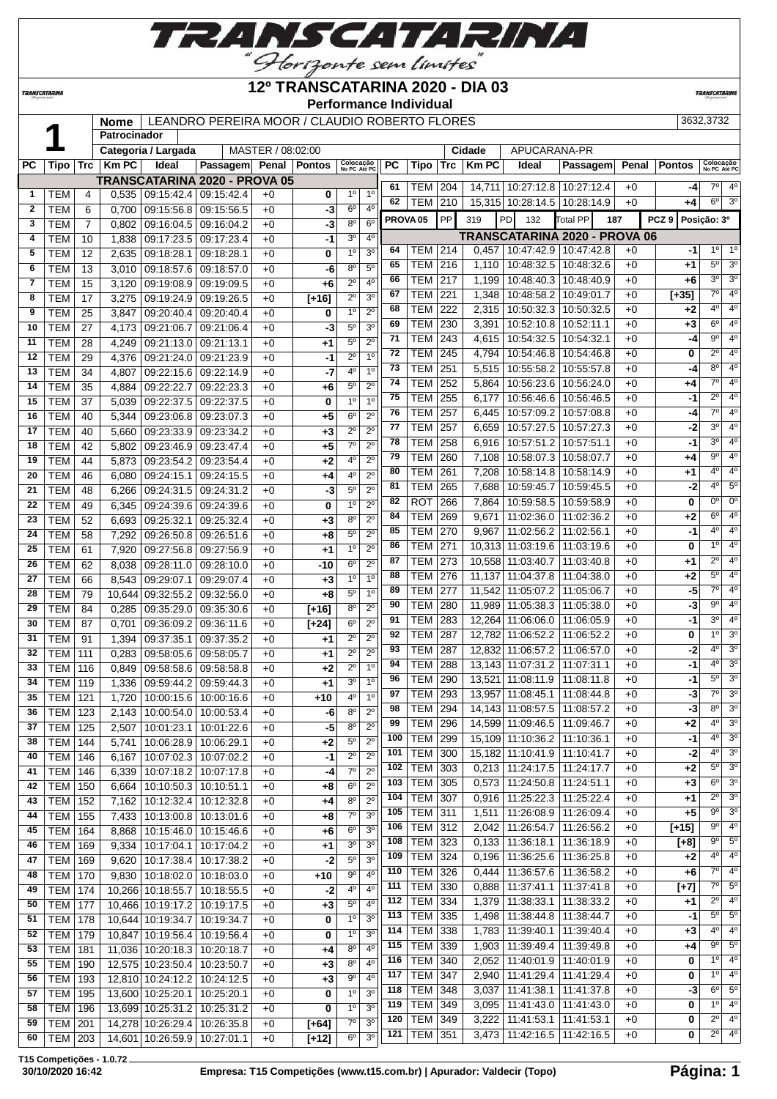

### **12º TRANSCATARINA 2020 - DIA 03**

**Performance Individual**

**TRANSCATARIN** 

|    |  | Nome   LEANDRO PE   |       |      |
|----|--|---------------------|-------|------|
|    |  | Patrocinador        |       |      |
|    |  | Categoria / Largada |       |      |
| C. |  | Tipo   Trc   Km PC  | Ideal | Pas: |
|    |  |                     |       |      |

**TRANSCATARINA** 

**NOMEAN ANDER / CLAUDIO ROBERTO FLORES** 3632,3732

|              |                  |                | Patrocinador |                     |                                      |                   |               |                           |                  |     |                     |            |                |                                   |                               |       |                                 |                           |                               |
|--------------|------------------|----------------|--------------|---------------------|--------------------------------------|-------------------|---------------|---------------------------|------------------|-----|---------------------|------------|----------------|-----------------------------------|-------------------------------|-------|---------------------------------|---------------------------|-------------------------------|
|              |                  |                |              | Categoria / Largada |                                      | MASTER / 08:02:00 |               |                           |                  |     |                     |            | Cidade         | APUCARANA-PR                      |                               |       |                                 |                           |                               |
| <b>PC</b>    | Tipo             | <b>Trc</b>     | <b>Km PC</b> | Ideal               | Passagem Penal                       |                   | <b>Pontos</b> | Colocação<br>No PC Até PC |                  | PC  | Tipo                | <b>Trc</b> | <b>Km PC</b>   | Ideal                             | Passagem                      | Penal | <b>Pontos</b>                   | Colocação<br>No PC Até PC |                               |
|              |                  |                |              |                     | <b>TRANSCATARINA 2020 - PROVA 05</b> |                   |               |                           |                  | 61  |                     |            |                |                                   |                               |       |                                 | $7^\circ$                 | $4^{\circ}$                   |
| 1            | <b>TEM</b>       | 4              | 0,535        | 09:15:42.4          | 09:15:42.4                           | $+0$              | 0             | $1^{\circ}$               | 1 <sup>0</sup>   | 62  | TEM                 | 204        |                | 14,711   10:27:12.8               | 10:27:12.4                    | $+0$  | -4                              | $6^{\circ}$               | 3 <sup>o</sup>                |
| $\mathbf{2}$ | <b>TEM</b>       | 6              | 0,700        | 09:15:56.8          | 09:15:56.5                           | $+0$              | -3            | $6^{\circ}$               | 4 <sup>0</sup>   |     | TEM                 | 210        |                | 15,315 10:28:14.5                 | 10:28:14.9                    | $+0$  | +4                              |                           |                               |
| 3            | <b>TEM</b>       | $\overline{7}$ | 0,802        | 09:16:04.5          | 09:16:04.2                           | $+0$              | -3            | 8 <sup>o</sup>            | 6 <sup>o</sup>   |     | PROVA <sub>05</sub> | PP         | 319            | PD<br>132                         | <b>Total PP</b>               | 187   | PCZ <sub>9</sub><br>Posição: 3º |                           |                               |
| 4            | <b>TEM</b>       | 10             | 1,838        | 09:17:23.5          | 09:17:23.4                           | $+0$              | $-1$          | 3 <sup>o</sup>            | 4 <sup>0</sup>   |     |                     |            |                |                                   | TRANSCATARINA 2020 - PROVA 06 |       |                                 |                           |                               |
| 5            | <b>TEM</b>       | 12             | 2,635        | 09:18:28.1          | 09:18:28.1                           | $+0$              | 0             | 1 <sup>0</sup>            | 3 <sup>o</sup>   | 64  | TEM                 | 214        | 0,457          |                                   | 10:47:42.9   10:47:42.8       | $+0$  | -1                              | $1^{\circ}$               | $1^{\circ}$                   |
| 6            | <b>TEM</b>       | 13             | 3,010        | 09:18:57.6          | 09:18:57.0                           | $+0$              | -6            | $8^{\circ}$               | 5 <sup>0</sup>   | 65  | TEM                 | 216        | 1,110          | 10:48:32.5                        | 10:48:32.6                    | $+0$  | +1                              | $5^{\circ}$               | 3 <sup>o</sup>                |
| 7            | <b>TEM</b>       | 15             | 3,120        | 09:19:08.9          | 09:19:09.5                           | $+0$              | +6            | $2^{\circ}$               | 4 <sup>0</sup>   | 66  | TEM l               | 217        | 1,199          | 10:48:40.3                        | 10:48:40.9                    | $+0$  | +6                              | 3 <sup>0</sup>            | 3 <sup>o</sup>                |
| 8            | <b>TEM</b>       | 17             | 3,275        | 09:19:24.9          | 09:19:26.5                           | $+0$              | $[+16]$       | $2^{\circ}$               | 3 <sup>0</sup>   | 67  | <b>TEM</b>          | 221        | 1,348          | 10:48:58.2                        | 10:49:01.7                    | $+0$  | $[+35]$                         | $7^\circ$                 | 4 <sup>o</sup>                |
| 9            | <b>TEM</b>       | 25             | 3,847        | 09:20:40.4          | 09:20:40.4                           | $+0$              | 0             | $1^{\circ}$               | $2^{\circ}$      | 68  | TEM                 | 222        | 2,315          | 10:50:32.3                        | 10:50:32.5                    | $+0$  | +2                              | 40                        | 4°                            |
| 10           | <b>TEM</b>       | 27             | 4,173        | 09:21:06.7          | 09:21:06.4                           | $+0$              | -3            | $5^{\circ}$               | 3 <sup>0</sup>   | 69  | <b>TEM</b>          | 230        | 3,391          | 10:52:10.8                        | 10:52:11.1                    | $+0$  | $+3$                            | $6^{\circ}$               | 4 <sup>0</sup>                |
| 11           | <b>TEM</b>       | 28             | 4,249        | 09:21:13.0          | 09:21:13.1                           | $+0$              | $+1$          | $5^{\circ}$               | $2^{\circ}$      | 71  | <b>TEM</b>          | 243        | 4,615          | 10:54:32.5                        | 10:54:32.1                    | $+0$  | -4                              | $9^{\circ}$               | 4 <sup>0</sup>                |
| 12           | <b>TEM</b>       | 29             | 4,376        | 09:21:24.0          | 09:21:23.9                           | $+0$              | -1            | $2^{\circ}$               | 1 <sup>0</sup>   | 72  | TEM                 | 245        | 4,794          | 10:54:46.8                        | 10:54:46.8                    | $+0$  | 0                               | $\overline{2^{\circ}}$    | 4 <sup>0</sup>                |
| 13           | <b>TEM</b>       | 34             | 4,807        | 09:22:15.6          | 09:22:14.9                           | $+0$              | -7            | 4 <sup>0</sup>            | 1 <sup>0</sup>   | 73  | TEM                 | 251        | 5,515          | 10:55:58.2                        | 10:55:57.8                    | $+0$  | $-4$                            | 8 <sup>o</sup>            | 4 <sup>0</sup>                |
| 14           | <b>TEM</b>       |                |              | 09:22:22.7          | 09:22:23.3                           |                   |               | $5^{\circ}$               | $2^{\circ}$      | 74  | <b>TEM</b>          | 252        | 5,864          | 10:56:23.6                        | 10:56:24.0                    | $+0$  | +4                              | $7^\circ$                 | $4^{\circ}$                   |
|              |                  | 35             | 4,884        |                     |                                      | $+0$              | +6            | 1 <sup>0</sup>            | 1 <sup>0</sup>   | 75  | TEM                 | 255        | 6,177          | 10:56:46.6                        | 10:56:46.5                    | $+0$  | $-1$                            | $\overline{2^0}$          | 4 <sup>0</sup>                |
| 15           | <b>TEM</b>       | 37             | 5,039        | 09:22:37.5          | 09:22:37.5                           | $+0$              | 0             |                           |                  | 76  | TEM                 | 257        | 6,445          | 10:57:09.2                        | 10:57:08.8                    | $+0$  | -4                              | $7^\circ$                 | 4 <sup>0</sup>                |
| 16           | <b>TEM</b>       | 40             | 5,344        | 09:23:06.8          | 09:23:07.3                           | $+0$              | +5            | $6^{\circ}$               | $2^{\circ}$      | 77  | <b>TEM</b>          | 257        | 6,659          | 10:57:27.5                        | 10:57:27.3                    | $+0$  | -2                              | 3 <sup>0</sup>            | 4 <sup>0</sup>                |
| 17           | <b>TEM</b>       | 40             | 5,660        | 09:23:33.9          | 09:23:34.2                           | $+0$              | +3            | $2^{\circ}$               | $2^{\circ}$      | 78  | TEM                 | 258        | 6,916          | 10:57:51.2                        | 10:57:51.1                    | $+0$  | $-1$                            | 3 <sup>0</sup>            | 4°                            |
| 18           | <b>TEM</b>       | 42             | 5,802        | 09:23:46.9          | 09:23:47.4                           | $+0$              | $+5$          | $7^\circ$                 | $2^{\circ}$      | 79  | TEM                 | 260        | 7,108          | 10:58:07.3                        | 10:58:07.7                    | $+0$  | +4                              | $\overline{9^{\circ}}$    | 4°                            |
| 19           | <b>TEM</b>       | 44             | 5,873        | 09:23:54.2          | 09:23:54.4                           | $+0$              | $+2$          | $4^{\circ}$               | $2^{\circ}$      | 80  | <b>TEM</b>          | 261        |                | 10:58:14.8                        | 10:58:14.9                    | $+0$  | +1                              | $4^{\circ}$               | 40                            |
| 20           | <b>TEM</b>       | 46             | 6,080        | 09:24:15.1          | 09:24:15.5                           | $+0$              | +4            | 4°                        | $2^{\circ}$      | 81  | TEM                 | 265        | 7,208<br>7,688 | 10:59:45.7                        | 10:59:45.5                    | $+0$  | $-2$                            | $4^{\circ}$               | $5^{\circ}$                   |
| 21           | <b>TEM</b>       | 48             | 6,266        | 09:24:31.5          | 09:24:31.2                           | $+0$              | -3            | 5 <sup>0</sup>            | $\overline{2^0}$ | 82  | <b>ROT</b>          | 266        |                | 10:59:58.5                        | 10:59:58.9                    |       | 0                               | $0^{\circ}$               | $0^{\circ}$                   |
| 22           | <b>TEM</b>       | 49             | 6,345        | 09:24:39.6          | 09:24:39.6                           | $+0$              | 0             | 1 <sup>0</sup>            | $2^{\circ}$      | 84  |                     |            | 7,864          |                                   |                               | $+0$  |                                 | $6^{\circ}$               | $4^{\circ}$                   |
| 23           | <b>TEM</b>       | 52             | 6,693        | 09:25:32.1          | 09:25:32.4                           | $+0$              | +3            | $8^{\circ}$               | $2^{\circ}$      |     | <b>TEM</b>          | 269        | 9,671          | 11:02:36.0                        | 11:02:36.2                    | $+0$  | $+2$                            | $4^{\circ}$               | 4 <sup>0</sup>                |
| 24           | <b>TEM</b>       | 58             | 7,292        | 09:26:50.8          | 09:26:51.6                           | $+0$              | +8            | $5^{\circ}$               | $2^{\circ}$      | 85  | <b>TEM</b>          | 270        | 9,967          | 11:02:56.2                        | 11:02:56.1                    | $+0$  | -1                              |                           |                               |
| 25           | <b>TEM</b>       | 61             | 7,920        | 09:27:56.8          | 09:27:56.9                           | $+0$              | $+1$          | 1 <sup>0</sup>            | $2^{\circ}$      | 86  | <b>TEM</b>          | 271        | 10,313         | 11:03:19.6                        | 11:03:19.6                    | $+0$  | 0                               | 1 <sup>0</sup>            | $4^{\circ}$                   |
| 26           | <b>TEM</b>       | 62             | 8,038        | 09:28:11.0          | 09:28:10.0                           | $+0$              | $-10$         | 6 <sup>o</sup>            | $2^{\circ}$      | 87  | TEM l               | 273        | 10,558         | 11:03:40.7                        | 11:03:40.8                    | $+0$  | +1                              | $\overline{2^0}$          | 4 <sup>0</sup>                |
| 27           | <b>TEM</b>       | 66             | 8,543        | 09:29:07.1          | 09:29:07.4                           | $+0$              | $+3$          | 1 <sup>0</sup>            | 1 <sup>0</sup>   | 88  | TEM                 | 276        | 11,137         | 11:04:37.8                        | 11:04:38.0                    | $+0$  | $+2$                            | $5^{\circ}$               | 40                            |
| 28           | <b>TEM</b>       | 79             | 10,644       | 09:32:55.2          | 09:32:56.0                           | $+0$              | $+8$          | $5^{\circ}$               | 1 <sup>0</sup>   | 89  | TEM                 | 277        | 11,542         | 11:05:07.2                        | 11:05:06.7                    | $+0$  | -5                              | $\overline{7^{\circ}}$    | 4 <sup>0</sup>                |
| 29           | <b>TEM</b>       | 84             | 0,285        | 09:35:29.0          | 09:35:30.6                           | +0                | $[+16]$       | $8^{\circ}$               | $2^{\circ}$      | 90  | <b>TEM</b>          | 280        | 11,989         | 11:05:38.3                        | 11:05:38.0                    | $+0$  | -3                              | $\overline{9^{\circ}}$    | 4 <sup>0</sup>                |
| 30           | <b>TEM</b>       | 87             | 0,701        | 09:36:09.2          | 09:36:11.6                           | $+0$              | $[+24]$       | 6 <sup>o</sup>            | $\overline{2^0}$ | 91  | TEM                 | 283        | 12,264         | 11:06:06.0                        | 11:06:05.9                    | $+0$  | $-1$                            | 3 <sup>0</sup>            | 4 <sup>0</sup>                |
| 31           | <b>TEM</b>       | 91             | 1,394        | 09:37:35.1          | 09:37:35.2                           | $+0$              | $+1$          | $2^{\circ}$               | $2^{\circ}$      | 92  | <b>TEM</b>          | 287        | 12,782         | 11:06:52.2                        | 11:06:52.2                    | $+0$  | 0                               | 1 <sup>0</sup>            | 3 <sup>0</sup>                |
| 32           | <b>TEM</b>       | 111            | 0,283        | 09:58:05.6          | 09:58:05.7                           | $+0$              | $+1$          | $2^{\circ}$               | $2^{\circ}$      | 93  | TEM                 | 287        | 12,832         | 11:06:57.2                        | 11:06:57.0                    | $+0$  | $-2$                            | $4^{\circ}$               | 3 <sup>0</sup>                |
| 33           | <b>TEM</b>       | 116            | 0,849        | 09:58:58.6          | 09:58:58.8                           | $+0$              | $+2$          | $2^{\circ}$               | 1 <sup>0</sup>   | 94  | <b>TEM</b>          | 288        | 13,143         | 11:07:31.2                        | 11:07:31.1                    | $+0$  | $-1$                            | $4^{\circ}$               | 3 <sup>0</sup>                |
| 34           | <b>TEM</b>       | 119            | 1,336        | 09:59:44.2          | 09:59:44.3                           | $+0$              | $+1$          | 3 <sup>o</sup>            | 1 <sup>0</sup>   | 96  | <b>TEM</b>          | 290        | 13,521         | 11:08:11.9                        | 11:08:11.8                    | $+0$  | -1                              | $5^{\circ}$               | 3 <sup>0</sup>                |
| 35           | <b>TEM</b>       | 121            | 1,720        | 10:00:15.6          | 10:00:16.6                           | $+0$              | $+10$         | $4^{\circ}$               | 1 <sup>0</sup>   | 97  | TEM                 | 293        | 13,957         | 11:08:45.1                        | 11:08:44.8                    | $+0$  | $-3$                            | $7^\circ$                 | 3 <sup>0</sup>                |
| 36           | TEM              | 123            |              |                     | 2.143 10:00:54.0 10:00:53.4          | $+0$              | -6            | 8 <sup>0</sup>            | $2^{\circ}$      | 98  | TEM                 | 294        |                | 14,143 11:08:57.5                 | 11:08:57.2                    | $+0$  | -3                              | $8^{\circ}$               | 3 <sup>o</sup>                |
| 37           | TEM   125        |                | 2,507        |                     | 10:01:23.1   10:01:22.6              | $+0$              | -5            | $8^{\circ}$               | $2^{\circ}$      | 99  | <b>TEM 296</b>      |            |                | 14,599 11:09:46.5 11:09:46.7      |                               | $+0$  | +2                              | $4^{\circ}$               | 3 <sup>o</sup>                |
| 38           | $TEM$ 144        |                | 5,741        |                     | 10:06:28.9 10:06:29.1                | $+0$              | +2            | $5^{\circ}$               | $2^{\circ}$      | 100 | <b>TEM 299</b>      |            |                | 15,109 11:10:36.2 11:10:36.1      |                               | $+0$  | -1                              | $4^{\circ}$               | 3 <sup>o</sup>                |
| 40           | <b>TEM 146</b>   |                | 6,167        |                     | 10:07:02.3 10:07:02.2                | $+0$              | -1            | $2^{\circ}$               | $2^{\circ}$      | 101 | <b>TEM 300</b>      |            |                | 15,182 11:10:41.9 11:10:41.7      |                               | $+0$  | $-2$                            | $4^{\circ}$               | 3 <sup>o</sup>                |
| 41           | <b>TEM 146</b>   |                | 6,339        |                     | 10:07:18.2   10:07:17.8              | $+0$              | -4            | $7^{\circ}$               | 2 <sup>0</sup>   | 102 | <b>TEM 303</b>      |            |                | $0,213$ 11:24:17.5                | 11:24:17.7                    | $+0$  | $+2$                            | $5^{\circ}$               | 3 <sup>o</sup>                |
| 42           | <b>TEM 150</b>   |                | 6,664        |                     | $10:10:50.3$ 10:10:51.1              | $+0$              | +8            | $6^{\circ}$               | $2^{\circ}$      | 103 | <b>TEM 305</b>      |            |                | $0,573$   11:24:50.8              | 11:24:51.1                    | $+0$  | $+3$                            | $6^{\circ}$               | $3^{\circ}$                   |
| 43           | <b>TEM 152</b>   |                | 7,162        |                     | 10:12:32.4   10:12:32.8              | $+0$              | +4            | $8^{\circ}$               | $2^{\circ}$      | 104 | <b>TEM 307</b>      |            |                | $0,916$ 11:25:22.3                | 11:25:22.4                    | $+0$  | +1                              | $2^{\circ}$               | 3 <sup>o</sup>                |
| 44           | $TEM$ 155        |                | 7,433        |                     | 10:13:00.8   10:13:01.6              | $+0$              | $+8$          | $7^\circ$                 | 3 <sup>o</sup>   | 105 | <b>TEM 311</b>      |            | 1,511          | 11:26:08.9                        | 11:26:09.4                    | $+0$  | $+5$                            | $9^{\circ}$               | 3 <sup>o</sup>                |
| 45           | $TEM$ 164        |                | 8,868        |                     | 10:15:46.0   10:15:46.6              | $+0$              | +6            | $6^{\circ}$               | 3 <sup>o</sup>   | 106 | <b>TEM 312</b>      |            |                | 2,042   11:26:54.7                | 11:26:56.2                    | $+0$  | $[+15]$                         | $9^{\circ}$               | 4 <sup>o</sup>                |
| 46           | TEM              | 169            | 9,334        |                     | 10:17:04.1   10:17:04.2              | $+0$              | $+1$          | 3 <sup>o</sup>            | 3 <sup>o</sup>   | 108 | <b>TEM 323</b>      |            | 0,133          | 11:36:18.1                        | 11:36:18.9                    | $+0$  | [+8]                            | $9^{\circ}$               | $5^{\circ}$                   |
| 47           | <b>TEM   169</b> |                | 9,620        |                     | 10:17:38.4   10:17:38.2              | $+0$              | -2            | $5^{\circ}$               | 3 <sup>o</sup>   | 109 | <b>TEM 324</b>      |            |                | $0,196$   11:36:25.6   11:36:25.8 |                               | $+0$  | $+2$                            | $4^{\circ}$               | $4^{\circ}$                   |
|              |                  |                |              |                     |                                      |                   |               | $9^{\circ}$               | 4 <sup>0</sup>   | 110 | <b>TEM 326</b>      |            | 0,444          |                                   | 11:36:57.6   11:36:58.2       | $+0$  | +6                              | 7°                        | $4^{\circ}$                   |
| 48           | <b>TEM 170</b>   |                | 9,830        |                     | 10:18:02.0   10:18:03.0              | +0                | $+10$         | 4°                        | 4 <sup>0</sup>   | 111 | TEM 330             |            | 0,888          | 11:37:41.1                        | 11:37:41.8                    | $+0$  | $[+7]$                          | $7^\circ$                 | $5^{\circ}$                   |
| 49           | <b>TEM 174</b>   |                |              |                     | 10,266 10:18:55.7 10:18:55.5         | +0                | $-2$          |                           |                  | 112 | <b>TEM 334</b>      |            | 1,379          | 11:38:33.1                        | 11:38:33.2                    | $+0$  | +1                              | $2^{\circ}$               | 4 <sup>o</sup>                |
| 50           | <b>TEM 177</b>   |                |              |                     | 10,466 10:19:17.2 10:19:17.5         | $+0$              | $+3$          | $5^{\circ}$               | 4 <sup>0</sup>   | 113 | <b>TEM 335</b>      |            | 1,498          | 11:38:44.8                        | 11:38:44.7                    | $+0$  | $-1$                            | $5^{\circ}$               | $5^{\circ}$                   |
| 51           | <b>TEM</b> 178   |                |              |                     | 10,644 10:19:34.7 10:19:34.7         | $+0$              | 0             | $1^{\circ}$               | 3 <sup>o</sup>   | 114 | <b>TEM 338</b>      |            |                | 1,783   11:39:40.1                | 11:39:40.4                    | $+0$  | +3                              | $4^{\circ}$               | 4 <sup>o</sup>                |
| 52           | <b>TEM 179</b>   |                |              |                     | 10,847 10:19:56.4 10:19:56.4         | $+0$              | 0             | $1^{\circ}$               | 3 <sup>o</sup>   | 115 | <b>TEM 339</b>      |            | 1,903          | 11:39:49.4                        | 11:39:49.8                    | $+0$  | +4                              | $9^{\circ}$               | $5^\circ$                     |
| 53           | <b>TEM 181</b>   |                |              |                     | 11,036 10:20:18.3 10:20:18.7         | $+0$              | $+4$          | $8^{\circ}$               | 4 <sup>0</sup>   | 116 | TEM 340             |            |                | 2,052   11:40:01.9                |                               |       |                                 | $1^{\circ}$               | 4 <sup>o</sup>                |
| 55           | <b>TEM 190</b>   |                |              |                     | 12,575 10:23:50.4 10:23:50.7         | $+0$              | $+3$          | $8^{\circ}$               | 4 <sup>0</sup>   |     |                     |            |                |                                   | 11:40:01.9                    | $+0$  | 0                               | $1^{\circ}$               | $4^{\circ}$                   |
| 56           | <b>TEM 193</b>   |                |              |                     | 12,810 10:24:12.2 10:24:12.5         | $+0$              | $+3$          | 9 <sup>o</sup>            | 4 <sup>0</sup>   | 117 | <b>TEM 347</b>      |            |                | 2,940   11:41:29.4   11:41:29.4   |                               | $+0$  | 0                               | $6^{\circ}$               |                               |
| 57           | TEM   195        |                |              |                     | 13,600 10:25:20.1 10:25:20.1         | $+0$              | 0             | $1^{\circ}$               | 3 <sup>o</sup>   | 118 | <b>TEM 348</b>      |            | 3,037          | 11:41:38.1                        | 11:41:37.8                    | $+0$  | -3                              | 10                        | $5^{\circ}$<br>4 <sup>o</sup> |
| 58           | <b>TEM   196</b> |                |              |                     | 13,699 10:25:31.2 10:25:31.2         | $+0$              | 0             | 1 <sup>0</sup>            | 3 <sup>0</sup>   | 119 | TEM   349           |            | 3,095          | 11:41:43.0   11:41:43.0           |                               | $+0$  | 0                               | $2^{\circ}$               |                               |
| 59           | <b>TEM 201</b>   |                |              |                     | 14,278 10:26:29.4 10:26:35.8         | +0                | $[+64]$       | $7^\circ$                 | 3 <sup>0</sup>   | 120 | TEM 349             |            | 3,222          | 11:41:53.1                        | 11:41:53.1                    | $+0$  | 0                               |                           | $4^{\circ}$                   |
| 60           | TEM   203        |                |              |                     | 14,601 10:26:59.9 10:27:01.1         | $+0$              | $[+12]$       | $6^{\circ}$               | 3 <sup>o</sup>   | 121 | <b>TEM 351</b>      |            | 3,473          | 11:42:16.5                        | 11:42:16.5                    | $+0$  | 0                               | $2^{\circ}$               | 4 <sup>0</sup>                |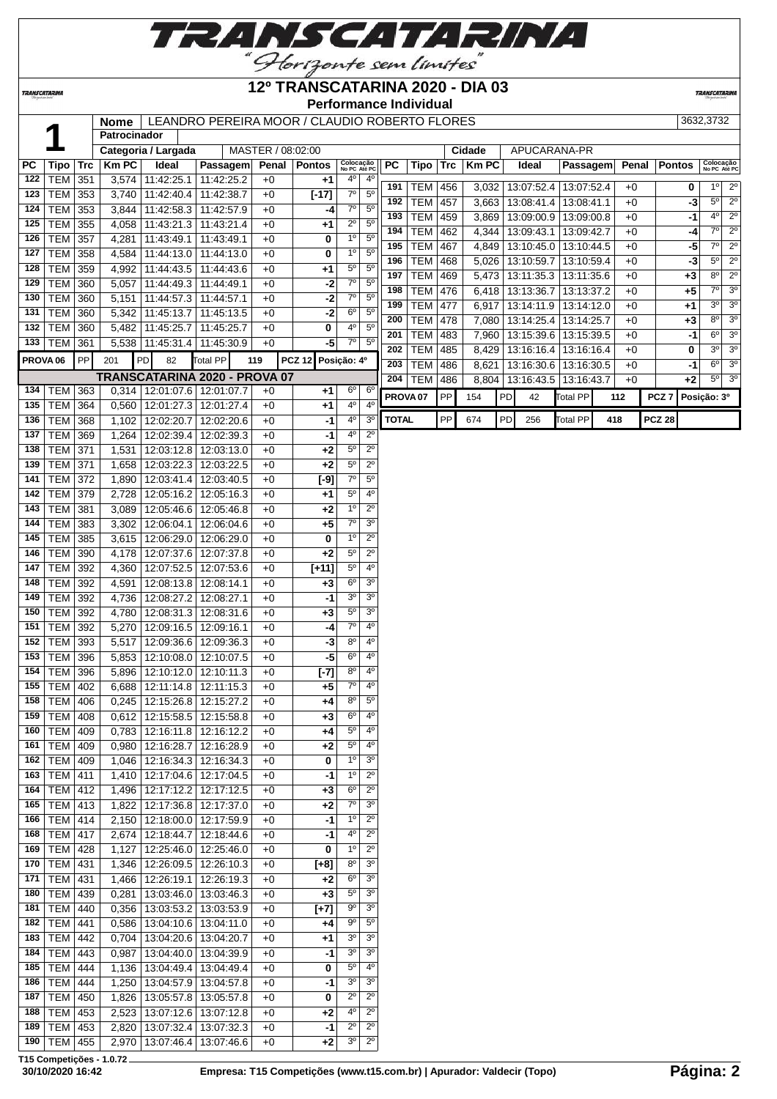

## **12º TRANSCATARINA 2020 - DIA 03**

**Performance Individual**

**TRANSCATARINA** 

|                     |                 |     | Nome         |                      | LEANDRO PEREIRA MOOR / CLAUDIO ROBERTO FLORES |                   |                   |                           |                  |                     |            |     |              |    |                                 |                 |      |       |                  | 3632,3732                       |
|---------------------|-----------------|-----|--------------|----------------------|-----------------------------------------------|-------------------|-------------------|---------------------------|------------------|---------------------|------------|-----|--------------|----|---------------------------------|-----------------|------|-------|------------------|---------------------------------|
|                     | А               |     | Patrocinador |                      |                                               |                   |                   |                           |                  |                     |            |     |              |    |                                 |                 |      |       |                  |                                 |
|                     |                 |     |              | Categoria / Largada  |                                               | MASTER / 08:02:00 |                   |                           |                  |                     |            |     | Cidade       |    | APUCARANA-PR                    |                 |      |       |                  |                                 |
| РC                  | Tipo            | Trc | <b>Km PC</b> | Ideal                | Passagem                                      |                   | Penal   Pontos    | Colocação<br>No PC Até PO |                  | <b>PC</b>           | Tipo       | Trc | <b>Km PC</b> |    | Ideal                           | Passagem        |      | Penal | <b>Pontos</b>    | Colocação<br>No PC Até PC       |
| 122                 | <b>TEM 351</b>  |     | 3,574        | 11:42:25.1           | 11:42:25.2                                    | $+0$              | +1                | 4º                        | 4 <sup>0</sup>   |                     |            |     |              |    |                                 |                 |      |       |                  |                                 |
| 123                 | <b>TEM</b>      | 353 | 3,740        | 11:42:40.4           | 11:42:38.7                                    | $+0$              | $[-17]$           | $7^\circ$                 | 5 <sup>0</sup>   | 191                 | <b>TEM</b> | 456 |              |    | 3,032   13:07:52.4   13:07:52.4 |                 | $+0$ |       | 0                | $1^{\circ}$ 2°                  |
| 124                 | <b>TEM</b>      | 353 | 3,844        | 11:42:58.3           | 11:42:57.9                                    | $+0$              | -4                | 7 <sup>o</sup>            | $5^{\circ}$      | 192                 | <b>TEM</b> | 457 | 3,663        |    | 13:08:41.4   13:08:41.1         |                 | $+0$ |       | -3               | $\overline{2^0}$<br>$5^{\circ}$ |
| 125                 | <b>TEM</b>      | 355 | 4,058        | 11:43:21.3           | 11:43:21.4                                    | $+0$              | $+1$              | $2^{\circ}$               | $5^{\circ}$      | 193                 | <b>TEM</b> | 459 | 3,869        |    | 13:09:00.9   13:09:00.8         |                 | $+0$ |       | -1               | $4^{\circ}$ 2°                  |
| 126                 | <b>TEM</b>      | 357 | 4,281        | 11:43:49.1           | 11:43:49.1                                    | $+0$              | 0                 | $1^{\circ}$               | $5^{\circ}$      | 194                 | <b>TEM</b> | 462 | 4,344        |    | 13:09:43.1   13:09:42.7         |                 | $+0$ |       | -4               | $2^{\circ}$<br>7°               |
| 127                 | TEM             | 358 | 4,584        | 11:44:13.0           | 11:44:13.0                                    | $+0$              | 0                 | 1 <sup>0</sup>            | $5^{\circ}$      | 195                 | <b>TEM</b> | 467 | 4,849        |    | 13:10:45.0 13:10:44.5           |                 | $+0$ |       | -5               | $7^\circ$<br>$2^{\circ}$        |
|                     | <b>TEM</b>      |     |              |                      |                                               |                   |                   | $5^{\rm o}$               | $5^{\circ}$      | 196                 | <b>TEM</b> | 468 | 5,026        |    | 13:10:59.7   13:10:59.4         |                 | $+0$ |       | -3               | $5^{\circ}$<br>$2^{\circ}$      |
| 128                 |                 | 359 | 4,992        | 11:44:43.5           | 11:44:43.6                                    | $+0$              | $+1$              |                           |                  | 197                 | <b>TEM</b> | 469 | 5,473        |    | 13:11:35.3 13:11:35.6           |                 | $+0$ |       | $+3$             | $\overline{2^0}$<br>$8^{\circ}$ |
| 129                 | TEM             | 360 | 5,057        | 11:44:49.3           | 11:44:49.1                                    | $+0$              | $-2$              | 7 <sup>o</sup>            | $5^{\circ}$      | 198                 | <b>TEM</b> | 476 | 6,418        |    | 13:13:36.7   13:13:37.2         |                 | $+0$ |       | +5               | 7°<br>3 <sup>o</sup>            |
| 130                 | <b>TEM</b>      | 360 | 5,151        | 11:44:57.3           | 11:44:57.1                                    | $+0$              | $-2$              | $7^\circ$                 | 5 <sup>0</sup>   | 199                 | <b>TEM</b> | 477 | 6,917        |    | 13:14:11.9 13:14:12.0           |                 | $+0$ |       | +1               | 3 <sup>o</sup><br>$3^{\circ}$   |
| 131                 | <b>TEM</b>      | 360 |              | 5,342   11:45:13.7   | 11:45:13.5                                    | $+0$              | -2                | $6^{\circ}$               | 5 <sup>o</sup>   | 200                 | <b>TEM</b> | 478 | 7,080        |    | 13:14:25.4   13:14:25.7         |                 | $+0$ |       | +3               | 3 <sup>o</sup><br>$8^{\circ}$   |
| 132                 | <b>TEM</b>      | 360 | 5,482        | 11:45:25.7           | 11:45:25.7                                    | $+0$              | 0                 | 4°                        | $\overline{5^0}$ | 201                 | <b>TEM</b> | 483 | 7,960        |    | 13:15:39.6   13:15:39.5         |                 | $+0$ |       | -1               | 3 <sup>o</sup><br>$6^{\circ}$   |
|                     | 133   TEM   361 |     |              | 5,538 11:45:31.4     | 11:45:30.9                                    | $+0$              | $-5$              | $7^\circ$                 | $\overline{5^0}$ | 202                 | <b>TEM</b> | 485 | 8,429        |    | 13:16:16.4   13:16:16.4         |                 | $+0$ |       | 0                | $3^0$ $3^0$                     |
| PROVA <sub>06</sub> |                 | PP  | 201          | PD<br>82             | Total PP                                      | 119               | <b>PCZ 12</b>     | Posição: 4º               |                  |                     |            |     |              |    |                                 |                 |      |       |                  | $6^{\circ}$ 3°                  |
|                     |                 |     |              |                      | TRANSCATARINA 2020 - PROVA 07                 |                   |                   |                           |                  | 203                 | <b>TEM</b> | 486 | 8,621        |    | 13:16:30.6   13:16:30.5         |                 | $+0$ |       | -1               | $5^\circ$ 3°                    |
|                     | 134   TEM   363 |     |              | $0,314$   12:01:07.6 | 12:01:07.7                                    | $+0$              | +1                | $6^{\circ}$               | $6^{\circ}$      | 204                 | <b>TEM</b> | 486 |              |    | 8,804   13:16:43.5   13:16:43.7 |                 | $+0$ |       | +2               |                                 |
|                     |                 |     |              |                      |                                               |                   |                   | 4°                        | $4^{\circ}$      | PROVA <sub>07</sub> |            | PP  | 154          | PD | 42                              | <b>Total PP</b> | 112  |       | PCZ <sub>7</sub> | Posicão: 3º                     |
| 135                 | <b>TEM</b>      | 364 | 0,560        | 12:01:27.3           | 12:01:27.4                                    | $+0$              | $+1$              | 4 <sup>0</sup>            | $\overline{3^0}$ | <b>TOTAL</b>        |            | PP  |              | PD |                                 | <b>Total PP</b> | 418  |       | <b>PCZ 28</b>    |                                 |
|                     | 136   TEM   368 |     |              | 1,102 12:02:20.7     | 12:02:20.6                                    | $+0$              | -1                |                           |                  |                     |            |     | 674          |    | 256                             |                 |      |       |                  |                                 |
| 137                 | TEM 369         |     | 1,264        | 12:02:39.4           | 12:02:39.3                                    | $+0$              | $-1$              | 4°                        | $2^{\circ}$      |                     |            |     |              |    |                                 |                 |      |       |                  |                                 |
| 138                 | <b>TEM 371</b>  |     | 1,531        | 12:03:12.8           | 12:03:13.0                                    | $+0$              | $+2$              | $5^{\rm o}$               | $2^{\circ}$      |                     |            |     |              |    |                                 |                 |      |       |                  |                                 |
| 139                 | <b>TEM 371</b>  |     | 1,658        | 12:03:22.3           | 12:03:22.5                                    | $+0$              | +2                | $5^{\circ}$               | $\overline{2^0}$ |                     |            |     |              |    |                                 |                 |      |       |                  |                                 |
| 141                 | <b>TEM 372</b>  |     | 1,890        | 12:03:41.4           | 12:03:40.5                                    | $+0$              | $\overline{[-9]}$ | $\overline{7^{\circ}}$    | $5^{\circ}$      |                     |            |     |              |    |                                 |                 |      |       |                  |                                 |
| 142                 | <b>TEM 379</b>  |     | 2,728        | 12:05:16.2           | 12:05:16.3                                    | $+0$              | $+1$              | $5^{\circ}$               | 4 <sup>0</sup>   |                     |            |     |              |    |                                 |                 |      |       |                  |                                 |
| 143                 | TEM             | 381 | 3,089        | 12:05:46.6           | 12:05:46.8                                    | $+0$              | $+2$              | $1^{\circ}$               | $2^{\circ}$      |                     |            |     |              |    |                                 |                 |      |       |                  |                                 |
| 144                 | TEM             | 383 | 3,302        | 12:06:04.1           | 12:06:04.6                                    | $+0$              | +5                | $\overline{7^{\circ}}$    | 3 <sup>0</sup>   |                     |            |     |              |    |                                 |                 |      |       |                  |                                 |
| 145                 | <b>TEM</b>      | 385 | 3,615        | 12:06:29.0           | 12:06:29.0                                    | $+0$              | 0                 | $1^{\circ}$               | $2^{\circ}$      |                     |            |     |              |    |                                 |                 |      |       |                  |                                 |
| 146                 | TEM             | 390 | 4,178        | 12:07:37.6           | 12:07:37.8                                    | $+0$              | $+2$              | $5^{\circ}$               | $\overline{2^0}$ |                     |            |     |              |    |                                 |                 |      |       |                  |                                 |
|                     |                 |     |              |                      |                                               |                   |                   | $5^{\circ}$               | 4 <sup>0</sup>   |                     |            |     |              |    |                                 |                 |      |       |                  |                                 |
| 147                 | TEM   392       |     | 4,360        | 12:07:52.5           | 12:07:53.6                                    | $+0$              | $[+11]$           |                           |                  |                     |            |     |              |    |                                 |                 |      |       |                  |                                 |
| 148                 | TEM 392         |     | 4,591        | 12:08:13.8           | 12:08:14.1                                    | $+0$              | $+3$              | $6^{\circ}$               | 3 <sup>o</sup>   |                     |            |     |              |    |                                 |                 |      |       |                  |                                 |
| 149                 | TEM             | 392 | 4,736        | 12:08:27.2           | 12:08:27.1                                    | $+0$              | $-1$              | 3 <sup>0</sup>            | 3 <sup>o</sup>   |                     |            |     |              |    |                                 |                 |      |       |                  |                                 |
| 150                 | <b>TEM</b>      | 392 | 4,780        | 12:08:31.3           | 12:08:31.6                                    | $+0$              | $+3$              | $5^{\circ}$               | 3 <sup>0</sup>   |                     |            |     |              |    |                                 |                 |      |       |                  |                                 |
| 151                 | TEM             | 392 | 5,270        | 12:09:16.5           | 12:09:16.1                                    | $+0$              | -4                | $7^\circ$                 | 4 <sup>0</sup>   |                     |            |     |              |    |                                 |                 |      |       |                  |                                 |
| 152                 | <b>TEM</b>      | 393 | 5,517        | 12:09:36.6           | 12:09:36.3                                    | $+0$              | -3                | $8^{\circ}$               | $4^{\circ}$      |                     |            |     |              |    |                                 |                 |      |       |                  |                                 |
| 153                 | <b>TEM</b>      | 396 |              | 5,853 12:10:08.0     | 12:10:07.5                                    | $+0$              | -5                | $6^{\circ}$               | $4^{\circ}$      |                     |            |     |              |    |                                 |                 |      |       |                  |                                 |
| 154                 | <b>TEM</b>      | 396 |              | 5,896 12:10:12.0     | 12:10:11.3                                    | $+0$              | [-7]              | $8^{\circ}$               | $4^{\circ}$      |                     |            |     |              |    |                                 |                 |      |       |                  |                                 |
|                     | 155   TEM   402 |     |              | $6,688$   12:11:14.8 | 12:11:15.3                                    | $+0$              | $+5$              | $7^\circ$                 | 4 <sup>0</sup>   |                     |            |     |              |    |                                 |                 |      |       |                  |                                 |
|                     | 158 TEM 406     |     |              |                      | 0,245 12:15:26.8 12:15:27.2                   | $+0$              | $+4$              | $8^{\circ}$               | $5^{\circ}$      |                     |            |     |              |    |                                 |                 |      |       |                  |                                 |
|                     | $159$ TEM 408   |     | 0,612        | 12:15:58.5           | 12:15:58.8                                    | $+0$              | $+3$              | $6^{\circ}$               | $4^{\circ}$      |                     |            |     |              |    |                                 |                 |      |       |                  |                                 |
|                     | 160   TEM   409 |     | 0,783        | 12:16:11.8           | 12:16:12.2                                    | $+0$              | +4                | 5°                        | $4^{\circ}$      |                     |            |     |              |    |                                 |                 |      |       |                  |                                 |
|                     | 161   TEM   409 |     | 0,980        | 12:16:28.7           | 12:16:28.9                                    | $+0$              | +2                | $5^{\circ}$               | $4^{\circ}$      |                     |            |     |              |    |                                 |                 |      |       |                  |                                 |
|                     | 162   TEM   409 |     | 1,046        | 12:16:34.3           | 12:16:34.3                                    | $+0$              | 0                 | $1^{\circ}$               | 3 <sup>o</sup>   |                     |            |     |              |    |                                 |                 |      |       |                  |                                 |
| 163                 | TEM 411         |     | 1,410        | 12:17:04.6           | 12:17:04.5                                    | $+0$              | -1                | 1 <sup>0</sup>            | $2^{\circ}$      |                     |            |     |              |    |                                 |                 |      |       |                  |                                 |
| 164                 | TEM 412         |     | 1,496        | 12:17:12.2           | 12:17:12.5                                    | $+0$              |                   | $6^{\circ}$               | $2^{\circ}$      |                     |            |     |              |    |                                 |                 |      |       |                  |                                 |
|                     |                 |     |              |                      |                                               |                   | +3                |                           |                  |                     |            |     |              |    |                                 |                 |      |       |                  |                                 |
|                     | 165   TEM   413 |     | 1,822        | 12:17:36.8           | 12:17:37.0                                    | $+0$              | +2                | $7^{\circ}$               | 3 <sup>o</sup>   |                     |            |     |              |    |                                 |                 |      |       |                  |                                 |
|                     | 166   TEM   414 |     |              | 2,150 12:18:00.0     | 12:17:59.9                                    | $+0$              | -1                | $1^{\circ}$               | $2^{\circ}$      |                     |            |     |              |    |                                 |                 |      |       |                  |                                 |
|                     | 168   TEM   417 |     | 2,674        | 12:18:44.7           | 12:18:44.6                                    | $+0$              | -1                | 4°                        | $2^{\circ}$      |                     |            |     |              |    |                                 |                 |      |       |                  |                                 |
|                     | 169 TEM 428     |     | 1,127        | 12:25:46.0           | 12:25:46.0                                    | $+0$              | 0                 | $1^{\circ}$               | $2^{\circ}$      |                     |            |     |              |    |                                 |                 |      |       |                  |                                 |
|                     | 170   TEM   431 |     | 1,346        | 12:26:09.5           | 12:26:10.3                                    | $+0$              | $[+8]$            | $8^{\circ}$               | 3 <sup>o</sup>   |                     |            |     |              |    |                                 |                 |      |       |                  |                                 |
| 171                 | TEM 431         |     | 1,466        | 12:26:19.1           | 12:26:19.3                                    | $+0$              | +2                | $6^{\circ}$               | 3 <sup>o</sup>   |                     |            |     |              |    |                                 |                 |      |       |                  |                                 |
| 180                 | TEM 439         |     | 0,281        | 13:03:46.0           | 13:03:46.3                                    | $+0$              | +3                | $5^{\circ}$               | 3 <sup>o</sup>   |                     |            |     |              |    |                                 |                 |      |       |                  |                                 |
|                     | 181   TEM   440 |     | 0,356        | 13:03:53.2           | 13:03:53.9                                    | $+0$              | $[+7]$            | 90                        | 3 <sup>o</sup>   |                     |            |     |              |    |                                 |                 |      |       |                  |                                 |
| 182                 | TEM             | 441 | 0,586        | 13:04:10.6           | 13:04:11.0                                    | $+0$              | +4                | 90                        | $5^{\circ}$      |                     |            |     |              |    |                                 |                 |      |       |                  |                                 |
| 183                 | TEM             | 442 | 0,704        | 13:04:20.6           | 13:04:20.7                                    | $+0$              | +1                | 3 <sup>o</sup>            | 3 <sup>o</sup>   |                     |            |     |              |    |                                 |                 |      |       |                  |                                 |
| 184                 | TEM             | 443 | 0,987        | 13:04:40.0           | 13:04:39.9                                    | $+0$              | -1                | 3 <sup>o</sup>            | 3 <sup>o</sup>   |                     |            |     |              |    |                                 |                 |      |       |                  |                                 |
|                     |                 |     |              |                      |                                               |                   |                   | $5^{\circ}$               | $4^{\circ}$      |                     |            |     |              |    |                                 |                 |      |       |                  |                                 |
|                     | 185   TEM   444 |     | 1,136        | 13:04:49.4           | 13:04:49.4                                    | $+0$              | 0                 |                           |                  |                     |            |     |              |    |                                 |                 |      |       |                  |                                 |
|                     | 186   TEM   444 |     | 1,250        | 13:04:57.9           | 13:04:57.8                                    | $+0$              | -1                | 3 <sup>o</sup>            | 3 <sup>o</sup>   |                     |            |     |              |    |                                 |                 |      |       |                  |                                 |
|                     | 187   TEM   450 |     | 1,826        | 13:05:57.8           | 13:05:57.8                                    | $+0$              | 0                 | $2^{\circ}$               | $2^{\circ}$      |                     |            |     |              |    |                                 |                 |      |       |                  |                                 |
| 188                 | TEM 453         |     | 2,523        | 13:07:12.6           | 13:07:12.8                                    | $+0$              | +2                | 4º                        | $2^{\circ}$      |                     |            |     |              |    |                                 |                 |      |       |                  |                                 |
| 189                 | TEM 453         |     | 2,820        | 13:07:32.4           | 13:07:32.3                                    | $+0$              | -1                | $2^{\circ}$               | $2^{\circ}$      |                     |            |     |              |    |                                 |                 |      |       |                  |                                 |
|                     | 190   TEM   455 |     | 2,970        | 13:07:46.4           | 13:07:46.6                                    | $+0$              | $+2$              | $3^{\rm o}$               | $2^{\circ}$      |                     |            |     |              |    |                                 |                 |      |       |                  |                                 |

**T15 Competições - 1.0.72**

**TRANSCATARINA**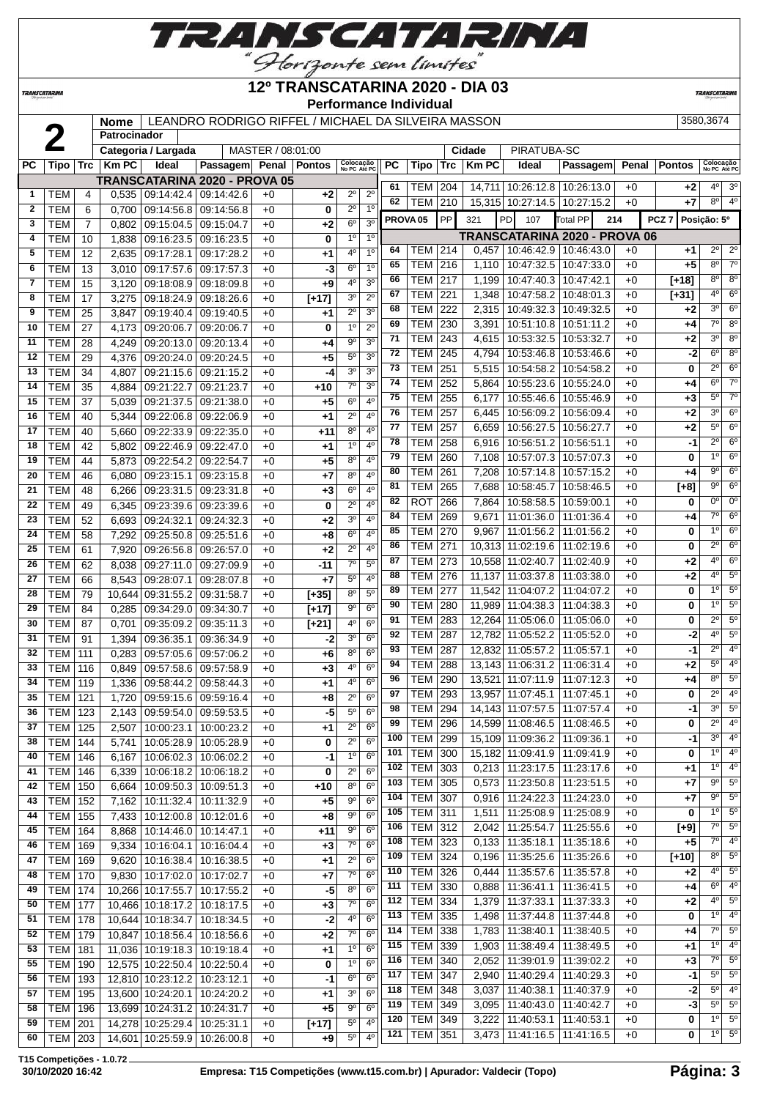

## **12º TRANSCATARINA 2020 - DIA 03**

**TRANSCATARIN** 

**TRANSCATARINA** 

#### **Performance Individual**

**Nome** | LEANDRO RODRIGO RIFFEL / MICHAEL DA SILVEIRA MASSON | 3580,3674

|              |                |     | Patrocinador |                          |                                  |                   |               |                           |                |           |                     |           |             |                              |                                      |       |                  |                                    |
|--------------|----------------|-----|--------------|--------------------------|----------------------------------|-------------------|---------------|---------------------------|----------------|-----------|---------------------|-----------|-------------|------------------------------|--------------------------------------|-------|------------------|------------------------------------|
|              |                |     |              | Categoria / Largada      |                                  | MASTER / 08:01:00 |               |                           |                |           |                     |           | Cidade      | PIRATUBA-SC                  |                                      |       |                  |                                    |
| РC           | Tipo           | Trc | <b>Km PC</b> | Ideal                    | Passagem Penal                   |                   | <b>Pontos</b> | Colocação<br>No PC Até PC |                | <b>PC</b> | Tipo                | Trc       | <b>KmPC</b> | Ideal                        | Passagem                             | Penal | <b>Pontos</b>    | Colocação<br>No PC Até PC          |
|              |                |     |              |                          | TRANSCATARINA 2020 - PROVA 05    |                   |               |                           |                | 61        |                     |           |             |                              |                                      |       |                  | 3 <sup>o</sup><br>40               |
| 1            | TEM            | 4   | 0,535        |                          | 09:14:42.4 09:14:42.6            | $+0$              | $+2$          | $2^{\circ}$               | 2 <sup>0</sup> | 62        | TEM                 | 204       | 14,711      | 10:26:12.8                   | 10:26:13.0                           | $+0$  | +2               | 4 <sup>o</sup><br>$8^{\circ}$      |
| $\mathbf{2}$ | <b>TEM</b>     | 6   | 0,700        | 09:14:56.8               | 09:14:56.8                       | $+0$              | 0             | $2^{\circ}$               | 1 <sup>0</sup> |           | TEM                 | 210       |             | 15,315 10:27:14.5 10:27:15.2 |                                      | $+0$  | +7               |                                    |
| 3            | TEM            | 7   | 0,802        | 09:15:04.5               | 09:15:04.7                       | $+0$              | $+2$          | 6 <sup>o</sup>            | 3 <sup>o</sup> |           | PROVA <sub>05</sub> | <b>PP</b> | 321         | PD<br>107                    | otal PP                              | 214   | PCZ <sub>7</sub> | Posição: 5º                        |
| 4            | TEM            | 10  | 1,838        | 09:16:23.5               | 09:16:23.5                       | $+0$              | 0             | 1 <sup>0</sup>            | 1 <sup>0</sup> |           |                     |           |             |                              | <b>TRANSCATARINA 2020 - PROVA 06</b> |       |                  |                                    |
| 5            | тем            | 12  | 2,635        | 09:17:28.1               | 09:17:28.2                       | +0                | $+1$          | 4 <sup>0</sup>            | 1 <sup>0</sup> | 64        | TEM                 | 214       | 0,457       | 10:46:42.9                   | 10:46:43.0                           | +0    | +1               | $2^{\circ}$<br>$2^{\circ}$         |
| 6            | тем            | 13  | 3,010        | 09:17:57.6               | 09:17:57.3                       | $+0$              | -3            | 6 <sup>o</sup>            | 1 <sup>0</sup> | 65        | TEM                 | 216       | 1,110       | 10:47:32.5                   | 10:47:33.0                           | $+0$  | +5               | $7^\circ$<br>8 <sup>o</sup>        |
| 7            | <b>TEM</b>     | 15  | 3,120        | 09:18:08.9               | 09:18:09.8                       | $+0$              | $+9$          | $4^{\circ}$               | 3 <sup>o</sup> | 66        | <b>TEM</b>          | 217       | 1,199       | 10:47:40.3                   | 10:47:42.1                           | $+0$  | [+18]            | $8^{\circ}$<br>$8^{\circ}$         |
| 8            | тем            | 17  | 3,275        | 09:18:24.9               | 09:18:26.6                       | $+0$              | $[+17]$       | 3 <sup>o</sup>            | $2^{\circ}$    | 67        | <b>TEM</b>          | 221       | 1,348       | 10:47:58.2                   | 10:48:01.3                           | $+0$  | $[+31]$          | $6^{\circ}$<br>4°                  |
| 9            | <b>TEM</b>     | 25  | 3,847        | 09:19:40.4               | 09:19:40.5                       | $+0$              | $+1$          | $2^{\circ}$               | 3 <sup>o</sup> | 68        | <b>TEM</b>          | 222       | 2,315       | 10:49:32.3                   | 10:49:32.5                           | $+0$  | +2               | 6 <sup>o</sup><br>30               |
| 10           | <b>TEM</b>     | 27  | 4,173        | 09:20:06.7               | 09:20:06.7                       | $+0$              | 0             | 10                        | $2^{\circ}$    | 69        | <b>TEM</b>          | 230       | 3,391       | 10:51:10.8                   | 10:51:11.2                           | $+0$  | +4               | $\overline{7^0}$<br>8 <sup>o</sup> |
| 11           | TEM            | 28  | 4,249        | 09:20:13.0               | 09:20:13.4                       | $+0$              | $+4$          | $9^{\circ}$               | 3 <sup>o</sup> | 71        | <b>TEM</b>          | 243       | 4,615       | 10:53:32.5                   | 10:53:32.7                           | $+0$  | +2               | $8^{\circ}$<br>30                  |
| 12           | TEM            | 29  | 4,376        | 09:20:24.0               | 09:20:24.5                       | $+0$              | $+5$          | $5^{\circ}$               | 3 <sup>o</sup> | 72        | <b>TEM</b>          | 245       | 4,794       | 10:53:46.8                   | 10:53:46.6                           | $+0$  | -2               | 8 <sup>o</sup><br>$6^{\circ}$      |
| 13           | <b>TEM</b>     | 34  | 4,807        | 09:21:15.6               | 09:21:15.2                       | $+0$              | -4            | 3 <sup>0</sup>            | 3 <sup>o</sup> | 73        | <b>TEM</b>          | 251       | 5,515       | 10:54:58.2                   | 10:54:58.2                           | $+0$  | 0                | $2^{\circ}$<br>$6^{\circ}$         |
| 14           | <b>TEM</b>     | 35  | 4,884        | 09:21:22.7               | 09:21:23.7                       | $+0$              | $+10$         | $\overline{7^{\circ}}$    | 3 <sup>o</sup> | 74        | <b>TEM</b>          | 252       | 5,864       | 10:55:23.6                   | 10:55:24.0                           | $+0$  | +4               | 6 <sup>o</sup><br>$7^\circ$        |
| 15           | <b>TEM</b>     | 37  | 5,039        | 09:21:37.5               | 09:21:38.0                       | $+0$              | $+5$          | 6 <sup>o</sup>            | 4 <sup>0</sup> | 75        | <b>TEM</b>          | 255       | 6,177       | 10:55:46.6                   | 10:55:46.9                           | $+0$  | +3               | $5^{\circ}$<br>$7^\circ$           |
| 16           | <b>TEM</b>     | 40  | 5,344        | 09:22:06.8               | 09:22:06.9                       | $+0$              | $+1$          | $2^{\circ}$               | $4^{\circ}$    | 76        | <b>TEM</b>          | 257       | 6,445       | 10:56:09.2                   | 10:56:09.4                           | $+0$  | +2               | 30<br>$6^{\circ}$                  |
| 17           | <b>TEM</b>     | 40  | 5,660        | 09:22:33.9               | 09:22:35.0                       | $+0$              | +11           | 8 <sup>o</sup>            | 4 <sup>0</sup> | 77        | <b>TEM</b>          | 257       | 6,659       | 10:56:27.5                   | 10:56:27.7                           | $+0$  | +2               | $5^{\circ}$<br>$6^{\circ}$         |
| 18           | <b>TEM</b>     | 42  | 5,802        | 09:22:46.9               | 09:22:47.0                       | $+0$              | $+1$          | 1 <sup>0</sup>            | 4 <sup>0</sup> | 78        | <b>TEM</b>          | 258       | 6,916       | 10:56:51.2                   | 10:56:51.1                           | $+0$  | -1               | $2^{\circ}$<br>6 <sup>o</sup>      |
| 19           | <b>TEM</b>     | 44  | 5,873        | 09:22:54.2               | 09:22:54.7                       | $+0$              | $+5$          | 8 <sup>0</sup>            | 4 <sup>0</sup> | 79        | <b>TEM</b>          | 260       | 7,108       | 10:57:07.3                   | 10:57:07.3                           | $+0$  | 0                | 6 <sup>o</sup><br>10               |
| 20           | TEM            | 46  | 6,080        | 09:23:15.1               | 09:23:15.8                       | $+0$              | $+7$          | $8^{\circ}$               | $4^{\circ}$    | 80        | <b>TEM</b>          | 261       | 7,208       | 10:57:14.8                   | 10:57:15.2                           | $+0$  | +4               | $6^{\circ}$<br>90                  |
| 21           | тем            | 48  | 6,266        | 09:23:31.5               | 09:23:31.8                       | $+0$              | $+3$          | $6^{\circ}$               | $4^{\circ}$    | 81        | <b>TEM</b>          | 265       | 7,688       | 10:58:45.7                   | 10:58:46.5                           | $+0$  | $[+8]$           | $6^{\circ}$<br>90                  |
| 22           | <b>TEM</b>     | 49  | 6,345        | 09:23:39.6               | 09:23:39.6                       | $+0$              | 0             | $2^{\circ}$               | 4 <sup>0</sup> | 82        | <b>ROT</b>          | 266       | 7,864       | 10:58:58.5                   | 10:59:00.1                           | $+0$  | 0                | 0 <sup>o</sup><br>$0^{\circ}$      |
| 23           | <b>TEM</b>     | 52  | 6,693        | 09:24:32.1               | 09:24:32.3                       | $+0$              | $+2$          | 30                        | 4 <sup>0</sup> | 84        | <b>TEM</b>          | 269       | 9,671       | 11:01:36.0                   | 11:01:36.4                           | $+0$  | +4               | $7^\circ$<br>$6^{\circ}$           |
| 24           | <b>TEM</b>     | 58  | 7,292        |                          | 09:25:51.6                       | $+0$              | $+8$          | 6 <sup>o</sup>            | $4^{\circ}$    | 85        | <b>TEM</b>          | 270       | 9,967       | 11:01:56.2                   | 11:01:56.2                           | $+0$  | 0                | 1 <sup>0</sup><br>$6^{\circ}$      |
| 25           | <b>TEM</b>     | 61  | 7,920        | 09:25:50.8<br>09:26:56.8 | 09:26:57.0                       | $+0$              | $+2$          | $2^{\circ}$               | $4^{\circ}$    | 86        | <b>TEM</b>          | 271       | 10,313      | 11:02:19.6                   | 11:02:19.6                           | $+0$  | 0                | $2^{\circ}$<br>$6^{\circ}$         |
| 26           | <b>TEM</b>     | 62  |              |                          |                                  |                   |               | $7^\circ$                 | $5^{\circ}$    | 87        | <b>TEM</b>          | 273       | 10,558      | 11:02:40.7                   | 11:02:40.9                           | $+0$  | +2               | 4°<br>$6^{\circ}$                  |
| 27           | <b>TEM</b>     |     | 8,038        | 09:27:11.0               | 09:27:09.9                       | $+0$              | -11           | $5^{\circ}$               | $4^{\circ}$    | 88        | <b>TEM</b>          | 276       | 11,137      | 11:03:37.8                   | 11:03:38.0                           | $+0$  | +2               | $5^{\circ}$<br>40                  |
|              |                | 66  | 8,543        | 09:28:07.1               | 09:28:07.8                       | +0                | $+7$          | 8 <sup>0</sup>            | $5^{\circ}$    | 89        | <b>TEM</b>          | 277       | 11,542      | 11:04:07.2                   | 11:04:07.2                           | $+0$  | 0                | $5^{\circ}$<br>1 <sup>0</sup>      |
| 28           | <b>TEM</b>     | 79  | 10,644       | 09:31:55.2               | 09:31:58.7                       | $+0$              | $[+35]$       | $9^{\circ}$               | 6 <sup>o</sup> | 90        | <b>TEM</b>          | 280       | 11,989      | 11:04:38.3                   | 11:04:38.3                           | $+0$  | 0                | $5^{\circ}$<br>1 <sup>0</sup>      |
| 29           | <b>TEM</b>     | 84  | 0,285        | 09:34:29.0               | 09:34:30.7                       | $+0$              | $[+17]$       |                           |                | 91        | <b>TEM</b>          | 283       | 12,264      | 11:05:06.0                   | 11:05:06.0                           | $+0$  | 0                | $5^{\circ}$<br>$2^{\circ}$         |
| 30           | <b>TEM</b>     | 87  | 0,701        | 09:35:09.2               | 09:35:11.3                       | $+0$              | $[+21]$       | $4^{\circ}$               | $6^{\circ}$    | 92        | <b>TEM</b>          | 287       | 12,782      | 11:05:52.2                   | 11:05:52.0                           | $+0$  | -2               | 4 <sup>0</sup><br>$5^{\circ}$      |
| 31           | <b>TEM</b>     | 91  | 1,394        | 09:36:35.1               | 09:36:34.9                       | $+0$              | -2            | 3 <sup>0</sup>            | 6 <sup>o</sup> | 93        | <b>TEM</b>          | 287       | 12,832      | 11:05:57.2                   | 11:05:57.1                           | $+0$  | -1               | $2^{\circ}$<br>$4^{\circ}$         |
| 32           | <b>TEM</b>     | 111 | 0,283        | 09:57:05.6               | 09:57:06.2                       | $+0$              | $+6$          | $8^{\circ}$               | 6 <sup>o</sup> | 94        | <b>TEM</b>          | 288       | 13,143      | 11:06:31.2                   | 11:06:31.4                           | $+0$  | +2               | $5^{\circ}$<br>4 <sup>o</sup>      |
| 33           | TEM            | 116 | 0,849        | 09:57:58.6               | 09:57:58.9                       | $+0$              | $+3$          | $4^{\circ}$               | 6 <sup>o</sup> | 96        | <b>TEM</b>          | 290       | 13,521      | 11:07:11.9                   | 11:07:12.3                           | $+0$  | +4               | $5^{\circ}$<br>80                  |
| 34           | <b>TEM</b>     | 119 | 1,336        | 09:58:44.2               | 09:58:44.3                       | +0                | $+1$          | 4º                        | 6 <sup>o</sup> | 97        | <b>TEM</b>          | 293       | 13,957      | 11:07:45.1                   | 11:07:45.1                           | $+0$  | 0                | 4 <sup>0</sup><br>$2^{\circ}$      |
| 35           | TEM            | 121 | 1,720        | 09:59:15.6               | 09:59:16.4                       | $+0$              | $+8$          | $2^{\circ}$               | 6 <sup>o</sup> | 98        | TEM                 | 294       |             | 14,143 11:07:57.5            | 11:07:57.4                           | $+0$  | -1               | $5^\circ$<br>30                    |
| 36           | <b>TEM</b>     | 123 | 2,143        | 09:59:54.0 09:59:53.5    |                                  | $+0$              | -5            | $5^{\circ}$               | 6 <sup>o</sup> | 99        | TEM   296           |           |             | 14,599 11:08:46.5 11:08:46.5 |                                      | +0    | 0                | 4 <sup>o</sup><br>$2^{\circ}$      |
| 37           | <b>TEM 125</b> |     | 2,507        |                          | 10:00:23.1   10:00:23.2          | +0                | $+1$          | $2^{\circ}$               | 6 <sup>o</sup> | 100       | <b>TEM</b>          | 299       |             | 15,109 11:09:36.2            | 11:09:36.1                           | $+0$  | -1               | 3 <sup>o</sup><br>$4^{\circ}$      |
| 38           | TEM            | 144 | 5,741        |                          | 10:05:28.9 10:05:28.9            | $+0$              | 0             | $2^{\circ}$               | 6 <sup>o</sup> | 101       | <b>TEM</b>          | 300       |             | 15,182 11:09:41.9            | 11:09:41.9                           | $+0$  | 0                | $1^{\circ}$<br>$4^{\circ}$         |
| 40           | <b>TEM 146</b> |     |              |                          | 6,167   10:06:02.3   10:06:02.2  | $+0$              | $-1$          | $1^{\circ}$               | $6^{\circ}$    | 102       | <b>TEM</b>          | 303       |             | $0,213$ 11:23:17.5           | 11:23:17.6                           | $+0$  | +1               | $4^{\circ}$<br>$1^{\circ}$         |
| 41           | <b>TEM 146</b> |     |              |                          | 6,339   10:06:18.2   10:06:18.2  | $+0$              | 0             | $2^{\circ}$               | $6^{\circ}$    | 103       | <b>TEM</b>          | 305       |             | $0,573$   11:23:50.8         | 11:23:51.5                           | +0    | +7               | $5^\circ$<br>90                    |
| 42           | <b>TEM</b>     | 150 | 6,664        |                          | 10:09:50.3 10:09:51.3            | $+0$              | $+10$         | 8 <sup>o</sup>            | 6 <sup>o</sup> | 104       | <b>TEM</b>          | 307       |             | 0.916 11:24:22.3             | 11:24:23.0                           | +0    | +7               | $9^{\circ}$<br>$5^{\circ}$         |
| 43           | <b>TEM</b>     | 152 | 7,162        |                          | 10:11:32.4   10:11:32.9          | $+0$              | $+5$          | $9^{\circ}$               | 6 <sup>o</sup> | 105       | <b>TEM</b>          | 311       | 1,511       | 11:25:08.9                   | 11:25:08.9                           | +0    | 0                | $5^{\circ}$<br>$1^{\circ}$         |
| 44           | <b>TEM</b>     | 155 |              |                          | 7,433   10:12:00.8   10:12:01.6  | $+0$              | $+8$          | 90                        | $6^{\circ}$    | 106       | <b>TEM 312</b>      |           |             | 2,042 11:25:54.7             | 11:25:55.6                           | $+0$  | $[+9]$           | $7^{\circ}$<br>$5^{\circ}$         |
| 45           | <b>TEM</b>     | 164 | 8,868        |                          | 10:14:46.0   10:14:47.1          | $+0$              | +11           | 90                        | $6^{\circ}$    | 108       | <b>TEM</b>          | 323       |             | $0,133$   11:35:18.1         | 11:35:18.6                           | $+0$  | +5               | 4 <sup>o</sup><br>$7^{\circ}$      |
| 46           | <b>TEM</b>     | 169 |              |                          | 9,334   10:16:04.1   10:16:04.4  | $+0$              | $+3$          | $7^\circ$                 | 6 <sup>o</sup> | 109       | TEM                 | 324       | 0,196       | 11:35:25.6                   | 11:35:26.6                           | $+0$  | $[+10]$          | $5^\circ$<br>$8^{\circ}$           |
| 47           | <b>TEM</b>     | 169 | 9,620        |                          | 10:16:38.4   10:16:38.5          | $+0$              | $+1$          | $2^{\circ}$               | 6 <sup>o</sup> |           |                     |           |             |                              |                                      |       |                  | 4 <sup>0</sup><br>$5^\circ$        |
| 48           | <b>TEM 170</b> |     |              |                          | 9,830   10:17:02.0   10:17:02.7  | $+0$              | $+7$          | $7^\circ$                 | $6^{\circ}$    | 110       | TEM                 | 326       | 0,444       | 11:35:57.6                   | 11:35:57.8                           | $+0$  | +2               | $4^{\circ}$<br>$6^{\circ}$         |
| 49           | <b>TEM 174</b> |     |              |                          | 10,266 10:17:55.7 10:17:55.2     | $+0$              | -5            | $8^{\circ}$               | $6^{\circ}$    | 111       | <b>TEM</b>          | 330       | 0,888       | 11:36:41.1                   | 11:36:41.5                           | $+0$  | +4               | $5^\circ$<br>4º                    |
| 50           | <b>TEM 177</b> |     |              |                          | 10,466 10:18:17.2 10:18:17.5     | $+0$              | $+3$          | $7^\circ$                 | 6 <sup>o</sup> | 112       | <b>TEM</b>          | 334       |             | 1,379 11:37:33.1             | 11:37:33.3                           | $+0$  | +2               | 1 <sup>0</sup><br>$4^{\circ}$      |
| 51           | <b>TEM</b>     | 178 |              |                          | 10,644 10:18:34.7 10:18:34.5     | $+0$              | $-2$          | $4^{\circ}$               | 6 <sup>o</sup> | 113       | <b>TEM</b>          | 335       | 1,498       | 11:37:44.8                   | 11:37:44.8                           | +0    | 0                | $7^\circ$<br>$5^{\circ}$           |
| 52           | TEM            | 179 |              |                          | 10,847 10:18:56.4 10:18:56.6     | $+0$              | $+2$          | $7^\circ$                 | $6^{\circ}$    | 114       | <b>TEM 338</b>      |           | 1,783       | 11:38:40.1                   | 11:38:40.5                           | +0    | +4               | 4 <sup>o</sup><br>$1^{\circ}$      |
| 53           | TEM            | 181 |              |                          | 11,036   10:19:18.3   10:19:18.4 | $+0$              | $+1$          | $1^{\circ}$               | $6^{\circ}$    | 115       | <b>TEM</b>          | 339       |             | 1,903   11:38:49.4           | 11:38:49.5                           | $+0$  | +1               | $5^\circ$                          |
| 55           | <b>TEM</b>     | 190 |              |                          | 12,575 10:22:50.4 10:22:50.4     | +0                | 0             | $1^{\circ}$               | $6^{\circ}$    | 116       | <b>TEM 340</b>      |           |             | 2,052 11:39:01.9             | 11:39:02.2                           | $+0$  | +3               | $7^{\circ}$                        |
| 56           | <b>TEM</b>     | 193 |              |                          | 12,810 10:23:12.2 10:23:12.1     | $+0$              | -1            | 6 <sup>o</sup>            | 6 <sup>o</sup> | 117       | <b>TEM</b>          | 347       |             | 2,940 11:40:29.4             | 11:40:29.3                           | $+0$  | -1               | 5 <sup>0</sup><br>$5^{\circ}$      |
| 57           | TEM            | 195 |              |                          | 13,600 10:24:20.1 10:24:20.2     | $+0$              | $+1$          | 3 <sup>0</sup>            | $6^{\circ}$    | 118       | <b>TEM</b>          | 348       | 3,037       | 11:40:38.1                   | 11:40:37.9                           | $+0$  | $-2$             | $4^{\circ}$<br>$5^{\circ}$         |
| 58           | <b>TEM 196</b> |     |              |                          | 13,699 10:24:31.2 10:24:31.7     | $+0$              | $+5$          | g                         | 6 <sup>o</sup> | 119       | TEM                 | 349       | 3,095       | 11:40:43.0                   | 11:40:42.7                           | +0    | $-3$             | 5 <sup>o</sup><br>$5^\circ$        |
| 59           | TEM 201        |     |              |                          | 14,278 10:25:29.4 10:25:31.1     | $+0$              | $[+17]$       | $5^{\circ}$               | $4^{\circ}$    | 120       | <b>TEM</b>          | 349       | 3,222       | 11:40:53.1                   | 11:40:53.1                           | $+0$  | 0                | $1^{\circ}$ 5°                     |
| 60           | TEM 203        |     |              |                          | 14,601 10:25:59.9 10:26:00.8     | $+0$              | $+9$          | $5^{\circ}$               | 4 <sup>o</sup> | 121       | <b>TEM</b>          | 351       | 3,473       | 11:41:16.5                   | 11:41:16.5                           | +0    | 0                | $1^\circ$ 5 <sup>°</sup>           |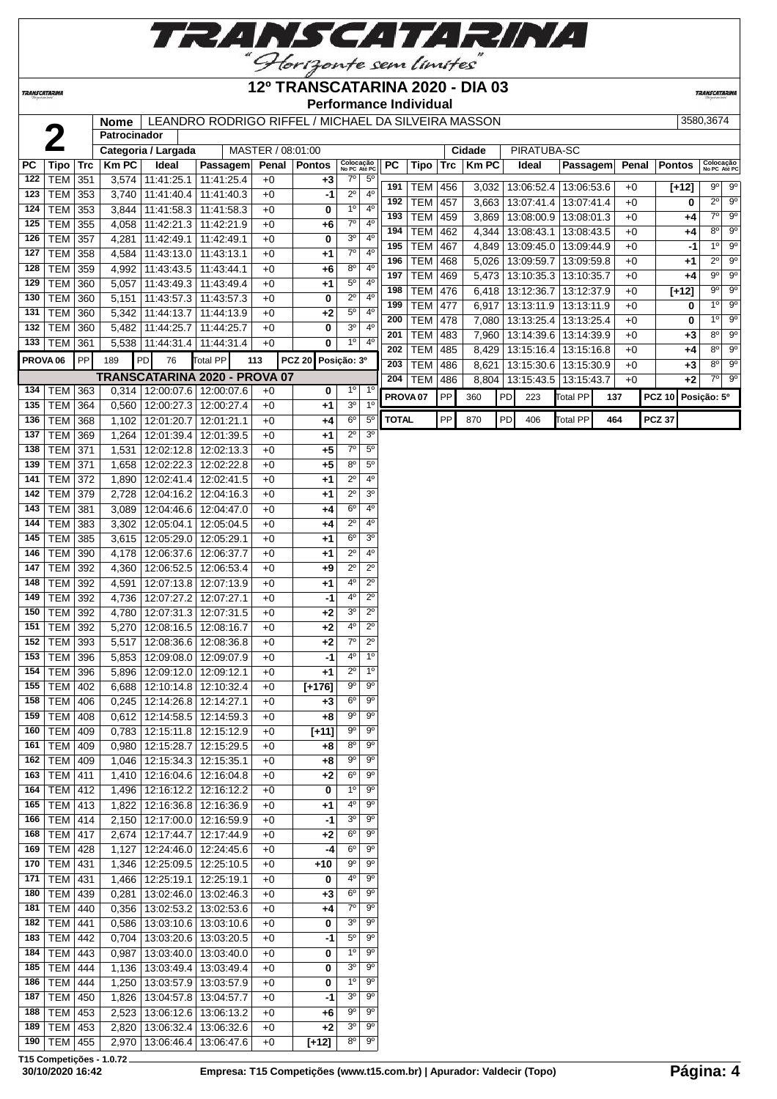

## **12º TRANSCATARINA 2020 - DIA 03**

**TRANSCATARIN** 

**TRANSCATARINA** 

## **Performance Individual**

|                     | 2                                |            | Nome<br>Patrocinador |                                   | LEANDRO RODRIGO RIFFEL / MICHAEL DA SILVEIRA MASSON |                   |                |                        |                           |                     |                          |            |                |    |                                          |                          |     |              |               | 3580,3674                             |
|---------------------|----------------------------------|------------|----------------------|-----------------------------------|-----------------------------------------------------|-------------------|----------------|------------------------|---------------------------|---------------------|--------------------------|------------|----------------|----|------------------------------------------|--------------------------|-----|--------------|---------------|---------------------------------------|
|                     |                                  |            |                      | Categoria / Largada               |                                                     | MASTER / 08:01:00 |                |                        |                           |                     |                          |            | Cidade         |    | PIRATUBA-SC                              |                          |     |              |               |                                       |
| <b>PC</b>           | <b>Tipo</b>                      | <b>Trc</b> | <b>Km PC</b>         | Ideal                             | Passagem                                            |                   | Penal   Pontos |                        | Colocação<br>No PC Até PC | PC                  | Tipo                     | <b>Trc</b> | <b>KmPC</b>    |    | Ideal                                    | Passagem                 |     | Penal        | <b>Pontos</b> | Colocação<br>No PC Até PC             |
| 122                 | <b>TEM 351</b>                   |            | 3,574                | 11:41:25.1                        | 11:41:25.4                                          | $+0$              | $+3$           | $7^\circ$              | $5^{\circ}$               | 191                 | <b>TEM 456</b>           |            | 3,032          |    | 13:06:52.4                               | 13:06:53.6               |     | $+0$         |               | 9° 9°                                 |
| 123                 | TEM                              | 353        | 3,740                | 11:41:40.4                        | 11:41:40.3                                          | $+0$              | -1             | $2^{\circ}$            | 4 <sup>0</sup>            | 192                 | <b>TEM</b>               | 457        |                |    | 13:07:41.4                               | 13:07:41.4               |     | $+0$         | $[+12]$<br>0  | $\overline{9^{\circ}}$<br>$2^{\circ}$ |
| 124                 | TEM                              | 353        | 3,844                | 11:41:58.3                        | 11:41:58.3                                          | $+0$              | 0              | 1 <sup>0</sup>         | $4^{\circ}$               | 193                 | <b>TEM</b>               | 459        | 3,663<br>3,869 |    | 13:08:00.9                               | 13:08:01.3               |     | $+0$         | +4            | $7^\circ$<br>$9^{\circ}$              |
| 125                 | TEM                              | 355        | 4,058                | 11:42:21.3                        | 11:42:21.9                                          | $+0$              | +6             | 7 <sup>o</sup>         | 4 <sup>0</sup>            | 194                 | <b>TEM</b>               | 462        |                |    |                                          |                          |     | $+0$         |               | $9^{\circ}$<br>$8^{\circ}$            |
| 126                 | <b>TEM</b>                       | 357        | 4,281                | 11:42:49.1                        | 11:42:49.1                                          | $+0$              | 0              | 3 <sup>o</sup>         | 4 <sup>0</sup>            | 195                 | <b>TEM</b>               | 467        |                |    | 4,344   13:08:43.1<br>4,849   13:09:45.0 | 13:08:43.5<br>13:09:44.9 |     | $+0$         | +4            | $1^{\circ}$<br>$9^{\circ}$<br>-1      |
| 127                 | <b>TEM</b>                       | 358        | 4,584                | 11:43:13.0                        | 11:43:13.1                                          | $+0$              | +1             | $7^\circ$              | $4^{\circ}$               | 196                 | <b>TEM</b>               | 468        | 5,026          |    | 13:09:59.7                               | 13:09:59.8               |     | $+0$         |               | $\overline{9^{\circ}}$<br>$2^{\circ}$ |
| 128                 | <b>TEM</b>                       | 359        | 4,992                | 11:43:43.5                        | 11:43:44.1                                          | $+0$              | +6             | $8^{\circ}$            | 4 <sup>0</sup>            | 197                 | <b>TEM</b>               | 469        | 5,473          |    |                                          | 13:10:35.7               |     | $+0$         | +1            | $9^\circ$<br>$9^{\circ}$              |
| 129                 | <b>TEM</b>                       | 360        | 5,057                | 11:43:49.3                        | 11:43:49.4                                          | $+0$              | +1             | $5^{\circ}$            | 4 <sup>0</sup>            | 198                 | <b>TEM</b>               | 476        |                |    | 13:10:35.3<br>6,418 13:12:36.7           |                          |     | $+0$         | +4            | $9^{\circ}$<br>$\overline{9^{\circ}}$ |
| 130                 | <b>TEM</b>                       | 360        | 5,151                | 11:43:57.3                        | 11:43:57.3                                          | $+0$              | 0              | $2^{\circ}$            | 4 <sup>0</sup>            | 199                 |                          |            |                |    |                                          | 13:12:37.9               |     | $+0$         | $[+12]$       | $\overline{9^{\circ}}$<br>$1^{\circ}$ |
| 131                 | <b>TEM</b>                       | 360        | 5,342                | 11:44:13.7                        | 11:44:13.9                                          | $+0$              | +2             | $5^{\circ}$            | 4 <sup>0</sup>            | 200                 | <b>TEM</b>               | 477<br>478 | 6,917          |    | 13:13:11.9                               | 13:13:11.9               |     | $+0$         | 0             | $9^\circ$<br>$1^{\circ}$              |
| 132                 | TEM                              | 360        | 5,482                | 11:44:25.7                        | 11:44:25.7                                          | $+0$              | 0              | 3 <sup>0</sup>         | $4^{\circ}$               | 201                 | <b>TEM</b>               |            | 7,080          |    | 13:13:25.4                               | 13:13:25.4               |     | $+0$         | 0             | $9^{\circ}$<br>$8^{\circ}$            |
| 133                 | TEM                              | 361        | 5,538                | 11:44:31.4                        | 11:44:31.4                                          | $+0$              | 0              | $1^{\circ}$            | $4^{\circ}$               | 202                 | <b>TEM</b>               | 483        |                |    | 7,960 13:14:39.6                         | 13:14:39.9               |     |              | $+3$          | $8^{\circ}$<br>$9^{\circ}$            |
| PROVA <sub>06</sub> |                                  | PP         | 189                  | PD<br>76                          | Total PP                                            | 113               | <b>PCZ 20</b>  | Posição: 3º            |                           | 203                 | <b>TEM</b><br><b>TEM</b> | 485        | 8,429          |    | 13:15:16.4<br>13:15:30.6                 | 13:15:16.8               |     | $+0$         | $+4$          | $8^{\circ}$<br>$\overline{9^{\circ}}$ |
|                     |                                  |            |                      |                                   | TRANSCATARINA 2020 - PROVA 07                       |                   |                |                        |                           | 204                 | <b>TEM</b>               | 486<br>486 | 8,621          |    | 8,804   13:15:43.5                       | 13:15:30.9<br>13:15:43.7 |     | $+0$<br>$+0$ | $+3$<br>+2    | $7^\circ$<br>$9^\circ$                |
|                     | 134   TEM   363                  |            | 0,314                | 12:00:07.6                        | 12:00:07.6                                          | $+0$              | 0              | 1 <sup>0</sup>         | 1 <sup>0</sup>            |                     |                          |            |                |    |                                          |                          |     |              |               |                                       |
| 135                 | <b>TEM</b>                       | 364        | 0,560                | 12:00:27.3                        | 12:00:27.4                                          | $+0$              | +1             | 3 <sup>o</sup>         | 1 <sup>0</sup>            | PROVA <sub>07</sub> |                          | PP         | 360            | PD | 223                                      | Total PP                 | 137 |              | <b>PCZ 10</b> | Posição: 5º                           |
| 136                 | <b>TEM</b>                       | 368        | 1,102                | 12:01:20.7                        | 12:01:21.1                                          | $+0$              | $+4$           | $6^{\circ}$            | $\overline{5^0}$          | <b>TOTAL</b>        |                          | PP         | 870            | PD | 406                                      | <b>Total PP</b>          | 464 |              | <b>PCZ 37</b> |                                       |
| 137                 | <b>TEM</b>                       | 369        | 1,264                | 12:01:39.4                        | 12:01:39.5                                          | $+0$              | $+1$           | $2^{\circ}$            | 3 <sup>o</sup>            |                     |                          |            |                |    |                                          |                          |     |              |               |                                       |
| 138                 | TEM                              | 371        | 1,531                | 12:02:12.8                        | 12:02:13.3                                          | $+0$              | +5             | $7^\circ$              | $5^{\circ}$               |                     |                          |            |                |    |                                          |                          |     |              |               |                                       |
| 139                 | <b>TEM</b>                       | 371        | 1,658                | 12:02:22.3                        | 12:02:22.8                                          | $+0$              | +5             | 8 <sup>o</sup>         | $\overline{5^0}$          |                     |                          |            |                |    |                                          |                          |     |              |               |                                       |
| 141                 | <b>TEM</b>                       | 372        | 1,890                | 12:02:41.4                        | 12:02:41.5                                          | $+0$              | +1             | $\overline{2^0}$       | 4°                        |                     |                          |            |                |    |                                          |                          |     |              |               |                                       |
| 142                 | <b>TEM 379</b>                   |            | 2,728                | 12:04:16.2                        | 12:04:16.3                                          | $+0$              | $+1$           | $\overline{2^0}$       | $\overline{3^0}$          |                     |                          |            |                |    |                                          |                          |     |              |               |                                       |
| 143                 | TEM                              | 381        | 3,089                | 12:04:46.6                        | 12:04:47.0                                          | $+0$              | +4             | $6^{\circ}$            | 4°                        |                     |                          |            |                |    |                                          |                          |     |              |               |                                       |
| 144                 | TEM                              | 383        | 3,302                | 12:05:04.1                        | 12:05:04.5                                          | $+0$              | +4             | $\overline{2^{\circ}}$ | 4°                        |                     |                          |            |                |    |                                          |                          |     |              |               |                                       |
| 145                 | <b>TEM</b>                       | 385        | 3,615                | 12:05:29.0                        | 12:05:29.1                                          | $+0$              | $^{+1}$        | $6^{\circ}$            | 3 <sup>o</sup>            |                     |                          |            |                |    |                                          |                          |     |              |               |                                       |
| 146                 | <b>TEM</b>                       | 390        | 4,178                | 12:06:37.6                        | 12:06:37.7                                          | $+0$              | +1             | $2^{\circ}$            | $4^{\circ}$               |                     |                          |            |                |    |                                          |                          |     |              |               |                                       |
| 147                 | <b>TEM</b>                       | 392        | 4,360                | 12:06:52.5                        | 12:06:53.4                                          | $+0$              | +9             | $2^{\circ}$            | $2^{\circ}$               |                     |                          |            |                |    |                                          |                          |     |              |               |                                       |
| 148                 | TEM                              | 392        | 4,591                | 12:07:13.8                        | 12:07:13.9                                          | $+0$              | +1             | 40                     | $2^{\circ}$               |                     |                          |            |                |    |                                          |                          |     |              |               |                                       |
| 149                 | <b>TEM</b>                       | 392        | 4,736                | 12:07:27.2                        | 12:07:27.1                                          | $+0$              | -1             | 4 <sup>0</sup>         | $2^{\circ}$               |                     |                          |            |                |    |                                          |                          |     |              |               |                                       |
| 150                 | <b>TEM</b>                       | 392        | 4,780                | 12:07:31.3                        | 12:07:31.5                                          | $+0$              | +2             | 3 <sup>0</sup>         | $2^{\circ}$               |                     |                          |            |                |    |                                          |                          |     |              |               |                                       |
| 151                 | TEM                              | 392        | 5,270                | 12:08:16.5                        | 12:08:16.7                                          | $+0$              | $+2$           | 4 <sup>0</sup>         | $2^{\circ}$               |                     |                          |            |                |    |                                          |                          |     |              |               |                                       |
| 152                 | TEM                              | 393        | 5,517                | 12:08:36.6                        | 12:08:36.8                                          | $+0$              | $+2$           | $7^{\circ}$            | $2^{\circ}$               |                     |                          |            |                |    |                                          |                          |     |              |               |                                       |
| 153                 | TEM                              | 396        | 5,853                | 12:09:08.0                        | 12:09:07.9                                          | $+0$              | $-1$           | 4 <sup>0</sup>         | 1 <sup>0</sup>            |                     |                          |            |                |    |                                          |                          |     |              |               |                                       |
| 154                 | TEM                              | 396        | 5,896                | 12:09:12.0                        | 12:09:12.1                                          | $+0$              | +1             | $2^{\circ}$            | 1 <sup>0</sup>            |                     |                          |            |                |    |                                          |                          |     |              |               |                                       |
| 155                 | TEM                              | 402        | 6,688                | 12:10:14.8                        | 12:10:32.4                                          | $+0$              | $[+176]$       | $9^{\circ}$            | $9^{\circ}$               |                     |                          |            |                |    |                                          |                          |     |              |               |                                       |
|                     | 158   TEM   406                  |            |                      | $0,245$   12:14:26.8   12:14:27.1 |                                                     | $+0$              | $+3$           | 6 <sup>o</sup>         | $9^{\circ}$               |                     |                          |            |                |    |                                          |                          |     |              |               |                                       |
| 159                 | TEM                              | 408        | 0,612                | 12:14:58.5                        | 12:14:59.3                                          | $+0$              | $+8$           | $9^{\circ}$            | 90                        |                     |                          |            |                |    |                                          |                          |     |              |               |                                       |
| 160                 | <b>TEM</b>                       | 409        | 0,783                | 12:15:11.8                        | 12:15:12.9                                          | $+0$              | $[+11]$        | 90                     | 90                        |                     |                          |            |                |    |                                          |                          |     |              |               |                                       |
| 161                 | TEM                              | 409        | 0,980                | 12:15:28.7                        | 12:15:29.5                                          | $+0$              | +8             | $8^{\circ}$            | 90                        |                     |                          |            |                |    |                                          |                          |     |              |               |                                       |
|                     | 162   TEM $ $                    | 409        | 1,046                | 12:15:34.3                        | 12:15:35.1                                          | $+0$              | +8             | $9^{\circ}$            | $9^{\circ}$               |                     |                          |            |                |    |                                          |                          |     |              |               |                                       |
|                     | 163   TEM   411                  |            | 1,410                | 12:16:04.6                        | 12:16:04.8                                          | $+0$              | +2             | $6^{\circ}$            | $9^{\circ}$               |                     |                          |            |                |    |                                          |                          |     |              |               |                                       |
|                     | 164   TEM   412                  |            | 1,496                | 12:16:12.2                        | 12:16:12.2                                          | $+0$              | 0              | $1^{\circ}$            | $9^{\circ}$               |                     |                          |            |                |    |                                          |                          |     |              |               |                                       |
| 165                 | <b>TEM 413</b>                   |            | 1,822                | 12:16:36.8                        | 12:16:36.9                                          | $+0$              | +1             | $4^{\circ}$            | 90                        |                     |                          |            |                |    |                                          |                          |     |              |               |                                       |
| 166                 | $TEM$ 414                        |            | 2,150                | 12:17:00.0                        | 12:16:59.9                                          | $+0$              | -1             | 3 <sup>o</sup>         | $9^{\circ}$               |                     |                          |            |                |    |                                          |                          |     |              |               |                                       |
| 168                 | TEM                              | 417        | 2,674                | 12:17:44.7                        | 12:17:44.9                                          | $+0$              | +2             | $6^{\circ}$            | $9^{\circ}$               |                     |                          |            |                |    |                                          |                          |     |              |               |                                       |
| 169                 | TEM                              | 428        | 1,127                | 12:24:46.0                        | 12:24:45.6                                          | $+0$              | -4             | $6^{\circ}$            | 90                        |                     |                          |            |                |    |                                          |                          |     |              |               |                                       |
| 170                 | TEM                              | 431        | 1,346                | 12:25:09.5                        | 12:25:10.5                                          | $+0$              | +10            | 90                     | 90                        |                     |                          |            |                |    |                                          |                          |     |              |               |                                       |
| 171                 | TEM                              | 431        |                      | 12:25:19.1                        |                                                     | $+0$              |                | 4°                     | 90                        |                     |                          |            |                |    |                                          |                          |     |              |               |                                       |
|                     | 180   TEM $ $                    | 439        | 1,466<br>0,281       | 13:02:46.0                        | 12:25:19.1<br>13:02:46.3                            | $+0$              | 0              | $6^{\circ}$            | $9^{\circ}$               |                     |                          |            |                |    |                                          |                          |     |              |               |                                       |
|                     |                                  |            |                      |                                   |                                                     |                   | +3             | $7^\circ$              | $9^{\circ}$               |                     |                          |            |                |    |                                          |                          |     |              |               |                                       |
|                     | 181   TEM $ $<br>182   TEM   441 | 440        | 0,356<br>0,586       | 13:02:53.2<br>13:03:10.6          | 13:02:53.6<br>13:03:10.6                            | $+0$<br>$+0$      | +4             | 3 <sup>o</sup>         | $9^{\circ}$               |                     |                          |            |                |    |                                          |                          |     |              |               |                                       |
|                     |                                  |            |                      |                                   |                                                     |                   | 0              | $5^{\circ}$            | $9^{\circ}$               |                     |                          |            |                |    |                                          |                          |     |              |               |                                       |
| 183                 | TEM                              | 442        | 0,704                | 13:03:20.6                        | 13:03:20.5                                          | $+0$              | -1             |                        |                           |                     |                          |            |                |    |                                          |                          |     |              |               |                                       |
| 184                 | TEM                              | 443        | 0,987                | 13:03:40.0                        | 13:03:40.0                                          | $+0$              | 0              | $1^{\circ}$            | 90                        |                     |                          |            |                |    |                                          |                          |     |              |               |                                       |
| 185                 | TEM                              | 444        | 1,136                | 13:03:49.4                        | 13:03:49.4                                          | $+0$              | 0              | 3 <sup>o</sup>         | $9^{\circ}$               |                     |                          |            |                |    |                                          |                          |     |              |               |                                       |
| 186                 | TEM                              | 444        | 1,250                | 13:03:57.9                        | 13:03:57.9                                          | $+0$              | 0              | $1^{\circ}$            | $9^{\circ}$               |                     |                          |            |                |    |                                          |                          |     |              |               |                                       |
| 187                 | TEM                              | 450        | 1,826                | 13:04:57.8                        | 13:04:57.7                                          | $+0$              | -1             | 3 <sup>o</sup>         | 90                        |                     |                          |            |                |    |                                          |                          |     |              |               |                                       |
| 188                 | TEM                              | 453        | 2,523                | 13:06:12.6                        | 13:06:13.2                                          | $+0$              | +6             | $9^{\circ}$            | 90                        |                     |                          |            |                |    |                                          |                          |     |              |               |                                       |
|                     | 189   TEM   453                  |            | 2,820                | 13:06:32.4                        | 13:06:32.6                                          | $+0$              | $+2$           | 3 <sup>o</sup>         | $9^{\circ}$               |                     |                          |            |                |    |                                          |                          |     |              |               |                                       |
|                     | 190   TEM   455                  |            |                      |                                   | 2,970   13:06:46.4   13:06:47.6                     | $+0$              | $[+12]$        | $8^{\circ}$            | $9^{\circ}$               |                     |                          |            |                |    |                                          |                          |     |              |               |                                       |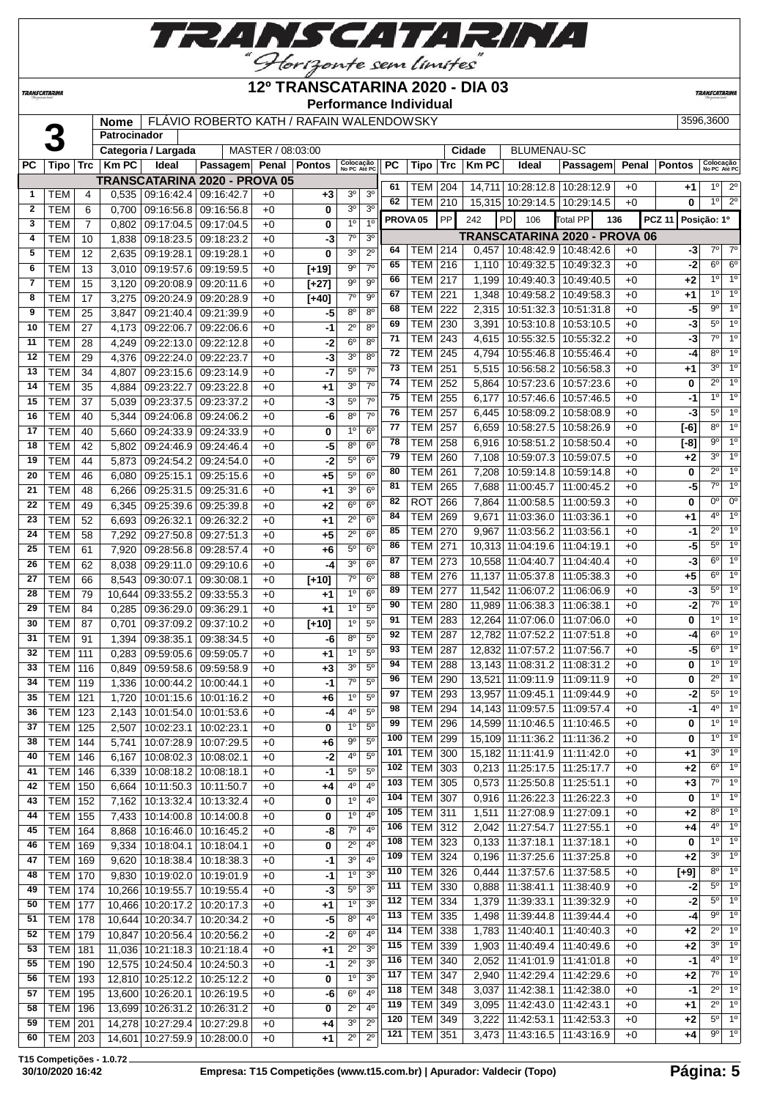

#### **12º TRANSCATARINA 2020 - DIA 03**

**Nome** FLÁVIO ROBERTO KATH / RAFAIN WALENDOWSKY 3596,3600

**Performance Individual**

**TRANSCATARIN** 

**TRANSCATARINA** 

<br>**1 B**<br>**1 Categoria/Large**<br>**1 PC Tipo** Trc **Km PC Ideal Patrocinador Categoria / Largada** | MASTER / 08:03:00 **Cidade** | BLUMENAU-SC  $\overline{P}$  **Passagem Penal Pontos**  $\overline{O}$  **Colocação No PC Até PC PC Tipo Trc Km PC Ideal Passagem Penal Pontos Colocação No PC Até PC TRANSCATARINA 2020 - PROVA 05**<br>0.535 09:16:42.4 09:16:42.7 +0 TEM 4 0,535 09:16:42.4 09:16:42.7 +0 **+3** 3º 3º TEM 6 0,700 09:16:56.8 09:16:56.8 +0 **0** 3º 3º TEM 7 0,802 09:17:04.5 09:17:04.5 +0 **0** 1º 1º TEM 10 1,838 09:18:23.5 09:18:23.2 +0 **-3** 7º 3º TEM 12 2,635 09:19:28.1 09:19:28.1 +0 **0** 3º 2º TEM 13 3,010 09:19:57.6 09:19:59.5 +0 **[+19]** 9º 7º TEM 15 3,120 09:20:08.9 09:20:11.6 +0 **[+27]** 9º 9º TEM 17 3,275 09:20:24.9 09:20:28.9 +0 **[+40]** 7º 9º TEM 25 3,847 09:21:40.4 09:21:39.9 +0 **-5** 8º 8º TEM 27 4,173 09:22:06.7 09:22:06.6 +0 **-1** 2º 8º | TEM | 28 | 4,249 | 09:22:13.0 | 09:22:12.8 | +0 | -2 6<sup>°</sup> 8<sup>°</sup> | TEM | 29 | 4,376 | 09:22:24.0 | 09:22:23.7 | +0 | -3| 3<sup>°</sup> 8<sup>°</sup> TEM 34 4,807 09:23:15.6 09:23:14.9 +0 **-7** 5º 7º | **TEM** | 35 | 4,884 | 09:23:22.7 | 09:23:22.8 | +0 | +1 | 3<sup>°</sup> | 7<sup>°</sup> | TEM | 37 | 5,039 | 09:23:37.5 | 09:23:37.2 | +0 | -3| 5<sup>°</sup> | 7<sup>°</sup> TEM 40 5,344 09:24:06.8 09:24:06.2 +0 **-6** 8º 7º TEM 40 5,660 09:24:33.9 09:24:33.9 +0 **0** 1º 6º | **TEM** | 42 | 5,802 | 09:24:46.9 | 09:24:46.4 | +0 | **-5** | 8<sup>°</sup> | 6<sup>°</sup> TEM 44 5,873 09:24:54.2 09:24:54.0 +0 **-2** 5º 6º | TEM | 46 | 6,080 | 09:25:15.1 | 09:25:15.6 | +0 | +5 | 5<sup>o</sup> | 6<sup>o</sup> | TEM | 48 | 6,266 | 09:25:31.5 | 09:25:31.6 | +0 | +1 | 3<sup>o</sup> | 6<sup>o</sup> | TEM | 49 | 6,345 | 09:25:39.6 | 09:25:39.8 | +0 | +2 | 6<sup>o</sup> | 6<sup>o</sup> | TEM | 52 | 6,693 | 09:26:32.1 | 09:26:32.2 | +0 | +1 | 2<sup>o</sup> | 6<sup>o</sup> | TEM | 58 | 7,292 | 09:27:50.8 | 09:27:51.3 | +0 | +5 | 2<sup>°</sup> | 6<sup>°</sup> | TEM | 61 | 7,920 | 09:28:56.8 | 09:28:57.4 | +0 | +6 | 5<sup>o</sup> | 6<sup>o</sup> | TEM | 62 | 8,038 | 09:29:11.0 | 09:29:10.6 | +0 | -4| 3<sup>°</sup> | 6<sup>°</sup> | TEM | 66 | 8,543 | 09:30:07.1 | 09:30:08.1 | +0 | **[+10]** | 7<sup>°</sup> | 6<sup>°</sup> TEM 79 10,644 09:33:55.2 09:33:55.3 +0 **+1** 1º 6º TEM 84 0,285 09:36:29.0 09:36:29.1 +0 +1 1<sup>o</sup> 5<sup>o</sup> | TEM | 87 | 0,701 | 09:37:09.2 | 09:37:10.2 | +0 | **[+10]** | <sup>10</sup> | 5<sup>0</sup> TEM 91 1,394 09:38:35.1 09:38:34.5 +0 **-6** 8º 5º TEM 111 0,283 09:59:05.6 09:59:05.7 +0 **+1** 1º 5º TEM 116 0,849 09:59:58.6 09:59:58.9 +0 **+3** 3º 5º TEM 119 1,336 10:00:44.2 10:00:44.1 +0 **-1** 7º 5º | TEM | 121 | 1,720 | 10:01:15.6 | 10:01:16.2 | +0 | +6 | 1<sup>o</sup> | 5<sup>o</sup> TEM 204 14,711 10:28:12.8 10:28:12.9 +0 **+1** 1º 2º TEM 210 15,315 10:29:14.5 10:29:14.5 +0 **0** 1º 2º **PROVA 05** PP 242 PD 106 Total PP **136 PCZ 11 Posição: 1º TRANSCATARINA 2020 - PROVA 06** TEM 214 0,457 10:48:42.9 10:48:42.6 +0 **-3** 7º 7º

|    | <b>I CIVI</b>  | 12  |                         | $2,033$   09.19.20.1   09.19.20.1 |            | +v   | v       | ت              | ۷              |     | $\cdot$        | $- \cdot \cdot$ |       | $\frac{1}{2}$                     |      |          |                |                |
|----|----------------|-----|-------------------------|-----------------------------------|------------|------|---------|----------------|----------------|-----|----------------|-----------------|-------|-----------------------------------|------|----------|----------------|----------------|
| 6  | <b>TEM</b>     | 13  |                         | 3,010   09:19:57.6   09:19:59.5   |            | $+0$ | $[+19]$ | $9^{\circ}$    | 7 <sup>0</sup> | 65  | TEM   216      |                 |       | 1,110   10:49:32.5   10:49:32.3   | $+0$ | $-2$     | $6^{\circ}$    | $6^{\circ}$    |
| 7  | <b>TEM</b>     | 15  |                         | 3,120   09:20:08.9   09:20:11.6   |            | $+0$ | $[+27]$ | $9^{\circ}$    | $9^{\circ}$    | 66  | TEM            | 217             |       | 1,199   10:49:40.3   10:49:40.5   | $+0$ | +2       | $1^{\circ}$    | $1^{\circ}$    |
| 8  | <b>TEM</b>     | 17  |                         | 3,275   09:20:24.9   09:20:28.9   |            | $+0$ | $[+40]$ | $7^\circ$      | 90             | 67  | TEM            | 221             |       | 1,348   10:49:58.2   10:49:58.3   | $+0$ | +1       | $1^{\circ}$    | $1^{\circ}$    |
| 9  | <b>TEM</b>     | 25  | 3,847                   | 09:21:40.4 09:21:39.9             |            | $+0$ | -5      | $8^{\circ}$    | $8^{\circ}$    | 68  | <b>TEM</b>     | 222             |       | 2,315   10:51:32.3   10:51:31.8   | $+0$ | -5       | $9^{\circ}$    | $1^{\circ}$    |
| 10 | TEM            | 27  | 4,173                   | 09:22:06.7   09:22:06.6           |            | $+0$ | -1      | $2^{\circ}$    | $8^{\circ}$    | 69  | <b>TEM 230</b> |                 |       | 3,391 10:53:10.8 10:53:10.5       | $+0$ | $-3$     | $5^{\circ}$    | 1 <sup>0</sup> |
| 11 | TEM            | 28  | 4,249                   | $09:22:13.0$ 09:22:12.8           |            | $+0$ | -2      | $6^{\circ}$    | $8^{\circ}$    | 71  | <b>TEM 243</b> |                 |       | 4,615   10:55:32.5   10:55:32.2   | $+0$ | -3       | $7^\circ$      | $1^{\circ}$    |
| 12 | <b>TEM</b>     | 29  | 4,376                   | 09:22:24.0                        | 09:22:23.7 | $+0$ | -3      | 3 <sup>o</sup> | $8^{\circ}$    | 72  | <b>TEM 245</b> |                 |       | 4,794   10:55:46.8   10:55:46.4   | $+0$ | $-4$     | $8^{\circ}$    | 1 <sup>0</sup> |
| 13 | <b>TEM</b>     | 34  | 4,807                   | 09:23:15.6 09:23:14.9             |            | $+0$ | -7      | $5^{\circ}$    | $7^\circ$      | 73  | <b>TEM</b>     | 251             |       | 5,515   10:56:58.2   10:56:58.3   | $+0$ | +1       | $3^{\circ}$    | $1^{\circ}$    |
| 14 | <b>TEM</b>     | 35  | 4,884                   | 09:23:22.7 09:23:22.8             |            | $+0$ | +1      | 3 <sup>0</sup> | $7^\circ$      | 74  | <b>TEM 252</b> |                 |       | 5,864   10:57:23.6   10:57:23.6   | $+0$ | 0        | $2^{\circ}$    | 1 <sup>0</sup> |
| 15 | <b>TEM</b>     | 37  | 5,039                   | 09:23:37.5 09:23:37.2             |            | $+0$ | -3      | $5^{\circ}$    | 7 <sup>0</sup> | 75  | TEM            | 255             |       | 6,177   10:57:46.6   10:57:46.5   | $+0$ | $-1$     | $1^{\circ}$    | $1^{\circ}$    |
| 16 | <b>TEM</b>     | 40  | 5,344                   | 09:24:06.8 09:24:06.2             |            | $+0$ | -6      | $8^{\circ}$    | $7^\circ$      | 76  | TEM            | 257             |       | 6,445   10:58:09.2   10:58:08.9   | $+0$ | -3       | $5^{\circ}$    | $1^{\circ}$    |
| 17 | <b>TEM</b>     | 40  | 5,660                   | 09:24:33.9 09:24:33.9             |            | $+0$ | 0       | 1 <sup>°</sup> | $6^{\circ}$    | 77  | TEM            | 257             |       | 6,659   10:58:27.5   10:58:26.9   | $+0$ | $[-6]$   | $8^{\circ}$    | $1^{\circ}$    |
| 18 | <b>TEM</b>     | 42  | 5,802                   | 09:24:46.9 09:24:46.4             |            | $+0$ | -5      | 8 <sup>o</sup> | 6 <sup>o</sup> | 78  | <b>TEM</b>     | 258             |       | 6,916   10:58:51.2   10:58:50.4   | $+0$ | $[-8]$   | $9^{\circ}$    | $1^{\circ}$    |
|    |                |     |                         |                                   |            |      |         | $5^{\circ}$    | $6^{\circ}$    | 79  | <b>TEM 260</b> |                 |       | 7,108   10:59:07.3   10:59:07.5   | $+0$ | +2       | $3^{\circ}$    | 1 <sup>o</sup> |
| 19 | TEM            | 44  | 5,873                   | 09:24:54.2   09:24:54.0           |            | $+0$ | -2      |                |                | 80  | <b>TEM 261</b> |                 |       | 7,208   10:59:14.8   10:59:14.8   | $+0$ | 0        | $2^{\circ}$    | $1^{\circ}$    |
| 20 | TEM            | 46  | 6,080                   | 09:25:15.1 09:25:15.6             |            | $+0$ | +5      | $5^{\circ}$    | $6^{\circ}$    | 81  | <b>TEM</b>     | 265             |       | 7,688 11:00:45.7   11:00:45.2     | $+0$ | -5       | $7^\circ$      | 1 <sup>0</sup> |
| 21 | <b>TEM</b>     | 48  | 6,266                   | 09:25:31.5   09:25:31.6           |            | $+0$ | +1      | 3 <sup>0</sup> | $6^{\circ}$    | 82  | <b>ROT</b>     | 266             |       | 7,864   11:00:58.5   11:00:59.3   | $+0$ | 0        | $0^{\circ}$    | $0^{\circ}$    |
| 22 | <b>TEM</b>     | 49  | 6,345                   | 09:25:39.6   09:25:39.8           |            | $+0$ | +2      | $6^{\circ}$    | $6^{\circ}$    | 84  | <b>TEM</b>     | 269             |       | 9,671   11:03:36.0   11:03:36.1   |      |          | $4^{\circ}$    | $1^{\circ}$    |
| 23 | <b>TEM</b>     | 52  | 6,693                   | 09:26:32.1                        | 09:26:32.2 | $+0$ | $+1$    | $2^{\circ}$    | $6^{\circ}$    | 85  | <b>TEM 270</b> |                 |       | 9,967 11:03:56.2 11:03:56.1       | $+0$ | +1<br>-1 | $2^{\circ}$    | $1^{\circ}$    |
| 24 | <b>TEM</b>     | 58  | 7,292                   | 09:27:50.8   09:27:51.3           |            | $+0$ | +5      | $2^{\circ}$    | $6^{\circ}$    | 86  | <b>TEM 271</b> |                 |       | 10,313 11:04:19.6 11:04:19.1      | $+0$ | -5       | $5^{\circ}$    | $1^{\circ}$    |
| 25 | <b>TEM</b>     | 61  | 7,920                   | 09:28:56.8   09:28:57.4           |            | $+0$ | $+6$    | $5^{\circ}$    | $6^{\circ}$    | 87  |                |                 |       |                                   | $+0$ |          | $6^{\circ}$    | $1^{\circ}$    |
| 26 | <b>TEM</b>     | 62  | 8,038                   | 09:29:11.0   09:29:10.6           |            | $+0$ | -4      | 3 <sup>o</sup> | $6^{\circ}$    |     | TEM            | 273             |       | 10,558 11:04:40.7   11:04:40.4    | $+0$ | -3       | $6^{\circ}$    | $1^{\circ}$    |
| 27 | <b>TEM</b>     | 66  | 8,543                   | 09:30:07.1                        | 09:30:08.1 | $+0$ | $[+10]$ | $7^\circ$      | $6^{\circ}$    | 88  | <b>TEM</b>     | 276             |       | 11,137   11:05:37.8   11:05:38.3  | $+0$ | $+5$     | $5^{\circ}$    | 1 <sup>0</sup> |
| 28 | TEM            | 79  |                         | 10,644 09:33:55.2 09:33:55.3      |            | $+0$ | +1      | 1 <sup>0</sup> | $6^{\circ}$    | 89  | <b>TEM 277</b> |                 |       | 11,542 11:06:07.2 11:06:06.9      | $+0$ | -3       | $7^\circ$      | $1^{\circ}$    |
| 29 | <b>TEM</b>     | 84  |                         | $0,285$   09:36:29.0   09:36:29.1 |            | $+0$ | +1      | $1^{\circ}$    | $5^{\circ}$    | 90  | <b>TEM</b>     | 280             |       | 11,989 11:06:38.3 11:06:38.1      | $+0$ | $-2$     |                |                |
| 30 | <b>TEM</b>     | 87  | 0,701                   | 09:37:09.2 09:37:10.2             |            | $+0$ | $[+10]$ | 1 <sup>0</sup> | $5^{\circ}$    | 91  | <b>TEM</b>     | 283             |       | 12,264 11:07:06.0 11:07:06.0      | $+0$ | 0        | 1 <sup>0</sup> | $1^{\circ}$    |
| 31 | <b>TEM</b>     | 91  | 1,394                   | 09:38:35.1                        | 09:38:34.5 | $+0$ | -6      | $8^{\circ}$    | $5^{\circ}$    | 92  | <b>TEM</b>     | 287             |       | 12,782 11:07:52.2 11:07:51.8      | $+0$ | -4       | $6^{\circ}$    | $1^{\circ}$    |
| 32 | <b>TEM</b>     | 111 | 0,283                   | 09:59:05.6   09:59:05.7           |            | $+0$ | $+1$    | 1 <sup>0</sup> | $5^{\circ}$    | 93  | <b>TEM</b>     | 287             |       | 12,832 11:07:57.2 11:07:56.7      | $+0$ | -5       | $6^{\circ}$    | $1^{\circ}$    |
| 33 | <b>TEM</b>     | 116 | 0,849                   | 09:59:58.6   09:59:58.9           |            | $+0$ | $+3$    | 3 <sup>o</sup> | 5 <sup>o</sup> | 94  | TEM            | 288             |       | 13,143 11:08:31.2 11:08:31.2      | $+0$ | 0        | $1^{\circ}$    | $1^{\circ}$    |
| 34 | <b>TEM</b>     | 119 | 1,336                   | 10:00:44.2 10:00:44.1             |            | $+0$ | $-1$    | $7^\circ$      | $5^{\circ}$    | 96  | <b>TEM</b>     | 290             |       | 13,521 11:09:11.9 11:09:11.9      | $+0$ | 0        | $2^{\circ}$    | $1^{\circ}$    |
| 35 | <b>TEM</b>     | 121 | 1,720                   | 10:01:15.6   10:01:16.2           |            | $+0$ | +6      | $1^{\circ}$    | $5^{\circ}$    | 97  | TEM            | 293             |       | 13,957 11:09:45.1 11:09:44.9      | $+0$ | -2       | $5^{\circ}$    | $1^{\circ}$    |
| 36 | <b>TEM</b>     | 123 | 2,143                   | 10:01:54.0   10:01:53.6           |            | $+0$ | -4      | 4°             | $5^{\circ}$    | 98  | <b>TEM</b>     | 294             |       | 14,143 11:09:57.5 11:09:57.4      | $+0$ | -1       | $4^{\circ}$    | $1^{\circ}$    |
| 37 | TEM            | 125 | 2,507                   | 10:02:23.1                        | 10:02:23.1 | $+0$ | 0       | 1 <sup>0</sup> | 5 <sup>o</sup> | 99  | <b>TEM</b>     | 296             |       | 14,599 11:10:46.5 11:10:46.5      | $+0$ | 0        | 10             | 1 <sup>0</sup> |
| 38 | <b>TEM</b>     | 144 | 5,741                   | 10:07:28.9 10:07:29.5             |            | $+0$ | +6      | $9^{\circ}$    | $5^{\circ}$    | 100 | <b>TEM 299</b> |                 |       | 15,109 11:11:36.2 11:11:36.2      | $+0$ | 0        | 1 <sup>0</sup> | $1^{\circ}$    |
| 40 | <b>TEM</b>     | 146 | 6,167                   | 10:08:02.3 10:08:02.1             |            | $+0$ | -2      | 4°             | $5^{\circ}$    | 101 | <b>TEM</b>     | 300             |       | 15,182 11:11:41.9 11:11:42.0      | $+0$ | +1       | $3^{\circ}$    | $1^{\circ}$    |
| 41 | <b>TEM</b>     | 146 | 6,339                   | 10:08:18.2 10:08:18.1             |            | $+0$ | -1      | $5^{\circ}$    | $5^{\circ}$    | 102 | <b>TEM</b>     | 303             |       | $0,213$ 11:25:17.5   11:25:17.7   | $+0$ | +2       | $6^{\circ}$    | $1^{\circ}$    |
| 42 | TEM            | 150 | 6,664                   | 10:11:50.3   10:11:50.7           |            | $+0$ | +4      | 4 <sup>0</sup> | 4 <sup>0</sup> | 103 | <b>TEM 305</b> |                 |       | $0,573$   11:25:50.8   11:25:51.1 | $+0$ | $+3$     | $7^\circ$      | $1^{\circ}$    |
| 43 | <b>TEM</b>     | 152 | 7,162                   | 10:13:32.4                        | 10:13:32.4 | $+0$ | 0       | 1 <sup>°</sup> | 4 <sup>0</sup> | 104 | <b>TEM 307</b> |                 |       | 0.916 11:26:22.3 11:26:22.3       | $+0$ | 0        | $1^{\circ}$    | 1 <sup>0</sup> |
| 44 | TEM            | 155 | 7.433                   | 10:14:00.8   10:14:00.8           |            | $+0$ | 0       | $1^{\circ}$    | 4 <sup>0</sup> | 105 | <b>TEM</b>     | 311             |       | 1,511   11:27:08.9   11:27:09.1   | $+0$ | $+2$     | $8^{\circ}$    | $1^{\circ}$    |
| 45 | TEM            | 164 | 8,868                   | 10:16:46.0   10:16:45.2           |            | $+0$ | -8      | $7^\circ$      | $4^{\circ}$    | 106 | <b>TEM 312</b> |                 |       | 2,042 11:27:54.7 11:27:55.1       | $+0$ | $+4$     | $4^{\circ}$    | $1^{\circ}$    |
| 46 | TEM   169      |     |                         | $9,334$   10:18:04.1   10:18:04.1 |            | +0   | 0       | $2^{\circ}$    | $4^{\circ}$    | 108 | <b>TEM</b> 323 |                 |       | $0,133$   11:37:18.1   11:37:18.1 | $+0$ | 0        | $1^{\circ}$    | $1^{\circ}$    |
| 47 | TEM   169      |     | 9,620                   | 10:18:38.4   10:18:38.3           |            | $+0$ | $-1$    | 3 <sup>o</sup> | 4 <sup>0</sup> | 109 | <b>TEM 324</b> |                 |       | $0,196$   11:37:25.6   11:37:25.8 | $+0$ | $+2$     | $3^{\circ}$    | 1 <sup>°</sup> |
| 48 | <b>TEM 170</b> |     | 9,830                   | 10:19:02.0 10:19:01.9             |            | $+0$ | $-1$    | 1 <sup>0</sup> | 3 <sup>o</sup> | 110 | <b>TEM 326</b> |                 |       | $0,444$ 11:37:57.6 11:37:58.5     | $+0$ | $[+9]$   | $8^{\circ}$    | $1^{\circ}$    |
| 49 | <b>TEM</b>     | 174 |                         | 10,266 10:19:55.7 10:19:55.4      |            | $+0$ | $-3$    | $5^{\circ}$    | 3 <sup>o</sup> | 111 | <b>TEM 330</b> |                 |       | $0,888$   11:38:41.1   11:38:40.9 | $+0$ | $-2$     | $5^{\circ}$    | $1^{\circ}$    |
| 50 | <b>TEM</b>     | 177 |                         | 10,466 10:20:17.2 10:20:17.3      |            | $+0$ | +1      | 1 <sup>0</sup> | 3 <sup>o</sup> | 112 | TEM 334        |                 |       | 1,379   11:39:33.1   11:39:32.9   | $+0$ | $-2$     | $5^{\circ}$    | $1^{\circ}$    |
| 51 | <b>TEM 178</b> |     |                         | 10,644 10:20:34.7 10:20:34.2      |            | $+0$ | -5      | 8 <sup>0</sup> | 4 <sup>0</sup> | 113 | <b>TEM 335</b> |                 |       | 1,498   11:39:44.8   11:39:44.4   | $+0$ | $-4$     | $9^{\circ}$    | $1^{\circ}$    |
| 52 | <b>TEM 179</b> |     |                         | 10,847 10:20:56.4 10:20:56.2      |            | $+0$ | $-2$    | $6^{\circ}$    | 4 <sup>0</sup> | 114 | <b>TEM 338</b> |                 |       | $1,783$   11:40:40.1   11:40:40.3 | $+0$ | $+2$     | $2^{\circ}$    | $1^{\circ}$    |
| 53 | <b>TEM 181</b> |     |                         | 11,036 10:21:18.3 10:21:18.4      |            | $+0$ | +1      | $2^{\circ}$    | 3 <sup>o</sup> | 115 | TEM 339        |                 |       | 1,903   11:40:49.4   11:40:49.6   | $+0$ | $+2$     | $3^{\circ}$    | $1^{\circ}$    |
| 55 | TEM            | 190 |                         | 12,575 10:24:50.4 10:24:50.3      |            | $+0$ | -1      | $2^{\circ}$    | 3 <sup>o</sup> | 116 | <b>TEM 340</b> |                 |       | 2,052   11:41:01.9   11:41:01.8   | $+0$ | -1       | $4^{\circ}$    | $1^{\circ}$    |
| 56 | <b>TEM</b>     | 193 |                         | 12,810 10:25:12.2 10:25:12.2      |            | $+0$ | 0       | 1 <sup>0</sup> | 3 <sup>o</sup> | 117 | <b>TEM 347</b> |                 |       | 2,940   11:42:29.4   11:42:29.6   | $+0$ | $+2$     | $7^{\circ}$    | $1^{\circ}$    |
| 57 | TEM            | 195 |                         | 13,600 10:26:20.1                 | 10:26:19.5 | $+0$ | -6      | 6 <sup>o</sup> | 4 <sup>0</sup> | 118 | <b>TEM 348</b> |                 | 3,037 | 11:42:38.1 11:42:38.0             | $+0$ | -1       | $2^{\circ}$    | $1^{\circ}$    |
| 58 | <b>TEM</b>     | 196 |                         | 13,699 10:26:31.2 10:26:31.2      |            | +0   | 0       | $2^{\circ}$    | $4^{\circ}$    | 119 | <b>TEM 349</b> |                 |       | 3,095 11:42:43.0 11:42:43.1       | $+0$ | +1       | $2^{\circ}$    | $1^{\circ}$    |
| 59 | <b>TEM</b>     | 201 |                         | 14,278 10:27:29.4 10:27:29.8      |            | $+0$ | +4      | 3 <sup>o</sup> | $2^{\circ}$    | 120 | <b>TEM 349</b> |                 |       | $3,222$   11:42:53.1   11:42:53.3 | $+0$ | $+2$     | $5^{\circ}$    | $1^{\circ}$    |
| 60 | TEM 203        |     |                         | 14,601 10:27:59.9 10:28:00.0      |            | $+0$ | +1      | $2^{\circ}$    | $2^{\circ}$    | 121 | TEM 351        |                 |       | $3,473$   11:43:16.5   11:43:16.9 | $+0$ | +4       | $9^{\circ}$    | $1^{\circ}$    |
|    |                |     |                         |                                   |            |      |         |                |                |     |                |                 |       |                                   |      |          |                |                |
|    |                |     | 15 Competições - 1.0.72 |                                   |            |      |         |                |                |     |                |                 |       |                                   |      |          |                |                |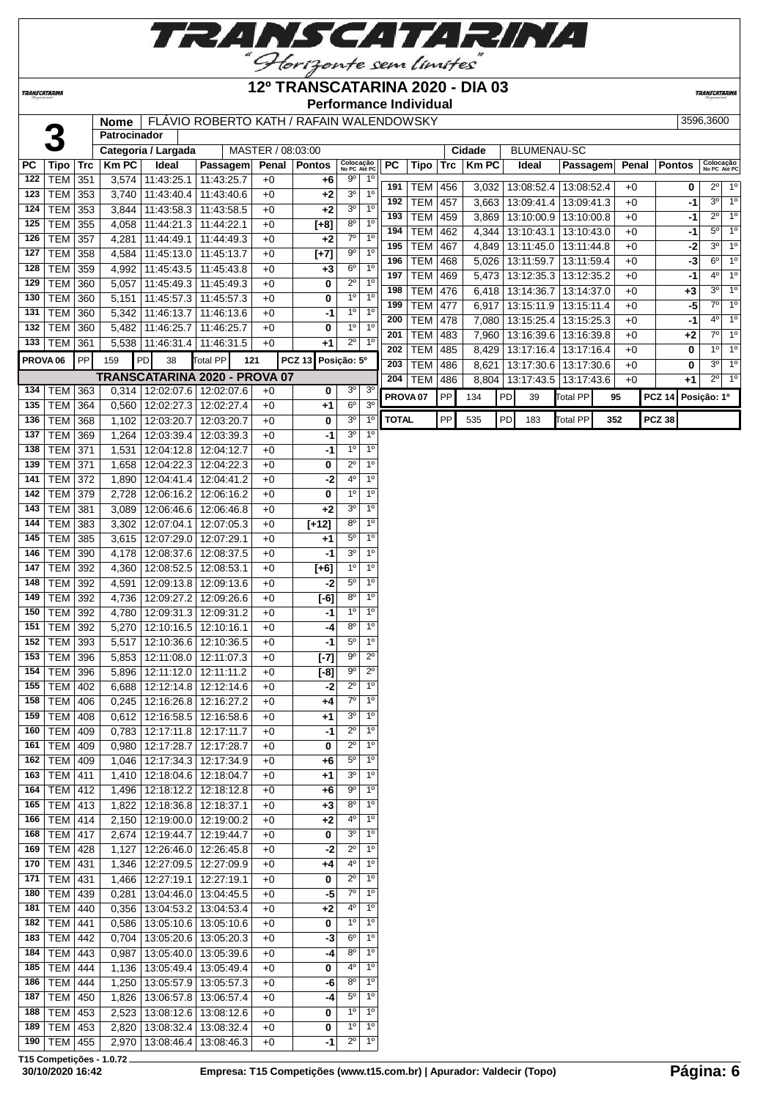

## **12º TRANSCATARINA 2020 - DIA 03**

**Performance Individual**

**TRANSCATARIN** 

**TRANSCATARINA** 

| 3<br><b>BLUMENAU-SC</b><br>Categoria / Largada<br>MASTER / 08:03:00<br>Cidade<br>Colocação<br>No PC Até PC<br>Colocação<br>No PC Até PC<br><b>KmPC</b><br>Ideal<br><b>PC</b><br>Tipo Trc<br><b>Trc</b><br><b>Km PC</b><br><b>Passagem</b><br>Penal<br><b>Pontos</b><br>РC<br>Passagem<br>Penal<br><b>Pontos</b><br>Tipo<br>Ideal<br>122<br><b>TEM 351</b><br>3,574 11:43:25.1<br>$9^{\circ}$<br>$1^{\circ}$<br>11:43:25.7<br>$+0$<br>+6<br>$2^0$ 1 <sup>o</sup><br>191<br><b>TEM</b><br>456<br>3,032<br>13:08:52.4   13:08:52.4<br>$+0$<br>0<br>1 <sup>0</sup><br><b>TEM 353</b><br>3 <sup>o</sup><br>123<br>3,740 11:43:40.4<br>11:43:40.6<br>$+0$<br>+2<br>1 <sup>0</sup><br>$3^{\circ}$<br>$+0$<br>192<br><b>TEM</b><br>457<br>3,663<br>13:09:41.4<br>13:09:41.3<br>-1<br>3 <sup>o</sup><br>$1^{\circ}$<br>$TEM$ 353<br>3,844 11:43:58.3<br>11:43:58.5<br>$+0$<br>124<br>+2<br>$\overline{1^0}$<br>$2^{\circ}$<br>193<br><b>TEM</b><br>459<br>13:10:00.9 13:10:00.8<br>$+0$<br>-1<br>3,869<br>8 <sup>o</sup><br>TEM 355<br>4,058 11:44:21.3<br>1 <sup>0</sup><br>125<br>11:44:22.1<br>$+0$<br>$[+8]$<br>$5^{\circ}$<br>1 <sup>0</sup><br>194<br><b>TEM</b><br>462<br>13:10:43.1<br>13:10:43.0<br>$+0$<br>-1<br>4,344<br>7 <sup>0</sup><br>1 <sup>0</sup><br>126<br>TEM<br>357<br>4,281 11:44:49.1<br>11:44:49.3<br>$+0$<br>$+2$<br>1 <sup>0</sup><br>$3^{\circ}$<br>195<br><b>TEM</b><br>467<br>13:11:45.0<br>13:11:44.8<br>$+0$<br>-2<br>4,849<br>$9^{\circ}$<br>TEM<br>$1^{\circ}$<br>127<br>358<br>4,584 11:45:13.0<br>11:45:13.7<br>$+0$<br>$[+7]$<br>$\overline{1^0}$<br>$6^{\circ}$<br>196<br><b>TEM</b><br>$+0$<br>$-3$<br>468<br>13:11:59.7<br>13:11:59.4<br>5,026<br>$6^{\circ}$<br>$1^{\circ}$<br>TEM<br>359<br>4,992 11:45:43.5<br>11:45:43.8<br>$+0$<br>128<br>$+3$<br>$\overline{1^{\circ}}$<br>$4^{\circ}$<br><b>TEM</b><br>$+0$<br>197<br>469<br>-1<br>5,473<br>13:12:35.3<br>13:12:35.2<br>$2^{\circ}$<br>1 <sup>0</sup><br>TEM<br>129<br>360<br>5,057<br>11:45:49.3<br>11:45:49.3<br>$+0$<br>0<br>$3^{\circ}$ 1 <sup>0</sup><br><b>TEM</b><br>$+0$<br>198<br>476<br>13:14:36.7<br>13:14:37.0<br>$+3$<br>6,418<br>1 <sup>0</sup><br>1 <sup>0</sup><br><b>TEM 360</b><br>5,151 11:45:57.3<br>11:45:57.3<br>$+0$<br>0<br>130<br>7° 1°<br>$-5$<br>199<br><b>TEM</b><br>477<br>6,917<br>13:15:11.9<br>13:15:11.4<br>$+0$<br>1 <sup>0</sup><br>1 <sup>0</sup><br>131<br><b>TEM 360</b><br>5,342 11:46:13.7<br>$+0$<br>11:46:13.6<br>-1<br>$4^{\circ}$ 1 <sup>0</sup><br>478<br>$+0$<br>200<br><b>TEM</b><br>7,080<br> 13:15:25.4 <br>13:15:25.3<br>-1<br>$1^{\circ}$<br><b>TEM 360</b><br>$1^{\circ}$<br>132<br>5,482 11:46:25.7<br>11:46:25.7<br>$+0$<br>0<br>1 <sup>0</sup><br>$7^\circ$<br>$+0$<br>201<br><b>TEM</b><br>483<br>7,960<br>13:16:39.6   13:16:39.8<br>$+2$<br>$2^{\circ}$<br>$1^{\circ}$<br>133<br>TEM<br>5,538 11:46:31.4<br>$+0$<br>361<br>11:46:31.5<br>+1<br>$1^{\circ}$<br>$1^{\circ}$<br>202<br><b>TEM</b><br>485<br>13:17:16.4<br>13:17:16.4<br>$+0$<br>0<br>8,429<br>PP<br><b>PCZ 13</b><br>PROVA <sub>06</sub><br>PD<br>38<br><b>Total PP</b><br>Posição: 5º<br>159<br>121<br>$\overline{1^0}$<br>$3^{\circ}$<br><b>TEM</b><br>203<br>13:17:30.6<br>0<br>486<br>8,621<br>13:17:30.6<br>$+0$<br>TRANSCATARINA 2020 - PROVA 07<br>$2^{\circ}$ 1 <sup>o</sup><br>204<br><b>TEM</b><br>$+0$<br>486<br>8,804   13:17:43.5   13:17:43.6<br>+1<br>3 <sup>o</sup><br>3 <sup>o</sup><br>134   TEM   363<br>0,314   12:02:07.6   12:02:07.6<br>$+0$<br>0<br>${\sf PP}$<br>PD<br><b>Total PP</b><br>PROVA <sub>07</sub><br>134<br>39<br><b>PCZ 14</b><br>Posição: 1º<br>95<br>$6^{\circ}$<br>3 <sup>o</sup><br><b>TEM 364</b><br>135<br>0,560 12:02:27.3<br>12:02:27.4<br>$+0$<br>$+1$<br>${\sf PP}$<br>PD<br>3 <sup>o</sup><br><b>TOTAL</b><br><b>Total PP</b><br><b>PCZ 38</b><br>1 <sup>0</sup><br>535<br>183<br>352<br>136<br><b>TEM 368</b><br>1,102 12:03:20.7<br>12:03:20.7<br>$+0$<br>0<br>3 <sup>o</sup><br>1 <sup>0</sup><br>TEM 369<br>137<br>1,264 12:03:39.4<br>12:03:39.3<br>$+0$<br>-1<br>1 <sup>0</sup><br>TEM<br>1 <sup>0</sup><br>138<br>371<br>1,531 12:04:12.8<br>$+0$<br>-1<br>12:04:12.7<br>$\overline{2^0}$<br>$1^{\circ}$<br>TEM<br>139<br>371<br>1,658 12:04:22.3<br>12:04:22.3<br>$+0$<br>0<br>4 <sup>0</sup><br>1 <sup>0</sup><br>TEM<br>141<br>372<br>1,890 12:04:41.4<br>12:04:41.2<br>$+0$<br>-2<br>$1^{\circ}$<br>1 <sup>0</sup><br><b>TEM 379</b><br>142<br>2,728 12:06:16.2<br>12:06:16.2<br>$+0$<br>0<br>3 <sup>o</sup><br>1 <sup>0</sup><br><b>TEM 381</b><br>143<br>3,089 12:06:46.6<br>12:06:46.8<br>$+0$<br>+2<br>$8^{\circ}$<br>$1^{\circ}$<br>144<br>TEM 383<br>$[t+12]$<br>3,302 12:07:04.1<br>12:07:05.3<br>$+0$<br>$5^{\circ}$<br>$1^{\circ}$<br>145<br><b>TEM 385</b><br>3,615 12:07:29.0<br>12:07:29.1<br>$+0$<br>$+1$<br>3 <sup>0</sup><br>TEM 390<br>1 <sup>0</sup><br>146<br>4,178 12:08:37.6<br>12:08:37.5<br>$+0$<br>-1<br>$1^{\circ}$<br>1 <sup>0</sup><br>TEM 392<br>147<br>4,360 12:08:52.5<br>12:08:53.1<br>$+0$<br>$[+6]$<br>$5^{\circ}$<br>1 <sup>0</sup><br>148<br>TEM<br>392<br>$\overline{4,591}$<br>12:09:13.8<br>12:09:13.6<br>$+0$<br>-2<br>$8^{\circ}$<br>$1^{\circ}$<br>TEM<br>149<br>392<br>4,736 12:09:27.2<br>12:09:26.6<br>$+0$<br>$[-6]$<br>$1^{\circ}$<br>TEM<br>1 <sup>0</sup><br>392<br>4,780<br>12:09:31.3<br>$+0$<br>150<br>12:09:31.2<br>-1<br>$8^{\circ}$<br>TEM<br>1 <sup>0</sup><br>392<br>5,270 12:10:16.5<br>12:10:16.1<br>$+0$<br>151<br>-4<br>5 <sup>0</sup><br>1 <sup>0</sup><br>152<br>TEM 393<br>$+0$<br>$-1$<br>5,517   12:10:36.6<br>12:10:36.5<br>$9^{\circ}$<br>$2^{\circ}$<br>153<br>TEM 396<br>5,853 12:11:08.0<br>$+0$<br>$[-7]$<br>12:11:07.3<br>$9^{\rm o}$<br>$2^{\circ}$<br>154<br>TEM<br>396<br>5,896 12:11:12.0<br>12:11:11.2<br>$+0$<br>$[-8]$<br>$2^{\circ}$<br>1 <sup>0</sup><br>$TEM$ 402<br>$-2$<br>155<br>6,688   12:12:14.8   12:12:14.6<br>$+0$<br>$7^\circ$<br>$1^{\circ}$<br>  TEM   406<br>$0,245$   12:16:26.8   12:16:27.2<br>158<br>+0<br>+4<br>3 <sup>o</sup><br>$1^{\circ}$<br>159<br><b>TEM   408</b><br>$0,612$   12:16:58.5  <br>12:16:58.6<br>+0<br>+1<br>TEM 409<br>$2^{\circ}$<br>0,783   12:17:11.8   12:17:11.7<br>$+0$<br>$1^{\circ}$<br>160<br>-1<br>TEM 409<br>$2^{\circ}$<br>0,980 12:17:28.7<br>$1^{\circ}$<br>12:17:28.7<br>+0<br>0<br>161<br>TEM   409<br>1,046 12:17:34.3<br>$5^{\circ}$<br>1 <sup>0</sup><br>12:17:34.9<br>$+0$<br>162<br>+6<br>3 <sup>o</sup><br>1 <sup>0</sup><br>163   TEM   411<br>1,410   12:18:04.6   12:18:04.7<br>+0<br>$+1$<br>164   TEM   412<br>$9^{\circ}$<br>1 <sup>0</sup><br>1,496   12:18:12.2   12:18:12.8<br>$+0$<br>+6<br>$8^{\circ}$<br>$1^{\circ}$<br>165   TEM   413<br>1,822   12:18:36.8   12:18:37.1<br>$+0$<br>$+3$<br>166   TEM   414<br>4°<br>1 <sup>0</sup><br>2,150 12:19:00.0<br>12:19:00.2<br>+0<br>+2<br>3 <sup>o</sup><br>168<br>$TEM$ 417<br>2,674 12:19:44.7<br>$1^{\circ}$<br>12:19:44.7<br>$+0$<br>0<br>$TEM$ 428<br>$2^{\circ}$<br>1 <sup>0</sup><br>1,127 12:26:46.0<br>169<br>12:26:45.8<br>$+0$<br>-2<br><b>TEM</b> 431<br>4°<br>1 <sup>0</sup><br>1,346 12:27:09.5<br>12:27:09.9<br>170<br>+0<br>+4<br>$2^{\circ}$<br><b>TEM 431</b><br>$1^{\circ}$<br>171<br>1,466 12:27:19.1<br>12:27:19.1<br>+0<br>0<br>$7^\circ$<br>$TEM$ 439<br>$1^{\circ}$<br>180<br>0,281 13:04:46.0<br>13:04:45.5<br>+0<br>-5<br>4 <sup>0</sup><br>181   TEM   440<br>$1^{\circ}$<br>0,356 13:04:53.2<br>13:04:53.4<br>+0<br>+2<br>1 <sup>0</sup><br>182   TEM   441<br>1 <sup>0</sup><br>0,586   13:05:10.6   13:05:10.6<br>0<br>$+0$<br>$6^{\circ}$<br>$1^{\circ}$<br>183   TEM   442<br>0,704   13:05:20.6   13:05:20.3<br>$+0$<br>-3<br>$\overline{8^{\circ}}$<br>1 <sup>0</sup><br>$TEM$ 443<br>184<br>0,987 13:05:40.0<br>13:05:39.6<br>+0<br>-4<br>4 <sup>0</sup><br><b>TEM</b> 444<br>1,136 13:05:49.4<br>1 <sup>0</sup><br>185<br>13:05:49.4<br>$+0$<br>0<br>8 <sup>o</sup><br>$TEM$ 444<br>1 <sup>0</sup><br>1,250 13:05:57.9<br>-6<br>186<br>13:05:57.3<br>$+0$<br>TEM   450<br>$5^{\circ}$<br>1 <sup>0</sup><br>1,826   13:06:57.8   13:06:57.4<br>187<br>+0<br>-4<br>$1^{\circ}$<br>$TEM$ 453<br>$1^{\circ}$<br>2,523 13:08:12.6<br>188<br>13:08:12.6<br>+0<br>0<br>TEM 453<br>2,820 13:08:32.4<br>$1^{\circ}$<br>$1^{\circ}$<br>189  <br>13:08:32.4<br>+0<br>0<br>$2^{\circ}$<br>1 <sup>0</sup><br>190 TEM 455<br>2,970 13:08:46.4<br>13:08:46.3<br>+0<br>-1 |  | Nome  <br><b>Patrocinador</b> | FLÁVIO ROBERTO KATH / RAFAIN WALENDOWSKY |  |  |  |  |  |  |  | 3596,3600 |
|------------------------------------------------------------------------------------------------------------------------------------------------------------------------------------------------------------------------------------------------------------------------------------------------------------------------------------------------------------------------------------------------------------------------------------------------------------------------------------------------------------------------------------------------------------------------------------------------------------------------------------------------------------------------------------------------------------------------------------------------------------------------------------------------------------------------------------------------------------------------------------------------------------------------------------------------------------------------------------------------------------------------------------------------------------------------------------------------------------------------------------------------------------------------------------------------------------------------------------------------------------------------------------------------------------------------------------------------------------------------------------------------------------------------------------------------------------------------------------------------------------------------------------------------------------------------------------------------------------------------------------------------------------------------------------------------------------------------------------------------------------------------------------------------------------------------------------------------------------------------------------------------------------------------------------------------------------------------------------------------------------------------------------------------------------------------------------------------------------------------------------------------------------------------------------------------------------------------------------------------------------------------------------------------------------------------------------------------------------------------------------------------------------------------------------------------------------------------------------------------------------------------------------------------------------------------------------------------------------------------------------------------------------------------------------------------------------------------------------------------------------------------------------------------------------------------------------------------------------------------------------------------------------------------------------------------------------------------------------------------------------------------------------------------------------------------------------------------------------------------------------------------------------------------------------------------------------------------------------------------------------------------------------------------------------------------------------------------------------------------------------------------------------------------------------------------------------------------------------------------------------------------------------------------------------------------------------------------------------------------------------------------------------------------------------------------------------------------------------------------------------------------------------------------------------------------------------------------------------------------------------------------------------------------------------------------------------------------------------------------------------------------------------------------------------------------------------------------------------------------------------------------------------------------------------------------------------------------------------------------------------------------------------------------------------------------------------------------------------------------------------------------------------------------------------------------------------------------------------------------------------------------------------------------------------------------------------------------------------------------------------------------------------------------------------------------------------------------------------------------------------------------------------------------------------------------------------------------------------------------------------------------------------------------------------------------------------------------------------------------------------------------------------------------------------------------------------------------------------------------------------------------------------------------------------------------------------------------------------------------------------------------------------------------------------------------------------------------------------------------------------------------------------------------------------------------------------------------------------------------------------------------------------------------------------------------------------------------------------------------------------------------------------------------------------------------------------------------------------------------------------------------------------------------------------------------------------------------------------------------------------------------------------------------------------------------------------------------------------------------------------------------------------------------------------------------------------------------------------------------------------------------------------------------------------------------------------------------------------------------------------------------------------------------------------------------------------------------------------------------------------------------------------------------------------------------------------------------------------------------------------------------------------------------------------------------------------------------------------------------------------------------------------------------------------------------------------------------------------------------------------------------------------------------------------------------------------------------------------------------------------------------------------------------------------------------------------------------------------------------------------------------------------------------------------------------------------------------------------------------------------------------------------------------------------------------------------------------------------------------------------------------------------------------------------------------------------------------------------------------------------------------------------------------------------------------------------------------------------------------------------------------------------------------------------------------------------------------------------------------------------------------------------------------------------------------------------------------------------------------------------------------------------------------------------------------------------------------------------------------------------------------------------------------------------------------------------------------------------------------------------------------------------------------------------------------------------------------------------------------------------------------------------------------------------------------------------------------------------------------------------------------------------------------------------------------------------------------------------------------------|--|-------------------------------|------------------------------------------|--|--|--|--|--|--|--|-----------|
|                                                                                                                                                                                                                                                                                                                                                                                                                                                                                                                                                                                                                                                                                                                                                                                                                                                                                                                                                                                                                                                                                                                                                                                                                                                                                                                                                                                                                                                                                                                                                                                                                                                                                                                                                                                                                                                                                                                                                                                                                                                                                                                                                                                                                                                                                                                                                                                                                                                                                                                                                                                                                                                                                                                                                                                                                                                                                                                                                                                                                                                                                                                                                                                                                                                                                                                                                                                                                                                                                                                                                                                                                                                                                                                                                                                                                                                                                                                                                                                                                                                                                                                                                                                                                                                                                                                                                                                                                                                                                                                                                                                                                                                                                                                                                                                                                                                                                                                                                                                                                                                                                                                                                                                                                                                                                                                                                                                                                                                                                                                                                                                                                                                                                                                                                                                                                                                                                                                                                                                                                                                                                                                                                                                                                                                                                                                                                                                                                                                                                                                                                                                                                                                                                                                                                                                                                                                                                                                                                                                                                                                                                                                                                                                                                                                                                                                                                                                                                                                                                                                                                                                                                                                                                                                                                                                                                                                                                                                                                                                                                                                                                                                                                                                                                                                                                                                                                                              |  |                               |                                          |  |  |  |  |  |  |  |           |
|                                                                                                                                                                                                                                                                                                                                                                                                                                                                                                                                                                                                                                                                                                                                                                                                                                                                                                                                                                                                                                                                                                                                                                                                                                                                                                                                                                                                                                                                                                                                                                                                                                                                                                                                                                                                                                                                                                                                                                                                                                                                                                                                                                                                                                                                                                                                                                                                                                                                                                                                                                                                                                                                                                                                                                                                                                                                                                                                                                                                                                                                                                                                                                                                                                                                                                                                                                                                                                                                                                                                                                                                                                                                                                                                                                                                                                                                                                                                                                                                                                                                                                                                                                                                                                                                                                                                                                                                                                                                                                                                                                                                                                                                                                                                                                                                                                                                                                                                                                                                                                                                                                                                                                                                                                                                                                                                                                                                                                                                                                                                                                                                                                                                                                                                                                                                                                                                                                                                                                                                                                                                                                                                                                                                                                                                                                                                                                                                                                                                                                                                                                                                                                                                                                                                                                                                                                                                                                                                                                                                                                                                                                                                                                                                                                                                                                                                                                                                                                                                                                                                                                                                                                                                                                                                                                                                                                                                                                                                                                                                                                                                                                                                                                                                                                                                                                                                                                              |  |                               |                                          |  |  |  |  |  |  |  |           |
|                                                                                                                                                                                                                                                                                                                                                                                                                                                                                                                                                                                                                                                                                                                                                                                                                                                                                                                                                                                                                                                                                                                                                                                                                                                                                                                                                                                                                                                                                                                                                                                                                                                                                                                                                                                                                                                                                                                                                                                                                                                                                                                                                                                                                                                                                                                                                                                                                                                                                                                                                                                                                                                                                                                                                                                                                                                                                                                                                                                                                                                                                                                                                                                                                                                                                                                                                                                                                                                                                                                                                                                                                                                                                                                                                                                                                                                                                                                                                                                                                                                                                                                                                                                                                                                                                                                                                                                                                                                                                                                                                                                                                                                                                                                                                                                                                                                                                                                                                                                                                                                                                                                                                                                                                                                                                                                                                                                                                                                                                                                                                                                                                                                                                                                                                                                                                                                                                                                                                                                                                                                                                                                                                                                                                                                                                                                                                                                                                                                                                                                                                                                                                                                                                                                                                                                                                                                                                                                                                                                                                                                                                                                                                                                                                                                                                                                                                                                                                                                                                                                                                                                                                                                                                                                                                                                                                                                                                                                                                                                                                                                                                                                                                                                                                                                                                                                                                                              |  |                               |                                          |  |  |  |  |  |  |  |           |
|                                                                                                                                                                                                                                                                                                                                                                                                                                                                                                                                                                                                                                                                                                                                                                                                                                                                                                                                                                                                                                                                                                                                                                                                                                                                                                                                                                                                                                                                                                                                                                                                                                                                                                                                                                                                                                                                                                                                                                                                                                                                                                                                                                                                                                                                                                                                                                                                                                                                                                                                                                                                                                                                                                                                                                                                                                                                                                                                                                                                                                                                                                                                                                                                                                                                                                                                                                                                                                                                                                                                                                                                                                                                                                                                                                                                                                                                                                                                                                                                                                                                                                                                                                                                                                                                                                                                                                                                                                                                                                                                                                                                                                                                                                                                                                                                                                                                                                                                                                                                                                                                                                                                                                                                                                                                                                                                                                                                                                                                                                                                                                                                                                                                                                                                                                                                                                                                                                                                                                                                                                                                                                                                                                                                                                                                                                                                                                                                                                                                                                                                                                                                                                                                                                                                                                                                                                                                                                                                                                                                                                                                                                                                                                                                                                                                                                                                                                                                                                                                                                                                                                                                                                                                                                                                                                                                                                                                                                                                                                                                                                                                                                                                                                                                                                                                                                                                                                              |  |                               |                                          |  |  |  |  |  |  |  |           |
|                                                                                                                                                                                                                                                                                                                                                                                                                                                                                                                                                                                                                                                                                                                                                                                                                                                                                                                                                                                                                                                                                                                                                                                                                                                                                                                                                                                                                                                                                                                                                                                                                                                                                                                                                                                                                                                                                                                                                                                                                                                                                                                                                                                                                                                                                                                                                                                                                                                                                                                                                                                                                                                                                                                                                                                                                                                                                                                                                                                                                                                                                                                                                                                                                                                                                                                                                                                                                                                                                                                                                                                                                                                                                                                                                                                                                                                                                                                                                                                                                                                                                                                                                                                                                                                                                                                                                                                                                                                                                                                                                                                                                                                                                                                                                                                                                                                                                                                                                                                                                                                                                                                                                                                                                                                                                                                                                                                                                                                                                                                                                                                                                                                                                                                                                                                                                                                                                                                                                                                                                                                                                                                                                                                                                                                                                                                                                                                                                                                                                                                                                                                                                                                                                                                                                                                                                                                                                                                                                                                                                                                                                                                                                                                                                                                                                                                                                                                                                                                                                                                                                                                                                                                                                                                                                                                                                                                                                                                                                                                                                                                                                                                                                                                                                                                                                                                                                                              |  |                               |                                          |  |  |  |  |  |  |  |           |
|                                                                                                                                                                                                                                                                                                                                                                                                                                                                                                                                                                                                                                                                                                                                                                                                                                                                                                                                                                                                                                                                                                                                                                                                                                                                                                                                                                                                                                                                                                                                                                                                                                                                                                                                                                                                                                                                                                                                                                                                                                                                                                                                                                                                                                                                                                                                                                                                                                                                                                                                                                                                                                                                                                                                                                                                                                                                                                                                                                                                                                                                                                                                                                                                                                                                                                                                                                                                                                                                                                                                                                                                                                                                                                                                                                                                                                                                                                                                                                                                                                                                                                                                                                                                                                                                                                                                                                                                                                                                                                                                                                                                                                                                                                                                                                                                                                                                                                                                                                                                                                                                                                                                                                                                                                                                                                                                                                                                                                                                                                                                                                                                                                                                                                                                                                                                                                                                                                                                                                                                                                                                                                                                                                                                                                                                                                                                                                                                                                                                                                                                                                                                                                                                                                                                                                                                                                                                                                                                                                                                                                                                                                                                                                                                                                                                                                                                                                                                                                                                                                                                                                                                                                                                                                                                                                                                                                                                                                                                                                                                                                                                                                                                                                                                                                                                                                                                                                              |  |                               |                                          |  |  |  |  |  |  |  |           |
|                                                                                                                                                                                                                                                                                                                                                                                                                                                                                                                                                                                                                                                                                                                                                                                                                                                                                                                                                                                                                                                                                                                                                                                                                                                                                                                                                                                                                                                                                                                                                                                                                                                                                                                                                                                                                                                                                                                                                                                                                                                                                                                                                                                                                                                                                                                                                                                                                                                                                                                                                                                                                                                                                                                                                                                                                                                                                                                                                                                                                                                                                                                                                                                                                                                                                                                                                                                                                                                                                                                                                                                                                                                                                                                                                                                                                                                                                                                                                                                                                                                                                                                                                                                                                                                                                                                                                                                                                                                                                                                                                                                                                                                                                                                                                                                                                                                                                                                                                                                                                                                                                                                                                                                                                                                                                                                                                                                                                                                                                                                                                                                                                                                                                                                                                                                                                                                                                                                                                                                                                                                                                                                                                                                                                                                                                                                                                                                                                                                                                                                                                                                                                                                                                                                                                                                                                                                                                                                                                                                                                                                                                                                                                                                                                                                                                                                                                                                                                                                                                                                                                                                                                                                                                                                                                                                                                                                                                                                                                                                                                                                                                                                                                                                                                                                                                                                                                                              |  |                               |                                          |  |  |  |  |  |  |  |           |
|                                                                                                                                                                                                                                                                                                                                                                                                                                                                                                                                                                                                                                                                                                                                                                                                                                                                                                                                                                                                                                                                                                                                                                                                                                                                                                                                                                                                                                                                                                                                                                                                                                                                                                                                                                                                                                                                                                                                                                                                                                                                                                                                                                                                                                                                                                                                                                                                                                                                                                                                                                                                                                                                                                                                                                                                                                                                                                                                                                                                                                                                                                                                                                                                                                                                                                                                                                                                                                                                                                                                                                                                                                                                                                                                                                                                                                                                                                                                                                                                                                                                                                                                                                                                                                                                                                                                                                                                                                                                                                                                                                                                                                                                                                                                                                                                                                                                                                                                                                                                                                                                                                                                                                                                                                                                                                                                                                                                                                                                                                                                                                                                                                                                                                                                                                                                                                                                                                                                                                                                                                                                                                                                                                                                                                                                                                                                                                                                                                                                                                                                                                                                                                                                                                                                                                                                                                                                                                                                                                                                                                                                                                                                                                                                                                                                                                                                                                                                                                                                                                                                                                                                                                                                                                                                                                                                                                                                                                                                                                                                                                                                                                                                                                                                                                                                                                                                                                              |  |                               |                                          |  |  |  |  |  |  |  |           |
|                                                                                                                                                                                                                                                                                                                                                                                                                                                                                                                                                                                                                                                                                                                                                                                                                                                                                                                                                                                                                                                                                                                                                                                                                                                                                                                                                                                                                                                                                                                                                                                                                                                                                                                                                                                                                                                                                                                                                                                                                                                                                                                                                                                                                                                                                                                                                                                                                                                                                                                                                                                                                                                                                                                                                                                                                                                                                                                                                                                                                                                                                                                                                                                                                                                                                                                                                                                                                                                                                                                                                                                                                                                                                                                                                                                                                                                                                                                                                                                                                                                                                                                                                                                                                                                                                                                                                                                                                                                                                                                                                                                                                                                                                                                                                                                                                                                                                                                                                                                                                                                                                                                                                                                                                                                                                                                                                                                                                                                                                                                                                                                                                                                                                                                                                                                                                                                                                                                                                                                                                                                                                                                                                                                                                                                                                                                                                                                                                                                                                                                                                                                                                                                                                                                                                                                                                                                                                                                                                                                                                                                                                                                                                                                                                                                                                                                                                                                                                                                                                                                                                                                                                                                                                                                                                                                                                                                                                                                                                                                                                                                                                                                                                                                                                                                                                                                                                                              |  |                               |                                          |  |  |  |  |  |  |  |           |
|                                                                                                                                                                                                                                                                                                                                                                                                                                                                                                                                                                                                                                                                                                                                                                                                                                                                                                                                                                                                                                                                                                                                                                                                                                                                                                                                                                                                                                                                                                                                                                                                                                                                                                                                                                                                                                                                                                                                                                                                                                                                                                                                                                                                                                                                                                                                                                                                                                                                                                                                                                                                                                                                                                                                                                                                                                                                                                                                                                                                                                                                                                                                                                                                                                                                                                                                                                                                                                                                                                                                                                                                                                                                                                                                                                                                                                                                                                                                                                                                                                                                                                                                                                                                                                                                                                                                                                                                                                                                                                                                                                                                                                                                                                                                                                                                                                                                                                                                                                                                                                                                                                                                                                                                                                                                                                                                                                                                                                                                                                                                                                                                                                                                                                                                                                                                                                                                                                                                                                                                                                                                                                                                                                                                                                                                                                                                                                                                                                                                                                                                                                                                                                                                                                                                                                                                                                                                                                                                                                                                                                                                                                                                                                                                                                                                                                                                                                                                                                                                                                                                                                                                                                                                                                                                                                                                                                                                                                                                                                                                                                                                                                                                                                                                                                                                                                                                                                              |  |                               |                                          |  |  |  |  |  |  |  |           |
|                                                                                                                                                                                                                                                                                                                                                                                                                                                                                                                                                                                                                                                                                                                                                                                                                                                                                                                                                                                                                                                                                                                                                                                                                                                                                                                                                                                                                                                                                                                                                                                                                                                                                                                                                                                                                                                                                                                                                                                                                                                                                                                                                                                                                                                                                                                                                                                                                                                                                                                                                                                                                                                                                                                                                                                                                                                                                                                                                                                                                                                                                                                                                                                                                                                                                                                                                                                                                                                                                                                                                                                                                                                                                                                                                                                                                                                                                                                                                                                                                                                                                                                                                                                                                                                                                                                                                                                                                                                                                                                                                                                                                                                                                                                                                                                                                                                                                                                                                                                                                                                                                                                                                                                                                                                                                                                                                                                                                                                                                                                                                                                                                                                                                                                                                                                                                                                                                                                                                                                                                                                                                                                                                                                                                                                                                                                                                                                                                                                                                                                                                                                                                                                                                                                                                                                                                                                                                                                                                                                                                                                                                                                                                                                                                                                                                                                                                                                                                                                                                                                                                                                                                                                                                                                                                                                                                                                                                                                                                                                                                                                                                                                                                                                                                                                                                                                                                                              |  |                               |                                          |  |  |  |  |  |  |  |           |
|                                                                                                                                                                                                                                                                                                                                                                                                                                                                                                                                                                                                                                                                                                                                                                                                                                                                                                                                                                                                                                                                                                                                                                                                                                                                                                                                                                                                                                                                                                                                                                                                                                                                                                                                                                                                                                                                                                                                                                                                                                                                                                                                                                                                                                                                                                                                                                                                                                                                                                                                                                                                                                                                                                                                                                                                                                                                                                                                                                                                                                                                                                                                                                                                                                                                                                                                                                                                                                                                                                                                                                                                                                                                                                                                                                                                                                                                                                                                                                                                                                                                                                                                                                                                                                                                                                                                                                                                                                                                                                                                                                                                                                                                                                                                                                                                                                                                                                                                                                                                                                                                                                                                                                                                                                                                                                                                                                                                                                                                                                                                                                                                                                                                                                                                                                                                                                                                                                                                                                                                                                                                                                                                                                                                                                                                                                                                                                                                                                                                                                                                                                                                                                                                                                                                                                                                                                                                                                                                                                                                                                                                                                                                                                                                                                                                                                                                                                                                                                                                                                                                                                                                                                                                                                                                                                                                                                                                                                                                                                                                                                                                                                                                                                                                                                                                                                                                                                              |  |                               |                                          |  |  |  |  |  |  |  |           |
|                                                                                                                                                                                                                                                                                                                                                                                                                                                                                                                                                                                                                                                                                                                                                                                                                                                                                                                                                                                                                                                                                                                                                                                                                                                                                                                                                                                                                                                                                                                                                                                                                                                                                                                                                                                                                                                                                                                                                                                                                                                                                                                                                                                                                                                                                                                                                                                                                                                                                                                                                                                                                                                                                                                                                                                                                                                                                                                                                                                                                                                                                                                                                                                                                                                                                                                                                                                                                                                                                                                                                                                                                                                                                                                                                                                                                                                                                                                                                                                                                                                                                                                                                                                                                                                                                                                                                                                                                                                                                                                                                                                                                                                                                                                                                                                                                                                                                                                                                                                                                                                                                                                                                                                                                                                                                                                                                                                                                                                                                                                                                                                                                                                                                                                                                                                                                                                                                                                                                                                                                                                                                                                                                                                                                                                                                                                                                                                                                                                                                                                                                                                                                                                                                                                                                                                                                                                                                                                                                                                                                                                                                                                                                                                                                                                                                                                                                                                                                                                                                                                                                                                                                                                                                                                                                                                                                                                                                                                                                                                                                                                                                                                                                                                                                                                                                                                                                                              |  |                               |                                          |  |  |  |  |  |  |  |           |
|                                                                                                                                                                                                                                                                                                                                                                                                                                                                                                                                                                                                                                                                                                                                                                                                                                                                                                                                                                                                                                                                                                                                                                                                                                                                                                                                                                                                                                                                                                                                                                                                                                                                                                                                                                                                                                                                                                                                                                                                                                                                                                                                                                                                                                                                                                                                                                                                                                                                                                                                                                                                                                                                                                                                                                                                                                                                                                                                                                                                                                                                                                                                                                                                                                                                                                                                                                                                                                                                                                                                                                                                                                                                                                                                                                                                                                                                                                                                                                                                                                                                                                                                                                                                                                                                                                                                                                                                                                                                                                                                                                                                                                                                                                                                                                                                                                                                                                                                                                                                                                                                                                                                                                                                                                                                                                                                                                                                                                                                                                                                                                                                                                                                                                                                                                                                                                                                                                                                                                                                                                                                                                                                                                                                                                                                                                                                                                                                                                                                                                                                                                                                                                                                                                                                                                                                                                                                                                                                                                                                                                                                                                                                                                                                                                                                                                                                                                                                                                                                                                                                                                                                                                                                                                                                                                                                                                                                                                                                                                                                                                                                                                                                                                                                                                                                                                                                                                              |  |                               |                                          |  |  |  |  |  |  |  |           |
|                                                                                                                                                                                                                                                                                                                                                                                                                                                                                                                                                                                                                                                                                                                                                                                                                                                                                                                                                                                                                                                                                                                                                                                                                                                                                                                                                                                                                                                                                                                                                                                                                                                                                                                                                                                                                                                                                                                                                                                                                                                                                                                                                                                                                                                                                                                                                                                                                                                                                                                                                                                                                                                                                                                                                                                                                                                                                                                                                                                                                                                                                                                                                                                                                                                                                                                                                                                                                                                                                                                                                                                                                                                                                                                                                                                                                                                                                                                                                                                                                                                                                                                                                                                                                                                                                                                                                                                                                                                                                                                                                                                                                                                                                                                                                                                                                                                                                                                                                                                                                                                                                                                                                                                                                                                                                                                                                                                                                                                                                                                                                                                                                                                                                                                                                                                                                                                                                                                                                                                                                                                                                                                                                                                                                                                                                                                                                                                                                                                                                                                                                                                                                                                                                                                                                                                                                                                                                                                                                                                                                                                                                                                                                                                                                                                                                                                                                                                                                                                                                                                                                                                                                                                                                                                                                                                                                                                                                                                                                                                                                                                                                                                                                                                                                                                                                                                                                                              |  |                               |                                          |  |  |  |  |  |  |  |           |
|                                                                                                                                                                                                                                                                                                                                                                                                                                                                                                                                                                                                                                                                                                                                                                                                                                                                                                                                                                                                                                                                                                                                                                                                                                                                                                                                                                                                                                                                                                                                                                                                                                                                                                                                                                                                                                                                                                                                                                                                                                                                                                                                                                                                                                                                                                                                                                                                                                                                                                                                                                                                                                                                                                                                                                                                                                                                                                                                                                                                                                                                                                                                                                                                                                                                                                                                                                                                                                                                                                                                                                                                                                                                                                                                                                                                                                                                                                                                                                                                                                                                                                                                                                                                                                                                                                                                                                                                                                                                                                                                                                                                                                                                                                                                                                                                                                                                                                                                                                                                                                                                                                                                                                                                                                                                                                                                                                                                                                                                                                                                                                                                                                                                                                                                                                                                                                                                                                                                                                                                                                                                                                                                                                                                                                                                                                                                                                                                                                                                                                                                                                                                                                                                                                                                                                                                                                                                                                                                                                                                                                                                                                                                                                                                                                                                                                                                                                                                                                                                                                                                                                                                                                                                                                                                                                                                                                                                                                                                                                                                                                                                                                                                                                                                                                                                                                                                                                              |  |                               |                                          |  |  |  |  |  |  |  |           |
|                                                                                                                                                                                                                                                                                                                                                                                                                                                                                                                                                                                                                                                                                                                                                                                                                                                                                                                                                                                                                                                                                                                                                                                                                                                                                                                                                                                                                                                                                                                                                                                                                                                                                                                                                                                                                                                                                                                                                                                                                                                                                                                                                                                                                                                                                                                                                                                                                                                                                                                                                                                                                                                                                                                                                                                                                                                                                                                                                                                                                                                                                                                                                                                                                                                                                                                                                                                                                                                                                                                                                                                                                                                                                                                                                                                                                                                                                                                                                                                                                                                                                                                                                                                                                                                                                                                                                                                                                                                                                                                                                                                                                                                                                                                                                                                                                                                                                                                                                                                                                                                                                                                                                                                                                                                                                                                                                                                                                                                                                                                                                                                                                                                                                                                                                                                                                                                                                                                                                                                                                                                                                                                                                                                                                                                                                                                                                                                                                                                                                                                                                                                                                                                                                                                                                                                                                                                                                                                                                                                                                                                                                                                                                                                                                                                                                                                                                                                                                                                                                                                                                                                                                                                                                                                                                                                                                                                                                                                                                                                                                                                                                                                                                                                                                                                                                                                                                                              |  |                               |                                          |  |  |  |  |  |  |  |           |
|                                                                                                                                                                                                                                                                                                                                                                                                                                                                                                                                                                                                                                                                                                                                                                                                                                                                                                                                                                                                                                                                                                                                                                                                                                                                                                                                                                                                                                                                                                                                                                                                                                                                                                                                                                                                                                                                                                                                                                                                                                                                                                                                                                                                                                                                                                                                                                                                                                                                                                                                                                                                                                                                                                                                                                                                                                                                                                                                                                                                                                                                                                                                                                                                                                                                                                                                                                                                                                                                                                                                                                                                                                                                                                                                                                                                                                                                                                                                                                                                                                                                                                                                                                                                                                                                                                                                                                                                                                                                                                                                                                                                                                                                                                                                                                                                                                                                                                                                                                                                                                                                                                                                                                                                                                                                                                                                                                                                                                                                                                                                                                                                                                                                                                                                                                                                                                                                                                                                                                                                                                                                                                                                                                                                                                                                                                                                                                                                                                                                                                                                                                                                                                                                                                                                                                                                                                                                                                                                                                                                                                                                                                                                                                                                                                                                                                                                                                                                                                                                                                                                                                                                                                                                                                                                                                                                                                                                                                                                                                                                                                                                                                                                                                                                                                                                                                                                                                              |  |                               |                                          |  |  |  |  |  |  |  |           |
|                                                                                                                                                                                                                                                                                                                                                                                                                                                                                                                                                                                                                                                                                                                                                                                                                                                                                                                                                                                                                                                                                                                                                                                                                                                                                                                                                                                                                                                                                                                                                                                                                                                                                                                                                                                                                                                                                                                                                                                                                                                                                                                                                                                                                                                                                                                                                                                                                                                                                                                                                                                                                                                                                                                                                                                                                                                                                                                                                                                                                                                                                                                                                                                                                                                                                                                                                                                                                                                                                                                                                                                                                                                                                                                                                                                                                                                                                                                                                                                                                                                                                                                                                                                                                                                                                                                                                                                                                                                                                                                                                                                                                                                                                                                                                                                                                                                                                                                                                                                                                                                                                                                                                                                                                                                                                                                                                                                                                                                                                                                                                                                                                                                                                                                                                                                                                                                                                                                                                                                                                                                                                                                                                                                                                                                                                                                                                                                                                                                                                                                                                                                                                                                                                                                                                                                                                                                                                                                                                                                                                                                                                                                                                                                                                                                                                                                                                                                                                                                                                                                                                                                                                                                                                                                                                                                                                                                                                                                                                                                                                                                                                                                                                                                                                                                                                                                                                                              |  |                               |                                          |  |  |  |  |  |  |  |           |
|                                                                                                                                                                                                                                                                                                                                                                                                                                                                                                                                                                                                                                                                                                                                                                                                                                                                                                                                                                                                                                                                                                                                                                                                                                                                                                                                                                                                                                                                                                                                                                                                                                                                                                                                                                                                                                                                                                                                                                                                                                                                                                                                                                                                                                                                                                                                                                                                                                                                                                                                                                                                                                                                                                                                                                                                                                                                                                                                                                                                                                                                                                                                                                                                                                                                                                                                                                                                                                                                                                                                                                                                                                                                                                                                                                                                                                                                                                                                                                                                                                                                                                                                                                                                                                                                                                                                                                                                                                                                                                                                                                                                                                                                                                                                                                                                                                                                                                                                                                                                                                                                                                                                                                                                                                                                                                                                                                                                                                                                                                                                                                                                                                                                                                                                                                                                                                                                                                                                                                                                                                                                                                                                                                                                                                                                                                                                                                                                                                                                                                                                                                                                                                                                                                                                                                                                                                                                                                                                                                                                                                                                                                                                                                                                                                                                                                                                                                                                                                                                                                                                                                                                                                                                                                                                                                                                                                                                                                                                                                                                                                                                                                                                                                                                                                                                                                                                                                              |  |                               |                                          |  |  |  |  |  |  |  |           |
|                                                                                                                                                                                                                                                                                                                                                                                                                                                                                                                                                                                                                                                                                                                                                                                                                                                                                                                                                                                                                                                                                                                                                                                                                                                                                                                                                                                                                                                                                                                                                                                                                                                                                                                                                                                                                                                                                                                                                                                                                                                                                                                                                                                                                                                                                                                                                                                                                                                                                                                                                                                                                                                                                                                                                                                                                                                                                                                                                                                                                                                                                                                                                                                                                                                                                                                                                                                                                                                                                                                                                                                                                                                                                                                                                                                                                                                                                                                                                                                                                                                                                                                                                                                                                                                                                                                                                                                                                                                                                                                                                                                                                                                                                                                                                                                                                                                                                                                                                                                                                                                                                                                                                                                                                                                                                                                                                                                                                                                                                                                                                                                                                                                                                                                                                                                                                                                                                                                                                                                                                                                                                                                                                                                                                                                                                                                                                                                                                                                                                                                                                                                                                                                                                                                                                                                                                                                                                                                                                                                                                                                                                                                                                                                                                                                                                                                                                                                                                                                                                                                                                                                                                                                                                                                                                                                                                                                                                                                                                                                                                                                                                                                                                                                                                                                                                                                                                                              |  |                               |                                          |  |  |  |  |  |  |  |           |
|                                                                                                                                                                                                                                                                                                                                                                                                                                                                                                                                                                                                                                                                                                                                                                                                                                                                                                                                                                                                                                                                                                                                                                                                                                                                                                                                                                                                                                                                                                                                                                                                                                                                                                                                                                                                                                                                                                                                                                                                                                                                                                                                                                                                                                                                                                                                                                                                                                                                                                                                                                                                                                                                                                                                                                                                                                                                                                                                                                                                                                                                                                                                                                                                                                                                                                                                                                                                                                                                                                                                                                                                                                                                                                                                                                                                                                                                                                                                                                                                                                                                                                                                                                                                                                                                                                                                                                                                                                                                                                                                                                                                                                                                                                                                                                                                                                                                                                                                                                                                                                                                                                                                                                                                                                                                                                                                                                                                                                                                                                                                                                                                                                                                                                                                                                                                                                                                                                                                                                                                                                                                                                                                                                                                                                                                                                                                                                                                                                                                                                                                                                                                                                                                                                                                                                                                                                                                                                                                                                                                                                                                                                                                                                                                                                                                                                                                                                                                                                                                                                                                                                                                                                                                                                                                                                                                                                                                                                                                                                                                                                                                                                                                                                                                                                                                                                                                                                              |  |                               |                                          |  |  |  |  |  |  |  |           |
|                                                                                                                                                                                                                                                                                                                                                                                                                                                                                                                                                                                                                                                                                                                                                                                                                                                                                                                                                                                                                                                                                                                                                                                                                                                                                                                                                                                                                                                                                                                                                                                                                                                                                                                                                                                                                                                                                                                                                                                                                                                                                                                                                                                                                                                                                                                                                                                                                                                                                                                                                                                                                                                                                                                                                                                                                                                                                                                                                                                                                                                                                                                                                                                                                                                                                                                                                                                                                                                                                                                                                                                                                                                                                                                                                                                                                                                                                                                                                                                                                                                                                                                                                                                                                                                                                                                                                                                                                                                                                                                                                                                                                                                                                                                                                                                                                                                                                                                                                                                                                                                                                                                                                                                                                                                                                                                                                                                                                                                                                                                                                                                                                                                                                                                                                                                                                                                                                                                                                                                                                                                                                                                                                                                                                                                                                                                                                                                                                                                                                                                                                                                                                                                                                                                                                                                                                                                                                                                                                                                                                                                                                                                                                                                                                                                                                                                                                                                                                                                                                                                                                                                                                                                                                                                                                                                                                                                                                                                                                                                                                                                                                                                                                                                                                                                                                                                                                                              |  |                               |                                          |  |  |  |  |  |  |  |           |
|                                                                                                                                                                                                                                                                                                                                                                                                                                                                                                                                                                                                                                                                                                                                                                                                                                                                                                                                                                                                                                                                                                                                                                                                                                                                                                                                                                                                                                                                                                                                                                                                                                                                                                                                                                                                                                                                                                                                                                                                                                                                                                                                                                                                                                                                                                                                                                                                                                                                                                                                                                                                                                                                                                                                                                                                                                                                                                                                                                                                                                                                                                                                                                                                                                                                                                                                                                                                                                                                                                                                                                                                                                                                                                                                                                                                                                                                                                                                                                                                                                                                                                                                                                                                                                                                                                                                                                                                                                                                                                                                                                                                                                                                                                                                                                                                                                                                                                                                                                                                                                                                                                                                                                                                                                                                                                                                                                                                                                                                                                                                                                                                                                                                                                                                                                                                                                                                                                                                                                                                                                                                                                                                                                                                                                                                                                                                                                                                                                                                                                                                                                                                                                                                                                                                                                                                                                                                                                                                                                                                                                                                                                                                                                                                                                                                                                                                                                                                                                                                                                                                                                                                                                                                                                                                                                                                                                                                                                                                                                                                                                                                                                                                                                                                                                                                                                                                                                              |  |                               |                                          |  |  |  |  |  |  |  |           |
|                                                                                                                                                                                                                                                                                                                                                                                                                                                                                                                                                                                                                                                                                                                                                                                                                                                                                                                                                                                                                                                                                                                                                                                                                                                                                                                                                                                                                                                                                                                                                                                                                                                                                                                                                                                                                                                                                                                                                                                                                                                                                                                                                                                                                                                                                                                                                                                                                                                                                                                                                                                                                                                                                                                                                                                                                                                                                                                                                                                                                                                                                                                                                                                                                                                                                                                                                                                                                                                                                                                                                                                                                                                                                                                                                                                                                                                                                                                                                                                                                                                                                                                                                                                                                                                                                                                                                                                                                                                                                                                                                                                                                                                                                                                                                                                                                                                                                                                                                                                                                                                                                                                                                                                                                                                                                                                                                                                                                                                                                                                                                                                                                                                                                                                                                                                                                                                                                                                                                                                                                                                                                                                                                                                                                                                                                                                                                                                                                                                                                                                                                                                                                                                                                                                                                                                                                                                                                                                                                                                                                                                                                                                                                                                                                                                                                                                                                                                                                                                                                                                                                                                                                                                                                                                                                                                                                                                                                                                                                                                                                                                                                                                                                                                                                                                                                                                                                                              |  |                               |                                          |  |  |  |  |  |  |  |           |
|                                                                                                                                                                                                                                                                                                                                                                                                                                                                                                                                                                                                                                                                                                                                                                                                                                                                                                                                                                                                                                                                                                                                                                                                                                                                                                                                                                                                                                                                                                                                                                                                                                                                                                                                                                                                                                                                                                                                                                                                                                                                                                                                                                                                                                                                                                                                                                                                                                                                                                                                                                                                                                                                                                                                                                                                                                                                                                                                                                                                                                                                                                                                                                                                                                                                                                                                                                                                                                                                                                                                                                                                                                                                                                                                                                                                                                                                                                                                                                                                                                                                                                                                                                                                                                                                                                                                                                                                                                                                                                                                                                                                                                                                                                                                                                                                                                                                                                                                                                                                                                                                                                                                                                                                                                                                                                                                                                                                                                                                                                                                                                                                                                                                                                                                                                                                                                                                                                                                                                                                                                                                                                                                                                                                                                                                                                                                                                                                                                                                                                                                                                                                                                                                                                                                                                                                                                                                                                                                                                                                                                                                                                                                                                                                                                                                                                                                                                                                                                                                                                                                                                                                                                                                                                                                                                                                                                                                                                                                                                                                                                                                                                                                                                                                                                                                                                                                                                              |  |                               |                                          |  |  |  |  |  |  |  |           |
|                                                                                                                                                                                                                                                                                                                                                                                                                                                                                                                                                                                                                                                                                                                                                                                                                                                                                                                                                                                                                                                                                                                                                                                                                                                                                                                                                                                                                                                                                                                                                                                                                                                                                                                                                                                                                                                                                                                                                                                                                                                                                                                                                                                                                                                                                                                                                                                                                                                                                                                                                                                                                                                                                                                                                                                                                                                                                                                                                                                                                                                                                                                                                                                                                                                                                                                                                                                                                                                                                                                                                                                                                                                                                                                                                                                                                                                                                                                                                                                                                                                                                                                                                                                                                                                                                                                                                                                                                                                                                                                                                                                                                                                                                                                                                                                                                                                                                                                                                                                                                                                                                                                                                                                                                                                                                                                                                                                                                                                                                                                                                                                                                                                                                                                                                                                                                                                                                                                                                                                                                                                                                                                                                                                                                                                                                                                                                                                                                                                                                                                                                                                                                                                                                                                                                                                                                                                                                                                                                                                                                                                                                                                                                                                                                                                                                                                                                                                                                                                                                                                                                                                                                                                                                                                                                                                                                                                                                                                                                                                                                                                                                                                                                                                                                                                                                                                                                                              |  |                               |                                          |  |  |  |  |  |  |  |           |
|                                                                                                                                                                                                                                                                                                                                                                                                                                                                                                                                                                                                                                                                                                                                                                                                                                                                                                                                                                                                                                                                                                                                                                                                                                                                                                                                                                                                                                                                                                                                                                                                                                                                                                                                                                                                                                                                                                                                                                                                                                                                                                                                                                                                                                                                                                                                                                                                                                                                                                                                                                                                                                                                                                                                                                                                                                                                                                                                                                                                                                                                                                                                                                                                                                                                                                                                                                                                                                                                                                                                                                                                                                                                                                                                                                                                                                                                                                                                                                                                                                                                                                                                                                                                                                                                                                                                                                                                                                                                                                                                                                                                                                                                                                                                                                                                                                                                                                                                                                                                                                                                                                                                                                                                                                                                                                                                                                                                                                                                                                                                                                                                                                                                                                                                                                                                                                                                                                                                                                                                                                                                                                                                                                                                                                                                                                                                                                                                                                                                                                                                                                                                                                                                                                                                                                                                                                                                                                                                                                                                                                                                                                                                                                                                                                                                                                                                                                                                                                                                                                                                                                                                                                                                                                                                                                                                                                                                                                                                                                                                                                                                                                                                                                                                                                                                                                                                                                              |  |                               |                                          |  |  |  |  |  |  |  |           |
|                                                                                                                                                                                                                                                                                                                                                                                                                                                                                                                                                                                                                                                                                                                                                                                                                                                                                                                                                                                                                                                                                                                                                                                                                                                                                                                                                                                                                                                                                                                                                                                                                                                                                                                                                                                                                                                                                                                                                                                                                                                                                                                                                                                                                                                                                                                                                                                                                                                                                                                                                                                                                                                                                                                                                                                                                                                                                                                                                                                                                                                                                                                                                                                                                                                                                                                                                                                                                                                                                                                                                                                                                                                                                                                                                                                                                                                                                                                                                                                                                                                                                                                                                                                                                                                                                                                                                                                                                                                                                                                                                                                                                                                                                                                                                                                                                                                                                                                                                                                                                                                                                                                                                                                                                                                                                                                                                                                                                                                                                                                                                                                                                                                                                                                                                                                                                                                                                                                                                                                                                                                                                                                                                                                                                                                                                                                                                                                                                                                                                                                                                                                                                                                                                                                                                                                                                                                                                                                                                                                                                                                                                                                                                                                                                                                                                                                                                                                                                                                                                                                                                                                                                                                                                                                                                                                                                                                                                                                                                                                                                                                                                                                                                                                                                                                                                                                                                                              |  |                               |                                          |  |  |  |  |  |  |  |           |
|                                                                                                                                                                                                                                                                                                                                                                                                                                                                                                                                                                                                                                                                                                                                                                                                                                                                                                                                                                                                                                                                                                                                                                                                                                                                                                                                                                                                                                                                                                                                                                                                                                                                                                                                                                                                                                                                                                                                                                                                                                                                                                                                                                                                                                                                                                                                                                                                                                                                                                                                                                                                                                                                                                                                                                                                                                                                                                                                                                                                                                                                                                                                                                                                                                                                                                                                                                                                                                                                                                                                                                                                                                                                                                                                                                                                                                                                                                                                                                                                                                                                                                                                                                                                                                                                                                                                                                                                                                                                                                                                                                                                                                                                                                                                                                                                                                                                                                                                                                                                                                                                                                                                                                                                                                                                                                                                                                                                                                                                                                                                                                                                                                                                                                                                                                                                                                                                                                                                                                                                                                                                                                                                                                                                                                                                                                                                                                                                                                                                                                                                                                                                                                                                                                                                                                                                                                                                                                                                                                                                                                                                                                                                                                                                                                                                                                                                                                                                                                                                                                                                                                                                                                                                                                                                                                                                                                                                                                                                                                                                                                                                                                                                                                                                                                                                                                                                                                              |  |                               |                                          |  |  |  |  |  |  |  |           |
|                                                                                                                                                                                                                                                                                                                                                                                                                                                                                                                                                                                                                                                                                                                                                                                                                                                                                                                                                                                                                                                                                                                                                                                                                                                                                                                                                                                                                                                                                                                                                                                                                                                                                                                                                                                                                                                                                                                                                                                                                                                                                                                                                                                                                                                                                                                                                                                                                                                                                                                                                                                                                                                                                                                                                                                                                                                                                                                                                                                                                                                                                                                                                                                                                                                                                                                                                                                                                                                                                                                                                                                                                                                                                                                                                                                                                                                                                                                                                                                                                                                                                                                                                                                                                                                                                                                                                                                                                                                                                                                                                                                                                                                                                                                                                                                                                                                                                                                                                                                                                                                                                                                                                                                                                                                                                                                                                                                                                                                                                                                                                                                                                                                                                                                                                                                                                                                                                                                                                                                                                                                                                                                                                                                                                                                                                                                                                                                                                                                                                                                                                                                                                                                                                                                                                                                                                                                                                                                                                                                                                                                                                                                                                                                                                                                                                                                                                                                                                                                                                                                                                                                                                                                                                                                                                                                                                                                                                                                                                                                                                                                                                                                                                                                                                                                                                                                                                                              |  |                               |                                          |  |  |  |  |  |  |  |           |
|                                                                                                                                                                                                                                                                                                                                                                                                                                                                                                                                                                                                                                                                                                                                                                                                                                                                                                                                                                                                                                                                                                                                                                                                                                                                                                                                                                                                                                                                                                                                                                                                                                                                                                                                                                                                                                                                                                                                                                                                                                                                                                                                                                                                                                                                                                                                                                                                                                                                                                                                                                                                                                                                                                                                                                                                                                                                                                                                                                                                                                                                                                                                                                                                                                                                                                                                                                                                                                                                                                                                                                                                                                                                                                                                                                                                                                                                                                                                                                                                                                                                                                                                                                                                                                                                                                                                                                                                                                                                                                                                                                                                                                                                                                                                                                                                                                                                                                                                                                                                                                                                                                                                                                                                                                                                                                                                                                                                                                                                                                                                                                                                                                                                                                                                                                                                                                                                                                                                                                                                                                                                                                                                                                                                                                                                                                                                                                                                                                                                                                                                                                                                                                                                                                                                                                                                                                                                                                                                                                                                                                                                                                                                                                                                                                                                                                                                                                                                                                                                                                                                                                                                                                                                                                                                                                                                                                                                                                                                                                                                                                                                                                                                                                                                                                                                                                                                                                              |  |                               |                                          |  |  |  |  |  |  |  |           |
|                                                                                                                                                                                                                                                                                                                                                                                                                                                                                                                                                                                                                                                                                                                                                                                                                                                                                                                                                                                                                                                                                                                                                                                                                                                                                                                                                                                                                                                                                                                                                                                                                                                                                                                                                                                                                                                                                                                                                                                                                                                                                                                                                                                                                                                                                                                                                                                                                                                                                                                                                                                                                                                                                                                                                                                                                                                                                                                                                                                                                                                                                                                                                                                                                                                                                                                                                                                                                                                                                                                                                                                                                                                                                                                                                                                                                                                                                                                                                                                                                                                                                                                                                                                                                                                                                                                                                                                                                                                                                                                                                                                                                                                                                                                                                                                                                                                                                                                                                                                                                                                                                                                                                                                                                                                                                                                                                                                                                                                                                                                                                                                                                                                                                                                                                                                                                                                                                                                                                                                                                                                                                                                                                                                                                                                                                                                                                                                                                                                                                                                                                                                                                                                                                                                                                                                                                                                                                                                                                                                                                                                                                                                                                                                                                                                                                                                                                                                                                                                                                                                                                                                                                                                                                                                                                                                                                                                                                                                                                                                                                                                                                                                                                                                                                                                                                                                                                                              |  |                               |                                          |  |  |  |  |  |  |  |           |
|                                                                                                                                                                                                                                                                                                                                                                                                                                                                                                                                                                                                                                                                                                                                                                                                                                                                                                                                                                                                                                                                                                                                                                                                                                                                                                                                                                                                                                                                                                                                                                                                                                                                                                                                                                                                                                                                                                                                                                                                                                                                                                                                                                                                                                                                                                                                                                                                                                                                                                                                                                                                                                                                                                                                                                                                                                                                                                                                                                                                                                                                                                                                                                                                                                                                                                                                                                                                                                                                                                                                                                                                                                                                                                                                                                                                                                                                                                                                                                                                                                                                                                                                                                                                                                                                                                                                                                                                                                                                                                                                                                                                                                                                                                                                                                                                                                                                                                                                                                                                                                                                                                                                                                                                                                                                                                                                                                                                                                                                                                                                                                                                                                                                                                                                                                                                                                                                                                                                                                                                                                                                                                                                                                                                                                                                                                                                                                                                                                                                                                                                                                                                                                                                                                                                                                                                                                                                                                                                                                                                                                                                                                                                                                                                                                                                                                                                                                                                                                                                                                                                                                                                                                                                                                                                                                                                                                                                                                                                                                                                                                                                                                                                                                                                                                                                                                                                                                              |  |                               |                                          |  |  |  |  |  |  |  |           |
|                                                                                                                                                                                                                                                                                                                                                                                                                                                                                                                                                                                                                                                                                                                                                                                                                                                                                                                                                                                                                                                                                                                                                                                                                                                                                                                                                                                                                                                                                                                                                                                                                                                                                                                                                                                                                                                                                                                                                                                                                                                                                                                                                                                                                                                                                                                                                                                                                                                                                                                                                                                                                                                                                                                                                                                                                                                                                                                                                                                                                                                                                                                                                                                                                                                                                                                                                                                                                                                                                                                                                                                                                                                                                                                                                                                                                                                                                                                                                                                                                                                                                                                                                                                                                                                                                                                                                                                                                                                                                                                                                                                                                                                                                                                                                                                                                                                                                                                                                                                                                                                                                                                                                                                                                                                                                                                                                                                                                                                                                                                                                                                                                                                                                                                                                                                                                                                                                                                                                                                                                                                                                                                                                                                                                                                                                                                                                                                                                                                                                                                                                                                                                                                                                                                                                                                                                                                                                                                                                                                                                                                                                                                                                                                                                                                                                                                                                                                                                                                                                                                                                                                                                                                                                                                                                                                                                                                                                                                                                                                                                                                                                                                                                                                                                                                                                                                                                                              |  |                               |                                          |  |  |  |  |  |  |  |           |
|                                                                                                                                                                                                                                                                                                                                                                                                                                                                                                                                                                                                                                                                                                                                                                                                                                                                                                                                                                                                                                                                                                                                                                                                                                                                                                                                                                                                                                                                                                                                                                                                                                                                                                                                                                                                                                                                                                                                                                                                                                                                                                                                                                                                                                                                                                                                                                                                                                                                                                                                                                                                                                                                                                                                                                                                                                                                                                                                                                                                                                                                                                                                                                                                                                                                                                                                                                                                                                                                                                                                                                                                                                                                                                                                                                                                                                                                                                                                                                                                                                                                                                                                                                                                                                                                                                                                                                                                                                                                                                                                                                                                                                                                                                                                                                                                                                                                                                                                                                                                                                                                                                                                                                                                                                                                                                                                                                                                                                                                                                                                                                                                                                                                                                                                                                                                                                                                                                                                                                                                                                                                                                                                                                                                                                                                                                                                                                                                                                                                                                                                                                                                                                                                                                                                                                                                                                                                                                                                                                                                                                                                                                                                                                                                                                                                                                                                                                                                                                                                                                                                                                                                                                                                                                                                                                                                                                                                                                                                                                                                                                                                                                                                                                                                                                                                                                                                                                              |  |                               |                                          |  |  |  |  |  |  |  |           |
|                                                                                                                                                                                                                                                                                                                                                                                                                                                                                                                                                                                                                                                                                                                                                                                                                                                                                                                                                                                                                                                                                                                                                                                                                                                                                                                                                                                                                                                                                                                                                                                                                                                                                                                                                                                                                                                                                                                                                                                                                                                                                                                                                                                                                                                                                                                                                                                                                                                                                                                                                                                                                                                                                                                                                                                                                                                                                                                                                                                                                                                                                                                                                                                                                                                                                                                                                                                                                                                                                                                                                                                                                                                                                                                                                                                                                                                                                                                                                                                                                                                                                                                                                                                                                                                                                                                                                                                                                                                                                                                                                                                                                                                                                                                                                                                                                                                                                                                                                                                                                                                                                                                                                                                                                                                                                                                                                                                                                                                                                                                                                                                                                                                                                                                                                                                                                                                                                                                                                                                                                                                                                                                                                                                                                                                                                                                                                                                                                                                                                                                                                                                                                                                                                                                                                                                                                                                                                                                                                                                                                                                                                                                                                                                                                                                                                                                                                                                                                                                                                                                                                                                                                                                                                                                                                                                                                                                                                                                                                                                                                                                                                                                                                                                                                                                                                                                                                                              |  |                               |                                          |  |  |  |  |  |  |  |           |
|                                                                                                                                                                                                                                                                                                                                                                                                                                                                                                                                                                                                                                                                                                                                                                                                                                                                                                                                                                                                                                                                                                                                                                                                                                                                                                                                                                                                                                                                                                                                                                                                                                                                                                                                                                                                                                                                                                                                                                                                                                                                                                                                                                                                                                                                                                                                                                                                                                                                                                                                                                                                                                                                                                                                                                                                                                                                                                                                                                                                                                                                                                                                                                                                                                                                                                                                                                                                                                                                                                                                                                                                                                                                                                                                                                                                                                                                                                                                                                                                                                                                                                                                                                                                                                                                                                                                                                                                                                                                                                                                                                                                                                                                                                                                                                                                                                                                                                                                                                                                                                                                                                                                                                                                                                                                                                                                                                                                                                                                                                                                                                                                                                                                                                                                                                                                                                                                                                                                                                                                                                                                                                                                                                                                                                                                                                                                                                                                                                                                                                                                                                                                                                                                                                                                                                                                                                                                                                                                                                                                                                                                                                                                                                                                                                                                                                                                                                                                                                                                                                                                                                                                                                                                                                                                                                                                                                                                                                                                                                                                                                                                                                                                                                                                                                                                                                                                                                              |  |                               |                                          |  |  |  |  |  |  |  |           |
|                                                                                                                                                                                                                                                                                                                                                                                                                                                                                                                                                                                                                                                                                                                                                                                                                                                                                                                                                                                                                                                                                                                                                                                                                                                                                                                                                                                                                                                                                                                                                                                                                                                                                                                                                                                                                                                                                                                                                                                                                                                                                                                                                                                                                                                                                                                                                                                                                                                                                                                                                                                                                                                                                                                                                                                                                                                                                                                                                                                                                                                                                                                                                                                                                                                                                                                                                                                                                                                                                                                                                                                                                                                                                                                                                                                                                                                                                                                                                                                                                                                                                                                                                                                                                                                                                                                                                                                                                                                                                                                                                                                                                                                                                                                                                                                                                                                                                                                                                                                                                                                                                                                                                                                                                                                                                                                                                                                                                                                                                                                                                                                                                                                                                                                                                                                                                                                                                                                                                                                                                                                                                                                                                                                                                                                                                                                                                                                                                                                                                                                                                                                                                                                                                                                                                                                                                                                                                                                                                                                                                                                                                                                                                                                                                                                                                                                                                                                                                                                                                                                                                                                                                                                                                                                                                                                                                                                                                                                                                                                                                                                                                                                                                                                                                                                                                                                                                                              |  |                               |                                          |  |  |  |  |  |  |  |           |
|                                                                                                                                                                                                                                                                                                                                                                                                                                                                                                                                                                                                                                                                                                                                                                                                                                                                                                                                                                                                                                                                                                                                                                                                                                                                                                                                                                                                                                                                                                                                                                                                                                                                                                                                                                                                                                                                                                                                                                                                                                                                                                                                                                                                                                                                                                                                                                                                                                                                                                                                                                                                                                                                                                                                                                                                                                                                                                                                                                                                                                                                                                                                                                                                                                                                                                                                                                                                                                                                                                                                                                                                                                                                                                                                                                                                                                                                                                                                                                                                                                                                                                                                                                                                                                                                                                                                                                                                                                                                                                                                                                                                                                                                                                                                                                                                                                                                                                                                                                                                                                                                                                                                                                                                                                                                                                                                                                                                                                                                                                                                                                                                                                                                                                                                                                                                                                                                                                                                                                                                                                                                                                                                                                                                                                                                                                                                                                                                                                                                                                                                                                                                                                                                                                                                                                                                                                                                                                                                                                                                                                                                                                                                                                                                                                                                                                                                                                                                                                                                                                                                                                                                                                                                                                                                                                                                                                                                                                                                                                                                                                                                                                                                                                                                                                                                                                                                                                              |  |                               |                                          |  |  |  |  |  |  |  |           |
|                                                                                                                                                                                                                                                                                                                                                                                                                                                                                                                                                                                                                                                                                                                                                                                                                                                                                                                                                                                                                                                                                                                                                                                                                                                                                                                                                                                                                                                                                                                                                                                                                                                                                                                                                                                                                                                                                                                                                                                                                                                                                                                                                                                                                                                                                                                                                                                                                                                                                                                                                                                                                                                                                                                                                                                                                                                                                                                                                                                                                                                                                                                                                                                                                                                                                                                                                                                                                                                                                                                                                                                                                                                                                                                                                                                                                                                                                                                                                                                                                                                                                                                                                                                                                                                                                                                                                                                                                                                                                                                                                                                                                                                                                                                                                                                                                                                                                                                                                                                                                                                                                                                                                                                                                                                                                                                                                                                                                                                                                                                                                                                                                                                                                                                                                                                                                                                                                                                                                                                                                                                                                                                                                                                                                                                                                                                                                                                                                                                                                                                                                                                                                                                                                                                                                                                                                                                                                                                                                                                                                                                                                                                                                                                                                                                                                                                                                                                                                                                                                                                                                                                                                                                                                                                                                                                                                                                                                                                                                                                                                                                                                                                                                                                                                                                                                                                                                                              |  |                               |                                          |  |  |  |  |  |  |  |           |
|                                                                                                                                                                                                                                                                                                                                                                                                                                                                                                                                                                                                                                                                                                                                                                                                                                                                                                                                                                                                                                                                                                                                                                                                                                                                                                                                                                                                                                                                                                                                                                                                                                                                                                                                                                                                                                                                                                                                                                                                                                                                                                                                                                                                                                                                                                                                                                                                                                                                                                                                                                                                                                                                                                                                                                                                                                                                                                                                                                                                                                                                                                                                                                                                                                                                                                                                                                                                                                                                                                                                                                                                                                                                                                                                                                                                                                                                                                                                                                                                                                                                                                                                                                                                                                                                                                                                                                                                                                                                                                                                                                                                                                                                                                                                                                                                                                                                                                                                                                                                                                                                                                                                                                                                                                                                                                                                                                                                                                                                                                                                                                                                                                                                                                                                                                                                                                                                                                                                                                                                                                                                                                                                                                                                                                                                                                                                                                                                                                                                                                                                                                                                                                                                                                                                                                                                                                                                                                                                                                                                                                                                                                                                                                                                                                                                                                                                                                                                                                                                                                                                                                                                                                                                                                                                                                                                                                                                                                                                                                                                                                                                                                                                                                                                                                                                                                                                                                              |  |                               |                                          |  |  |  |  |  |  |  |           |
|                                                                                                                                                                                                                                                                                                                                                                                                                                                                                                                                                                                                                                                                                                                                                                                                                                                                                                                                                                                                                                                                                                                                                                                                                                                                                                                                                                                                                                                                                                                                                                                                                                                                                                                                                                                                                                                                                                                                                                                                                                                                                                                                                                                                                                                                                                                                                                                                                                                                                                                                                                                                                                                                                                                                                                                                                                                                                                                                                                                                                                                                                                                                                                                                                                                                                                                                                                                                                                                                                                                                                                                                                                                                                                                                                                                                                                                                                                                                                                                                                                                                                                                                                                                                                                                                                                                                                                                                                                                                                                                                                                                                                                                                                                                                                                                                                                                                                                                                                                                                                                                                                                                                                                                                                                                                                                                                                                                                                                                                                                                                                                                                                                                                                                                                                                                                                                                                                                                                                                                                                                                                                                                                                                                                                                                                                                                                                                                                                                                                                                                                                                                                                                                                                                                                                                                                                                                                                                                                                                                                                                                                                                                                                                                                                                                                                                                                                                                                                                                                                                                                                                                                                                                                                                                                                                                                                                                                                                                                                                                                                                                                                                                                                                                                                                                                                                                                                                              |  |                               |                                          |  |  |  |  |  |  |  |           |
|                                                                                                                                                                                                                                                                                                                                                                                                                                                                                                                                                                                                                                                                                                                                                                                                                                                                                                                                                                                                                                                                                                                                                                                                                                                                                                                                                                                                                                                                                                                                                                                                                                                                                                                                                                                                                                                                                                                                                                                                                                                                                                                                                                                                                                                                                                                                                                                                                                                                                                                                                                                                                                                                                                                                                                                                                                                                                                                                                                                                                                                                                                                                                                                                                                                                                                                                                                                                                                                                                                                                                                                                                                                                                                                                                                                                                                                                                                                                                                                                                                                                                                                                                                                                                                                                                                                                                                                                                                                                                                                                                                                                                                                                                                                                                                                                                                                                                                                                                                                                                                                                                                                                                                                                                                                                                                                                                                                                                                                                                                                                                                                                                                                                                                                                                                                                                                                                                                                                                                                                                                                                                                                                                                                                                                                                                                                                                                                                                                                                                                                                                                                                                                                                                                                                                                                                                                                                                                                                                                                                                                                                                                                                                                                                                                                                                                                                                                                                                                                                                                                                                                                                                                                                                                                                                                                                                                                                                                                                                                                                                                                                                                                                                                                                                                                                                                                                                                              |  |                               |                                          |  |  |  |  |  |  |  |           |
|                                                                                                                                                                                                                                                                                                                                                                                                                                                                                                                                                                                                                                                                                                                                                                                                                                                                                                                                                                                                                                                                                                                                                                                                                                                                                                                                                                                                                                                                                                                                                                                                                                                                                                                                                                                                                                                                                                                                                                                                                                                                                                                                                                                                                                                                                                                                                                                                                                                                                                                                                                                                                                                                                                                                                                                                                                                                                                                                                                                                                                                                                                                                                                                                                                                                                                                                                                                                                                                                                                                                                                                                                                                                                                                                                                                                                                                                                                                                                                                                                                                                                                                                                                                                                                                                                                                                                                                                                                                                                                                                                                                                                                                                                                                                                                                                                                                                                                                                                                                                                                                                                                                                                                                                                                                                                                                                                                                                                                                                                                                                                                                                                                                                                                                                                                                                                                                                                                                                                                                                                                                                                                                                                                                                                                                                                                                                                                                                                                                                                                                                                                                                                                                                                                                                                                                                                                                                                                                                                                                                                                                                                                                                                                                                                                                                                                                                                                                                                                                                                                                                                                                                                                                                                                                                                                                                                                                                                                                                                                                                                                                                                                                                                                                                                                                                                                                                                                              |  |                               |                                          |  |  |  |  |  |  |  |           |
|                                                                                                                                                                                                                                                                                                                                                                                                                                                                                                                                                                                                                                                                                                                                                                                                                                                                                                                                                                                                                                                                                                                                                                                                                                                                                                                                                                                                                                                                                                                                                                                                                                                                                                                                                                                                                                                                                                                                                                                                                                                                                                                                                                                                                                                                                                                                                                                                                                                                                                                                                                                                                                                                                                                                                                                                                                                                                                                                                                                                                                                                                                                                                                                                                                                                                                                                                                                                                                                                                                                                                                                                                                                                                                                                                                                                                                                                                                                                                                                                                                                                                                                                                                                                                                                                                                                                                                                                                                                                                                                                                                                                                                                                                                                                                                                                                                                                                                                                                                                                                                                                                                                                                                                                                                                                                                                                                                                                                                                                                                                                                                                                                                                                                                                                                                                                                                                                                                                                                                                                                                                                                                                                                                                                                                                                                                                                                                                                                                                                                                                                                                                                                                                                                                                                                                                                                                                                                                                                                                                                                                                                                                                                                                                                                                                                                                                                                                                                                                                                                                                                                                                                                                                                                                                                                                                                                                                                                                                                                                                                                                                                                                                                                                                                                                                                                                                                                                              |  |                               |                                          |  |  |  |  |  |  |  |           |
|                                                                                                                                                                                                                                                                                                                                                                                                                                                                                                                                                                                                                                                                                                                                                                                                                                                                                                                                                                                                                                                                                                                                                                                                                                                                                                                                                                                                                                                                                                                                                                                                                                                                                                                                                                                                                                                                                                                                                                                                                                                                                                                                                                                                                                                                                                                                                                                                                                                                                                                                                                                                                                                                                                                                                                                                                                                                                                                                                                                                                                                                                                                                                                                                                                                                                                                                                                                                                                                                                                                                                                                                                                                                                                                                                                                                                                                                                                                                                                                                                                                                                                                                                                                                                                                                                                                                                                                                                                                                                                                                                                                                                                                                                                                                                                                                                                                                                                                                                                                                                                                                                                                                                                                                                                                                                                                                                                                                                                                                                                                                                                                                                                                                                                                                                                                                                                                                                                                                                                                                                                                                                                                                                                                                                                                                                                                                                                                                                                                                                                                                                                                                                                                                                                                                                                                                                                                                                                                                                                                                                                                                                                                                                                                                                                                                                                                                                                                                                                                                                                                                                                                                                                                                                                                                                                                                                                                                                                                                                                                                                                                                                                                                                                                                                                                                                                                                                                              |  |                               |                                          |  |  |  |  |  |  |  |           |
|                                                                                                                                                                                                                                                                                                                                                                                                                                                                                                                                                                                                                                                                                                                                                                                                                                                                                                                                                                                                                                                                                                                                                                                                                                                                                                                                                                                                                                                                                                                                                                                                                                                                                                                                                                                                                                                                                                                                                                                                                                                                                                                                                                                                                                                                                                                                                                                                                                                                                                                                                                                                                                                                                                                                                                                                                                                                                                                                                                                                                                                                                                                                                                                                                                                                                                                                                                                                                                                                                                                                                                                                                                                                                                                                                                                                                                                                                                                                                                                                                                                                                                                                                                                                                                                                                                                                                                                                                                                                                                                                                                                                                                                                                                                                                                                                                                                                                                                                                                                                                                                                                                                                                                                                                                                                                                                                                                                                                                                                                                                                                                                                                                                                                                                                                                                                                                                                                                                                                                                                                                                                                                                                                                                                                                                                                                                                                                                                                                                                                                                                                                                                                                                                                                                                                                                                                                                                                                                                                                                                                                                                                                                                                                                                                                                                                                                                                                                                                                                                                                                                                                                                                                                                                                                                                                                                                                                                                                                                                                                                                                                                                                                                                                                                                                                                                                                                                                              |  |                               |                                          |  |  |  |  |  |  |  |           |
|                                                                                                                                                                                                                                                                                                                                                                                                                                                                                                                                                                                                                                                                                                                                                                                                                                                                                                                                                                                                                                                                                                                                                                                                                                                                                                                                                                                                                                                                                                                                                                                                                                                                                                                                                                                                                                                                                                                                                                                                                                                                                                                                                                                                                                                                                                                                                                                                                                                                                                                                                                                                                                                                                                                                                                                                                                                                                                                                                                                                                                                                                                                                                                                                                                                                                                                                                                                                                                                                                                                                                                                                                                                                                                                                                                                                                                                                                                                                                                                                                                                                                                                                                                                                                                                                                                                                                                                                                                                                                                                                                                                                                                                                                                                                                                                                                                                                                                                                                                                                                                                                                                                                                                                                                                                                                                                                                                                                                                                                                                                                                                                                                                                                                                                                                                                                                                                                                                                                                                                                                                                                                                                                                                                                                                                                                                                                                                                                                                                                                                                                                                                                                                                                                                                                                                                                                                                                                                                                                                                                                                                                                                                                                                                                                                                                                                                                                                                                                                                                                                                                                                                                                                                                                                                                                                                                                                                                                                                                                                                                                                                                                                                                                                                                                                                                                                                                                                              |  |                               |                                          |  |  |  |  |  |  |  |           |
|                                                                                                                                                                                                                                                                                                                                                                                                                                                                                                                                                                                                                                                                                                                                                                                                                                                                                                                                                                                                                                                                                                                                                                                                                                                                                                                                                                                                                                                                                                                                                                                                                                                                                                                                                                                                                                                                                                                                                                                                                                                                                                                                                                                                                                                                                                                                                                                                                                                                                                                                                                                                                                                                                                                                                                                                                                                                                                                                                                                                                                                                                                                                                                                                                                                                                                                                                                                                                                                                                                                                                                                                                                                                                                                                                                                                                                                                                                                                                                                                                                                                                                                                                                                                                                                                                                                                                                                                                                                                                                                                                                                                                                                                                                                                                                                                                                                                                                                                                                                                                                                                                                                                                                                                                                                                                                                                                                                                                                                                                                                                                                                                                                                                                                                                                                                                                                                                                                                                                                                                                                                                                                                                                                                                                                                                                                                                                                                                                                                                                                                                                                                                                                                                                                                                                                                                                                                                                                                                                                                                                                                                                                                                                                                                                                                                                                                                                                                                                                                                                                                                                                                                                                                                                                                                                                                                                                                                                                                                                                                                                                                                                                                                                                                                                                                                                                                                                                              |  |                               |                                          |  |  |  |  |  |  |  |           |
|                                                                                                                                                                                                                                                                                                                                                                                                                                                                                                                                                                                                                                                                                                                                                                                                                                                                                                                                                                                                                                                                                                                                                                                                                                                                                                                                                                                                                                                                                                                                                                                                                                                                                                                                                                                                                                                                                                                                                                                                                                                                                                                                                                                                                                                                                                                                                                                                                                                                                                                                                                                                                                                                                                                                                                                                                                                                                                                                                                                                                                                                                                                                                                                                                                                                                                                                                                                                                                                                                                                                                                                                                                                                                                                                                                                                                                                                                                                                                                                                                                                                                                                                                                                                                                                                                                                                                                                                                                                                                                                                                                                                                                                                                                                                                                                                                                                                                                                                                                                                                                                                                                                                                                                                                                                                                                                                                                                                                                                                                                                                                                                                                                                                                                                                                                                                                                                                                                                                                                                                                                                                                                                                                                                                                                                                                                                                                                                                                                                                                                                                                                                                                                                                                                                                                                                                                                                                                                                                                                                                                                                                                                                                                                                                                                                                                                                                                                                                                                                                                                                                                                                                                                                                                                                                                                                                                                                                                                                                                                                                                                                                                                                                                                                                                                                                                                                                                                              |  |                               |                                          |  |  |  |  |  |  |  |           |
|                                                                                                                                                                                                                                                                                                                                                                                                                                                                                                                                                                                                                                                                                                                                                                                                                                                                                                                                                                                                                                                                                                                                                                                                                                                                                                                                                                                                                                                                                                                                                                                                                                                                                                                                                                                                                                                                                                                                                                                                                                                                                                                                                                                                                                                                                                                                                                                                                                                                                                                                                                                                                                                                                                                                                                                                                                                                                                                                                                                                                                                                                                                                                                                                                                                                                                                                                                                                                                                                                                                                                                                                                                                                                                                                                                                                                                                                                                                                                                                                                                                                                                                                                                                                                                                                                                                                                                                                                                                                                                                                                                                                                                                                                                                                                                                                                                                                                                                                                                                                                                                                                                                                                                                                                                                                                                                                                                                                                                                                                                                                                                                                                                                                                                                                                                                                                                                                                                                                                                                                                                                                                                                                                                                                                                                                                                                                                                                                                                                                                                                                                                                                                                                                                                                                                                                                                                                                                                                                                                                                                                                                                                                                                                                                                                                                                                                                                                                                                                                                                                                                                                                                                                                                                                                                                                                                                                                                                                                                                                                                                                                                                                                                                                                                                                                                                                                                                                              |  |                               |                                          |  |  |  |  |  |  |  |           |
|                                                                                                                                                                                                                                                                                                                                                                                                                                                                                                                                                                                                                                                                                                                                                                                                                                                                                                                                                                                                                                                                                                                                                                                                                                                                                                                                                                                                                                                                                                                                                                                                                                                                                                                                                                                                                                                                                                                                                                                                                                                                                                                                                                                                                                                                                                                                                                                                                                                                                                                                                                                                                                                                                                                                                                                                                                                                                                                                                                                                                                                                                                                                                                                                                                                                                                                                                                                                                                                                                                                                                                                                                                                                                                                                                                                                                                                                                                                                                                                                                                                                                                                                                                                                                                                                                                                                                                                                                                                                                                                                                                                                                                                                                                                                                                                                                                                                                                                                                                                                                                                                                                                                                                                                                                                                                                                                                                                                                                                                                                                                                                                                                                                                                                                                                                                                                                                                                                                                                                                                                                                                                                                                                                                                                                                                                                                                                                                                                                                                                                                                                                                                                                                                                                                                                                                                                                                                                                                                                                                                                                                                                                                                                                                                                                                                                                                                                                                                                                                                                                                                                                                                                                                                                                                                                                                                                                                                                                                                                                                                                                                                                                                                                                                                                                                                                                                                                                              |  |                               |                                          |  |  |  |  |  |  |  |           |
|                                                                                                                                                                                                                                                                                                                                                                                                                                                                                                                                                                                                                                                                                                                                                                                                                                                                                                                                                                                                                                                                                                                                                                                                                                                                                                                                                                                                                                                                                                                                                                                                                                                                                                                                                                                                                                                                                                                                                                                                                                                                                                                                                                                                                                                                                                                                                                                                                                                                                                                                                                                                                                                                                                                                                                                                                                                                                                                                                                                                                                                                                                                                                                                                                                                                                                                                                                                                                                                                                                                                                                                                                                                                                                                                                                                                                                                                                                                                                                                                                                                                                                                                                                                                                                                                                                                                                                                                                                                                                                                                                                                                                                                                                                                                                                                                                                                                                                                                                                                                                                                                                                                                                                                                                                                                                                                                                                                                                                                                                                                                                                                                                                                                                                                                                                                                                                                                                                                                                                                                                                                                                                                                                                                                                                                                                                                                                                                                                                                                                                                                                                                                                                                                                                                                                                                                                                                                                                                                                                                                                                                                                                                                                                                                                                                                                                                                                                                                                                                                                                                                                                                                                                                                                                                                                                                                                                                                                                                                                                                                                                                                                                                                                                                                                                                                                                                                                                              |  |                               |                                          |  |  |  |  |  |  |  |           |
|                                                                                                                                                                                                                                                                                                                                                                                                                                                                                                                                                                                                                                                                                                                                                                                                                                                                                                                                                                                                                                                                                                                                                                                                                                                                                                                                                                                                                                                                                                                                                                                                                                                                                                                                                                                                                                                                                                                                                                                                                                                                                                                                                                                                                                                                                                                                                                                                                                                                                                                                                                                                                                                                                                                                                                                                                                                                                                                                                                                                                                                                                                                                                                                                                                                                                                                                                                                                                                                                                                                                                                                                                                                                                                                                                                                                                                                                                                                                                                                                                                                                                                                                                                                                                                                                                                                                                                                                                                                                                                                                                                                                                                                                                                                                                                                                                                                                                                                                                                                                                                                                                                                                                                                                                                                                                                                                                                                                                                                                                                                                                                                                                                                                                                                                                                                                                                                                                                                                                                                                                                                                                                                                                                                                                                                                                                                                                                                                                                                                                                                                                                                                                                                                                                                                                                                                                                                                                                                                                                                                                                                                                                                                                                                                                                                                                                                                                                                                                                                                                                                                                                                                                                                                                                                                                                                                                                                                                                                                                                                                                                                                                                                                                                                                                                                                                                                                                                              |  |                               |                                          |  |  |  |  |  |  |  |           |
|                                                                                                                                                                                                                                                                                                                                                                                                                                                                                                                                                                                                                                                                                                                                                                                                                                                                                                                                                                                                                                                                                                                                                                                                                                                                                                                                                                                                                                                                                                                                                                                                                                                                                                                                                                                                                                                                                                                                                                                                                                                                                                                                                                                                                                                                                                                                                                                                                                                                                                                                                                                                                                                                                                                                                                                                                                                                                                                                                                                                                                                                                                                                                                                                                                                                                                                                                                                                                                                                                                                                                                                                                                                                                                                                                                                                                                                                                                                                                                                                                                                                                                                                                                                                                                                                                                                                                                                                                                                                                                                                                                                                                                                                                                                                                                                                                                                                                                                                                                                                                                                                                                                                                                                                                                                                                                                                                                                                                                                                                                                                                                                                                                                                                                                                                                                                                                                                                                                                                                                                                                                                                                                                                                                                                                                                                                                                                                                                                                                                                                                                                                                                                                                                                                                                                                                                                                                                                                                                                                                                                                                                                                                                                                                                                                                                                                                                                                                                                                                                                                                                                                                                                                                                                                                                                                                                                                                                                                                                                                                                                                                                                                                                                                                                                                                                                                                                                                              |  |                               |                                          |  |  |  |  |  |  |  |           |
|                                                                                                                                                                                                                                                                                                                                                                                                                                                                                                                                                                                                                                                                                                                                                                                                                                                                                                                                                                                                                                                                                                                                                                                                                                                                                                                                                                                                                                                                                                                                                                                                                                                                                                                                                                                                                                                                                                                                                                                                                                                                                                                                                                                                                                                                                                                                                                                                                                                                                                                                                                                                                                                                                                                                                                                                                                                                                                                                                                                                                                                                                                                                                                                                                                                                                                                                                                                                                                                                                                                                                                                                                                                                                                                                                                                                                                                                                                                                                                                                                                                                                                                                                                                                                                                                                                                                                                                                                                                                                                                                                                                                                                                                                                                                                                                                                                                                                                                                                                                                                                                                                                                                                                                                                                                                                                                                                                                                                                                                                                                                                                                                                                                                                                                                                                                                                                                                                                                                                                                                                                                                                                                                                                                                                                                                                                                                                                                                                                                                                                                                                                                                                                                                                                                                                                                                                                                                                                                                                                                                                                                                                                                                                                                                                                                                                                                                                                                                                                                                                                                                                                                                                                                                                                                                                                                                                                                                                                                                                                                                                                                                                                                                                                                                                                                                                                                                                                              |  |                               |                                          |  |  |  |  |  |  |  |           |
|                                                                                                                                                                                                                                                                                                                                                                                                                                                                                                                                                                                                                                                                                                                                                                                                                                                                                                                                                                                                                                                                                                                                                                                                                                                                                                                                                                                                                                                                                                                                                                                                                                                                                                                                                                                                                                                                                                                                                                                                                                                                                                                                                                                                                                                                                                                                                                                                                                                                                                                                                                                                                                                                                                                                                                                                                                                                                                                                                                                                                                                                                                                                                                                                                                                                                                                                                                                                                                                                                                                                                                                                                                                                                                                                                                                                                                                                                                                                                                                                                                                                                                                                                                                                                                                                                                                                                                                                                                                                                                                                                                                                                                                                                                                                                                                                                                                                                                                                                                                                                                                                                                                                                                                                                                                                                                                                                                                                                                                                                                                                                                                                                                                                                                                                                                                                                                                                                                                                                                                                                                                                                                                                                                                                                                                                                                                                                                                                                                                                                                                                                                                                                                                                                                                                                                                                                                                                                                                                                                                                                                                                                                                                                                                                                                                                                                                                                                                                                                                                                                                                                                                                                                                                                                                                                                                                                                                                                                                                                                                                                                                                                                                                                                                                                                                                                                                                                                              |  |                               |                                          |  |  |  |  |  |  |  |           |
|                                                                                                                                                                                                                                                                                                                                                                                                                                                                                                                                                                                                                                                                                                                                                                                                                                                                                                                                                                                                                                                                                                                                                                                                                                                                                                                                                                                                                                                                                                                                                                                                                                                                                                                                                                                                                                                                                                                                                                                                                                                                                                                                                                                                                                                                                                                                                                                                                                                                                                                                                                                                                                                                                                                                                                                                                                                                                                                                                                                                                                                                                                                                                                                                                                                                                                                                                                                                                                                                                                                                                                                                                                                                                                                                                                                                                                                                                                                                                                                                                                                                                                                                                                                                                                                                                                                                                                                                                                                                                                                                                                                                                                                                                                                                                                                                                                                                                                                                                                                                                                                                                                                                                                                                                                                                                                                                                                                                                                                                                                                                                                                                                                                                                                                                                                                                                                                                                                                                                                                                                                                                                                                                                                                                                                                                                                                                                                                                                                                                                                                                                                                                                                                                                                                                                                                                                                                                                                                                                                                                                                                                                                                                                                                                                                                                                                                                                                                                                                                                                                                                                                                                                                                                                                                                                                                                                                                                                                                                                                                                                                                                                                                                                                                                                                                                                                                                                                              |  |                               |                                          |  |  |  |  |  |  |  |           |
|                                                                                                                                                                                                                                                                                                                                                                                                                                                                                                                                                                                                                                                                                                                                                                                                                                                                                                                                                                                                                                                                                                                                                                                                                                                                                                                                                                                                                                                                                                                                                                                                                                                                                                                                                                                                                                                                                                                                                                                                                                                                                                                                                                                                                                                                                                                                                                                                                                                                                                                                                                                                                                                                                                                                                                                                                                                                                                                                                                                                                                                                                                                                                                                                                                                                                                                                                                                                                                                                                                                                                                                                                                                                                                                                                                                                                                                                                                                                                                                                                                                                                                                                                                                                                                                                                                                                                                                                                                                                                                                                                                                                                                                                                                                                                                                                                                                                                                                                                                                                                                                                                                                                                                                                                                                                                                                                                                                                                                                                                                                                                                                                                                                                                                                                                                                                                                                                                                                                                                                                                                                                                                                                                                                                                                                                                                                                                                                                                                                                                                                                                                                                                                                                                                                                                                                                                                                                                                                                                                                                                                                                                                                                                                                                                                                                                                                                                                                                                                                                                                                                                                                                                                                                                                                                                                                                                                                                                                                                                                                                                                                                                                                                                                                                                                                                                                                                                                              |  |                               |                                          |  |  |  |  |  |  |  |           |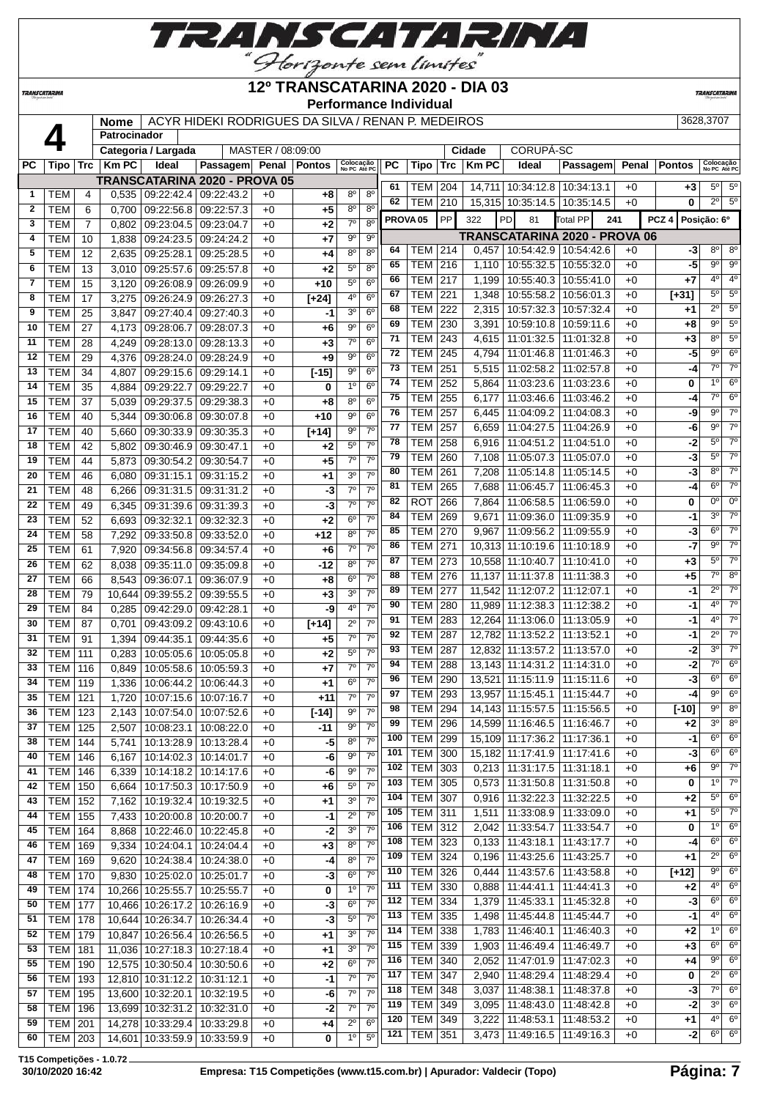

| <b>TRANSCATARINA</b> |                          |                |                     |                          |                                                    |                   | 12º TRANSCATARINA 2020 - DIA 03<br><b>Performance Individual</b> |                               |                             |           |                           |            |                |                                                   |                          |     |              |                  | <b>TRANSCATARINA</b>       |                               |
|----------------------|--------------------------|----------------|---------------------|--------------------------|----------------------------------------------------|-------------------|------------------------------------------------------------------|-------------------------------|-----------------------------|-----------|---------------------------|------------|----------------|---------------------------------------------------|--------------------------|-----|--------------|------------------|----------------------------|-------------------------------|
|                      |                          |                | <b>Nome</b>         |                          | ACYR HIDEKI RODRIGUES DA SILVA / RENAN P. MEDEIROS |                   |                                                                  |                               |                             |           |                           |            |                |                                                   |                          |     |              |                  | 3628,3707                  |                               |
|                      | 4                        |                | <b>Patrocinador</b> |                          |                                                    |                   |                                                                  |                               |                             |           |                           |            |                |                                                   |                          |     |              |                  |                            |                               |
|                      |                          |                |                     | Categoria / Largada      |                                                    | MASTER / 08:09:00 |                                                                  |                               |                             |           |                           |            | Cidade         | <b>CORUPÁ-SC</b>                                  |                          |     |              |                  |                            |                               |
| РC                   | Tipo                     |                | $Trc$   Km PC       | Ideal                    | Passagem Penal Pontos                              |                   |                                                                  | Colocação<br>No PC Até PC     |                             | <b>PC</b> | Tipo                      | <b>Trc</b> | <b>Km PC</b>   | Ideal                                             | Passagem                 |     | Penal        | <b>Pontos</b>    | Colocação<br>No PC Até PC  |                               |
|                      |                          |                |                     |                          | <b>TRANSCATARINA 2020 - PROVA 05</b>               |                   |                                                                  |                               |                             | 61        |                           |            |                |                                                   |                          |     |              |                  | $5^{\circ}$                | $5^{\circ}$                   |
| 1                    | <b>TEM</b>               | 4              | 0,535               | 09:22:42.4               | 09:22:43.2                                         | $+0$              | +8                                                               | $8^{\circ}$                   | $8^{\circ}$                 | 62        | <b>TEM 204</b><br>TEM 210 |            |                | 14,711 10:34:12.8<br>15,315 10:35:14.5 10:35:14.5 | 10:34:13.1               |     | $+0$<br>$+0$ | $+3$<br>$\bf{0}$ | $\overline{2^{\circ}}$     | $\overline{5^0}$              |
| $\mathbf{2}$         | <b>TEM</b>               | 6              | 0.700               | 09:22:56.8               | 09:22:57.3                                         | $+0$              | $+5$                                                             | 8 <sup>o</sup>                | $8^{\circ}$                 |           |                           |            |                |                                                   |                          |     |              |                  |                            |                               |
| 3                    | <b>TEM</b>               | $\overline{7}$ | 0,802               | 09:23:04.5               | 09:23:04.7                                         | $+0$              | $+2$                                                             | $7^\circ$                     | $8^{\circ}$                 |           | PROVA <sub>05</sub>       | PP         | 322            | PD<br>81                                          | Total PP                 | 241 |              | PCZ <sub>4</sub> | Posição: 6º                |                               |
| 4                    | <b>TEM</b>               | 10             | 1.838               | 09:24:23.5               | 09:24:24.2                                         | $+0$              | $+7$                                                             | 9 <sup>o</sup>                | $9^{\circ}$                 |           |                           |            |                | <b>TRANSCATARINA 2020 - PROVA 06</b>              |                          |     |              |                  |                            |                               |
| 5                    | <b>TEM</b>               | 12             | 2.635               | 09:25:28.1               | 09:25:28.5                                         | $+0$              | $+4$                                                             | $8^{\circ}$                   | 8 <sup>o</sup>              | 64        | TEM l                     | 214        | 0,457          | 10:54:42.9                                        | 10:54:42.6               |     | $+0$         | -3               | $8^{\circ}$                | $8^{\circ}$                   |
| 6                    | <b>TEM</b>               | 13             | 3,010               | 09:25:57.6               | 09:25:57.8                                         | $+0$              | $+2$                                                             | $5^{\circ}$                   | 8 <sup>o</sup>              | 65        | <b>TEM</b>                | 216        | 1,110          | 10:55:32.5   10:55:32.0                           |                          |     | $+0$         | $-5$             | $\overline{9^{\circ}}$     | $\overline{9^{\circ}}$        |
| 7                    | <b>TEM</b>               | 15             | 3,120               | 09:26:08.9               | 09:26:09.9                                         | $+0$              | $+10$                                                            | $5^{\circ}$                   | $6^{\circ}$                 | 66        | <b>TEM</b>                | 217        | 1,199          | 10:55:40.3                                        | 10:55:41.0               |     | $+0$         | $+7$             | 4 <sup>0</sup>             | 4 <sup>0</sup>                |
| 8                    | <b>TEM</b>               | 17             | 3.275               | 09:26:24.9               | 09:26:27.3                                         | $+0$              | $[+24]$                                                          | 4 <sup>0</sup>                | 6 <sup>o</sup>              | 67        | TEM l                     | 221        | 1,348          | 10:55:58.2                                        | 10:56:01.3               |     | $+0$         | $[+31]$          | $5^{\circ}$                | 5 <sup>o</sup><br>$5^{\circ}$ |
| 9                    | <b>TEM</b>               | 25             | 3,847               | 09:27:40.4               | 09:27:40.3                                         | $+0$              | $-1$                                                             | 3 <sup>o</sup>                | 6 <sup>o</sup>              | 68        | TEM                       | 222        | 2,315          | 10:57:32.3                                        | 10:57:32.4               |     | $+0$         | $+1$             | $2^{\circ}$<br>$9^{\circ}$ | $5^{\circ}$                   |
| 10                   | <b>TEM</b>               | 27             | 4,173               | 09:28:06.7               | 09:28:07.3                                         | $+0$              | $+6$                                                             | $\overline{9^{\circ}}$        | 6 <sup>o</sup>              | 69<br>71  | TEM                       | 230        | 3,391          | 10:59:10.8                                        | 10:59:11.6               |     | $+0$         | +8               | 8 <sup>0</sup>             | 5 <sup>o</sup>                |
| 11                   | <b>TEM</b>               | 28             | 4.249               | 09:28:13.0               | 09:28:13.3                                         | $+0$              | $+3$                                                             | $7^\circ$                     | 6 <sup>o</sup>              | 72        | <b>TEM</b>                | 243        | 4,615          | 11:01:32.5                                        | 11:01:32.8               |     | $+0$         | $+3$             | $9^{\circ}$                | $\overline{6}$ <sup>o</sup>   |
| 12                   | <b>TEM</b>               | 29             | 4.376               | 09:28:24.0               | 09:28:24.9                                         | $+0$              | $+9$                                                             | $9^{\circ}$                   | 6 <sup>o</sup>              | 73        | <b>TEM</b><br>TEM         | 245<br>251 | 4.794          | 11:01:46.8<br>11:02:58.2                          | 11:01:46.3               |     | $+0$<br>$+0$ | -5<br>-4         | $7^\circ$                  | 7 <sup>0</sup>                |
| 13                   | <b>TEM</b>               | 34             | 4.807               | 09:29:15.6               | 09:29:14.1                                         | $+0$              | $[-15]$                                                          | $9^{\circ}$                   | 6 <sup>o</sup>              | 74        | TEM                       | 252        | 5,515<br>5,864 | 11:03:23.6                                        | 11:02:57.8<br>11:03:23.6 |     | $+0$         | 0                | 1 <sup>0</sup>             | $6^{\circ}$                   |
| 14                   | <b>TEM</b>               | 35             | 4,884               | 09:29:22.7               | 09:29:22.7                                         | $+0$              | 0                                                                | 10                            | 6 <sup>o</sup>              | 75        | <b>TEM</b>                |            |                |                                                   |                          |     |              | $-4$             | $7^\circ$                  | $6^{\circ}$                   |
| 15                   | <b>TEM</b>               | 37             | 5,039               | 09:29:37.5               | 09:29:38.3                                         | $+0$              | $+8$                                                             | 8 <sup>0</sup>                | $6^{\circ}$                 | 76        | TEM                       | 255<br>257 | 6,177          | 11:03:46.6<br>11:04:09.2                          | 11:03:46.2<br>11:04:08.3 |     | $+0$<br>$+0$ | -9               | $9^{\circ}$                | $\overline{70}$               |
| 16                   | <b>TEM</b>               | 40             | 5.344               | 09:30:06.8               | 09:30:07.8                                         | $+0$              | $+10$                                                            | 9 <sup>0</sup>                | 6 <sup>o</sup>              | 77        |                           | 257        | 6,445          |                                                   |                          |     | $+0$         | -6               | 90                         | $7^\circ$                     |
| 17                   | <b>TEM</b>               | 40             | 5,660               | 09:30:33.9               | 09:30:35.3                                         | $+0$              | $[+14]$                                                          | $9^{\circ}$                   | $7^\circ$                   | 78        | TEM<br>TEM                | 258        | 6,659<br>6,916 | 11:04:27.5<br>11:04:51.2                          | 11:04:26.9<br>11:04:51.0 |     | $+0$         | $-2$             | $5^{\circ}$                | 70                            |
| 18                   | <b>TEM</b>               | 42             | 5.802               | 09:30:46.9               | 09:30:47.1                                         | $+0$              | $+2$                                                             | 5 <sup>0</sup>                | 7 <sup>o</sup>              | 79        | <b>TEM</b>                | 260        | 7,108          | 11:05:07.3   11:05:07.0                           |                          |     | $+0$         | $-3$             | $5^{\circ}$                | $7^\circ$                     |
| 19                   | <b>TEM</b>               | 44             | 5,873               | 09:30:54.2               | 09:30:54.7                                         | $+0$              | $+5$                                                             | $7^\circ$                     | $7^{\circ}$                 | 80        | <b>TEM</b>                | 261        | 7,208          | 11:05:14.8                                        | 11:05:14.5               |     | $+0$         | -3               | 8 <sup>o</sup>             | $7^\circ$                     |
| 20                   | <b>TEM</b>               | 46             | 6,080               | 09:31:15.1               | 09:31:15.2                                         | $+0$              | $+1$                                                             | 3 <sup>0</sup>                | 7 <sup>0</sup>              | 81        | <b>TEM</b>                | 265        | 7,688          | 11:06:45.7                                        | 11:06:45.3               |     | $+0$         | $-4$             | $6^{\circ}$                | $\overline{70}$               |
| 21                   | <b>TEM</b>               | 48             | 6,266               | 09:31:31.5               | 09:31:31.2                                         | $+0$              | $-3$                                                             | $7^\circ$                     | 7 <sup>0</sup>              | 82        | <b>ROT</b>                | 266        | 7,864          | 11:06:58.5                                        | 11:06:59.0               |     | $+0$         | 0                | $0^{\circ}$                | $\overline{0^{\circ}}$        |
| 22                   | <b>TEM</b>               | 49             | 6,345               | 09:31:39.6               | 09:31:39.3                                         | $+0$              | $-3$                                                             | $7^\circ$                     | 70                          | 84        | <b>TEM</b>                | 269        | 9,671          | 11:09:36.0                                        | 11:09:35.9               |     | $+0$         | $-1$             | 3 <sup>0</sup>             | $\overline{70}$               |
| 23                   | <b>TEM</b>               | 52             | 6,693               | 09:32:32.1               | 09:32:32.3                                         | $+0$              | $+2$                                                             | 6 <sup>o</sup><br>$8^{\circ}$ | $7^\circ$<br>7 <sup>0</sup> | 85        | TEM                       | 270        | 9.967          | 11:09:56.2                                        | 11:09:55.9               |     | $+0$         | $-3$             | $6^{\circ}$                | $\overline{70}$               |
| 24                   | <b>TEM</b>               | 58             | 7,292               | 09:33:50.8               | 09:33:52.0                                         | $+0$              | $+12$                                                            | $7^\circ$                     | $7^\circ$                   | 86        | <b>TEM 271</b>            |            |                | 10,313 11:10:19.6                                 | 11:10:18.9               |     | $+0$         | $-7$             | $9^{\circ}$                | $7^\circ$                     |
| 25                   | <b>TEM</b>               | 61             | 7,920               | 09:34:56.8               | 09:34:57.4                                         | $+0$              | $+6$                                                             | $8^{\circ}$                   | 7 <sup>0</sup>              | 87        | <b>TEM</b>                | 273        |                | 10,558 11:10:40.7                                 | 11:10:41.0               |     | $+0$         | $+3$             | $5^{\circ}$                | 70                            |
| 26                   | <b>TEM</b>               | 62             | 8,038               | 09:35:11.0               | 09:35:09.8                                         | $+0$              | -12                                                              | $6^{\circ}$                   | $7^\circ$                   | 88        | <b>TEM 276</b>            |            | 11,137         | 11:11:37.8                                        | 11:11:38.3               |     | $+0$         | $+5$             | $7^\circ$                  | 8 <sup>o</sup>                |
| 27                   | <b>TEM</b>               | 66             | 8,543               | 09:36:07.1               | 09:36:07.9                                         | $+0$              | $+8$                                                             | 3 <sup>o</sup>                | 7 <sup>o</sup>              | 89        | <b>TEM</b>                | 277        |                | 11,542 11:12:07.2                                 | 11:12:07.1               |     | $+0$         | $-1$             | $2^{\circ}$                | $\overline{70}$               |
| 28                   | <b>TEM</b>               | 79             |                     | 10,644 09:39:55.2        | 09:39:55.5                                         | $+0$              | $+3$                                                             | 4 <sup>0</sup>                | 70                          | 90        | TEM                       | 280        |                | 11,989 11:12:38.3                                 | 11:12:38.2               |     | $+0$         | $-1$             | 4 <sup>o</sup>             | $\overline{70}$               |
| 29<br>30             | <b>TEM</b>               | 84             | 0.285               | 09:42:29.0               | 09:42:28.1                                         | $+0$              | -9                                                               | $2^{\circ}$                   | $7^{\circ}$                 | 91        | TEM                       | 283        | 12,264         | 11:13:06.0                                        | 11:13:05.9               |     | $+0$         | -1               | 4 <sup>0</sup>             | 70                            |
| 31                   | <b>TEM</b>               | 87<br>91       | 0.701               | 09:43:09.2               | 09:43:10.6                                         | $+0$              | $[+14]$                                                          | $7^\circ$                     | $7^\circ$                   | 92        | <b>TEM</b>                | 287        |                | 12,782 11:13:52.2                                 | 11:13:52.1               |     | $+0$         | $-1$             | $2^{\circ}$                | $7^\circ$                     |
| 32                   | <b>TEM</b><br><b>TEM</b> | 111            | 1,394<br>0,283      | 09:44:35.1<br>10:05:05.6 | 09:44:35.6<br>10:05:05.8                           | $+0$<br>$+0$      | $+5$<br>$+2$                                                     | $5^{\circ}$                   | 7 <sup>o</sup>              | 93        | <b>TEM</b>                | 287        |                | 12.832 11:13:57.2                                 | 11:13:57.0               |     | $+0$         | $-2$             | 3 <sup>0</sup>             | $\overline{70}$               |
| 33                   |                          |                |                     |                          |                                                    | $+0$              | $+7$                                                             | $7^\circ$                     | 7 <sup>0</sup>              | 94        | <b>TEM</b>                | 288        |                | 13,143 11:14:31.2 11:14:31.0                      |                          |     | $+0$         | $-2$             | $7^\circ$                  | $6^{\circ}$                   |
|                      | <b>TEM</b>               | 116            |                     |                          | 0.849 10:05:58.6 10:05:59.3                        |                   |                                                                  |                               |                             |           |                           |            |                |                                                   |                          |     |              |                  |                            |                               |

 TEM 170 9,830 10:25:02.0 10:25:01.7 +0 **-3** 6º 7º TEM 174 10,266 10:25:55.7 10:25:55.7 +0 **0** 1º 7º TEM 177 10,466 10:26:17.2 10:26:16.9 +0 **-3** 6º 7º TEM 178 10,644 10:26:34.7 10:26:34.4 +0 **-3** 5º 7º TEM 179 10,847 10:26:56.4 10:26:56.5 +0 **+1** 3º 7º TEM 181 11,036 10:27:18.3 10:27:18.4 +0 **+1** 3º 7º TEM 190 12,575 10:30:50.4 10:30:50.6 +0 **+2** 6º 7º TEM 193 12,810 10:31:12.2 10:31:12.1 +0 **-1** 7º 7º TEM 195 13,600 10:32:20.1 10:32:19.5 +0 **-6** 7º 7º TEM 196 13,699 10:32:31.2 10:32:31.0 +0 **-2** 7º 7º TEM 201 14,278 10:33:29.4 10:33:29.8 +0 **+4** 2º 6º TEM 203 14,601 10:33:59.9 10:33:59.9 +0 **0** 1º 5º TEM 326 0,444 11:43:57.6 11:43:58.8 +0 **[+12]** 9º 6º TEM 330 0,888 11:44:41.1 11:44:41.3 +0 **+2** 4º 6º TEM 334 1,379 11:45:33.1 11:45:32.8 +0 **-3** 6º 6º TEM 335 1,498 11:45:44.8 11:45:44.7 +0 **-1** 4º 6º TEM 338 1,783 11:46:40.1 11:46:40.3 +0 **+2** 1º 6º TEM 339 1,903 11:46:49.4 11:46:49.7 +0 **+3** 6º 6º TEM 340 2,052 11:47:01.9 11:47:02.3 +0 **+4** 9º 6º TEM 347 2,940 11:48:29.4 11:48:29.4 +0 **0** 2º 6º TEM 348 3,037 11:48:38.1 11:48:37.8 +0 **-3** 7º 6º TEM 349 3,095 11:48:43.0 11:48:42.8 +0 **-2** 3º 6º TEM 349 3,222 11:48:53.1 11:48:53.2 +0 **+1** 4º 6º TEM 351 3,473 11:49:16.5 11:49:16.3 +0 **-2** 6º 6º **T15 Competições - 1.0.72**

 TEM 119 1,336 10:06:44.2 10:06:44.3 +0 +1 6<sup>°</sup> 7 TEM 121 1,720 10:07:15.6 10:07:16.7 +0 **+11** 7º 7º TEM 123 2,143 10:07:54.0 10:07:52.6 +0 **[-14]** 9º 7º | TEM | 125 | 2,507 | 10:08:23.1 | 10:08:22.0 | +0 | -11 | 9<sup>°</sup> | 7<sup>°</sup> TEM 144 5,741 10:13:28.9 10:13:28.4 +0 **-5** 8º 7º TEM 146 6,167 10:14:02.3 10:14:01.7 +0 **-6** 9º 7º TEM 146 6,339 10:14:18.2 10:14:17.6 +0 **-6** 9º 7º TEM 150 6,664 10:17:50.3 10:17:50.9 +0 **+6** 5º 7º TEM 152 7,162 10:19:32.4 10:19:32.5 +0 **+1** 3º 7º TEM 155 7,433 10:20:00.8 10:20:00.7 +0 **-1** 2º 7º TEM 164 8,868 10:22:46.0 10:22:45.8 +0 **-2** 3º 7º TEM 169 9,334 10:24:04.1 10:24:04.4 +0 **+3** 8º 7º TEM 169 9,620 10:24:38.4 10:24:38.0 +0 **-4** 8º 7º

 TEM 290 13,521 11:15:11.9 11:15:11.6 +0 **-3** 6º 6º TEM 293 13,957 11:15:45.1 11:15:44.7 +0 **-4** 9º 6º TEM 294 14,143 11:15:57.5 11:15:56.5 +0 **[-10]** 9º 8º TEM 296 14,599 11:16:46.5 11:16:46.7 +0 **+2** 3º 8º TEM 299 15,109 11:17:36.2 11:17:36.1 +0 **-1** 6º 6º TEM 300 15,182 11:17:41.9 11:17:41.6 +0 **-3** 6º 6º TEM 303 0,213 11:31:17.5 11:31:18.1 +0 +6  $9^{\circ}$  7 TEM 305 0,573 11:31:50.8 11:31:50.8 +0 **0** 1º 7º TEM 307 0,916 11:32:22.3 11:32:22.5 +0 **+2** 5º 6º TEM 311 1,511 11:33:08.9 11:33:09.0 +0 **+1** 5º 7º TEM 312 2,042 11:33:54.7 11:33:54.7 +0 **0** 1º 6º TEM 323 0,133 11:43:18.1 11:43:17.7 +0 **-4** 6º 6º TEM 324 0,196 11:43:25.6 11:43:25.7 +0 **+1** 2º 6º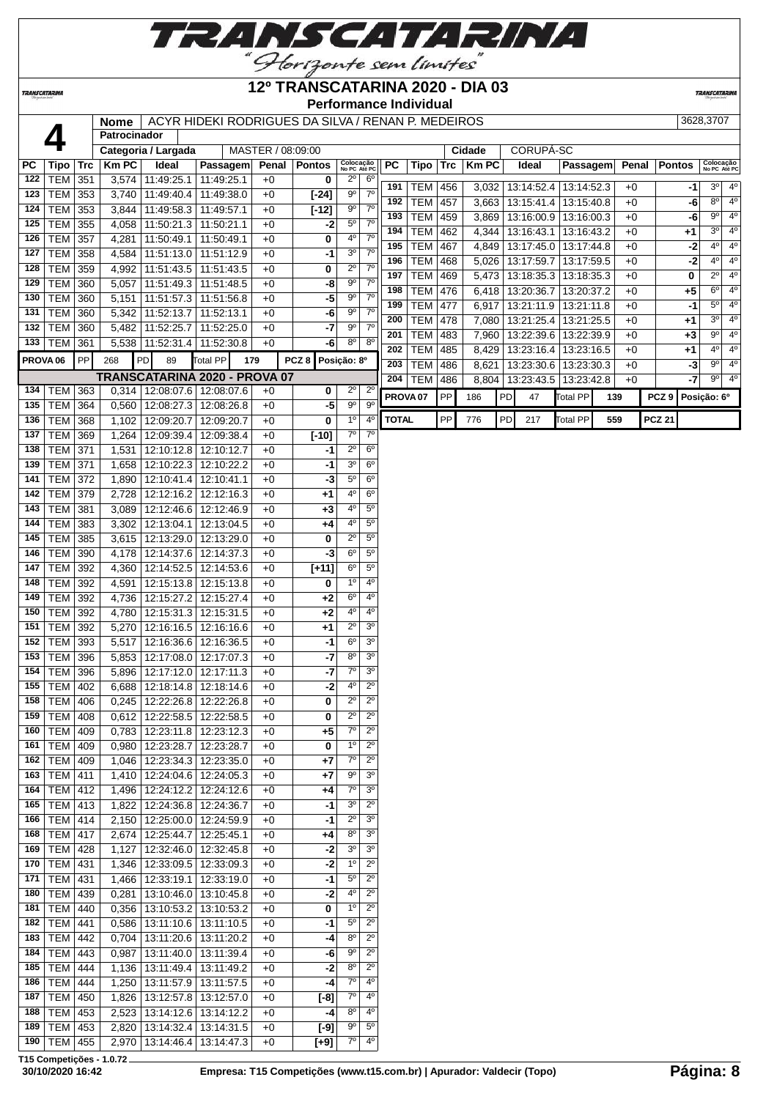

## **12º TRANSCATARINA 2020 - DIA 03**

**TRANSCATARIN** 

<br>Tipo

**TRANSCATARINA** 

## **Performance Individual**

|                     |                  |     | <b>Nome</b>         |                                               | ACYR HIDEKI RODRIGUES DA SILVA / RENAN P. MEDEIROS |                   |                |                           |                  |                     |             |     |             |    |                                 |            |     |       |                  |             | 3628,3707                 |                            |
|---------------------|------------------|-----|---------------------|-----------------------------------------------|----------------------------------------------------|-------------------|----------------|---------------------------|------------------|---------------------|-------------|-----|-------------|----|---------------------------------|------------|-----|-------|------------------|-------------|---------------------------|----------------------------|
|                     |                  |     | <b>Patrocinador</b> |                                               |                                                    |                   |                |                           |                  |                     |             |     |             |    |                                 |            |     |       |                  |             |                           |                            |
|                     |                  |     |                     | Categoria / Largada                           |                                                    | MASTER / 08:09:00 |                |                           |                  |                     |             |     | Cidade      |    | CORUPÁ-SC                       |            |     |       |                  |             |                           |                            |
| <b>PC</b>           | Tipo             | Trc | <b>Km PC</b>        | Ideal                                         | Passagem                                           |                   | Penal   Pontos | Colocação<br>No PC Até PC |                  | <b>PC</b>           | <b>Tipo</b> |     | Trc   Km PC |    | Ideal                           | Passagem   |     | Penal | <b>Pontos</b>    |             | Colocação<br>No PC Até PC |                            |
| 122                 | TEM              | 351 |                     | 3,574 11:49:25.1                              | 11:49:25.1                                         | +0                | 0              | $2^{\circ}$               | $6^{\circ}$      | 191                 | <b>TEM</b>  | 456 |             |    | 3,032 13:14:52.4                | 13:14:52.3 |     | $+0$  |                  | -1          | 3 <sup>o</sup>            | $4^{\circ}$                |
| 123                 | TEM              | 353 |                     | 3,740 11:49:40.4                              | 11:49:38.0                                         | +0                | $[-24]$        | $9^{\circ}$               | $7^\circ$        | 192                 | <b>TEM</b>  | 457 |             |    | 3,663   13:15:41.4              | 13:15:40.8 |     | $+0$  |                  | -6          | 8 <sup>o</sup>            | $4^{\circ}$                |
| 124                 | TEM              | 353 |                     | 3,844 11:49:58.3                              | 11:49:57.1                                         | $+0$              | $[-12]$        | 9 <sup>o</sup>            | 7 <sup>0</sup>   | 193                 | <b>TEM</b>  | 459 |             |    | 3,869   13:16:00.9   13:16:00.3 |            |     | $+0$  |                  | -6          | $9^{\circ}$               | $4^{\circ}$                |
| 125                 | TEM              | 355 |                     | 4,058   11:50:21.3                            | 11:50:21.1                                         | $+0$              | -2             | $5^{\circ}$               | $7^\circ$        | 194                 | <b>TEM</b>  | 462 |             |    | 4,344   13:16:43.1              | 13:16:43.2 |     | $+0$  |                  | +1          | $3^{\circ}$               | $4^{\circ}$                |
| 126                 | TEM              | 357 |                     | 4,281 11:50:49.1                              | 11:50:49.1                                         | $+0$              | 0              | $4^{\rm o}$               | $7^{\circ}$      | 195                 | <b>TEM</b>  | 467 | 4,849       |    | 13:17:45.0                      | 13:17:44.8 |     | $+0$  |                  | $-2$        | $4^{\circ}$               | $4^{\circ}$                |
| 127                 | <b>TEM</b>       | 358 |                     | 4,584   11:51:13.0                            | 11:51:12.9                                         | +0                | $-1$           | 3 <sup>o</sup>            | $7^\circ$        | 196                 | <b>TEM</b>  | 468 | 5,026       |    | 13:17:59.7                      | 13:17:59.5 |     | $+0$  |                  | $-2$        | $4^{\circ}$               | $4^{\circ}$                |
| 128                 | <b>TEM</b>       | 359 |                     | 4,992 11:51:43.5                              | 11:51:43.5                                         | $+0$              | 0              | $2^{\circ}$               | $7^\circ$        | 197                 | <b>TEM</b>  | 469 |             |    | 5,473   13:18:35.3              | 13:18:35.3 |     | $+0$  |                  | 0           | $2^{\circ}$               | $4^{\circ}$                |
| 129                 | <b>TEM</b>       | 360 |                     | 5,057   11:51:49.3   11:51:48.5               |                                                    | $+0$              | -8             | $9^{\circ}$               | $7^\circ$        | 198                 | <b>TEM</b>  | 476 |             |    | 6,418   13:20:36.7              | 13:20:37.2 |     | $+0$  |                  | $+5$        | $6^{\circ}$               | $4^{\circ}$                |
| 130                 | <b>TEM</b>       | 360 | 5,151               | 11:51:57.3   11:51:56.8                       |                                                    | +0                | -5             | $9^{\circ}$               | $7^\circ$        | 199                 | <b>TEM</b>  | 477 |             |    |                                 |            |     |       |                  |             | $5^{\circ}$               | $4^{\circ}$                |
| 131                 | TEM              | 360 | 5,342               | 11:52:13.7                                    | 11:52:13.1                                         | $+0$              | -6             | $9^{\circ}$               | $7^\circ$        | 200                 |             | 478 |             |    | $6,917$   13:21:11.9            | 13:21:11.8 |     | $+0$  |                  | -1          | $3^{\circ}$               | $4^{\circ}$                |
| 132                 | TEM              | 360 | 5,482               | 11:52:25.7                                    | 11:52:25.0                                         | +0                | $-7$           | $9^{\circ}$               | $7^\circ$        |                     | <b>TEM</b>  |     | 7,080       |    | 13:21:25.4                      | 13:21:25.5 |     | $+0$  |                  | $+1$        | $9^{\circ}$               | $4^{\circ}$                |
|                     | 133   TEM $ $    | 361 |                     | 5,538   11:52:31.4                            | 11:52:30.8                                         | $+0$              | -6             | $8^{\circ}$               | $8^{\circ}$      | 201                 | <b>TEM</b>  | 483 |             |    | 7,960   13:22:39.6              | 13:22:39.9 |     | $+0$  |                  | $+3$        | $4^{\circ}$               | $4^{\circ}$                |
| PROVA <sub>06</sub> |                  | PP  | 268                 | <b>PD</b><br>89                               | Total PP                                           | 179               | PCZ 8          | Posição: 8º               |                  | 202                 | <b>TEM</b>  | 485 |             |    | 8,429   13:23:16.4   13:23:16.5 |            |     | $+0$  |                  | $+1$        |                           |                            |
|                     |                  |     |                     | TRANSCATARINA 2020 - PROVA 07                 |                                                    |                   |                |                           |                  | 203                 | <b>TEM</b>  | 486 | 8,621       |    | 13:23:30.6   13:23:30.3         |            |     | $+0$  |                  | -3          | $9^\circ$                 | $4^{\circ}$<br>$4^{\circ}$ |
| 134                 | TEM              | 363 |                     | $0,314$   12:08:07.6                          | 12:08:07.6                                         | $+0$              | 0              | $2^{\circ}$               | $2^{\circ}$      | 204                 | <b>TEM</b>  | 486 |             |    | 8,804   13:23:43.5              | 13:23:42.8 |     | $+0$  |                  | -7          | $9^{\circ}$               |                            |
| 135                 | TEM              | 364 |                     | $0,560$   12:08:27.3                          | 12:08:26.8                                         | $+0$              | $-5$           | $9^{\circ}$               | $9^{\circ}$      | PROVA <sub>07</sub> |             | PP  | 186         | PD | 47                              | Total PP   | 139 |       | PCZ <sub>9</sub> | Posição: 6º |                           |                            |
| 136                 | TEM              | 368 |                     | 1,102   12:09:20.7                            | 12:09:20.7                                         | $+0$              | 0              | $1^{\circ}$               | $4^{\circ}$      | <b>TOTAL</b>        |             | PP  | 776         | PD | 217                             | Total PP   | 559 |       | <b>PCZ 21</b>    |             |                           |                            |
| 137                 | <b>TEM</b>       | 369 |                     | 1,264   12:09:39.4                            | 12:09:38.4                                         | $+0$              | $[-10]$        | $7^\circ$                 | $7^{\circ}$      |                     |             |     |             |    |                                 |            |     |       |                  |             |                           |                            |
| 138                 | TEM              | 371 |                     | 1,531   12:10:12.8   12:10:12.7               |                                                    | $+0$              | -1             | $2^{\circ}$               | 6 <sup>o</sup>   |                     |             |     |             |    |                                 |            |     |       |                  |             |                           |                            |
| 139                 | TEM              | 371 |                     | 1,658   12:10:22.3                            | 12:10:22.2                                         | +0                | $-1$           | $\overline{3^0}$          | 6 <sup>o</sup>   |                     |             |     |             |    |                                 |            |     |       |                  |             |                           |                            |
| 141                 | TEM              | 372 | 1,890               | 12:10:41.4                                    | 12:10:41.1                                         | $+0$              | -3             | $5^{\circ}$               | 6 <sup>o</sup>   |                     |             |     |             |    |                                 |            |     |       |                  |             |                           |                            |
| 142                 | TEM              | 379 | 2,728               | 12:12:16.2   12:12:16.3                       |                                                    | +0                | +1             | $4^{\circ}$               | $6^{\circ}$      |                     |             |     |             |    |                                 |            |     |       |                  |             |                           |                            |
| 143                 | TEM              | 381 |                     | 3,089   12:12:46.6   12:12:46.9               |                                                    | +0                | $+3$           | 4º                        | $5^{\circ}$      |                     |             |     |             |    |                                 |            |     |       |                  |             |                           |                            |
| 144                 | TEM              | 383 | 3,302               | 12:13:04.1                                    | 12:13:04.5                                         | +0                | $+4$           | $4^{\circ}$               | 5 <sup>0</sup>   |                     |             |     |             |    |                                 |            |     |       |                  |             |                           |                            |
| 145                 | TEM              | 385 |                     | 3,615   12:13:29.0                            | 12:13:29.0                                         | $+0$              | 0              | $2^{\circ}$               | $5^{\circ}$      |                     |             |     |             |    |                                 |            |     |       |                  |             |                           |                            |
| 146                 | TEM              | 390 |                     | 4,178   12:14:37.6   12:14:37.3               |                                                    | $+0$              | -3             | $6^{\circ}$               | $5^{\circ}$      |                     |             |     |             |    |                                 |            |     |       |                  |             |                           |                            |
| 147                 | <b>TEM</b>       | 392 |                     | 4,360 12:14:52.5                              | 12:14:53.6                                         | +0                | $[+11]$        | 6 <sup>o</sup>            | $5^{\circ}$      |                     |             |     |             |    |                                 |            |     |       |                  |             |                           |                            |
| 148                 | TEM              | 392 |                     | 4,591   12:15:13.8                            | 12:15:13.8                                         | $+0$              | 0              | 1 <sup>0</sup>            | $4^{\circ}$      |                     |             |     |             |    |                                 |            |     |       |                  |             |                           |                            |
| 149                 | <b>TEM</b>       | 392 | 4,736               | 12:15:27.2                                    | 12:15:27.4                                         | $+0$              | $+2$           | $6^{\circ}$               | $4^{\circ}$      |                     |             |     |             |    |                                 |            |     |       |                  |             |                           |                            |
| 150                 | TEM              | 392 | 4,780               | $12:15:31.3$ 12:15:31.5                       |                                                    | $+0$              | $+2$           | $4^{\circ}$               | $4^{\circ}$      |                     |             |     |             |    |                                 |            |     |       |                  |             |                           |                            |
| 151                 | <b>TEM</b>       | 392 | 5,270               | 12:16:16.5   12:16:16.6                       |                                                    | $+0$              | +1             | $2^{\circ}$               | 3 <sup>o</sup>   |                     |             |     |             |    |                                 |            |     |       |                  |             |                           |                            |
| 152                 | TEM              | 393 |                     | 5,517   12:16:36.6   12:16:36.5               |                                                    | +0                | -1             | $6^{\circ}$               | 3 <sup>o</sup>   |                     |             |     |             |    |                                 |            |     |       |                  |             |                           |                            |
| 153                 | TEM              | 396 | 5,853               | 12:17:08.0   12:17:07.3                       |                                                    | +0                | -7             | $8^{\circ}$               | $\overline{3^0}$ |                     |             |     |             |    |                                 |            |     |       |                  |             |                           |                            |
| 154                 |                  | 396 | 5,896               |                                               | 12:17:11.3                                         | $+0$              | -7             | $7^\circ$                 | 3 <sup>0</sup>   |                     |             |     |             |    |                                 |            |     |       |                  |             |                           |                            |
| 155                 | TEM  <br>TEM 402 |     |                     | 12:17:12.0<br>6,688   12:18:14.8   12:18:14.6 |                                                    | $+0$              | $-2$           | 4°                        | $2^{\circ}$      |                     |             |     |             |    |                                 |            |     |       |                  |             |                           |                            |
|                     |                  |     |                     |                                               |                                                    |                   |                |                           | $2^{\circ}$      |                     |             |     |             |    |                                 |            |     |       |                  |             |                           |                            |
|                     | 158   TEM   406  |     |                     | $0,245$   12:22:26.8   12:22:26.8             |                                                    | +0                | 0              | $2^{\circ}$               |                  |                     |             |     |             |    |                                 |            |     |       |                  |             |                           |                            |
|                     | $159$ TEM        | 408 |                     | $0,612$   12:22:58.5   12:22:58.5             |                                                    | $+0$              | 0              | $2^{\circ}$               | $2^{\circ}$      |                     |             |     |             |    |                                 |            |     |       |                  |             |                           |                            |
|                     | 160   TEM $ $    | 409 |                     | 0,783   12:23:11.8   12:23:12.3               |                                                    | $+0$              | +5             | $7^{\circ}$               | $2^{\circ}$      |                     |             |     |             |    |                                 |            |     |       |                  |             |                           |                            |
| 161                 | TEM              | 409 |                     | 0,980   12:23:28.7   12:23:28.7               |                                                    | $+0$              | 0              | $1^{\circ}$               | $2^{\circ}$      |                     |             |     |             |    |                                 |            |     |       |                  |             |                           |                            |
|                     | 162   TEM $ $    | 409 |                     | 1,046   12:23:34.3   12:23:35.0               |                                                    | +0                | +7             | $7^\circ$                 | $2^{\circ}$      |                     |             |     |             |    |                                 |            |     |       |                  |             |                           |                            |
|                     | 163   TEM        | 411 |                     | 1,410   12:24:04.6   12:24:05.3               |                                                    | +0                | +7             | $9^{\circ}$               | 3 <sup>o</sup>   |                     |             |     |             |    |                                 |            |     |       |                  |             |                           |                            |
|                     | 164   TEM   412  |     |                     | 1,496   12:24:12.2   12:24:12.6               |                                                    | $+0$              | +4             | $7^{\circ}$               | 3 <sup>o</sup>   |                     |             |     |             |    |                                 |            |     |       |                  |             |                           |                            |
|                     | 165   TEM   413  |     |                     | 1,822   12:24:36.8   12:24:36.7               |                                                    | $+0$              | -1             | $3^{\rm o}$               | $2^{\circ}$      |                     |             |     |             |    |                                 |            |     |       |                  |             |                           |                            |
|                     | 166   TEM   414  |     |                     | 2,150   12:25:00.0   12:24:59.9               |                                                    | $+0$              | -1             | $2^{\circ}$               | 3 <sup>o</sup>   |                     |             |     |             |    |                                 |            |     |       |                  |             |                           |                            |

 TEM 417 2,674 12:25:44.7 12:25:45.1 +0 **+4** 8º 3º TEM 428 1,127 12:32:46.0 12:32:45.8 +0 **-2** 3º 3º TEM 431 1,346 12:33:09.5 12:33:09.3 +0 **-2** 1º 2º TEM 431 1,466 12:33:19.1 12:33:19.0 +0 **-1** 5º 2º TEM 439 0,281 13:10:46.0 13:10:45.8 +0 **-2** 4º 2º TEM 440 0,356 13:10:53.2 13:10:53.2 +0 **0** 1º 2º TEM 441 0,586 13:11:10.6 13:11:10.5 +0 **-1** 5º 2º TEM 442 0,704 13:11:20.6 13:11:20.2 +0 **-4** 8º 2º TEM 443 0,987 13:11:40.0 13:11:39.4 +0 **-6** 9º 2º TEM 444 1,136 13:11:49.4 13:11:49.2 +0 **-2** 8º 2º TEM 444 1,250 13:11:57.9 13:11:57.5 +0 **-4** 7º 4º TEM 450 1,826 13:12:57.8 13:12:57.0 +0 **[-8]** 7º 4º TEM 453 2,523 13:14:12.6 13:14:12.2 +0 **-4** 8º 4º TEM 453 2,820 13:14:32.4 13:14:31.5 +0 **[-9]** 9º 5º TEM 455 2,970 13:14:46.4 13:14:47.3 +0 **[+9]** 7º 4º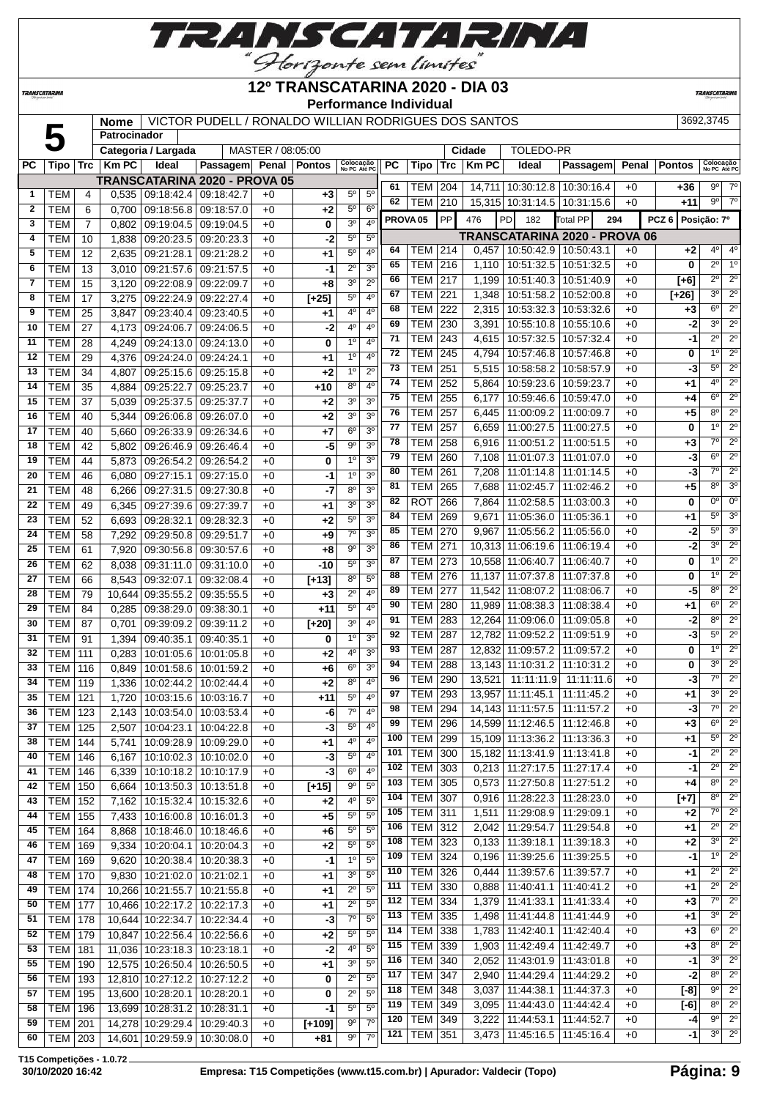

**TRANSCATARINA** 

**Patrocinador**

#### **12º TRANSCATARINA 2020 - DIA 03 Performance Individual**

PC  $|$  Tipo  $|$  Tr $c$   $|$  Km PC  $|$   $|$  Ideal  $|$  Passagem $|$  Penal  $|$  Pontos  $|\frac{\kappa_0}{\kappa_0}$  is  $e_{\kappa_0}$  and  $|$  PC  $|$  Tipo  $|$  Tro  $|$  Km PC  $|$   $|$  Ideal  $|$  Passagem $|$  Penal  $|$  Pontos  $|\frac{\kappa_0}{\kappa_0}$  pc  $\kappa_0$ 

**TRANSCATARIN** 

#### **Nome** | VICTOR PUDELL / RONALDO WILLIAN RODRIGUES DOS SANTOS | 3692,3745

**Categoria / Largada** MASTER / 08:05:00 **Cidade** TOLEDO-PR

|              |                |     |        |                              | <b>TRANSCATARINA 2020 - PROVA 05</b> |      |                |                                                                   | 61         | TEM   204           |           |        | 14,711   10:30:12.8   10:30:16.4     |            | $+0$ | +36              | 90             | $7^\circ$        |
|--------------|----------------|-----|--------|------------------------------|--------------------------------------|------|----------------|-------------------------------------------------------------------|------------|---------------------|-----------|--------|--------------------------------------|------------|------|------------------|----------------|------------------|
| $\mathbf{1}$ | TEM            | 4   | 0,535  |                              | 09:18:42.4 09:18:42.7                | $+0$ | +3             | $5^{\circ}$<br>$5^{\circ}$                                        | 62         | <b>TEM   210</b>    |           |        | 15,315 10:31:14.5 10:31:15.6         |            | $+0$ | +11              | 9 <sup>o</sup> | $7^\circ$        |
| $\mathbf{2}$ | TEM            | 6   | 0.700  | 09:18:56.8                   | 09:18:57.0                           | $+0$ | +2             | $5^{\circ}$<br>6 <sup>o</sup>                                     |            |                     |           |        |                                      |            |      |                  |                |                  |
| 3            | <b>TEM</b>     | 7   | 0,802  |                              | 09:19:04.5 09:19:04.5                | $+0$ | 0              | 3 <sup>o</sup><br>4 <sup>0</sup>                                  |            | PROVA <sub>05</sub> | <b>PP</b> | 476    | PD<br>182                            | Total PP   | 294  | PCZ <sub>6</sub> | Posição: 7º    |                  |
| 4            | TEM            | 10  | 1,838  |                              | 09:20:23.5 09:20:23.3                | $+0$ | -2             | $5^{\circ}$<br>$5^{\circ}$                                        |            |                     |           |        | <b>TRANSCATARINA 2020 - PROVA 06</b> |            |      |                  |                |                  |
| 5            | <b>TEM</b>     | 12  | 2,635  |                              | 09:21:28.1   09:21:28.2              | $+0$ | +1             | 5 <sup>o</sup><br>4 <sup>0</sup>                                  | 64         | <b>TEM 214</b>      |           | 0,457  | 10:50:42.9 10:50:43.1                |            | $+0$ | $+2$             | $4^{\circ}$    | 4 <sup>0</sup>   |
| 6            | <b>TEM</b>     | 13  | 3,010  |                              | 09:21:57.6   09:21:57.5              | $+0$ | -1             | $\overline{2^0}$<br>3 <sup>0</sup>                                | 65         | <b>TEM 216</b>      |           | 1,110  | 10:51:32.5                           | 10:51:32.5 | $+0$ | $\bf{0}$         | $2^{\circ}$    | 1 <sup>0</sup>   |
| 7            | TEM            | 15  | 3,120  |                              | 09:22:08.9 09:22:09.7                | $+0$ | $+8$           | 3 <sup>0</sup><br>$2^{\circ}$                                     | 66         | <b>TEM   217</b>    |           | 1,199  | 10:51:40.3                           | 10:51:40.9 | $+0$ | $[+6]$           | $2^{\circ}$    | $2^{\circ}$      |
| 8            | <b>TEM</b>     | 17  | 3,275  |                              | 09:22:24.9 09:22:27.4                | $+0$ | $[+25]$        | $5^\circ$<br>$4^{\circ}$                                          | 67         | <b>TEM 221</b>      |           | 1,348  | 10:51:58.2   10:52:00.8              |            | $+0$ | $[+26]$          | 30             | $2^{\circ}$      |
| 9            | <b>TEM</b>     | 25  | 3,847  | 09:23:40.4                   | 09:23:40.5                           | $+0$ | +1             | 4°<br>$4^{\circ}$                                                 | 68         | TEM                 | 222       | 2,315  | 10:53:32.3                           | 10:53:32.6 | $+0$ | $+3$             | $6^{\circ}$    | $2^{\circ}$      |
| 10           | <b>TEM</b>     | 27  | 4,173  | 09:24:06.7                   | 09:24:06.5                           | $+0$ | -2             | $4^{\circ}$<br>4 <sup>0</sup>                                     | 69         | TEM                 | 230       | 3,391  | 10:55:10.8                           | 10:55:10.6 | $+0$ | -2               | 3 <sup>0</sup> | $2^{\circ}$      |
| 11           | <b>TEM</b>     | 28  | 4,249  | 09:24:13.0                   | 09:24:13.0                           | +0   | 0              | 1 <sup>0</sup><br>4 <sup>0</sup>                                  | 71         | <b>TEM 243</b>      |           | 4,615  | 10:57:32.5                           | 10:57:32.4 | $+0$ | -1               | $2^{\circ}$    | $\overline{2^0}$ |
| 12           | TEM            | 29  | 4,376  | 09:24:24.0                   | 09:24:24.1                           | $+0$ | $+1$           | 1 <sup>0</sup><br>4 <sup>0</sup>                                  | 72         | TEM   245           |           | 4,794  | 10:57:46.8   10:57:46.8              |            | $+0$ | 0                | $1^{\circ}$    | $2^{\circ}$      |
| 13           | <b>TEM</b>     | 34  | 4,807  | 09:25:15.6                   | 09:25:15.8                           | $+0$ | +2             | $1^{\circ}$<br>$2^{\circ}$                                        | 73         | <b>TEM 251</b>      |           | 5,515  | 10:58:58.2   10:58:57.9              |            | $+0$ | -3               | $5^{\circ}$    | $2^{\circ}$      |
| 14           | <b>TEM</b>     | 35  | 4,884  | 09:25:22.7                   | 09:25:23.7                           | $+0$ | +10            | 8 <sup>o</sup><br>4 <sup>0</sup>                                  | 74         | <b>TEM</b>          | 252       | 5,864  | 10:59:23.6                           | 10:59:23.7 | $+0$ | +1               | 4°             | $2^{\circ}$      |
| 15           | <b>TEM</b>     | 37  | 5,039  | 09:25:37.5                   | 09:25:37.7                           | $+0$ | $+2$           | 3 <sup>0</sup><br>3 <sup>0</sup>                                  | 75         | <b>TEM</b>          | 255       | 6,177  | 10:59:46.6                           | 10:59:47.0 | $+0$ | $+4$             | $6^{\circ}$    | $2^{\circ}$      |
| 16           | <b>TEM</b>     | 40  | 5,344  | 09:26:06.8                   | 09:26:07.0                           | $+0$ | +2             | 3 <sup>0</sup><br>3 <sup>0</sup>                                  | 76         | <b>TEM</b>          | 257       | 6,445  | 11:00:09.2                           | 11:00:09.7 | $+0$ | $+5$             | 8 <sup>o</sup> | $2^{\circ}$      |
| 17           | <b>TEM</b>     | 40  | 5,660  |                              | 09:26:33.9 09:26:34.6                | $+0$ | +7             | $6^{\circ}$<br>3 <sup>o</sup>                                     | 77         | TEM                 | 257       | 6,659  | 11:00:27.5                           | 11:00:27.5 | $+0$ | 0                | $1^{\circ}$    | $\overline{2^0}$ |
| 18           | <b>TEM</b>     | 42  | 5,802  | 09:26:46.9                   | 09:26:46.4                           | $+0$ | -5             | 3 <sup>o</sup><br>$9^{\circ}$                                     | 78         | TEM                 | 258       | 6,916  | 11:00:51.2                           | 11:00:51.5 | $+0$ | $+3$             | $7^\circ$      | $2^{\circ}$      |
| 19           | <b>TEM</b>     | 44  | 5,873  | 09:26:54.2                   | 09:26:54.2                           | $+0$ | 0              | 1 <sup>0</sup><br>3 <sup>o</sup>                                  | 79         | TEM                 | 260       | 7,108  | 11:01:07.3                           | 11:01:07.0 | $+0$ | -3               | 6°             | $2^{\circ}$      |
| 20           | <b>TEM</b>     |     |        |                              |                                      |      | -1             | 1 <sup>0</sup><br>3 <sup>o</sup>                                  | 80         | <b>TEM</b>          | 261       | 7,208  | 11:01:14.8                           | 11:01:14.5 | $+0$ | -3               | $7^\circ$      | $\overline{2^0}$ |
| 21           |                | 46  | 6,080  | 09:27:15.1                   | 09:27:15.0                           | $+0$ |                | 3 <sup>0</sup><br>$8^{\circ}$                                     | 81         | TEM                 | 265       | 7,688  | 11:02:45.7                           | 11:02:46.2 | $+0$ | $+5$             | $8^{\circ}$    | 3 <sup>o</sup>   |
|              | TEM            | 48  | 6,266  | 09:27:31.5                   | 09:27:30.8                           | $+0$ | -7             |                                                                   | 82         | <b>ROT</b>          | 266       | 7.864  | 11:02:58.5                           | 11:03:00.3 | $+0$ | 0                | 0°             | $0^{\circ}$      |
| 22           | <b>TEM</b>     | 49  | 6,345  | 09:27:39.6 09:27:39.7        |                                      | $+0$ | +1             | 3 <sup>o</sup><br>3 <sup>o</sup>                                  | 84         | <b>TEM</b>          | 269       | 9,671  | 11:05:36.0                           | 11:05:36.1 | $+0$ | +1               | $5^{\circ}$    | 3 <sup>o</sup>   |
| 23           | <b>TEM</b>     | 52  | 6,693  | 09:28:32.1                   | 09:28:32.3                           | $+0$ | +2             | $5^{\circ}$<br>3 <sup>0</sup><br>7 <sup>o</sup><br>3 <sup>0</sup> | 85         | <b>TEM</b>          | 270       | 9,967  | 11:05:56.2                           | 11:05:56.0 | $+0$ | -2               | 5°             | 3 <sup>o</sup>   |
| 24           | <b>TEM</b>     | 58  | 7,292  | 09:29:50.8                   | 09:29:51.7                           | $+0$ | +9             |                                                                   | 86         | TEM                 | 271       |        | 10,313 11:06:19.6                    | 11:06:19.4 | $+0$ | -2               | 3 <sup>o</sup> | $2^{\circ}$      |
| 25           | <b>TEM</b>     | 61  | 7,920  | 09:30:56.8                   | 09:30:57.6                           | $+0$ | $+8$           | $9^{\circ}$<br>3 <sup>o</sup>                                     | 87         | TEM 273             |           |        | 10,558 11:06:40.7                    | 11:06:40.7 | $+0$ | 0                | 1 <sup>0</sup> | $2^{\circ}$      |
| 26           | <b>TEM</b>     | 62  | 8,038  | $\overline{09}$ :31:11.0     | 09:31:10.0                           | $+0$ | $-10$          | $5^{\circ}$<br>3 <sup>0</sup>                                     | 88         | <b>TEM</b>          | 276       | 11,137 | 11:07:37.8                           | 11:07:37.8 | $+0$ | 0                | 1 <sup>0</sup> | $2^{\circ}$      |
| 27           | <b>TEM</b>     | 66  | 8,543  | 09:32:07.1                   | 09:32:08.4                           | $+0$ | $[+13]$        | $8^{\circ}$<br>$5^{\circ}$                                        | 89         | TEM                 | 277       |        | 11,542 11:08:07.2                    | 11:08:06.7 | $+0$ | -5               | 80             | $2^{\circ}$      |
| 28           | <b>TEM</b>     | 79  | 10,644 | 09:35:55.2                   | 09:35:55.5                           | $+0$ | $+3$           | $2^{\circ}$<br>$4^{\circ}$                                        | 90         | <b>TEM</b>          | 280       |        | 11,989 11:08:38.3                    | 11:08:38.4 | $+0$ | +1               | $6^{\circ}$    | $2^{\circ}$      |
| 29           | <b>TEM</b>     | 84  | 0,285  | 09:38:29.0                   | 09:38:30.1                           | +0   | $+11$          | $5^{\circ}$<br>4 <sup>0</sup>                                     | 91         |                     |           |        |                                      |            |      |                  | 8 <sup>o</sup> | $2^{\circ}$      |
| 30           | TEM            | 87  | 0,701  | 09:39:09.2                   | 09:39:11.2                           | $+0$ | $[+20]$        | 3 <sup>0</sup><br>$4^{\circ}$                                     |            | <b>TEM   283</b>    |           |        | 12,264 11:09:06.0                    | 11:09:05.8 | $+0$ | -2               | 5°             | $2^{\circ}$      |
| 31           | <b>TEM</b>     | 91  | 1,394  | 09:40:35.1                   | 09:40:35.1                           | $+0$ | 0              | $1^{\circ}$<br>3 <sup>o</sup>                                     | 92         | <b>TEM 287</b>      |           |        | 12,782 11:09:52.2                    | 11:09:51.9 | $+0$ | -3               | 1 <sup>0</sup> | $2^{\circ}$      |
| 32           | <b>TEM</b>     | 111 | 0,283  | 10:01:05.6                   | 10:01:05.8                           | $+0$ | +2             | $4^{\rm o}$<br>3 <sup>0</sup>                                     | 93         | <b>TEM</b>          | 287       |        | 12,832 11:09:57.2                    | 11:09:57.2 | $+0$ | $\bf{0}$         | 3 <sup>0</sup> |                  |
| 33           | <b>TEM</b>     | 116 | 0,849  | 10:01:58.6                   | 10:01:59.2                           | $+0$ | +6             | 6 <sup>o</sup><br>3 <sup>0</sup>                                  | 94         | <b>TEM</b>          | 288       |        | 13,143 11:10:31.2                    | 11:10:31.2 | $+0$ | 0                |                | $2^{\circ}$      |
| 34           | <b>TEM</b>     | 119 | 1,336  | 10:02:44.2                   | 10:02:44.4                           | $+0$ | +2             | 8 <sup>o</sup><br>4 <sup>0</sup>                                  | 96         | <b>TEM</b>          | 290       | 13,521 | 11:11:11.9                           | 11:11:11.6 | $+0$ | -3               | $7^\circ$      | $2^{\circ}$      |
| 35           | TEM            | 121 | 1,720  | 10:03:15.6                   | 10:03:16.7                           | $+0$ | $+11$          | $5^\circ$<br>4 <sup>0</sup>                                       | 97         | TEM                 | 293       | 13.957 | 11:11:45.1                           | 11:11:45.2 | $+0$ | +1               | 3 <sup>0</sup> | $2^{\circ}$      |
| 36           | TEM            | 123 | 2,143  | 10:03:54.0                   | 10:03:53.4                           | $+0$ | -6             | $7^\circ$<br>4 <sup>0</sup>                                       | 98         | TEM                 | 294       |        | 14,143 11:11:57.5                    | 11:11:57.2 | $+0$ | -3               | $7^\circ$      | $\overline{2^0}$ |
| 37           | <b>TEM</b>     | 125 | 2,507  | 10:04:23.1                   | 10:04:22.8                           | $+0$ | -3             | $5^\circ$<br>4 <sup>0</sup>                                       | 99         | TEM                 | 296       |        | 14,599 11:12:46.5                    | 11:12:46.8 | $+0$ | $+3$             | $6^{\circ}$    | $2^{\circ}$      |
| 38           | <b>TEM</b>     | 144 | 5,741  | 10:09:28.9                   | 10:09:29.0                           | $+0$ | +1             | 4 <sup>0</sup><br>4 <sup>0</sup>                                  | 100        | <b>TEM</b>          | 299       |        | 15,109 11:13:36.2                    | 11:13:36.3 | $+0$ | +1               | $5^{\circ}$    | $2^{\circ}$      |
| 40           | TEM            | 146 |        |                              | $6,167$ 10:10:02.3 10:10:02.0        | $+0$ | $\overline{3}$ | 5 <sup>0</sup><br>4 <sup>0</sup>                                  | 101        | <b>TEM 300</b>      |           |        | 15.182 11:13:41.9 11:13:41.8         |            | $+0$ | $-1$             | $2^{\circ}$    | $2^{\circ}$      |
| 41           | TEM   146      |     | 6,339  |                              | 10:10:18.2 10:10:17.9                | $+0$ | $-3$           | $6^{\circ}$<br>$4^{\circ}$                                        | 102        | <b>TEM 303</b>      |           |        | $0,213$   11:27:17.5   11:27:17.4    |            | $+0$ | -1               | $2^{\circ}$    | $2^{\circ}$      |
| 42           | TEM            | 150 | 6,664  | 10:13:50.3                   | 10:13:51.8                           | +0   | $[+15]$        | 9 <sup>o</sup><br>$5^{\circ}$                                     | 103        | <b>TEM 305</b>      |           |        | $0,573$   11:27:50.8   11:27:51.2    |            | $+0$ | $+4$             | $8^{\circ}$    | $2^{\circ}$      |
| 43           | <b>TEM</b>     | 152 | 7,162  | 10:15:32.4                   | 10:15:32.6                           | +0   | $+2$           | $4^{\circ}$<br>$5^{\circ}$                                        | 104        | <b>TEM 307</b>      |           |        | 0,916 11:28:22.3 11:28:23.0          |            | $+0$ | $[+7]$           | 80             | $2^{\circ}$      |
| 44           | $TEM$ 155      |     | 7,433  |                              | 10:16:00.8 10:16:01.3                | $+0$ | $+5$           | $5^{\circ}$<br>$5^{\circ}$                                        | 105        | <b>TEM 311</b>      |           | 1,511  | 11:29:08.9                           | 11:29:09.1 | $+0$ | $+2$             | $7^\circ$      | $2^{\circ}$      |
| 45           | TEM            | 164 | 8,868  |                              | 10:18:46.0 10:18:46.6                | $+0$ | $+6$           | $5^{\circ}$<br>$5^{\circ}$                                        | 106        | <b>TEM 312</b>      |           |        | 2,042   11:29:54.7                   | 11:29:54.8 | $+0$ | +1               | $2^{\circ}$    | $2^{\circ}$      |
| 46           | <b>TEM 169</b> |     | 9,334  |                              | 10:20:04.1   10:20:04.3              | $+0$ | $+2$           | $5^{\circ}$<br>$5^{\circ}$                                        | 108        | <b>TEM 323</b>      |           |        | $0,133$   11:39:18.1   11:39:18.3    |            | $+0$ | $+2$             | $3^{\circ}$    | $2^{\circ}$      |
| 47           | TEM            | 169 | 9,620  |                              | 10:20:38.4   10:20:38.3              | $+0$ | $-1$           | 1 <sup>0</sup><br>$5^{\circ}$                                     | 109        | <b>TEM 324</b>      |           | 0,196  | 11:39:25.6   11:39:25.5              |            | $+0$ | -1               | $1^{\circ}$    | $2^{\circ}$      |
| 48           | <b>TEM</b>     | 170 | 9,830  |                              | 10:21:02.0 10:21:02.1                | $+0$ | $+1$           | 3 <sup>o</sup><br>$5^{\circ}$                                     | 110        | <b>TEM 326</b>      |           | 0,444  | 11:39:57.6                           | 11:39:57.7 | $+0$ | +1               | $2^{\circ}$    | $2^{\circ}$      |
| 49           | <b>TEM</b>     | 174 |        | 10,266 10:21:55.7            | 10:21:55.8                           | $+0$ | $+1$           | $2^{\circ}$<br>$5^{\circ}$                                        | 111        | <b>TEM 330</b>      |           | 0,888  | 11:40:41.1   11:40:41.2              |            | $+0$ | +1               | $2^{\circ}$    | $2^{\circ}$      |
| 50           | <b>TEM</b>     | 177 |        |                              | 10,466 10:22:17.2 10:22:17.3         | $+0$ | +1             | $2^{\circ}$<br>$5^{\circ}$                                        | 112        | <b>TEM 334</b>      |           | 1,379  | 11:41:33.1                           | 11:41:33.4 | $+0$ | $+3$             | 7°             | $2^{\circ}$      |
| 51           | <b>TEM</b>     | 178 |        | 10,644 10:22:34.7            | 10:22:34.4                           | +0   | -3             | 7 <sup>o</sup><br>5 <sup>0</sup>                                  | 113        | <b>TEM 335</b>      |           | 1,498  | 11:41:44.8                           | 11:41:44.9 | $+0$ | $+1$             | 3 <sup>o</sup> | $2^{\circ}$      |
| 52           | <b>TEM</b>     | 179 |        | 10,847 10:22:56.4            | 10:22:56.6                           | +0   | $+2$           | $5^{\rm o}$<br>$5^{\rm o}$                                        | 114        | <b>TEM 338</b>      |           | 1,783  | 11:42:40.1                           | 11:42:40.4 | $+0$ | $+3$             | $6^{\circ}$    | $2^{\circ}$      |
| 53           | <b>TEM</b>     | 181 |        | 11,036 10:23:18.3 10:23:18.1 |                                      | $+0$ | $-2$           | 4 <sup>0</sup><br>5 <sup>0</sup>                                  | 115        | TEM 339             |           | 1,903  | 11:42:49.4                           | 11:42:49.7 | $+0$ | $+3$             | $8^{\circ}$    | $2^{\circ}$      |
| 55           | TEM            | 190 |        |                              | 12,575 10:26:50.4 10:26:50.5         | $+0$ | $+1$           | 3 <sup>o</sup><br>5 <sup>0</sup>                                  | 116        | <b>TEM 340</b>      |           | 2,052  | 11:43:01.9                           | 11:43:01.8 | $+0$ | $-1$             | 30             | $2^{\circ}$      |
| 56           | TEM   193      |     |        | 12,810 10:27:12.2 10:27:12.2 |                                      | $+0$ | 0              | $2^{\circ}$<br>$5^{\circ}$                                        | 117        | <b>TEM 347</b>      |           | 2,940  | 11:44:29.4   11:44:29.2              |            | $+0$ | $-2$             | $8^{\circ}$    | $2^{\circ}$      |
| 57           | <b>TEM</b>     | 195 |        | 13,600 10:28:20.1            | 10:28:20.1                           | $+0$ | 0              | $2^{\circ}$<br>$5^{\circ}$                                        | 118        | <b>TEM 348</b>      |           | 3,037  | 11:44:38.1                           | 11:44:37.3 | $+0$ | $[-8]$           | $9^{\circ}$    | $2^{\circ}$      |
| 58           | TEM            | 196 |        | 13,699 10:28:31.2            | 10:28:31.1                           | $+0$ | -1             | $5^{\circ}$<br>$5^{\circ}$                                        | 119        | <b>TEM 349</b>      |           |        | 3,095   11:44:43.0                   | 11:44:42.4 | $+0$ | $[-6]$           | $8^{\circ}$    | $2^{\circ}$      |
| 59           | <b>TEM</b>     | 201 |        | 14,278 10:29:29.4            | 10:29:40.3                           | $+0$ | $[+109]$       | $9^{\circ}$<br>$7^\circ$                                          | 120        | <b>TEM 349</b>      |           |        | 3,222   11:44:53.1   11:44:52.7      |            | $+0$ | -4               | $9^{\circ}$    | $\overline{2^0}$ |
| 60           | TEM 203        |     |        |                              | 14,601 10:29:59.9 10:30:08.0         | $+0$ | +81            | 9º<br>$7^\circ$                                                   | $121 \mid$ | TEM 351             |           |        | 3,473   11:45:16.5   11:45:16.4      |            | $+0$ | -1               | 3 <sup>0</sup> | $2^{\circ}$      |
|              |                |     |        |                              |                                      |      |                |                                                                   |            |                     |           |        |                                      |            |      |                  |                |                  |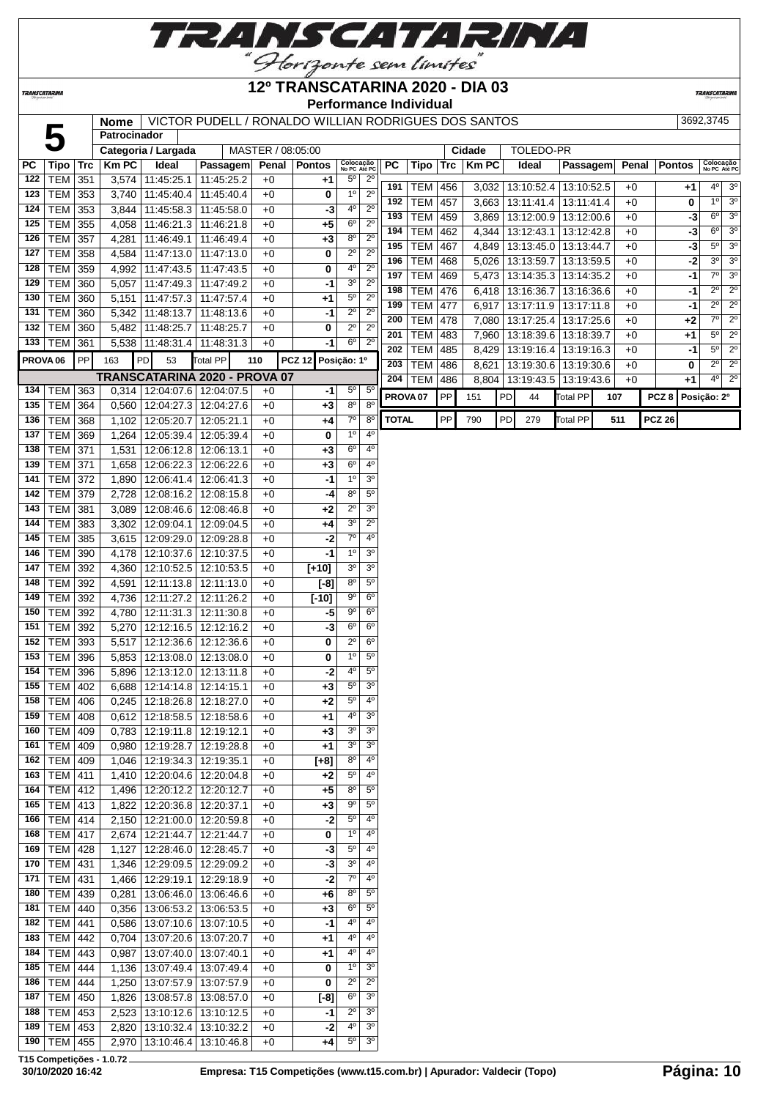

**TRANSCATARINA** 

#### **12º TRANSCATARINA 2020 - DIA 03 Performance Individual**

**TRANSCATARIN** 

#### **NOME VICTOR PUDELL / RONALDO WILLIAN RODRIGUES DOS SANTOS** 3692,3745 **Nome VIC**<br>Patrocinador

|                     |                           |            | nome           |                                                          | VICTOR PUDELL / RONALDO WILLIAN RODRIGUES DOS SANTOS |                   |                   |                                          |                                    |                     |            |     |              |    |                                 |                 |     |       |                  | JUYZ,J14J                 |                  |
|---------------------|---------------------------|------------|----------------|----------------------------------------------------------|------------------------------------------------------|-------------------|-------------------|------------------------------------------|------------------------------------|---------------------|------------|-----|--------------|----|---------------------------------|-----------------|-----|-------|------------------|---------------------------|------------------|
|                     |                           |            | Patrocinador   |                                                          |                                                      |                   |                   |                                          |                                    |                     |            |     |              |    |                                 |                 |     |       |                  |                           |                  |
|                     |                           |            |                | Categoria / Largada                                      |                                                      | MASTER / 08:05:00 |                   |                                          |                                    |                     |            |     | Cidade       |    | TOLEDO-PR                       |                 |     |       |                  |                           |                  |
| РC<br>122           | <b>Tipo</b><br><b>TEM</b> | <b>Trc</b> | <b>KmPC</b>    | Ideal<br>3,574 11:45:25.1                                | Passagem<br>11:45:25.2                               | Penal<br>$+0$     | <b>Pontos</b>     | Colocação<br>No PC Até PC<br>$5^{\rm o}$ | $2^{\circ}$                        | РC                  | Tipo       | Trc | <b>Km PC</b> |    | Ideal                           | Passagem        |     | Penal | <b>Pontos</b>    | Colocação<br>No PC Até PC |                  |
| 123                 |                           | 351        |                | 3,740 11:45:40.4 11:45:40.4                              |                                                      |                   | +1                | 1 <sup>0</sup>                           | $2^{\circ}$                        | 191                 | TEM        | 456 | 3,032        |    | 13:10:52.4   13:10:52.5         |                 |     | $+0$  | +1               | 40                        | 3 <sup>o</sup>   |
| 124                 | <b>TEM</b><br><b>TEM</b>  | 353<br>353 | 3,844          | 11:45:58.3                                               | 11:45:58.0                                           | $+0$<br>$+0$      | 0<br>-3           | 4°                                       | $2^{\circ}$                        | 192                 | TEM        | 457 | 3,663        |    | 13:11:41.4                      | 13:11:41.4      |     | $+0$  | 0                | 1 <sup>0</sup>            | 3 <sup>0</sup>   |
| 125                 | <b>TEM</b>                | 355        |                |                                                          |                                                      |                   |                   | $6^{\circ}$                              | $2^{\circ}$                        | 193                 | <b>TEM</b> | 459 | 3,869        |    | 13:12:00.9                      | 13:12:00.6      |     | $+0$  |                  | 6°<br>-3                  | 3 <sup>o</sup>   |
| 126                 | <b>TEM</b>                | 357        | 4,058          | 11:46:21.3   11:46:21.8<br>11:46:49.1                    | 11:46:49.4                                           | +0<br>$+0$        | $+5$<br>$+3$      | 8 <sup>o</sup>                           | $2^{\circ}$                        | 194                 | TEM        | 462 | 4,344        |    | 13:12:43.1   13:12:42.8         |                 |     | $+0$  |                  | $6^{\circ}$<br>$-3$       | 3 <sup>0</sup>   |
| 127                 | <b>TEM</b>                | 358        | 4,281<br>4,584 |                                                          |                                                      |                   | 0                 | $2^{\circ}$                              | $2^{\circ}$                        | 195                 | <b>TEM</b> | 467 | 4,849        |    | 13:13:45.0   13:13:44.7         |                 |     | $+0$  |                  | $5^{\circ}$<br>$-3$       | 3 <sup>o</sup>   |
| 128                 |                           |            |                | 11:47:13.0   11:47:13.0                                  |                                                      | $+0$              |                   | 4°                                       | $2^{\circ}$                        | 196                 | <b>TEM</b> | 468 | 5,026        |    | 13:13:59.7   13:13:59.5         |                 |     | $+0$  |                  | 3 <sup>0</sup><br>$-2$    | 3 <sup>o</sup>   |
| 129                 | <b>TEM</b><br><b>TEM</b>  | 359<br>360 |                | 4,992   11:47:43.5   11:47:43.5<br>11:47:49.3 11:47:49.2 |                                                      | $+0$<br>$+0$      | 0                 | 30                                       | $2^{\circ}$                        | 197                 | <b>TEM</b> | 469 | 5,473        |    | 13:14:35.3 13:14:35.2           |                 |     | $+0$  |                  | $7^\circ$<br>$-1$         | 3 <sup>0</sup>   |
| 130                 | <b>TEM</b>                | 360        | 5,057          | 11:47:57.3 11:47:57.4                                    |                                                      | $+0$              | -1<br>$+1$        | $5^{\rm o}$                              | $2^{\circ}$                        | 198                 | <b>TEM</b> | 476 | 6,418        |    | 13:16:36.7                      | 13:16:36.6      |     | $+0$  |                  | $2^{\circ}$<br>-1         | $2^{\circ}$      |
| 131                 | <b>TEM</b>                |            | 5,151          | 11:48:13.7                                               |                                                      |                   | -1                | $2^{\circ}$                              | $2^{\circ}$                        | 199                 | <b>TEM</b> | 477 | 6,917        |    | 13:17:11.9                      | 13:17:11.8      |     | $+0$  | $-1$             | $2^{\circ}$               | $2^{\circ}$      |
| 132                 | <b>TEM</b>                | 360<br>360 | 5,342          | 11:48:25.7                                               | 11:48:13.6<br>11:48:25.7                             | $+0$<br>$+0$      | 0                 | $2^{\circ}$                              | $2^{\circ}$                        | 200                 | TEM        | 478 | 7,080        |    | 13:17:25.4                      | 13:17:25.6      |     | $+0$  | $+2$             | $\overline{7^0}$          | $\overline{2^0}$ |
| 133                 | <b>TEM</b>                | 361        | 5,482<br>5,538 | 11:48:31.4                                               | 11:48:31.3                                           | $+0$              | -1                | $6^{\circ}$                              | $2^{\circ}$                        | 201                 | TEM        | 483 | 7,960        |    | 13:18:39.6   13:18:39.7         |                 |     | $+0$  | $+1$             | $5^{\circ}$               | $2^{\circ}$      |
|                     |                           |            |                |                                                          |                                                      |                   |                   |                                          |                                    | 202                 | <b>TEM</b> | 485 | 8,429        |    | 13:19:16.4   13:19:16.3         |                 |     | $+0$  |                  | $5^{\circ}$<br>$-1$       | $2^{\circ}$      |
| PROVA <sub>06</sub> |                           | PP         | 163            | PD<br>53                                                 | Total PP                                             | 110               | <b>PCZ 12</b>     | Posição: 1º                              |                                    | 203                 | <b>TEM</b> | 486 | 8,621        |    | 13:19:30.6   13:19:30.6         |                 |     | $+0$  | 0                | $2^{\circ}$               | $2^{\circ}$      |
|                     |                           |            |                |                                                          | TRANSCATARINA 2020 - PROVA 07                        |                   |                   |                                          |                                    | 204                 | <b>TEM</b> | 486 |              |    | 8,804   13:19:43.5   13:19:43.6 |                 |     | $+0$  | +1               | $4^{\circ}$               | $2^{\circ}$      |
| 134                 | <b>TEM</b>                | 363        |                | 0,314 12:04:07.6 12:04:07.5                              |                                                      | $+0$              | -1                | $5^{\circ}$                              | $5^{\circ}$                        | PROVA <sub>07</sub> |            | PP  | 151          | PD | 44                              | Total PP        | 107 |       | PCZ <sub>8</sub> | Posição: 2º               |                  |
| 135                 | <b>TEM</b>                | 364        | 0,560          | 12:04:27.3 12:04:27.6                                    |                                                      | $+0$              | $+3$              | 80                                       | 8 <sup>o</sup>                     |                     |            |     |              |    |                                 |                 |     |       |                  |                           |                  |
| 136                 | <b>TEM</b>                | 368        | 1,102          | 12:05:20.7   12:05:21.1                                  |                                                      | $+0$              | $+4$              | 70                                       | $8^{\circ}$                        | <b>TOTAL</b>        |            | PP  | 790          | PD | 279                             | <b>Total PP</b> | 511 |       | <b>PCZ 26</b>    |                           |                  |
| 137                 | <b>TEM</b>                | 369        | 1,264          | 12:05:39.4   12:05:39.4                                  |                                                      | $+0$              | 0                 | 1 <sup>0</sup>                           | 4 <sup>0</sup>                     |                     |            |     |              |    |                                 |                 |     |       |                  |                           |                  |
| 138                 | <b>TEM</b>                | 371        | 1,531          | 12:06:12.8   12:06:13.1                                  |                                                      | $+0$              | $+3$              | $6^{\circ}$                              | 4 <sup>0</sup>                     |                     |            |     |              |    |                                 |                 |     |       |                  |                           |                  |
| 139                 | TEM 371                   |            | 1,658          | 12:06:22.3 12:06:22.6                                    |                                                      | $+0$              | $+3$              | $6^{\circ}$                              | $4^{\circ}$                        |                     |            |     |              |    |                                 |                 |     |       |                  |                           |                  |
| 141                 | <b>TEM</b>                | 372        | 1,890          | 12:06:41.4 12:06:41.3                                    |                                                      | $+0$              | -1                | $1^{\circ}$                              | 3 <sup>o</sup>                     |                     |            |     |              |    |                                 |                 |     |       |                  |                           |                  |
| 142                 | <b>TEM</b>                | 379        | 2,728          | 12:08:16.2   12:08:15.8                                  |                                                      | $+0$              | -4                | 8 <sup>o</sup>                           | $5^{\circ}$                        |                     |            |     |              |    |                                 |                 |     |       |                  |                           |                  |
| 143                 | <b>TEM</b>                | 381        | 3,089          | 12:08:46.6   12:08:46.8                                  |                                                      | $+0$              | $+2$              | $2^{\circ}$                              | 3 <sup>o</sup><br>$\overline{2^0}$ |                     |            |     |              |    |                                 |                 |     |       |                  |                           |                  |
| 144                 | <b>TEM</b>                | 383        | 3,302          | 12:09:04.1                                               | 12:09:04.5                                           | $+0$              | $+4$              | 3 <sup>o</sup><br>$7^\circ$              | $4^{\circ}$                        |                     |            |     |              |    |                                 |                 |     |       |                  |                           |                  |
| 145                 | <b>TEM</b>                | 385        |                | 3,615   12:09:29.0   12:09:28.8                          |                                                      | $+0$              | $-2$              |                                          |                                    |                     |            |     |              |    |                                 |                 |     |       |                  |                           |                  |
| 146                 | <b>TEM</b>                | 390        | 4,178          | 12:10:37.6                                               | 12:10:37.5                                           | $+0$              | -1                | $1^{\circ}$<br>3 <sup>o</sup>            | 3 <sup>o</sup><br>3 <sup>0</sup>   |                     |            |     |              |    |                                 |                 |     |       |                  |                           |                  |
| 147                 | <b>TEM</b>                | 392        | 4,360          | 12:10:52.5   12:10:53.5                                  |                                                      | +0                | $[+10]$           | $8^\circ$                                | $5^{\circ}$                        |                     |            |     |              |    |                                 |                 |     |       |                  |                           |                  |
| 148<br>149          | <b>TEM</b><br><b>TEM</b>  | 392<br>392 | 4,591<br>4,736 | 12:11:13.8   12:11:13.0                                  |                                                      | $+0$              | $[-8]$<br>$[-10]$ | 90                                       | $6^{\circ}$                        |                     |            |     |              |    |                                 |                 |     |       |                  |                           |                  |
| 150                 | <b>TEM</b>                | 392        |                | 12:11:27.2   12:11:26.2<br>12:11:31.3   12:11:30.8       |                                                      | $+0$<br>$+0$      | -5                | 90                                       | $6^{\circ}$                        |                     |            |     |              |    |                                 |                 |     |       |                  |                           |                  |
| 151                 | <b>TEM</b>                | 392        | 4,780<br>5,270 | 12:12:16.5 12:12:16.2                                    |                                                      | $+0$              | -3                | $6^{\circ}$                              | 6 <sup>o</sup>                     |                     |            |     |              |    |                                 |                 |     |       |                  |                           |                  |
| 152                 | <b>TEM</b>                | 393        | 5,517          | 12:12:36.6   12:12:36.6                                  |                                                      | $+0$              | 0                 | $2^{\circ}$                              | 6 <sup>o</sup>                     |                     |            |     |              |    |                                 |                 |     |       |                  |                           |                  |
| 153                 | <b>TEM</b>                | 396        | 5,853          | 12:13:08.0   12:13:08.0                                  |                                                      | $+0$              | 0                 | $1^{\circ}$                              | $5^{\circ}$                        |                     |            |     |              |    |                                 |                 |     |       |                  |                           |                  |
| 154                 | <b>TEM</b>                | 396        | 5,896          | 12:13:12.0 12:13:11.8                                    |                                                      | $+0$              | $-2$              | 4º                                       | $5^{\circ}$                        |                     |            |     |              |    |                                 |                 |     |       |                  |                           |                  |
| 155                 | <b>TEM</b>                | 402        | 6,688          | 12:14:14.8 12:14:15.1                                    |                                                      | $+0$              | +3                | $5^{\circ}$                              | 3 <sup>o</sup>                     |                     |            |     |              |    |                                 |                 |     |       |                  |                           |                  |
| 158                 | <b>TEM 406</b>            |            |                | $0,245$   12:18:26.8   12:18:27.0                        |                                                      | $+0$              | $+2$              | $5^\circ$                                | 4 <sup>0</sup>                     |                     |            |     |              |    |                                 |                 |     |       |                  |                           |                  |
|                     | 159   TEM $ $             | 408        |                | $0,612$   12:18:58.5   12:18:58.6                        |                                                      | $+0$              | $+1$              | 4°                                       | 3 <sup>o</sup>                     |                     |            |     |              |    |                                 |                 |     |       |                  |                           |                  |
| 160                 | <b>TEM</b>                | 409        | 0,783          | 12:19:11.8   12:19:12.1                                  |                                                      | $+0$              | $+3$              | 3 <sup>o</sup>                           | 3 <sup>o</sup>                     |                     |            |     |              |    |                                 |                 |     |       |                  |                           |                  |
|                     | 161   TEM   409           |            |                | 0,980   12:19:28.7   12:19:28.8                          |                                                      | $+0$              | $^{+1}$           | 3 <sup>o</sup>                           | 3 <sup>o</sup>                     |                     |            |     |              |    |                                 |                 |     |       |                  |                           |                  |
| 162                 | <b>TEM</b>                | 409        |                | 1,046   12:19:34.3   12:19:35.1                          |                                                      | $+0$              | $[+8]$            | 80                                       | $4^{\circ}$                        |                     |            |     |              |    |                                 |                 |     |       |                  |                           |                  |
| 163                 | <b>TEM</b>                | 411        | 1,410          | 12:20:04.6   12:20:04.8                                  |                                                      | $+0$              | $+2$              | 5°                                       | $4^{\circ}$                        |                     |            |     |              |    |                                 |                 |     |       |                  |                           |                  |
| 164                 | <b>TEM 412</b>            |            | 1,496          | 12:20:12.2 12:20:12.7                                    |                                                      | $+0$              | +5                | 80                                       | $5^{\circ}$                        |                     |            |     |              |    |                                 |                 |     |       |                  |                           |                  |
| 165                 | <b>TEM</b>                | 413        | 1,822          | 12:20:36.8 12:20:37.1                                    |                                                      | $+0$              | $+3$              | 90                                       | $5^{\circ}$                        |                     |            |     |              |    |                                 |                 |     |       |                  |                           |                  |
| 166                 | TEM                       | 414        | 2,150          | 12:21:00.0   12:20:59.8                                  |                                                      | $+0$              | -2                | 5°                                       | $4^{\circ}$                        |                     |            |     |              |    |                                 |                 |     |       |                  |                           |                  |
| 168                 | <b>TEM</b>                | 417        | 2,674          | 12:21:44.7                                               | 12:21:44.7                                           | +0                | 0                 | $1^{\circ}$                              | $4^{\circ}$                        |                     |            |     |              |    |                                 |                 |     |       |                  |                           |                  |
| 169                 | <b>TEM</b>                | 428        | 1,127          | 12:28:46.0   12:28:45.7                                  |                                                      | $+0$              | -3                | $5^{\circ}$                              | $4^{\circ}$                        |                     |            |     |              |    |                                 |                 |     |       |                  |                           |                  |
| 170                 | TEM                       | 431        | 1,346          | 12:29:09.5   12:29:09.2                                  |                                                      | $+0$              | -3                | 3 <sup>o</sup>                           | $4^{\circ}$                        |                     |            |     |              |    |                                 |                 |     |       |                  |                           |                  |
| 171                 | <b>TEM</b>                | 431        | 1,466          | 12:29:19.1   12:29:18.9                                  |                                                      | $+0$              | -2                | $7^\circ$                                | $4^{\circ}$                        |                     |            |     |              |    |                                 |                 |     |       |                  |                           |                  |
| 180                 | <b>TEM</b>                | 439        | 0,281          | 13:06:46.0   13:06:46.6                                  |                                                      | $+0$              | $+6$              | 80                                       | $5^{\circ}$                        |                     |            |     |              |    |                                 |                 |     |       |                  |                           |                  |
| 181                 | <b>TEM</b>                | 440        | 0,356          | 13:06:53.2   13:06:53.5                                  |                                                      | $+0$              | $+3$              | $6^{\circ}$                              | $5^{\circ}$                        |                     |            |     |              |    |                                 |                 |     |       |                  |                           |                  |
| 182                 | TEM   441                 |            | 0,586          | 13:07:10.6   13:07:10.5                                  |                                                      | $+0$              | -1                | 40                                       | $4^{\circ}$                        |                     |            |     |              |    |                                 |                 |     |       |                  |                           |                  |
| 183                 | <b>TEM</b>                | 442        | 0,704          | 13:07:20.6   13:07:20.7                                  |                                                      | $+0$              | $+1$              | 4º                                       | $4^{\circ}$                        |                     |            |     |              |    |                                 |                 |     |       |                  |                           |                  |
| 184                 | <b>TEM</b>                | 443        | 0,987          | 13:07:40.0   13:07:40.1                                  |                                                      | $+0$              | +1                | 4º                                       | 4°                                 |                     |            |     |              |    |                                 |                 |     |       |                  |                           |                  |
| 185                 | <b>TEM</b>                | 444        | 1,136          | 13:07:49.4   13:07:49.4                                  |                                                      | $+0$              | 0                 | $1^{\circ}$                              | 3 <sup>o</sup>                     |                     |            |     |              |    |                                 |                 |     |       |                  |                           |                  |
| 186                 | <b>TEM</b>                | 444        | 1,250          | 13:07:57.9 13:07:57.9                                    |                                                      | $+0$              | 0                 | $2^{\circ}$                              | $2^{\circ}$                        |                     |            |     |              |    |                                 |                 |     |       |                  |                           |                  |
| 187                 | TEM                       | 450        | 1,826          | 13:08:57.8   13:08:57.0                                  |                                                      | $+0$              | $[-8]$            | $6^{\rm o}$                              | 3 <sup>o</sup>                     |                     |            |     |              |    |                                 |                 |     |       |                  |                           |                  |
| 188                 | <b>TEM</b>                | 453        | 2,523          | 13:10:12.6 13:10:12.5                                    |                                                      | $+0$              | -1                | $2^{\circ}$                              | 3 <sup>o</sup>                     |                     |            |     |              |    |                                 |                 |     |       |                  |                           |                  |
| 189                 | <b>TEM</b>                | 453        | 2,820          | 13:10:32.4                                               | 13:10:32.2                                           | $+0$              | -2                | 4º                                       | 3 <sup>o</sup>                     |                     |            |     |              |    |                                 |                 |     |       |                  |                           |                  |
| 190                 | <b>TEM</b>                | 455        | 2,970          | 13:10:46.4   13:10:46.8                                  |                                                      | +0                | +4                | 5°                                       | 3 <sup>o</sup>                     |                     |            |     |              |    |                                 |                 |     |       |                  |                           |                  |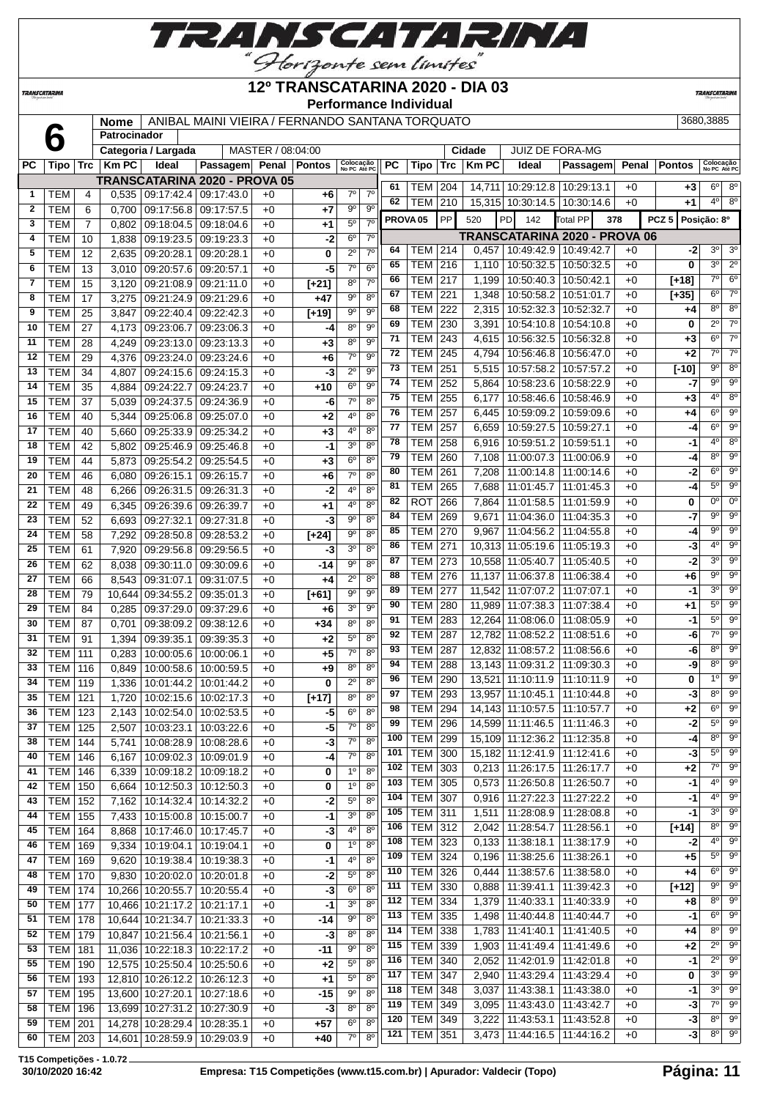

### **12º TRANSCATARINA 2020 - DIA 03**

**Performance Individual**

**TRANSCATARIN** 

**TRANSCATARINA** 

#### **Nome** ANIBAL MAINI VIEIRA / FERNANDO SANTANA TORQUATO 3680,3885 **Patrocinador Categoria / Largada** MASTER / 08:04:00 **Cidade** JUIZ DE FORA-MG **PC Tipo Trc Km PC Ideal Passagem Penal Pontos Colocação No PC Até PC PC Tipo Trc Km PC Ideal Passagem Penal Pontos Colocação No PC Até PC TRANSCATARINA 2020 - PROVA 05**

|              |                  |                |        |                                 | I KANJUAI AKIINA ZUZU - PRUVA UJ |      |         | $7^\circ$      | $7^\circ$      | 61                  | TEM   204        |           |       | 14,711   10:29:12.8   10:29:13.1                  |                         | $+0$ | +3               | $6^{\circ}$    | $8^{\circ}$                 |
|--------------|------------------|----------------|--------|---------------------------------|----------------------------------|------|---------|----------------|----------------|---------------------|------------------|-----------|-------|---------------------------------------------------|-------------------------|------|------------------|----------------|-----------------------------|
| 1            | TEM              | 4              | 0,535  | 09:17:42.4   09:17:43.0         |                                  | $+0$ | +6      |                |                | 62                  | <b>TEM   210</b> |           |       | 15,315 10:30:14.5 10:30:14.6                      |                         | $+0$ | +1               | $4^{\circ}$    | $8^{\circ}$                 |
| $\mathbf{2}$ | <b>TEM</b>       | 6              | 0,700  | 09:17:56.8 09:17:57.5           |                                  | $+0$ | +7      | 90             | $9^{\circ}$    | PROVA <sub>05</sub> |                  | <b>PP</b> | 520   | PD 142                                            | Total PP                | 378  | PCZ <sub>5</sub> | Posição: 8º    |                             |
| 3            | <b>TEM</b>       | $\overline{7}$ | 0,802  |                                 | 09:18:04.5 09:18:04.6            | $+0$ | $+1$    | $5^{\rm o}$    | 7 <sup>0</sup> |                     |                  |           |       | TRANSCATARINA 2020 - PROVA 06                     |                         |      |                  |                |                             |
| 4            | TEM              | 10             | 1,838  | 09:19:23.5 09:19:23.3           |                                  | $+0$ | -2      | $6^{\circ}$    | $7^\circ$      | 64                  | TEM 214          |           |       | $0,457$   10:49:42.9   10:49:42.7                 |                         | $+0$ | -2               | $3^{\circ}$    | 3 <sup>o</sup>              |
| 5            | <b>TEM</b>       | 12             | 2,635  | 09:20:28.1   09:20:28.1         |                                  | $+0$ | 0       | $2^{\circ}$    | $7^\circ$      | 65                  | <b>TEM 216</b>   |           | 1,110 | 10:50:32.5   10:50:32.5                           |                         | $+0$ | 0                | 3 <sup>0</sup> | $2^{\circ}$                 |
| 6            | <b>TEM</b>       | 13             | 3,010  | 09:20:57.6 09:20:57.1           |                                  | $+0$ | -5      | $7^\circ$      | $6^{\circ}$    | 66                  |                  |           |       |                                                   |                         |      |                  | $7^\circ$      | 6 <sup>o</sup>              |
| 7            | <b>TEM</b>       | 15             | 3,120  | 09:21:08.9 09:21:11.0           |                                  | $+0$ | $[+21]$ | $8^{\circ}$    | 7 <sup>0</sup> |                     | <b>TEM</b>       | 217       | 1,199 | 10:50:40.3 10:50:42.1                             |                         | $+0$ | $[+18]$          |                | $7^\circ$                   |
| 8            | <b>TEM</b>       | 17             | 3,275  | 09:21:24.9 09:21:29.6           |                                  | $+0$ | $+47$   | $9^{\circ}$    | $8^{\circ}$    | 67                  | TEM              | 221       | 1,348 | 10:50:58.2   10:51:01.7                           |                         | $+0$ | $[+35]$          | $6^{\circ}$    |                             |
| 9            | <b>TEM</b>       | 25             | 3,847  | 09:22:40.4   09:22:42.3         |                                  | $+0$ | $[+19]$ | $9^{\circ}$    | $9^{\circ}$    | 68                  | TEM              | 222       | 2,315 | 10:52:32.3   10:52:32.7                           |                         | $+0$ | +4               | 8°             | $8^{\circ}$                 |
| 10           | <b>TEM</b>       | 27             | 4,173  |                                 | 09:23:06.7 09:23:06.3            | $+0$ | -4      | 8 <sup>0</sup> | 9 <sup>o</sup> | 69                  | TEM              | 230       | 3,391 |                                                   | 10:54:10.8   10:54:10.8 | $+0$ | 0                | $2^{\circ}$    | $7^\circ$                   |
| 11           | <b>TEM</b>       | 28             | 4,249  | 09:23:13.0 09:23:13.3           |                                  | $+0$ | $+3$    | $8^{\circ}$    | $9^{\circ}$    | 71                  | TEM              | 243       | 4,615 |                                                   | 10:56:32.5   10:56:32.8 | $+0$ | +3               | $6^{\circ}$    | $7^\circ$                   |
| 12           | TEM              | 29             | 4,376  | 09:23:24.0 09:23:24.6           |                                  | $+0$ | +6      | $7^{\circ}$    | $9^{\circ}$    | 72                  | <b>TEM</b>       | 245       | 4,794 |                                                   | 10:56:46.8   10:56:47.0 | $+0$ | +2               | $7^\circ$      | $\overline{7^{\circ}}$      |
| 13           | <b>TEM</b>       | 34             | 4,807  |                                 | 09:24:15.6 09:24:15.3            | $+0$ | -3      | $2^{\circ}$    | $9^{\circ}$    | 73                  | <b>TEM 251</b>   |           | 5,515 | 10:57:58.2   10:57:57.2                           |                         | $+0$ | $[-10]$          | $9^{\circ}$    | $8^{\circ}$                 |
| 14           | <b>TEM</b>       | 35             | 4,884  | 09:24:22.7   09:24:23.7         |                                  | $+0$ | +10     | 6 <sup>o</sup> | $9^{\circ}$    | 74                  | TEM              | 252       | 5,864 | 10:58:23.6   10:58:22.9                           |                         | $+0$ | -7               | 9º             | $9^{\circ}$                 |
| 15           | <b>TEM</b>       | 37             | 5,039  | 09:24:37.5 09:24:36.9           |                                  | $+0$ | -6      | $7^\circ$      | $8^{\circ}$    | 75                  | TEM              | 255       | 6,177 |                                                   | 10:58:46.6   10:58:46.9 | $+0$ | +3               | $4^{\circ}$    | $8^{\circ}$                 |
| 16           | <b>TEM</b>       | 40             | 5,344  | 09:25:06.8   09:25:07.0         |                                  | $+0$ | +2      | 4 <sup>0</sup> | 8 <sup>o</sup> | 76                  | <b>TEM</b>       | 257       | 6,445 |                                                   | 10:59:09.2   10:59:09.6 | $+0$ | +4               | $6^{\circ}$    | $\overline{9^{\circ}}$      |
| 17           | <b>TEM</b>       | 40             | 5,660  | 09:25:33.9 09:25:34.2           |                                  | $+0$ | $+3$    | 4 <sup>0</sup> | $8^{\circ}$    | 77                  | TEM              | 257       | 6,659 | 10:59:27.5   10:59:27.1                           |                         | $+0$ | -4               | $6^{\circ}$    | $9^{\circ}$                 |
| 18           | <b>TEM</b>       | 42             | 5,802  |                                 | 09:25:46.9 09:25:46.8            | $+0$ | $-1$    | 3 <sup>0</sup> | $8^{\circ}$    | 78                  | TEM              | 258       | 6,916 | 10:59:51.2   10:59:51.1                           |                         | $+0$ | -1               | $4^{\circ}$    | $8^{\circ}$                 |
| 19           | <b>TEM</b>       | 44             | 5,873  | 09:25:54.2 09:25:54.5           |                                  | $+0$ | $+3$    | 6 <sup>0</sup> | $8^{\circ}$    | 79                  | TEM              | 260       | 7,108 | 11:00:07.3                                        | 11:00:06.9              | $+0$ | -4               | $8^{\circ}$    | $9^{\circ}$                 |
| 20           | <b>TEM</b>       | 46             | 6,080  | 09:26:15.1 09:26:15.7           |                                  | $+0$ | +6      | $7^\circ$      | $8^{\circ}$    | 80                  | <b>TEM</b>       | 261       | 7,208 |                                                   | 11:00:14.8   11:00:14.6 | $+0$ | -2               | $6^{\circ}$    | $9^{\circ}$                 |
| 21           | <b>TEM</b>       | 48             | 6,266  |                                 | 09:26:31.5 09:26:31.3            | $+0$ | $-2$    | 4 <sup>0</sup> | 8 <sup>o</sup> | 81                  | <b>TEM</b>       | 265       | 7,688 | 11:01:45.7                                        | 11:01:45.3              | $+0$ | -4               | $5^{\circ}$    | $9^{\circ}$                 |
| 22           | <b>TEM</b>       | 49             | 6,345  | 09:26:39.6 09:26:39.7           |                                  | $+0$ | +1      | $4^{\circ}$    | $8^{\circ}$    | 82                  | <b>ROT</b>       | 266       |       | 7,864   11:01:58.5                                | 11:01:59.9              | $+0$ | 0                | $0^{\circ}$    | $0^{\circ}$                 |
| 23           | <b>TEM</b>       | 52             | 6,693  | 09:27:32.1 09:27:31.8           |                                  | $+0$ | -3      | $9^{\circ}$    | $8^{\circ}$    | 84                  | <b>TEM</b>       | 269       |       | $9,671$   11:04:36.0                              | 11:04:35.3              | $+0$ | -7               | $9^{\circ}$    | 90                          |
| 24           | <b>TEM</b>       | 58             | 7,292  | 09:28:50.8 09:28:53.2           |                                  | $+0$ | $[+24]$ | 90             | $8^{\circ}$    | 85                  | <b>TEM</b>       | 270       | 9,967 | 11:04:56.2                                        | 11:04:55.8              | $+0$ | -4               | 90             | $9^{\circ}$                 |
| 25           | <b>TEM</b>       | 61             | 7,920  | 09:29:56.8 09:29:56.5           |                                  | $+0$ | -3      | 3 <sup>0</sup> | 8 <sup>o</sup> | 86                  | <b>TEM</b>       | 271       |       | 10,313 11:05:19.6 11:05:19.3                      |                         | $+0$ | -3               | $4^{\circ}$    | $\overline{9^{\circ}}$      |
| 26           | <b>TEM</b>       | 62             |        |                                 |                                  |      | $-14$   | $9^{\circ}$    | 8 <sup>0</sup> | 87                  | TEM              | 273       |       | 10,558 11:05:40.7 11:05:40.5                      |                         | $+0$ | -2               | 3 <sup>0</sup> | $9^{\circ}$                 |
| 27           | <b>TEM</b>       | 66             | 8,038  | 09:30:11.0 09:30:09.6           |                                  | $+0$ |         | $2^{\circ}$    | $8^{\circ}$    | 88                  | <b>TEM</b>       | 276       |       | 11,137 11:06:37.8 11:06:38.4                      |                         | $+0$ | +6               | 9º             | $9^{\circ}$                 |
|              |                  |                | 8,543  | 09:31:07.1 09:31:07.5           |                                  | $+0$ | +4      | 90             | $9^{\circ}$    | 89                  | TEM              | 277       |       | 11,542 11:07:07.2 11:07:07.1                      |                         | $+0$ | -1               | $3^{\circ}$    | $9^{\circ}$                 |
| 28           | <b>TEM</b>       | 79             | 10,644 |                                 | 09:34:55.2 09:35:01.3            | $+0$ | $[+61]$ | 3 <sup>0</sup> | $9^{\circ}$    | 90                  | TEM              | 280       |       | 11,989 11:07:38.3 11:07:38.4                      |                         | $+0$ | +1               | $5^{\circ}$    | $9^{\circ}$                 |
| 29           | <b>TEM</b>       | 84             | 0,285  | 09:37:29.0 09:37:29.6           |                                  | $+0$ | +6      |                |                | 91                  | <b>TEM</b>       | 283       |       | 12,264 11:08:06.0 11:08:05.9                      |                         | $+0$ | -1               | $5^{\circ}$    | $9^{\circ}$                 |
| 30           | <b>TEM</b>       | 87             | 0,701  |                                 | 09:38:09.2 09:38:12.6            | $+0$ | $+34$   | 8 <sup>0</sup> | 8 <sup>0</sup> | 92                  | TEM              | 287       |       | 12,782 11:08:52.2                                 | 11:08:51.6              | $+0$ | -6               | $7^\circ$      | $9^\circ$                   |
| 31           | TEM              | 91             | 1,394  | 09:39:35.1   09:39:35.3         |                                  | $+0$ | +2      | $5^{\circ}$    | $8^{\circ}$    | 93                  | <b>TEM</b>       | 287       |       | 12,832 11:08:57.2 11:08:56.6                      |                         | $+0$ | -6               | $8^{\circ}$    | 90                          |
| 32           | <b>TEM</b>       | 111            | 0,283  | 10:00:05.6   10:00:06.1         |                                  | $+0$ | +5      | $7^\circ$      | $8^{\circ}$    | 94                  | TEM              | 288       |       |                                                   |                         | $+0$ | -9               | $8^{\circ}$    | $9^{\circ}$                 |
| 33           | <b>TEM</b>       | 116            | 0,849  | 10:00:58.6   10:00:59.5         |                                  | $+0$ | +9      | 8 <sup>o</sup> | $8^{\circ}$    | 96                  | <b>TEM</b>       | 290       |       | 13,143 11:09:31.2 11:09:30.3<br>13,521 11:10:11.9 | 11:10:11.9              | $+0$ | 0                | $1^{\circ}$    | $9^{\circ}$                 |
| 34           | <b>TEM</b>       | 119            | 1,336  | 10:01:44.2   10:01:44.2         |                                  | $+0$ | 0       | $2^{\circ}$    | 8 <sup>0</sup> | 97                  | <b>TEM</b>       |           |       |                                                   |                         |      |                  | $8^{\circ}$    | $9^{\circ}$                 |
| 35           | <b>TEM</b>       | 121            | 1,720  |                                 | 10:02:15.6   10:02:17.3          | $+0$ | $[+17]$ | $8^{\circ}$    | 8 <sup>0</sup> |                     |                  | 293       |       | 13,957 11:10:45.1                                 | 11:10:44.8              | $+0$ | -3               | $6^{\circ}$    | 90                          |
| 36           | <b>TEM</b>       | 123            | 2,143  | 10:02:54.0   10:02:53.5         |                                  | $+0$ | -5      | $6^{\circ}$    | $8^{\circ}$    | 98                  | TEM              | 294       |       | 14,143 11:10:57.5                                 | 11:10:57.7              | $+0$ | +2               | $5^{\circ}$    | $9^\circ$                   |
| 37           | <b>TEM</b>       | 125            | 2,507  | 10:03:23.1   10:03:22.6         |                                  | $+0$ | $-5$    | $7^\circ$      | 8 <sup>o</sup> | 99                  | TEM              | 296       |       | 14,599 11:11:46.5                                 | 11:11:46.3              | $+0$ | -2               |                |                             |
| 38           | <b>TEM</b>       | 144            | 5,741  |                                 | 10:08:28.9 10:08:28.6            | $+0$ | $-3$    | $7^\circ$      | $8^{\circ}$    | 100                 | TEM              | 299       |       | 15,109 11:12:36.2                                 | 11:12:35.8              | $+0$ | -4               | $8^{\circ}$    | $9^{\circ}$<br>$5^\circ$ 9° |
| 40           | <b>TEM</b>       | 146            | 6,167  | 10:09:02.3   10:09:01.9         |                                  | $+0$ | $-4$    | 7 <sup>0</sup> | 8 <sup>0</sup> | 101                 | TEM              | 300       |       | 15,182 11:12:41.9 11:12:41.6                      |                         | $+0$ | $-3$             |                |                             |
| 41           | <b>TEM   146</b> |                |        | 6,339   10:09:18.2   10:09:18.2 |                                  | $+0$ | 0       | $1^{\circ}$    | $8^{\circ}$    | $102$               | $TEM$ 303        |           |       | 0,213 11:26:17.5 11:26:17.7                       |                         | $+0$ | $+2$             |                | 7° 9°                       |
| 42           | TEM              | 150            | 6,664  |                                 | 10:12:50.3 10:12:50.3            | $+0$ | 0       | 1 <sup>o</sup> | $8^{\circ}$    | 103                 | <b>TEM 305</b>   |           |       | $0,573$   11:26:50.8   11:26:50.7                 |                         | $+0$ | -1               | $4^{\circ}$    | $9^{\circ}$                 |
| 43           | <b>TEM</b>       | 152            | 7,162  |                                 | 10:14:32.4   10:14:32.2          | $+0$ | $-2$    | $5^{\circ}$    | 80             | 104                 | <b>TEM 307</b>   |           |       | $0.916$   11:27:22.3   11:27:22.2                 |                         | $+0$ | -1               | 4º             | $9^{\circ}$                 |
| 44           | <b>TEM</b>       | 155            | 7,433  | 10:15:00.8   10:15:00.7         |                                  | $+0$ | -1      | 3 <sup>o</sup> | 80             | 105                 | <b>TEM</b> 311   |           |       | 1,511 11:28:08.9                                  | 11:28:08.8              | $+0$ | $-1$             | $3^{\circ}$    | $9^{\circ}$                 |
| 45           | TEM              | 164            | 8,868  |                                 | 10:17:46.0   10:17:45.7          | $+0$ | $-3$    | $4^{\rm o}$    | $8^{\circ}$    | 106                 | <b>TEM 312</b>   |           |       | 2,042 11:28:54.7                                  | 11:28:56.1              | $+0$ | $[+14]$          | $8^{\circ}$    | $9^{\circ}$                 |
| 46           | TEM              | 169            | 9,334  | 10:19:04.1   10:19:04.1         |                                  | $+0$ | 0       | 1 <sup>o</sup> | 80             | 108                 | <b>TEM 323</b>   |           |       | $0,133$   11:38:18.1                              | 11:38:17.9              | $+0$ | $-2$             | 4º             | $9^{\circ}$                 |
| 47           | TEM              | 169            | 9,620  |                                 | 10:19:38.4   10:19:38.3          | $+0$ | $-1$    | 4 <sup>0</sup> | 8 <sup>o</sup> | 109                 | <b>TEM 324</b>   |           | 0,196 | 11:38:25.6                                        | 11:38:26.1              | $+0$ | +5               | $5^{\circ}$    | $9^{\circ}$                 |
| 48           | <b>TEM</b>       | 170            | 9,830  |                                 | 10:20:02.0 10:20:01.8            | $+0$ | $-2$    | $5^{\rm o}$    | $8^{\circ}$    | 110                 | <b>TEM</b>       | 326       | 0,444 | 11:38:57.6                                        | 11:38:58.0              | $+0$ | +4               | $6^{\circ}$    | 90                          |
| 49           | TEM              | 174            |        | 10,266 10:20:55.7 10:20:55.4    |                                  | $+0$ | $-3$    | 6 <sup>o</sup> | $8^{\circ}$    | 111                 | TEM 330          |           | 0,888 | 11:39:41.1                                        | 11:39:42.3              | $+0$ | $[+12]$          |                | $9°$ $9°$                   |
| 50           | TEM              | 177            |        | 10,466 10:21:17.2 10:21:17.1    |                                  | $+0$ | -1      | 3 <sup>o</sup> | $8^{\circ}$    | 112                 | <b>TEM 334</b>   |           |       | 1,379 11:40:33.1                                  | 11:40:33.9              | $+0$ | +8               | $8^{\circ}$    | $9^\circ$                   |
| 51           | TEM              | 178            | 10,644 |                                 | 10:21:34.7   10:21:33.3          | $+0$ | -14     | $9^{\circ}$    | 80             | 113                 | <b>TEM 335</b>   |           |       | 1,498   11:40:44.8   11:40:44.7                   |                         | $+0$ | -1               | $6^{\circ}$    | $9^{\circ}$                 |
| 52           | <b>TEM</b>       | 179            | 10,847 | 10:21:56.4                      | 10:21:56.1                       | $+0$ | $-3$    | $8^{\circ}$    | $8^{\circ}$    | 114                 | <b>TEM 338</b>   |           |       | 1,783 11:41:40.1                                  | 11:41:40.5              | $+0$ | +4               | $8^{\circ}$    | $9^{\circ}$                 |
| 53           | TEM              | 181            |        | 11,036 10:22:18.3 10:22:17.2    |                                  | $+0$ | -11     | $9^{\circ}$    | $8^{\circ}$    | 115                 | TEM 339          |           | 1,903 | 11:41:49.4                                        | 11:41:49.6              | $+0$ | +2               | $2^{\circ}$    | $9^{\circ}$                 |
| 55           | TEM              | 190            |        | 12,575 10:25:50.4 10:25:50.6    |                                  | $+0$ | $+2$    | $5^{\circ}$    | 8 <sup>o</sup> | 116                 | <b>TEM</b>       | 340       | 2,052 | 11:42:01.9                                        | 11:42:01.8              | $+0$ | $-1$             | $2^{\circ}$    | $9^{\circ}$                 |
| 56           | TEM              | 193            |        | 12,810 10:26:12.2 10:26:12.3    |                                  | $+0$ | $+1$    | $5^\circ$      | 80             | 117                 | TEM              | 347       |       | 2,940   11:43:29.4                                | 11:43:29.4              | $+0$ | 0                | $3^{\circ}$    | $9^{\circ}$                 |
| 57           | <b>TEM   195</b> |                |        | 13,600 10:27:20.1 10:27:18.6    |                                  | $+0$ | $-15$   | $9^{\rm o}$    | $8^{\circ}$    | 118                 | <b>TEM</b>       | 348       | 3,037 | 11:43:38.1                                        | 11:43:38.0              | $+0$ | -1               | $3^{\circ}$    | $9^{\circ}$                 |
| 58           | TEM              | 196            |        | 13,699 10:27:31.2 10:27:30.9    |                                  | $+0$ | $-3$    | $8^{\circ}$    | $8^{\circ}$    | 119                 | <b>TEM</b>       | 349       |       | $3,095$   11:43:43.0                              | 11:43:42.7              | $+0$ | -3               | 7º             | $9^{\circ}$                 |
| 59           | TEM              | 201            | 14,278 | 10:28:29.4   10:28:35.1         |                                  | $+0$ | $+57$   | 6 <sup>o</sup> | 8 <sup>o</sup> | 120                 | <b>TEM 349</b>   |           | 3,222 | 11:43:53.1                                        | 11:43:52.8              | $+0$ | -3               |                | $8^\circ$ $9^\circ$         |
| 60           | <b>TEM 203</b>   |                | 14,601 |                                 | 10:28:59.9 10:29:03.9            | $+0$ | +40     | $7^\circ$      | 8 <sup>o</sup> | 121                 | <b>TEM 351</b>   |           | 3,473 | 11:44:16.5   11:44:16.2                           |                         | $+0$ | -3               |                | $8^{\circ}$ 9 <sup>0</sup>  |
|              |                  |                |        |                                 |                                  |      |         |                |                |                     |                  |           |       |                                                   |                         |      |                  |                |                             |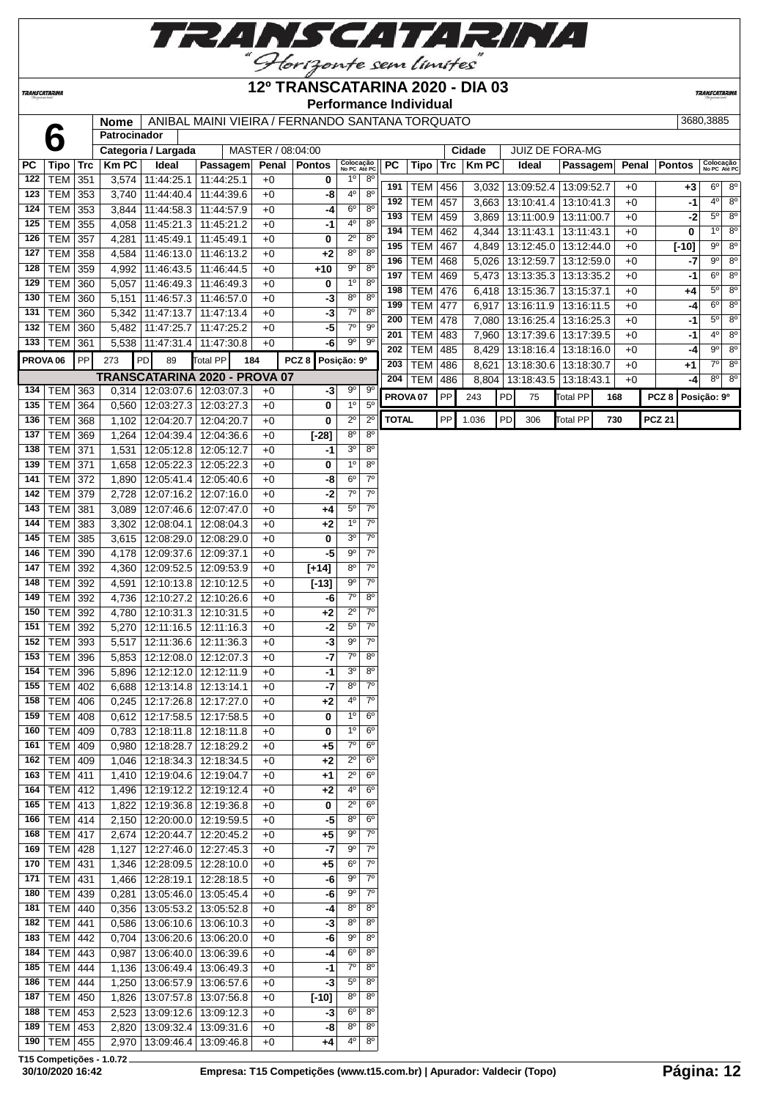

## **12º TRANSCATARINA 2020 - DIA 03**

**TRANSCATARINA** 

**Performance Individual**

**TRANSCATARIN** 

|                     |                   |     | Nome           | ANIBAL MAINI VIEIRA / FERNANDO SANTANA TORQUATO<br>3680,3885<br>Patrocinador |                                 |                   |                                 |                            |                        |                     |                          |            |                    |           |                                        |                          |     |              |                  |                            |                                  |
|---------------------|-------------------|-----|----------------|------------------------------------------------------------------------------|---------------------------------|-------------------|---------------------------------|----------------------------|------------------------|---------------------|--------------------------|------------|--------------------|-----------|----------------------------------------|--------------------------|-----|--------------|------------------|----------------------------|----------------------------------|
|                     |                   |     |                |                                                                              |                                 | MASTER / 08:04:00 |                                 |                            |                        |                     |                          |            | <b>Cidade</b>      |           |                                        | <b>JUIZ DE FORA-MG</b>   |     |              |                  |                            |                                  |
| РC                  | Tipo   Trc        |     | <b>Km PC</b>   | Categoria / Largada<br>Ideal                                                 | Passagem                        | Penal             | <b>Pontos</b>                   | Colocação<br>No PC Até PC  |                        | <b>PC</b>           | Tipo                     | Trc        | <b>Km PC</b>       |           | Ideal                                  | Passagem                 |     | Penal        | <b>Pontos</b>    | Colocação<br>No PC Até PO  |                                  |
| 122                 | <b>TEM 351</b>    |     | 3,574          | 11:44:25.1                                                                   | 11:44:25.1                      | $+0$              | 0                               | $1^{\circ}$                | $8^{\circ}$            |                     |                          |            |                    |           |                                        |                          |     |              |                  |                            |                                  |
| 123                 | TEM 353           |     | 3,740          | 11:44:40.4                                                                   | 11:44:39.6                      | $+0$              | -8                              | 4 <sup>0</sup>             | 8 <sup>o</sup>         | 191                 | <b>TEM</b>               | 456        |                    |           | 3,032   13:09:52.4                     | 13:09:52.7               |     | $+0$         | $+3$             | $6^{\circ}$                | 8 <sup>o</sup>                   |
| 124                 | <b>TEM</b>        | 353 | 3,844          | 11:44:58.3                                                                   | 11:44:57.9                      | $+0$              | -4                              | 6 <sup>o</sup>             | $8^{\circ}$            | 192                 | <b>TEM</b>               | 457        |                    |           | 3,663   13:10:41.4                     | 13:10:41.3               |     | $+0$         | -1               | 4 <sup>o</sup>             | 8 <sup>o</sup>                   |
| 125                 | <b>TEM</b>        | 355 | 4,058          | 11:45:21.3                                                                   | 11:45:21.2                      | $+0$              | $-1$                            | 40                         | $8^{\circ}$            | 193                 | <b>TEM</b>               | 459        |                    |           | 3,869   13:11:00.9                     | 13:11:00.7               |     | $+0$         | -2               | $5^{\circ}$                | 8 <sup>o</sup>                   |
| 126                 | <b>TEM</b>        | 357 | 4,281          | 11:45:49.1                                                                   | 11:45:49.1                      | $+0$              | 0                               | $2^{\circ}$                | 8 <sup>o</sup>         | 194                 | <b>TEM</b>               | 462        |                    |           | 4,344   13:11:43.1                     | 13:11:43.1               |     | $+0$         | 0                | $1^{\circ}$                | 8 <sup>o</sup>                   |
| 127                 | <b>TEM 358</b>    |     | 4,584          | 11:46:13.0                                                                   | 11:46:13.2                      | $+0$              | $+2$                            | 8 <sup>o</sup>             | 8 <sup>o</sup>         | 195                 | <b>TEM</b>               | 467        |                    |           | 4,849   13:12:45.0                     | 13:12:44.0               |     | $+0$         | $[-10]$          | $9^{\circ}$<br>$9^{\circ}$ | 8 <sup>o</sup><br>8 <sup>o</sup> |
| 128                 | TEM 359           |     | 4,992          | 11:46:43.5                                                                   | 11:46:44.5                      | $+0$              | $+10$                           | 9 <sup>o</sup>             | 8 <sup>o</sup>         | 196                 | <b>TEM</b>               | 468        |                    |           | 5,026   13:12:59.7                     | 13:12:59.0               |     | $+0$         | -7               | $6^{\circ}$                | 8 <sup>o</sup>                   |
| 129                 | TEM 360           |     | 5,057          | 11:46:49.3                                                                   | 11:46:49.3                      | $+0$              | 0                               | 1 <sup>0</sup>             | $8^{\circ}$            | 197<br>198          | <b>TEM</b><br><b>TEM</b> | 469<br>476 |                    |           | 5,473   13:13:35.3<br>6,418 13:15:36.7 | 13:13:35.2<br>13:15:37.1 |     | $+0$<br>$+0$ | -1               | $5^{\circ}$                | 8 <sup>o</sup>                   |
|                     | 130   TEM $ $     | 360 | 5,151          | 11:46:57.3                                                                   | 11:46:57.0                      | $+0$              | -3                              | $8^{\circ}$                | $8^{\circ}$            | 199                 | <b>TEM</b>               | 477        | 6,917   13:16:11.9 |           |                                        | 13:16:11.5               |     | $+0$         | +4               | $6^{\circ}$                | 8 <sup>o</sup>                   |
| 131                 | <b>TEM</b>        | 360 | 5,342          | 11:47:13.7                                                                   | 11:47:13.4                      | $+0$              | -3                              | $7^\circ$                  | $8^{\circ}$            | 200                 | <b>TEM</b>               | 478        | 7,080              |           | 13:16:25.4                             | 13:16:25.3               |     | $+0$         | -4<br>$-1$       | $5^{\circ}$                | 8 <sup>o</sup>                   |
| 132                 | <b>TEM 360</b>    |     | 5,482          | 11:47:25.7                                                                   | 11:47:25.2                      | $+0$              | $-5$                            | $7^\circ$                  | $9^{\circ}$            | 201                 | <b>TEM</b>               | 483        |                    |           | 7,960   13:17:39.6                     | 13:17:39.5               |     | $+0$         | -1               | 40                         | 8 <sup>o</sup>                   |
|                     | 133   TEM   361   |     |                | 5,538 11:47:31.4                                                             | 11:47:30.8                      | $+0$              | $-6$                            | $9^{\circ}$                | $9^{\circ}$            | 202                 | <b>TEM</b>               | 485        |                    |           | 8,429   13:18:16.4                     | 13:18:16.0               |     | $+0$         | -4               | $9^{\circ}$                | 8 <sup>o</sup>                   |
| PROVA <sub>06</sub> |                   | PP  | 273            | PD<br>89                                                                     | <b>Total PP</b><br>184          |                   | PCZ <sub>8</sub><br>Posição: 9º |                            |                        | 203                 | <b>TEM</b>               | 486        | 8,621              |           | 13:18:30.6                             | 13:18:30.7               |     | $+0$         | +1               | $7^\circ$                  | 8 <sup>o</sup>                   |
|                     |                   |     |                |                                                                              | TRANSCATARINA 2020 - PROVA 07   |                   |                                 |                            |                        | 204                 | <b>TEM</b>               | 486        |                    |           | 8,804   13:18:43.5                     | 13:18:43.1               |     | $+0$         | -4               | $8^{\circ}$                | 8 <sup>o</sup>                   |
| 134                 | TEM               | 363 | 0,314          |                                                                              | 12:03:07.6   12:03:07.3         | $+0$              | $-3$                            | $9^{\circ}$                | 90                     | PROVA <sub>07</sub> |                          | PP         | 243                | PD        | 75                                     | <b>Total PP</b>          | 168 |              | PCZ <sub>8</sub> | Posição: 9º                |                                  |
| 135                 | <b>TEM 364</b>    |     | 0,560          | 12:03:27.3                                                                   | 12:03:27.3                      | $+0$              | 0                               | $1^{\circ}$                | $5^{\circ}$            |                     |                          |            |                    |           |                                        |                          |     |              |                  |                            |                                  |
| 136                 | <b>TEM</b>        | 368 | 1,102          | 12:04:20.7                                                                   | 12:04:20.7                      | $+0$              | 0                               | $2^{\circ}$                | $\overline{2^0}$       | <b>TOTAL</b>        |                          | PP         | 1.036              | <b>PD</b> | 306                                    | <b>Total PP</b>          | 730 |              | <b>PCZ 21</b>    |                            |                                  |
| 137                 | <b>TEM</b>        | 369 | 1,264          | 12:04:39.4                                                                   | 12:04:36.6                      | $+0$              | $[-28]$                         | $8^{\circ}$                | $8^{\circ}$            |                     |                          |            |                    |           |                                        |                          |     |              |                  |                            |                                  |
| 138                 | TEM               | 371 | 1,531          | 12:05:12.8                                                                   | 12:05:12.7                      | $+0$              | -1                              | 3 <sup>o</sup>             | $8^{\circ}$            |                     |                          |            |                    |           |                                        |                          |     |              |                  |                            |                                  |
| 139                 | TEM   371         |     | 1,658          | 12:05:22.3                                                                   | 12:05:22.3                      | $+0$              | 0                               | 1 <sup>0</sup>             | $\overline{8^0}$       |                     |                          |            |                    |           |                                        |                          |     |              |                  |                            |                                  |
|                     | 141   TEM   372   |     | 1,890          |                                                                              | 12:05:41.4   12:05:40.6         | $+0$              | -8                              | $6^{\circ}$                | $7^\circ$              |                     |                          |            |                    |           |                                        |                          |     |              |                  |                            |                                  |
|                     | 142   TEM   379   |     | 2,728          | 12:07:16.2                                                                   | 12:07:16.0                      | $+0$              | $-2$                            | $7^\circ$                  | $7^\circ$              |                     |                          |            |                    |           |                                        |                          |     |              |                  |                            |                                  |
| 143                 | $TEM$ 381         |     | 3,089          | 12:07:46.6                                                                   | 12:07:47.0                      | $+0$              | $+4$                            | $5^{\circ}$                | $7^{\circ}$            |                     |                          |            |                    |           |                                        |                          |     |              |                  |                            |                                  |
| 144                 | <b>TEM</b>        | 383 | 3,302          | 12:08:04.1                                                                   | 12:08:04.3                      | $+0$              | $+2$                            | $\overline{1^{\circ}}$     | $7^\circ$              |                     |                          |            |                    |           |                                        |                          |     |              |                  |                            |                                  |
| 145                 | <b>TEM</b>        | 385 | 3,615          | 12:08:29.0                                                                   | 12:08:29.0                      | $+0$              | 0                               | $\overline{3^0}$           | $7^\circ$              |                     |                          |            |                    |           |                                        |                          |     |              |                  |                            |                                  |
| 146                 | <b>TEM</b>        | 390 | 4,178          | 12:09:37.6                                                                   | 12:09:37.1                      | $+0$              | -5                              | $9^{\circ}$                | $7^{\circ}$            |                     |                          |            |                    |           |                                        |                          |     |              |                  |                            |                                  |
| 147                 | <b>TEM</b>        | 392 | 4,360          | 12:09:52.5                                                                   | 12:09:53.9                      | $+0$              | $[+14]$                         | $8^{\circ}$                | $7^\circ$              |                     |                          |            |                    |           |                                        |                          |     |              |                  |                            |                                  |
| 148                 | <b>TEM</b>        | 392 | 4,591          | 12:10:13.8                                                                   | 12:10:12.5                      | +0                | $[-13]$                         | $9^{\circ}$                | $7^\circ$              |                     |                          |            |                    |           |                                        |                          |     |              |                  |                            |                                  |
| 149                 | <b>TEM</b>        | 392 | 4,736          | 12:10:27.2                                                                   | 12:10:26.6                      | $+0$              | -6                              | $\overline{7^0}$           | 8 <sup>o</sup>         |                     |                          |            |                    |           |                                        |                          |     |              |                  |                            |                                  |
|                     | 150   TEM   392   |     | 4,780          |                                                                              | 12:10:31.3 12:10:31.5           | $+0$              | $+2$                            | $2^{\circ}$<br>$5^{\rm o}$ | $7^\circ$<br>$7^\circ$ |                     |                          |            |                    |           |                                        |                          |     |              |                  |                            |                                  |
| 152                 | 151   TEM   392   |     | 5,270          | 12:11:16.5                                                                   | 12:11:16.3                      | $+0$              | $-2$                            | $9^{\circ}$                | $7^{\circ}$            |                     |                          |            |                    |           |                                        |                          |     |              |                  |                            |                                  |
| 153                 | TEM<br><b>TEM</b> | 393 | 5,517          | 12:11:36.6                                                                   | 12:11:36.3                      | $+0$              | $-3$<br>$-7$                    | $\overline{7^{\circ}}$     | 8 <sup>o</sup>         |                     |                          |            |                    |           |                                        |                          |     |              |                  |                            |                                  |
| 154                 | TEM               | 396 | 5,853          | 12:12:08.0<br>12:12:12.0                                                     | 12:12:07.3<br>12:12:11.9        | $+0$<br>$+0$      | -1                              | 3 <sup>o</sup>             | $8^{\circ}$            |                     |                          |            |                    |           |                                        |                          |     |              |                  |                            |                                  |
| 155                 | TEM   402         | 396 | 5,896<br>6,688 |                                                                              | 12:13:14.8 12:13:14.1           | $+0$              | $-7$                            | $8^{\circ}$                | $7^\circ$              |                     |                          |            |                    |           |                                        |                          |     |              |                  |                            |                                  |
|                     | 158   TEM   406   |     |                | $0,245$   12:17:26.8   12:17:27.0                                            |                                 | $+0$              | +2                              | 4°                         | $7^\circ$              |                     |                          |            |                    |           |                                        |                          |     |              |                  |                            |                                  |
| 159                 | TEM   408         |     |                | $0,612$   12:17:58.5                                                         | 12:17:58.5                      | $+0$              | 0                               | $1^{\circ}$                | $6^{\circ}$            |                     |                          |            |                    |           |                                        |                          |     |              |                  |                            |                                  |
| 160                 | TEM   409         |     | 0,783          | 12:18:11.8                                                                   | 12:18:11.8                      | +0                | 0                               | 1 <sup>0</sup>             | $6^{\circ}$            |                     |                          |            |                    |           |                                        |                          |     |              |                  |                            |                                  |
|                     | 161   TEM   409   |     | 0,980          | 12:18:28.7                                                                   | 12:18:29.2                      | $+0$              | +5                              | 7 <sup>o</sup>             | $6^{\circ}$            |                     |                          |            |                    |           |                                        |                          |     |              |                  |                            |                                  |
|                     | 162   TEM   409   |     | 1,046          | 12:18:34.3                                                                   | 12:18:34.5                      | $+0$              | +2                              | $2^{\circ}$                | $6^{\circ}$            |                     |                          |            |                    |           |                                        |                          |     |              |                  |                            |                                  |
| 163                 | $TEM$ 411         |     | 1,410          | 12:19:04.6                                                                   | 12:19:04.7                      | $+0$              | +1                              | $2^{\circ}$                | $6^{\circ}$            |                     |                          |            |                    |           |                                        |                          |     |              |                  |                            |                                  |
| 164                 | $TEM$ 412         |     | 1,496          | 12:19:12.2                                                                   | 12:19:12.4                      | $+0$              | $+2$                            | $4^{\circ}$                | 6 <sup>o</sup>         |                     |                          |            |                    |           |                                        |                          |     |              |                  |                            |                                  |
| 165                 | <b>TEM 413</b>    |     | 1,822          | 12:19:36.8                                                                   | 12:19:36.8                      | $+0$              | 0                               | $2^{\circ}$                | $6^{\circ}$            |                     |                          |            |                    |           |                                        |                          |     |              |                  |                            |                                  |
| 166                 | <b>TEM 414</b>    |     | 2,150          | 12:20:00.0                                                                   | 12:19:59.5                      | $+0$              | -5                              | $8^{\circ}$                | 6 <sup>o</sup>         |                     |                          |            |                    |           |                                        |                          |     |              |                  |                            |                                  |
| 168                 | <b>TEM 417</b>    |     | 2,674          | 12:20:44.7                                                                   | 12:20:45.2                      | $+0$              | $+5$                            | 90                         | $7^\circ$              |                     |                          |            |                    |           |                                        |                          |     |              |                  |                            |                                  |
|                     | 169   TEM   428   |     | 1,127          | 12:27:46.0                                                                   | 12:27:45.3                      | $+0$              | -7                              | $9^{\circ}$                | $7^{\circ}$            |                     |                          |            |                    |           |                                        |                          |     |              |                  |                            |                                  |
|                     | 170   TEM   431   |     | 1,346          | 12:28:09.5                                                                   | 12:28:10.0                      | $+0$              | $+5$                            | $6^{\circ}$                | $7^\circ$              |                     |                          |            |                    |           |                                        |                          |     |              |                  |                            |                                  |
|                     | 171 TEM 431       |     | 1,466          | 12:28:19.1                                                                   | 12:28:18.5                      | $+0$              | -6                              | $9^{\circ}$                | $7^\circ$              |                     |                          |            |                    |           |                                        |                          |     |              |                  |                            |                                  |
| 180                 | TEM   439         |     | 0,281          |                                                                              | 13:05:46.0   13:05:45.4         | $+0$              | -6                              | 90                         | $7^\circ$              |                     |                          |            |                    |           |                                        |                          |     |              |                  |                            |                                  |
|                     | 181   TEM   440   |     | 0,356          | 13:05:53.2                                                                   | 13:05:52.8                      | $+0$              | -4                              | $8^{\circ}$                | $8^{\circ}$            |                     |                          |            |                    |           |                                        |                          |     |              |                  |                            |                                  |
| 182                 | <b>TEM 441</b>    |     | 0,586          | 13:06:10.6                                                                   | 13:06:10.3                      | $+0$              | $-3$                            | $8^{\rm o}$                | $8^{\circ}$            |                     |                          |            |                    |           |                                        |                          |     |              |                  |                            |                                  |
| 183                 | TEM   442         |     | 0,704          | 13:06:20.6                                                                   | 13:06:20.0                      | $+0$              | -6                              | $9^{\circ}$                | $8^{\circ}$            |                     |                          |            |                    |           |                                        |                          |     |              |                  |                            |                                  |
| 184                 | TEM 443           |     | 0,987          | 13:06:40.0                                                                   | 13:06:39.6                      | $+0$              | -4                              | 6 <sup>o</sup>             | $8^{\circ}$            |                     |                          |            |                    |           |                                        |                          |     |              |                  |                            |                                  |
| 185                 | <b>TEM</b>        | 444 | 1,136          | 13:06:49.4                                                                   | 13:06:49.3                      | $+0$              | -1                              | $7^\circ$                  | $8^{\circ}$            |                     |                          |            |                    |           |                                        |                          |     |              |                  |                            |                                  |
| 186                 | TEM               | 444 | 1,250          | 13:06:57.9                                                                   | 13:06:57.6                      | $+0$              | -3                              | $5^{\circ}$                | $8^{\circ}$            |                     |                          |            |                    |           |                                        |                          |     |              |                  |                            |                                  |
|                     | 187   TEM   450   |     | 1,826          | 13:07:57.8                                                                   | 13:07:56.8                      | $+0$              | $[-10]$                         | 8 <sup>o</sup>             | 8 <sup>o</sup>         |                     |                          |            |                    |           |                                        |                          |     |              |                  |                            |                                  |
|                     | 188 TEM 453       |     | 2,523          |                                                                              | 13:09:12.6   13:09:12.3         | $+0$              | -3                              | $6^{\circ}$                | $8^{\circ}$            |                     |                          |            |                    |           |                                        |                          |     |              |                  |                            |                                  |
|                     | 189   TEM   453   |     |                |                                                                              | 2,820   13:09:32.4   13:09:31.6 | $+0$              | -8                              | 8 <sup>o</sup>             | $8^{\circ}$            |                     |                          |            |                    |           |                                        |                          |     |              |                  |                            |                                  |
|                     |                   |     |                |                                                                              |                                 |                   |                                 |                            |                        |                     |                          |            |                    |           |                                        |                          |     |              |                  |                            |                                  |

**T15 Competições - 1.0.72**

TEM 455 2,970 13:09:46.4 13:09:46.8 +0 **+4** 4º 8º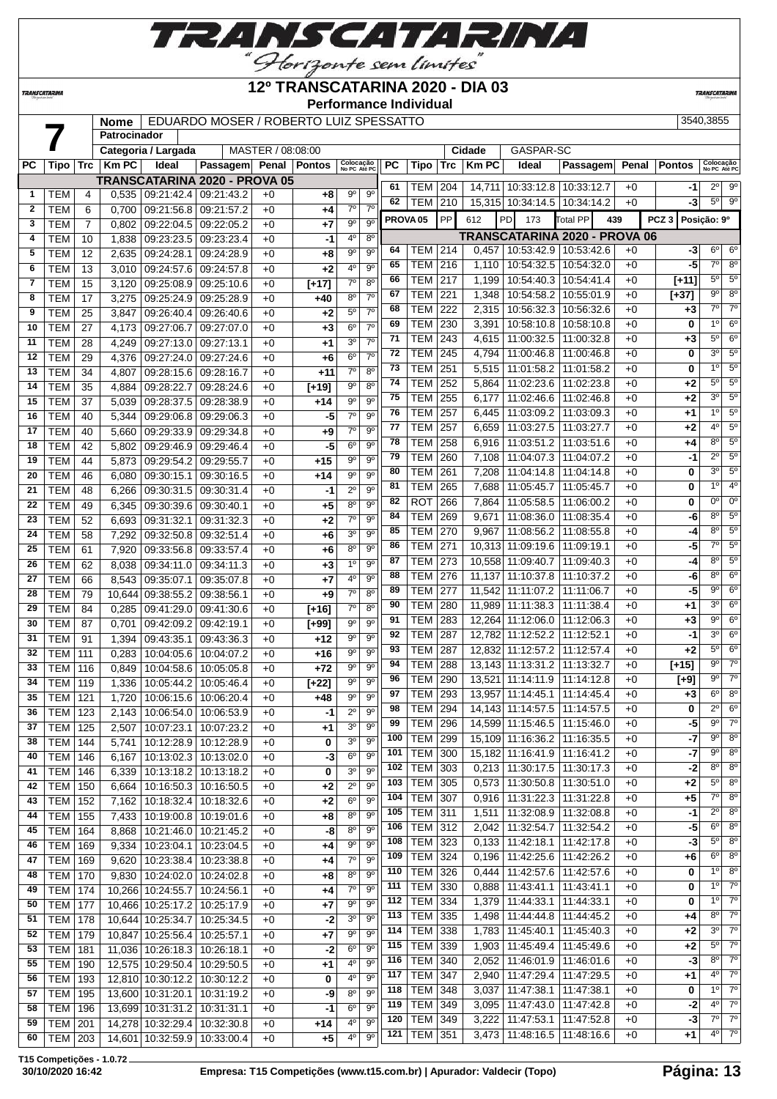

## **12º TRANSCATARINA 2020 - DIA 03**

**Performance Individual**

**TRANSCATARIN** 

**TRANSCATARINA** 

## **Nome** EDUARDO MOSER / ROBERTO LUIZ SPESSATTO 3540,3855 **Patrocinador**

|              |            |                  |             | Categoria / Largada              |                               | MASTER / 08:08:00 |         |                           |                |                     |                |     | Cidade       | GASPAR-SC                         |                                      |       |                  |                           |                     |
|--------------|------------|------------------|-------------|----------------------------------|-------------------------------|-------------------|---------|---------------------------|----------------|---------------------|----------------|-----|--------------|-----------------------------------|--------------------------------------|-------|------------------|---------------------------|---------------------|
| РC           | Tipo       | Trc              | <b>KmPC</b> | Ideal                            | Passagem Penal Pontos         |                   |         | Colocação<br>No PC Até PC |                | PC                  | Tipo           | Trc | <b>Km PC</b> | Ideal                             | Passagem                             | Penal | <b>Pontos</b>    | Colocação<br>No PC Até PC |                     |
|              |            |                  |             |                                  | TRANSCATARINA 2020 - PROVA 05 |                   |         |                           |                |                     |                |     |              |                                   |                                      |       |                  |                           | $2^0$ $9^0$         |
| $\mathbf{1}$ | TEM        | 4                | 0,535       | 09:21:42.4 09:21:43.2            |                               | $+0$              | $+8$    | 90                        | $9^{\circ}$    | 61                  | TEM l          | 204 |              | 14,711 10:33:12.8 10:33:12.7      |                                      | $+0$  | -1               |                           |                     |
| $\mathbf{2}$ | <b>TEM</b> | 6                | 0,700       | 09:21:56.8 09:21:57.2            |                               | $+0$              | +4      | $7^\circ$                 | $7^\circ$      | 62                  | <b>TEM</b>     | 210 |              | 15,315 10:34:14.5 10:34:14.2      |                                      | $+0$  | -3               | 5° l                      | 9°                  |
| 3            | <b>TEM</b> | $\overline{7}$   | 0,802       | 09:22:04.5   09:22:05.2          |                               | $+0$              | +7      | 90                        | 9 <sup>o</sup> | PROVA <sub>05</sub> |                | PP  | 612          | PD<br>173                         | 439<br><b>Total PP</b>               |       | PCZ <sub>3</sub> | Posição: 9º               |                     |
| 4            | <b>TEM</b> | 10               | 1,838       | 09:23:23.5                       | 09:23:23.4                    | $+0$              | -1      | 4°                        | $8^{\circ}$    |                     |                |     |              |                                   | <b>TRANSCATARINA 2020 - PROVA 06</b> |       |                  |                           |                     |
| 5            | <b>TEM</b> | 12               | 2,635       | 09:24:28.1 09:24:28.9            |                               | $+0$              | $+8$    | $9^{\circ}$               | 9 <sup>o</sup> | 64                  | TEM            | 214 |              | $0,457$   10:53:42.9   10:53:42.6 |                                      | $+0$  | -3               | $6^{\circ}$               | $6^{\circ}$         |
| 6            | <b>TEM</b> | 13               | 3,010       | 09:24:57.6 09:24:57.8            |                               | $+0$              | $+2$    | 40                        | 9 <sup>o</sup> | 65                  | TEM            | 216 |              | 1,110 10:54:32.5                  | 10:54:32.0                           | $+0$  | -5               | 7°                        | $8^{\circ}$         |
| 7            |            |                  |             |                                  |                               |                   |         | $7^\circ$                 | 8 <sup>0</sup> | 66                  | <b>TEM</b>     | 217 | 1,199        | 10:54:40.3   10:54:41.4           |                                      | $+0$  | $[+11]$          | $5^{\circ}$               | $5^{\circ}$         |
|              | <b>TEM</b> | 15               | 3,120       | 09:25:08.9 09:25:10.6            |                               | $+0$              | $[+17]$ |                           | $7^\circ$      | 67                  | TEM            | 221 | 1,348        | 10:54:58.2   10:55:01.9           |                                      | $+0$  | [+37]            | 9º                        | 8 <sup>o</sup>      |
| 8            | <b>TEM</b> | 17               | 3,275       | 09:25:24.9 09:25:28.9            |                               | $+0$              | $+40$   | $8^{\circ}$               |                | 68                  | TEM            | 222 | 2,315        | 10:56:32.3   10:56:32.6           |                                      | $+0$  | $+3$             | 7º                        | $7^\circ$           |
| 9            | <b>TEM</b> | 25               | 3,847       | 09:26:40.4 09:26:40.6            |                               | $+0$              | $+2$    | 5 <sup>0</sup>            | 70             | 69                  | <b>TEM</b>     | 230 | 3,391        | 10:58:10.8                        | 10:58:10.8                           | $+0$  | 0                | 10                        | 6 <sup>o</sup>      |
| 10           | TEM        | 27               | 4,173       | 09:27:06.7                       | 09:27:07.0                    | $+0$              | $+3$    | 6 <sup>0</sup>            | $7^\circ$      |                     |                |     |              |                                   |                                      |       |                  | $5^{\circ}$               | 6 <sup>o</sup>      |
| 11           | <b>TEM</b> | 28               | 4,249       | 09:27:13.0 09:27:13.1            |                               | $+0$              | $+1$    | 30                        | $7^\circ$      | 71                  | <b>TEM</b>     | 243 |              | 4,615 11:00:32.5                  | 11:00:32.8                           | $+0$  | $+3$             | $3^{\circ}$               |                     |
| 12           | <b>TEM</b> | 29               | 4,376       | 09:27:24.0                       | 09:27:24.6                    | $+0$              | $+6$    | $6^{\circ}$               | $7^{\circ}$    | 72                  | <b>TEM</b>     | 245 | 4,794        | 11:00:46.8                        | 11:00:46.8                           | $+0$  | 0                |                           | $5^{\circ}$         |
| 13           | <b>TEM</b> | 34               | 4,807       | 09:28:15.6 09:28:16.7            |                               | $+0$              | +11     | $7^\circ$                 | 8 <sup>o</sup> | 73                  | <b>TEM</b>     | 251 | 5,515        | 11:01:58.2                        | 11:01:58.2                           | $+0$  | 0                | 10                        | 5 <sup>0</sup>      |
| 14           | <b>TEM</b> | 35               | 4,884       | 09:28:22.7 09:28:24.6            |                               | $+0$              | $[+19]$ | $\overline{9^0}$          | $8^{\circ}$    | 74                  | <b>TEM</b>     | 252 | 5,864        | 11:02:23.6                        | 11:02:23.8                           | $+0$  | $+2$             | $5^{\circ}$               | 5 <sup>0</sup>      |
| 15           | <b>TEM</b> | $\overline{37}$  | 5,039       | 09:28:37.5 09:28:38.9            |                               | $+0$              | $+14$   | 90                        | 9 <sup>o</sup> | 75                  | <b>TEM</b>     | 255 | 6,177        | 11:02:46.6                        | 11:02:46.8                           | $+0$  | +2               | $3^{\circ}$               | $5^{\circ}$         |
| 16           | <b>TEM</b> | 40               | 5,344       | 09:29:06.8 09:29:06.3            |                               | $+0$              | $-5$    | $7^\circ$                 | 9 <sup>o</sup> | 76                  | <b>TEM</b>     | 257 |              | $6,445$   11:03:09.2              | 11:03:09.3                           | $+0$  | +1               | $1^{\circ}$               | $5^{\circ}$         |
| 17           | <b>TEM</b> | 40               | 5,660       | 09:29:33.9 09:29:34.8            |                               | $+0$              | $+9$    | $7^\circ$                 | 9 <sup>o</sup> | 77                  | <b>TEM</b>     | 257 | 6,659        | 11:03:27.5                        | 11:03:27.7                           | $+0$  | +2               | 4º                        | 5 <sup>o</sup>      |
| 18           | <b>TEM</b> | 42               | 5,802       | 09:29:46.9                       | 09:29:46.4                    | $+0$              | -5      | $6^{\circ}$               | 9 <sup>o</sup> | 78                  | <b>TEM</b>     | 258 | 6,916        | 11:03:51.2                        | 11:03:51.6                           | $+0$  | +4               | $8^{\circ}$               | $5^{\circ}$         |
| 19           | <b>TEM</b> | 44               | 5,873       | 09:29:54.2 09:29:55.7            |                               | $+0$              | $+15$   | 90                        | 9 <sup>o</sup> | 79                  | TEM            | 260 | 7,108        | 11:04:07.3                        | 11:04:07.2                           | $+0$  | -1               | $2^{\circ}$               | 5 <sup>o</sup>      |
| 20           | <b>TEM</b> | 46               | 6,080       | 09:30:15.1 09:30:16.5            |                               | $+0$              | $+14$   | 90                        | $9^{\circ}$    | 80                  | <b>TEM</b>     | 261 | 7,208        | 11:04:14.8                        | 11:04:14.8                           | $+0$  | 0                | $3^{\circ}$               | 5 <sup>o</sup>      |
| 21           | <b>TEM</b> | 48               |             | 09:30:31.5 09:30:31.4            |                               | $+0$              | -1      | $2^{\circ}$               | $9^{\circ}$    | 81                  | <b>TEM</b>     | 265 | 7,688        | 11:05:45.7                        | 11:05:45.7                           | $+0$  | 0                | 10                        | 4 <sup>0</sup>      |
|              |            |                  | 6,266       |                                  |                               |                   |         |                           | 9 <sup>o</sup> | 82                  | <b>ROT</b>     | 266 | 7,864        | 11:05:58.5                        | 11:06:00.2                           | $+0$  | 0                | 0°                        | $0^{\circ}$         |
| 22           | <b>TEM</b> | 49               | 6,345       | 09:30:39.6 09:30:40.1            |                               | $+0$              | +5      | $8^{\circ}$               |                | 84                  | <b>TEM</b>     | 269 | 9,671        | 11:08:36.0                        | 11:08:35.4                           | $+0$  | -6               | $8^{\circ}$               | $5^{\circ}$         |
| 23           | <b>TEM</b> | 52               | 6,693       | 09:31:32.1 09:31:32.3            |                               | $+0$              | $+2$    | 7 <sup>0</sup>            | 9 <sup>o</sup> | 85                  | <b>TEM</b>     | 270 | 9,967        | 11:08:56.2                        | 11:08:55.8                           | $+0$  | -4               | 8°                        | 5 <sup>o</sup>      |
| 24           | <b>TEM</b> | 58               | 7,292       | 09:32:50.8 09:32:51.4            |                               | $+0$              | $+6$    | 3 <sup>0</sup>            | 9 <sup>o</sup> | 86                  |                |     |              |                                   |                                      |       |                  | 7°                        | $5^{\circ}$         |
| 25           | <b>TEM</b> | 61               | 7,920       | 09:33:56.8 09:33:57.4            |                               | $+0$              | $+6$    | 8 <sup>0</sup>            | 90             |                     | <b>TEM</b>     | 271 |              | 10,313 11:09:19.6                 | 11:09:19.1                           | $+0$  | -5               |                           |                     |
| 26           | <b>TEM</b> | 62               | 8,038       | 09:34:11.0   09:34:11.3          |                               | $+0$              | $+3$    | 10                        | $9^{\circ}$    | 87                  | <b>TEM</b>     | 273 |              | 10,558 11:09:40.7                 | 11:09:40.3                           | $+0$  | -4               | $8^{\circ}$               | $5^{\circ}$         |
| 27           | <b>TEM</b> | 66               | 8,543       | 09:35:07.1                       | 09:35:07.8                    | $+0$              | $+7$    | 40                        | $9^{\circ}$    | 88                  | <b>TEM</b>     | 276 |              | 11,137 11:10:37.8                 | 11:10:37.2                           | $+0$  | -6               | 8°                        | 6 <sup>o</sup>      |
| 28           | <b>TEM</b> | 79               | 10,644      | 09:38:55.2                       | 09:38:56.1                    | $+0$              | $+9$    | $7^\circ$                 | 8 <sup>0</sup> | 89                  | TEM            | 277 |              | 11,542 11:11:07.2                 | 11:11:06.7                           | $+0$  | -5               | $9^{\circ}$               | $6^{\circ}$         |
| 29           | <b>TEM</b> | 84               | 0,285       | 09:41:29.0 09:41:30.6            |                               | $+0$              | $[+16]$ | $7^\circ$                 | $8^{\circ}$    | 90                  | <b>TEM</b>     | 280 |              | 11,989 11:11:38.3                 | 11:11:38.4                           | $+0$  | $+1$             | 3º                        | $6^{\circ}$         |
| 30           | <b>TEM</b> | 87               | 0,701       | 09:42:09.2                       | 09:42:19.1                    | $+0$              | [+99]   | 90                        | $9^{\circ}$    | 91                  | <b>TEM</b>     | 283 |              | 12,264 11:12:06.0                 | 11:12:06.3                           | $+0$  | $+3$             | $9^{\circ}$               | 6 <sup>o</sup>      |
| 31           | <b>TEM</b> | 91               | 1,394       | 09:43:35.1                       | 09:43:36.3                    | $+0$              | +12     | 90                        | $9^{\circ}$    | 92                  | <b>TEM</b>     | 287 |              | 12,782 11:12:52.2                 | 11:12:52.1                           | $+0$  | -1               | $3^{\circ}$               | 6 <sup>o</sup>      |
| 32           | <b>TEM</b> | 111              | 0,283       | 10:04:05.6   10:04:07.2          |                               | $+0$              | $+16$   | 9 <sup>o</sup>            | 9 <sup>o</sup> | 93                  | <b>TEM</b>     | 287 |              | 12,832 11:12:57.2                 | 11:12:57.4                           | $+0$  | $+2$             | $5^{\circ}$               | $6^{\circ}$         |
| 33           | <b>TEM</b> | 116              | 0,849       | 10:04:58.6   10:05:05.8          |                               | $+0$              | $+72$   | $9^{\circ}$               | 9 <sup>o</sup> | 94                  | <b>TEM</b>     | 288 |              | 13,143 11:13:31.2                 | 11:13:32.7                           | $+0$  | [+15]            | $9^{\circ}$               | $7^\circ$           |
| 34           | <b>TEM</b> | 119              | 1,336       | 10:05:44.2 10:05:46.4            |                               | $+0$              | $[+22]$ | $9^{\circ}$               | $9^{\circ}$    | 96                  | <b>TEM</b>     | 290 |              | 13,521 11:14:11.9                 | 11:14:12.8                           | $+0$  | [+9]             | 9º                        | $7^\circ$           |
| 35           | <b>TEM</b> | 121              | 1,720       | 10:06:15.6                       | 10:06:20.4                    | $+0$              | $+48$   | 90                        | 9 <sup>o</sup> | 97                  | <b>TEM</b>     | 293 |              | 13.957 11:14:45.1                 | 11:14:45.4                           | $+0$  | $+3$             | $6^{\circ}$               | 8 <sup>o</sup>      |
| 36           | <b>TEM</b> | 123              | 2,143       | 10:06:54.0 10:06:53.9            |                               | $+0$              | $-1$    | $2^{\circ}$               | 90             | 98                  | <b>TEM</b>     | 294 |              | 14, 143 11: 14: 57.5              | 11:14:57.5                           | $+0$  | 0                | $2^{\circ}$               | 6 <sup>o</sup>      |
| 37           |            |                  |             | 2,507 10:07:23.1 10:07:23.2      |                               |                   | $+1$    | 3 <sup>0</sup>            | 9 <sup>o</sup> | 99                  | <b>TEM</b>     | 296 |              | 14,599 11:15:46.5 11:15:46.0      |                                      | $+0$  | -5               | $9^{\circ}$               | $7^\circ$           |
| 38           | TEM        | $\overline{125}$ |             |                                  |                               | $+0$              |         | 30                        | $9^{\circ}$    | 100                 | <b>TEM 299</b> |     |              | 15,109 11:16:36.2 11:16:35.5      |                                      | $+0$  | $-7$             | 9º                        | 8 <sup>o</sup>      |
|              | TEM        | 144              |             | 5,741   10:12:28.9   10:12:28.9  |                               | $+0$              | 0       |                           |                | 101                 | TEM            | 300 |              | 15,182 11:16:41.9 11:16:41.2      |                                      | $+0$  | $-7$             | 9º                        | $8^{\circ}$         |
| 40           | <b>TEM</b> | 146              | 6.167       |                                  | 10:13:02.3   10:13:02.0       | $+0$              | $-3$    | 6 <sup>o</sup>            | $9^{\circ}$    | 102                 | <b>TEM</b>     | 303 |              | $0,213$ 11:30:17.5                | 11:30:17.3                           | $+0$  | -2               | $8^{\circ}$               | $8^\circ$           |
| 41           | TEM        | 146              | 6,339       | 10:13:18.2   10:13:18.2          |                               | $+0$              | 0       | 30                        | $9^{\circ}$    | 103                 | TEM            | 305 |              | $0,573$   11:30:50.8              | 11:30:51.0                           | $+0$  | $+2$             | $5^{\circ}$               | $8^\circ$           |
| 42           | TEM        | 150              | 6,664       | 10:16:50.3 10:16:50.5            |                               | $+0$              | $+2$    | $2^{\circ}$               | $9^{\circ}$    |                     |                |     |              |                                   |                                      |       |                  | 7º                        | $8^{\circ}$         |
| 43           | TEM        | 152              | 7,162       | 10:18:32.4 10:18:32.6            |                               | $+0$              | $+2$    | 6 <sup>o</sup>            | $9^{\circ}$    | 104                 | <b>TEM</b>     | 307 |              | $0,916$   11:31:22.3   11:31:22.8 |                                      | $+0$  | +5               |                           |                     |
| 44           | TEM        | 155              | 7,433       | 10:19:00.8   10:19:01.6          |                               | $+0$              | $+8$    | 80                        | $9^{\circ}$    | 105                 | <b>TEM</b>     | 311 |              | 1,511   11:32:08.9                | 11:32:08.8                           | $+0$  | -1               | 2º                        | $8^{\circ}$         |
| 45           | TEM        | 164              | 8,868       | 10:21:46.0 10:21:45.2            |                               | $+0$              | -8      | $8^{\circ}$               | $9^{\circ}$    | 106                 | <b>TEM</b>     | 312 |              | 2,042   11:32:54.7                | 11:32:54.2                           | $+0$  | -5               | 6°                        | $8^{\circ}$         |
| 46           | <b>TEM</b> | 169              | 9,334       | 10:23:04.1   10:23:04.5          |                               | $+0$              | $+4$    | $9^{\circ}$               | $9^{\circ}$    | 108                 | <b>TEM 323</b> |     |              | $0,133$   11:42:18.1              | 11:42:17.8                           | $+0$  | -3               | $5^{\circ}$               | $8^{\circ}$         |
| 47           | <b>TEM</b> | 169              | 9,620       | 10:23:38.4 10:23:38.8            |                               | $+0$              | +4      | $7^\circ$                 | $9^{\circ}$    | 109                 | <b>TEM 324</b> |     |              | $0.196$   11:42:25.6              | 11:42:26.2                           | $+0$  | +6               |                           | $6^\circ$ $8^\circ$ |
| 48           | TEM        | 170              | 9,830       | 10:24:02.0   10:24:02.8          |                               | $+0$              | +8      | $8^{\circ}$               | $9^{\circ}$    | 110                 | <b>TEM</b>     | 326 | 0,444        | 11:42:57.6                        | 11:42:57.6                           | $+0$  | 0                |                           | $1^{\circ}$ 8°      |
| 49           | TEM        | 174              |             | 10,266 10:24:55.7 10:24:56.1     |                               | $+0$              | $+4$    | $7^\circ$                 | $9^{\circ}$    | 111                 | TEM            | 330 |              | $0.888$   11:43:41.1              | 11:43:41.1                           | $+0$  | 0                | $1^{\circ}$               | $7^\circ$           |
| 50           | <b>TEM</b> | 177              |             | 10,466 10:25:17.2 10:25:17.9     |                               | $+0$              | +7      | $9^{\circ}$               | $9^{\circ}$    | 112                 | TEM            | 334 |              | 1,379   11:44:33.1                | 11:44:33.1                           | $+0$  | 0                | 1°                        | $7^\circ$           |
| 51           | TEM        | 178              |             | 10,644 10:25:34.7 10:25:34.5     |                               | $+0$              | -2      | 3 <sup>0</sup>            | $9^{\circ}$    | 113                 | TEM            | 335 |              | 1,498   11:44:44.8                | 11:44:45.2                           | $+0$  | +4               | $8^{\circ}$               | $7^\circ$           |
| 52           | TEM        | 179              |             | 10,847 10:25:56.4 10:25:57.1     |                               | $+0$              | $+7$    | $9^{\circ}$               | $9^{\circ}$    | 114                 | <b>TEM</b>     | 338 |              | 1,783   11:45:40.1                | 11:45:40.3                           | $+0$  | +2               | 3º                        | $7^\circ$           |
| 53           | TEM        | 181              |             | 11,036 10:26:18.3 10:26:18.1     |                               | $+0$              | $-2$    | $6^{\circ}$               | $9^{\circ}$    | 115                 | <b>TEM</b>     | 339 |              | 1,903   11:45:49.4                | 11:45:49.6                           | $+0$  | +2               | 5°                        | $7^\circ$           |
| 55           | TEM        | 190              |             | 12,575 10:29:50.4 10:29:50.5     |                               | $+0$              | $+1$    | 40                        | $9^{\circ}$    | 116                 | <b>TEM</b>     | 340 |              | 2,052   11:46:01.9                | 11:46:01.6                           | $+0$  | -3               | 8º                        | $7^\circ$           |
| 56           | <b>TEM</b> | 193              |             | 12,810 10:30:12.2 10:30:12.2     |                               | $+0$              | 0       | 4 <sup>0</sup>            | $9^{\circ}$    | 117                 | <b>TEM 347</b> |     |              | 2,940   11:47:29.4                | 11:47:29.5                           | $+0$  | +1               | 4º                        | $7^\circ$           |
|              |            |                  |             |                                  |                               |                   |         | $8^{\circ}$               | $9^{\circ}$    | 118                 | <b>TEM 348</b> |     | 3,037        | 11:47:38.1                        | 11:47:38.1                           | $+0$  | 0                |                           | $1^{\circ}$ 7°      |
| 57           | <b>TEM</b> | 195              |             | 13,600 10:31:20.1 10:31:19.2     |                               | $+0$              | -9      |                           |                | 119                 | <b>TEM</b>     | 349 |              | 3,095   11:47:43.0                | 11:47:42.8                           | $+0$  | -2               | $4^{\circ}$               | $7^\circ$           |
| 58           | TEM        | 196              |             | 13,699 10:31:31.2 10:31:31.1     |                               | $+0$              | $-1$    | 6 <sup>o</sup>            | $9^{\circ}$    | 120                 | <b>TEM</b>     | 349 |              | 3,222 11:47:53.1                  | 11:47:52.8                           | $+0$  | -3               | $7^{\circ}$               | $7^\circ$           |
| 59           | <b>TEM</b> | 201              |             | 14,278 10:32:29.4 10:32:30.8     |                               | $+0$              | +14     | 40                        | $9^{\circ}$    |                     |                | 351 |              |                                   |                                      | $+0$  |                  | 4º                        | $7^\circ$           |
| 60           | TEM   203  |                  |             | 14,601   10:32:59.9   10:33:00.4 |                               | +0                | +5      | 40                        | $9^{\circ}$    | 121                 | TEM            |     |              | 3,473   11:48:16.5   11:48:16.6   |                                      |       | +1               |                           |                     |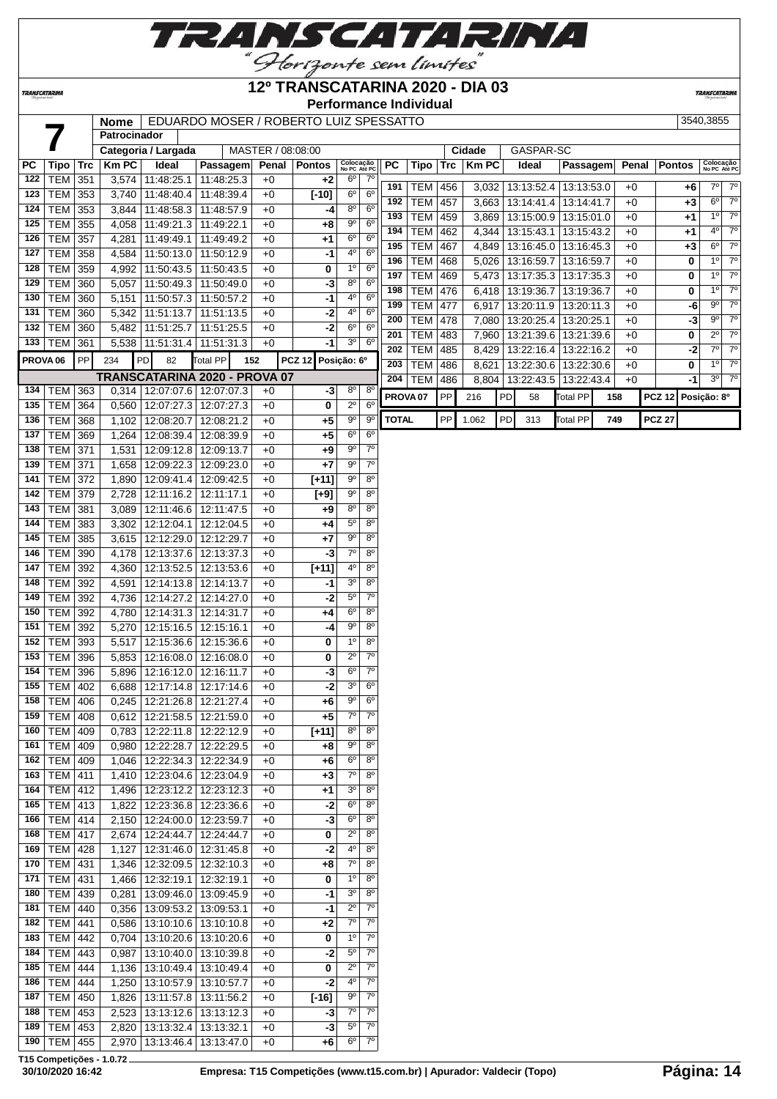

### **12º TRANSCATARINA 2020 - DIA 03**

**Performance Individual**

**TRANSCATARINI** 

**TRANSCATARINA** 

|                     |                  |            | <b>Nome</b><br>Patrocinador | EDUARDO MOSER / ROBERTO LUIZ SPESSATTO |                               |                   |               |                           |                        |                     |             |            |              |    |            |                         |     | 3540,3855 |               |                                                      |
|---------------------|------------------|------------|-----------------------------|----------------------------------------|-------------------------------|-------------------|---------------|---------------------------|------------------------|---------------------|-------------|------------|--------------|----|------------|-------------------------|-----|-----------|---------------|------------------------------------------------------|
|                     |                  |            |                             | Categoria / Largada                    |                               | MASTER / 08:08:00 |               |                           |                        |                     |             |            | Cidade       |    | GASPAR-SC  |                         |     |           |               |                                                      |
| РC                  | Tipo             | <b>Trc</b> | <b>Km PC</b>                | Ideal                                  | Passagem                      | Penal             | <b>Pontos</b> | Colocação<br>No PC Até PC |                        | <b>PC</b>           | <b>Tipo</b> | <b>Trc</b> | <b>Km PC</b> |    | Ideal      | Passagem                |     | Penal     | <b>Pontos</b> | Colocação<br>No PC Até PC                            |
| 122                 | <b>TEM</b>       | 351        |                             | 3,574 11:48:25.1                       | 11:48:25.3                    | $+0$              | $+2$          | $6^{\circ}$               | $7^\circ$              |                     |             |            |              |    |            |                         |     |           |               |                                                      |
| 123                 | TEM              | 353        |                             | 3,740   11:48:40.4                     | 11:48:39.4                    | $+0$              | $[-10]$       | 6 <sup>o</sup>            | 6 <sup>o</sup>         | 191                 | <b>TEM</b>  | 456        | 3,032        |    |            | 13:13:52.4   13:13:53.0 |     | $+0$      | +6            | $7°$ $7°$                                            |
| 124                 | TEM              | 353        |                             | 3,844 11:48:58.3                       | 11:48:57.9                    | $+0$              | -4            | $8^{\circ}$               | 6 <sup>o</sup>         | 192                 | <b>TEM</b>  | 457        | 3,663        |    |            | 13:14:41.4   13:14:41.7 |     | $+0$      | $+3$          | $7^\circ$<br>$6^{\circ}$                             |
| 125                 | TEM              | 355        |                             | 4,058 11:49:21.3                       | 11:49:22.1                    | $+0$              | $+8$          | $9^{\circ}$               | 6 <sup>o</sup>         | 193                 | <b>TEM</b>  | 459        | 3,869        |    |            | 13:15:00.9   13:15:01.0 |     | $+0$      | +1            | $7^\circ$<br>$1^{\circ}$                             |
| 126                 | <b>TEM</b>       | 357        |                             | 4,281 11:49:49.1                       | 11:49:49.2                    | $+0$              | +1            | $6^{\circ}$               | 6 <sup>o</sup>         | 194                 | <b>TEM</b>  | 462        | 4,344        |    | 13:15:43.1 | 13:15:43.2              |     | $+0$      | +1            | $7^\circ$<br>$4^{\circ}$                             |
| 127                 | <b>TEM</b>       | 358        |                             | 4,584 11:50:13.0                       | 11:50:12.9                    | $+0$              | -1            | 4 <sup>0</sup>            | 6 <sup>o</sup>         | 195                 | <b>TEM</b>  | 467        | 4,849        |    |            | 13:16:45.0   13:16:45.3 |     | $+0$      | $+3$          | $7^\circ$<br>$6^{\circ}$                             |
| 128                 | <b>TEM</b>       | 359        | 4,992                       | 11:50:43.5                             | 11:50:43.5                    | $+0$              | 0             | 1 <sup>0</sup>            | 6 <sup>o</sup>         | 196                 | <b>TEM</b>  | 468        | 5.026        |    | 13:16:59.7 | 13:16:59.7              |     | $+0$      | 0             | $1^{\circ}$<br>$7^\circ$                             |
| 129                 | <b>TEM</b>       | 360        | 5,057                       | 11:50:49.3                             | 11:50:49.0                    | $+0$              | -3            | $8^{\circ}$               | $6^{\circ}$            | 197                 | <b>TEM</b>  | 469        | 5,473        |    |            | 13:17:35.3   13:17:35.3 |     | $+0$      | 0             | $1^{\circ}$<br>$7^\circ$                             |
| 130                 | <b>TEM</b>       | 360        | 5,151                       | 11:50:57.3                             | 11:50:57.2                    | $+0$              | -1            | 4°                        | $6^{\circ}$            | 198                 | <b>TEM</b>  | 476        | 6,418        |    | 13:19:36.7 | 13:19:36.7              |     | $+0$      | 0             | $\overline{7^{\circ}}$<br>$1^{\circ}$                |
| 131                 | <b>TEM</b>       | 360        |                             | 5,342 11:51:13.7                       | 11:51:13.5                    | $+0$              | -2            | 4°                        | 6 <sup>o</sup>         | 199                 | <b>TEM</b>  | 477        | 6,917        |    | 13:20:11.9 | 13:20:11.3              |     | $+0$      | -6            | $7^\circ$<br>$9^{\circ}$                             |
| 132                 | <b>TEM</b>       | 360        | 5,482                       | 11:51:25.7                             | 11:51:25.5                    | $+0$              | $-2$          | $6^{\circ}$               | $6^{\circ}$            | 200                 | <b>TEM</b>  | 478        | 7,080        |    |            | 13:20:25.4   13:20:25.1 |     | $+0$      | $-3$          | $\overline{7^0}$<br>9°                               |
| 133                 | TEM              | 361        |                             | $5,538$   11:51:31.4                   | 11:51:31.3                    | $+0$              | -1            | 3 <sup>o</sup>            | $6^{\circ}$            | 201                 | <b>TEM</b>  | 483        | 7,960        |    |            | 13:21:39.6   13:21:39.6 |     | $+0$      | 0             | $7^\circ$<br>$2^{\circ}$                             |
| PROVA <sub>06</sub> |                  | PP         | 234                         | PD<br>82                               | Total PP<br>152               |                   | <b>PCZ 12</b> | Posição: 6º               |                        | 202                 | <b>TEM</b>  | 485        | 8,429        |    |            | 13:22:16.4   13:22:16.2 |     | $+0$      | $-2$          | $7^\circ$<br>$7^{\circ}$<br>$7^\circ$                |
|                     |                  |            |                             |                                        | TRANSCATARINA 2020 - PROVA 07 |                   |               |                           |                        | 203                 | <b>TEM</b>  | 486        | 8,621        |    | 13:22:30.6 | 13:22:30.6              |     | $+0$      | 0             | $1^{\circ}$<br>$\overline{7^{\circ}}$<br>$3^{\circ}$ |
| 134                 | TEM 363          |            |                             | 0,314   12:07:07.6                     | 12:07:07.3                    | $+0$              | -3            | $8^{\circ}$               | $8^{\circ}$            | 204                 | <b>TEM</b>  | 486        | 8,804        |    |            | 13:22:43.5   13:22:43.4 |     | $+0$      | -1            |                                                      |
| 135                 | <b>TEM</b>       | 364        | 0,560                       | 12:07:27.3                             | 12:07:27.3                    | $+0$              | $\bf{0}$      | $2^{\circ}$               | $6^{\circ}$            | PROVA <sub>07</sub> |             | PP         | 216          | PD | 58         | Total PP                | 158 |           | <b>PCZ 12</b> | Posição: 8º                                          |
| 136                 | TEM              | 368        |                             | 1,102 12:08:20.7                       | 12:08:21.2                    | $+0$              | $+5$          | $9^{\circ}$               | $9^{\circ}$            | <b>TOTAL</b>        |             | PP         | 1.062        | PD | 313        | Total PP                | 749 |           | <b>PCZ 27</b> |                                                      |
| 137                 | <b>TEM</b>       | 369        |                             | 1,264 12:08:39.4                       | 12:08:39.9                    | $+0$              | +5            | 6 <sup>o</sup>            | 6 <sup>o</sup>         |                     |             |            |              |    |            |                         |     |           |               |                                                      |
| 138                 | TEM              | 371        |                             | 1,531   12:09:12.8                     | 12:09:13.7                    | $+0$              | $+9$          | $9^{\rm o}$               | 7 <sup>o</sup>         |                     |             |            |              |    |            |                         |     |           |               |                                                      |
| 139                 | TEM              | 371        | 1,658                       | 12:09:22.3                             | 12:09:23.0                    | $+0$              | $+7$          | $9^{\circ}$               | $\overline{7^0}$       |                     |             |            |              |    |            |                         |     |           |               |                                                      |
| 141                 | TEM              | 372        |                             | 1,890   12:09:41.4                     | 12:09:42.5                    | $+0$              | $[+11]$       | 90                        | $8^{\circ}$            |                     |             |            |              |    |            |                         |     |           |               |                                                      |
| 142                 | TEM              | 379        |                             | 2,728   12:11:16.2                     | 12:11:17.1                    | $+0$              | $[+9]$        | 90                        | $8^{\circ}$            |                     |             |            |              |    |            |                         |     |           |               |                                                      |
| 143                 | <b>TEM</b>       | 381        |                             | 3,089   12:11:46.6                     | 12:11:47.5                    | $+0$              | +9            | $8^{\circ}$               | $8^{\circ}$            |                     |             |            |              |    |            |                         |     |           |               |                                                      |
| 144                 | <b>TEM</b>       | 383        |                             | 3,302   12:12:04.1                     | 12:12:04.5                    | $+0$              | +4            | $5^{\circ}$               | $\overline{8^0}$       |                     |             |            |              |    |            |                         |     |           |               |                                                      |
| 145                 | <b>TEM</b>       | 385        |                             | 3,615 12:12:29.0                       | 12:12:29.7                    | $+0$              | +7            | $9^{\circ}$               | 8 <sup>o</sup>         |                     |             |            |              |    |            |                         |     |           |               |                                                      |
| 146                 | TEM              | 390        |                             | 4,178   12:13:37.6   12:13:37.3        |                               | $+0$              | -3            | $7^\circ$                 | $8^{\circ}$            |                     |             |            |              |    |            |                         |     |           |               |                                                      |
| 147                 | <b>TEM</b>       | 392        |                             | 4,360   12:13:52.5   12:13:53.6        |                               | $+0$              | $[+11]$       | 40                        | $8^{\circ}$            |                     |             |            |              |    |            |                         |     |           |               |                                                      |
| 148                 | TEM              | 392        | 4,591                       | 12:14:13.8                             | 12:14:13.7                    | $+0$              | -1            | 3 <sup>o</sup>            | $8^{\circ}$            |                     |             |            |              |    |            |                         |     |           |               |                                                      |
| 149                 | TEM              | 392        | 4,736                       | 12:14:27.2                             | 12:14:27.0                    | $+0$              | $-2$          | $5^{\circ}$               | $7^\circ$              |                     |             |            |              |    |            |                         |     |           |               |                                                      |
| 150                 | <b>TEM</b>       | 392        |                             | 4,780   12:14:31.3   12:14:31.7        |                               | $+0$              | +4            | $6^{\circ}$               | $8^{\circ}$            |                     |             |            |              |    |            |                         |     |           |               |                                                      |
| 151                 | <b>TEM</b>       | 392        |                             | 5,270 12:15:16.5                       | 12:15:16.1                    | $+0$              | -4            | $9^{\circ}$               | $8^{\circ}$            |                     |             |            |              |    |            |                         |     |           |               |                                                      |
| 152                 | <b>TEM</b>       | 393        |                             | 5,517 12:15:36.6                       | 12:15:36.6                    | $+0$              | 0             | 1 <sup>0</sup>            | 8 <sup>o</sup>         |                     |             |            |              |    |            |                         |     |           |               |                                                      |
| 153                 | TEM              | 396        | 5,853                       | 12:16:08.0                             | 12:16:08.0                    | $+0$              | 0             | $\overline{2^0}$          | $\overline{7^{\circ}}$ |                     |             |            |              |    |            |                         |     |           |               |                                                      |
| 154                 | <b>TEM</b>       | 396        |                             | 5,896   12:16:12.0                     | 12:16:11.7                    | $+0$              | -3            | $6^{\circ}$               | $7^{\circ}$            |                     |             |            |              |    |            |                         |     |           |               |                                                      |
| 155                 | <b>TEM 402</b>   |            |                             | 6,688   12:17:14.8   12:17:14.6        |                               | $+0$              | -2            | 3 <sup>0</sup>            | $6^{\circ}$            |                     |             |            |              |    |            |                         |     |           |               |                                                      |
|                     | 158   TEM   406  |            |                             | 0,245   12:21:26.8   12:21:27.4        |                               | +0                | +6            | 90                        | 6 <sup>o</sup>         |                     |             |            |              |    |            |                         |     |           |               |                                                      |
| 159                 | TEM              | 408        |                             | 0,612   12:21:58.5   12:21:59.0        |                               | +0                | +5            | $7^\circ$                 | $7^{\circ}$            |                     |             |            |              |    |            |                         |     |           |               |                                                      |
| 160                 | <b>TEM</b>       | 409        |                             | $0,783$   12:22:11.8                   | 12:22:12.9                    | $+0$              | $[+11]$       | 80                        | $8^{\circ}$            |                     |             |            |              |    |            |                         |     |           |               |                                                      |
| 161                 | TEM   409        |            |                             | 0,980 12:22:28.7                       | 12:22:29.5                    | +0                | +8            | 90                        | $8^{\circ}$            |                     |             |            |              |    |            |                         |     |           |               |                                                      |
| 162                 | <b>TEM</b>       | 409        |                             | 1,046   12:22:34.3                     | 12:22:34.9                    | $+0$              | +6            | $6^{\circ}$               | $8^{\circ}$            |                     |             |            |              |    |            |                         |     |           |               |                                                      |
| 163                 | TEM   411        |            |                             | 1,410 12:23:04.6                       | 12:23:04.9                    | $+0$              | +3            | $7^\circ$                 | $8^{\circ}$            |                     |             |            |              |    |            |                         |     |           |               |                                                      |
| 164                 | $TEM$ 412        |            |                             | 1,496 12:23:12.2                       | 12:23:12.3                    | $+0$              | +1            | 3 <sup>o</sup>            | $8^{\circ}$            |                     |             |            |              |    |            |                         |     |           |               |                                                      |
|                     | 165   TEM   413  |            |                             | 1,822 12:23:36.8                       | 12:23:36.6                    | $+0$              | -2            | $6^{\circ}$               | $8^{\circ}$            |                     |             |            |              |    |            |                         |     |           |               |                                                      |
|                     | 166   TEM   414  |            |                             | 2,150 12:24:00.0                       | 12:23:59.7                    | $+0$              | -3            | $6^{\circ}$               | $8^{\circ}$            |                     |             |            |              |    |            |                         |     |           |               |                                                      |
| 168                 | <b>TEM 417</b>   |            |                             | 2,674 12:24:44.7                       | 12:24:44.7                    | $+0$              | 0             | $2^{\circ}$               | $8^{\circ}$            |                     |             |            |              |    |            |                         |     |           |               |                                                      |
| 169                 | $TEM$ 428        |            |                             | 1,127 12:31:46.0                       | 12:31:45.8                    | +0                | -2            | 4°                        | $8^{\circ}$            |                     |             |            |              |    |            |                         |     |           |               |                                                      |
| 170                 | TEM              | 431        |                             | 1,346 12:32:09.5                       | 12:32:10.3                    | $+0$              | +8            | $7^\circ$                 | $8^{\circ}$            |                     |             |            |              |    |            |                         |     |           |               |                                                      |
| 171                 | TEM              | 431        |                             | 1,466   12:32:19.1                     | 12:32:19.1                    | $+0$              | 0             | 1 <sup>0</sup>            | $8^{\circ}$            |                     |             |            |              |    |            |                         |     |           |               |                                                      |
| 180                 | TEM              | 439        | 0,281                       | 13:09:46.0                             | 13:09:45.9                    | $+0$              | -1            | 3 <sup>o</sup>            | $8^{\circ}$            |                     |             |            |              |    |            |                         |     |           |               |                                                      |
| 181                 | <b>TEM</b>       | 440        |                             | 0,356 13:09:53.2                       | 13:09:53.1                    | $+0$              | -1            | $2^{\circ}$               | $7^\circ$              |                     |             |            |              |    |            |                         |     |           |               |                                                      |
| 182                 | <b>TEM</b>       | 441        |                             | $0,586$   13:10:10.6   13:10:10.8      |                               | +0                | $+2$          | $7^\circ$                 | $7^{\circ}$            |                     |             |            |              |    |            |                         |     |           |               |                                                      |
|                     | 183   TEM   442  |            |                             | $0,704$   13:10:20.6   13:10:20.6      |                               | $+0$              | 0             | $1^{\circ}$               | $7^{\circ}$            |                     |             |            |              |    |            |                         |     |           |               |                                                      |
|                     | 184   TEM   443  |            |                             | $0,987$   13:10:40.0   13:10:39.8      |                               | $+0$              | -2            | $5^{\circ}$               | $7^{\circ}$            |                     |             |            |              |    |            |                         |     |           |               |                                                      |
| 185                 | <b>TEM   444</b> |            |                             | 1,136   13:10:49.4   13:10:49.4        |                               | $+0$              | 0             | $2^{\circ}$               | $7^{\circ}$            |                     |             |            |              |    |            |                         |     |           |               |                                                      |
| 186                 | <b>TEM 444</b>   |            |                             | 1,250   13:10:57.9   13:10:57.7        |                               | +0                | -2            | 4°                        | $7^{\circ}$            |                     |             |            |              |    |            |                         |     |           |               |                                                      |
| 187                 | <b>TEM 450</b>   |            |                             | 1,826   13:11:57.8   13:11:56.2        |                               | $+0$              | $[-16]$       | 90<br>$7^\circ$           | $7^{\circ}$            |                     |             |            |              |    |            |                         |     |           |               |                                                      |
| 188                 | <b>TEM 453</b>   |            |                             | 2,523 13:13:12.6 13:13:12.3            |                               | $+0$              | -3            |                           | $7^{\circ}$            |                     |             |            |              |    |            |                         |     |           |               |                                                      |
| 189                 | TEM              | 453        |                             | 2,820 13:13:32.4                       | 13:13:32.1                    | $+0$              | -3            | $5^{\circ}$               | $7^\circ$              |                     |             |            |              |    |            |                         |     |           |               |                                                      |
| 190                 | <b>TEM 455</b>   |            |                             | 2,970 13:13:46.4                       | 13:13:47.0                    | $+0$              | +6            | $6^{\circ}$               | 70                     |                     |             |            |              |    |            |                         |     |           |               |                                                      |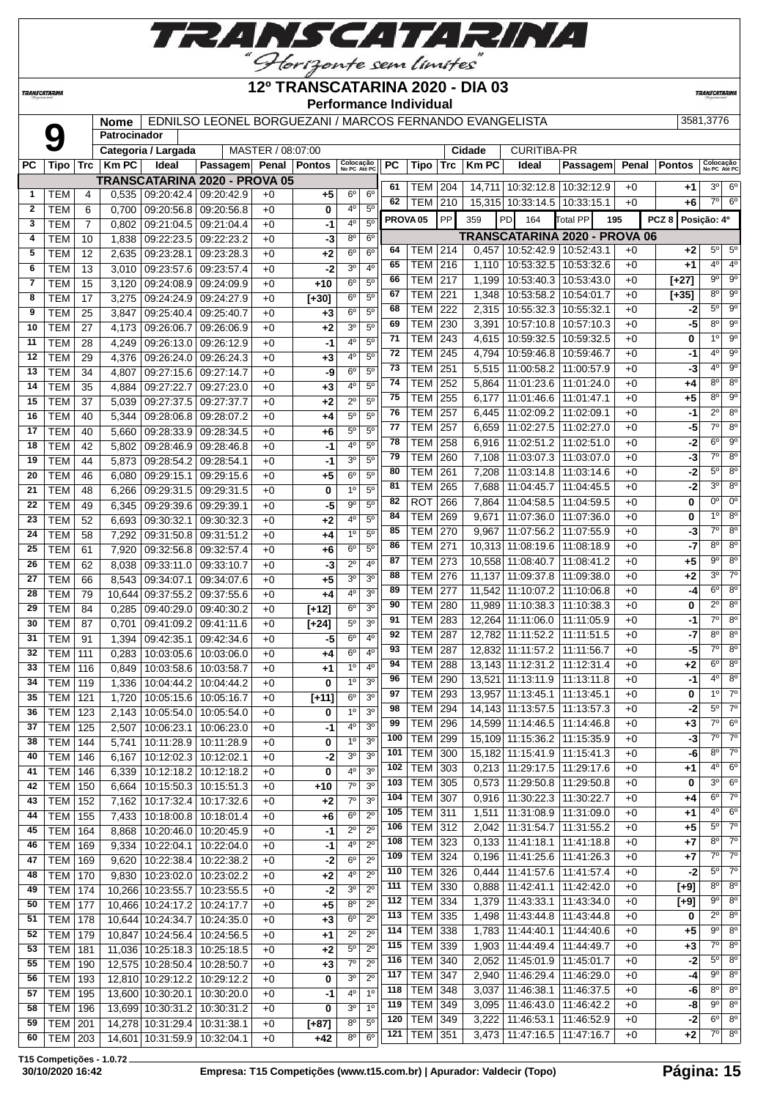

**TRANSCATARINA** 

#### **12º TRANSCATARINA 2020 - DIA 03 Performance Individual**

**TRANSCATARIN** 

#### **Nome** EDNILSO LEONEL BORGUEZANI / MARCOS FERNANDO EVANGELISTA 3581,3776 **Patrocinador Categoria / Largada** | MASTER / 08:07:00 | Cidade | CURITIBA-PR **PC Tipo Trc Km PC Ideal Passagem Penal Pontos Colocação No PC Até PC PC Tipo Trc Km PC Ideal Passagem Penal Pontos Colocação No PC Até PC TRANSCATARINA 2020 - PROVA 05** TEM 204 14,711 10:32:12.8 10:32:12.9 +0 **+1** 3º 6º

| 1            | TEM                      | 4              | 0,535  | 09:20:42.4   09:20:42.9                                      |                          | +0           | +5         | $6^{\circ}$    | $6^{\circ}$    | 62  | $\cdots$<br>TEM   210 |            |       |                                   | $1, 1, 1, 1, 1, 0.04, 1.00, 0.04, 1.00, 0.04, 1.00$<br>15,315 10:33:14.5 10:33:15.1 | $\cdot$ $\sim$<br>$+0$ | . .<br>+6 | $7^\circ$      | $6^{\circ}$            |
|--------------|--------------------------|----------------|--------|--------------------------------------------------------------|--------------------------|--------------|------------|----------------|----------------|-----|-----------------------|------------|-------|-----------------------------------|-------------------------------------------------------------------------------------|------------------------|-----------|----------------|------------------------|
| $\mathbf{2}$ | TEM                      | 6              | 0,700  | 09:20:56.8                                                   | 09:20:56.8               | $+0$         | 0          | $4^{\circ}$    | 5 <sup>0</sup> |     |                       |            |       |                                   |                                                                                     |                        |           |                |                        |
| 3            | <b>TEM</b>               | $\overline{7}$ | 0,802  |                                                              | 09:21:04.5   09:21:04.4  | $+0$         | -1         | $4^{\circ}$    | 5 <sup>0</sup> |     | PROVA <sub>05</sub>   | PP         | 359   | <b>PD</b><br>164                  | Total PP                                                                            | 195                    | PCZ 8     | Posição: 4º    |                        |
| 4            | <b>TEM</b>               | 10             | 1,838  |                                                              | 09:22:23.5 09:22:23.2    | $+0$         | -3         | $8^{\circ}$    | $6^{\circ}$    |     |                       |            |       |                                   | <b>TRANSCATARINA 2020 - PROVA 06</b>                                                |                        |           |                |                        |
| 5            | <b>TEM</b>               | 12             | 2,635  | 09:23:28.1                                                   | 09:23:28.3               | $+0$         | +2         | 6 <sup>o</sup> | 6 <sup>o</sup> | 64  | TEM                   | 214        |       | $0,457$   10:52:42.9   10:52:43.1 |                                                                                     | $+0$                   | $+2$      | $5^{\circ}$    | $5^{\circ}$            |
| 6            | <b>TEM</b>               | 13             | 3,010  |                                                              | 09:23:57.6   09:23:57.4  | $+0$         | $-2$       | 3 <sup>o</sup> | 4 <sup>0</sup> | 65  | TEM                   | 216        | 1,110 |                                   | 10:53:32.5   10:53:32.6                                                             | $+0$                   | +1        | $4^{\circ}$    | 4 <sup>0</sup>         |
| 7            | <b>TEM</b>               | 15             | 3,120  |                                                              | 09:24:08.9 09:24:09.9    | $+0$         | $+10$      | $6^{\circ}$    | $5^{\circ}$    | 66  | TEM                   | 217        | 1,199 |                                   | 10:53:40.3   10:53:43.0                                                             | $+0$                   | $[+27]$   | 9º             | $9^\circ$              |
| 8            | <b>TEM</b>               | 17             | 3,275  |                                                              | 09:24:24.9 09:24:27.9    | $+0$         | $[+30]$    | $6^{\circ}$    | 5 <sup>0</sup> | 67  | TEM                   | 221        | 1,348 |                                   | 10:53:58.2   10:54:01.7                                                             | $+0$                   | $[+35]$   | $8^{\circ}$    | $9^\circ$              |
| 9            | <b>TEM</b>               | 25             | 3,847  | 09:25:40.4                                                   | 09:25:40.7               | $+0$         | $+3$       | $6^{\circ}$    | $5^{\circ}$    | 68  | <b>TEM</b>            | 222        | 2,315 |                                   | 10:55:32.3 10:55:32.1                                                               | $+0$                   | -2        | 5°             | $9^{\circ}$            |
| 10           | <b>TEM</b>               | 27             | 4,173  | 09:26:06.7                                                   | 09:26:06.9               | $+0$         | +2         | 3 <sup>o</sup> | $5^{\circ}$    | 69  | <b>TEM</b>            | 230        | 3,391 |                                   | 10:57:10.8   10:57:10.3                                                             | $+0$                   | -5        | $8^{\circ}$    | $9^{\circ}$            |
| 11           | <b>TEM</b>               | 28             | 4,249  |                                                              | 09:26:13.0 09:26:12.9    | $+0$         | $-1$       | $4^{\circ}$    | 5 <sup>0</sup> | 71  | TEM                   | 243        | 4,615 |                                   | 10:59:32.5   10:59:32.5                                                             | $+0$                   | 0         | 10             | $9^{\circ}$            |
| 12           | <b>TEM</b>               | 29             | 4,376  |                                                              | 09:26:24.0 09:26:24.3    | $+0$         | $+3$       | 4°             | $5^{\circ}$    | 72  | <b>TEM</b>            | 245        | 4,794 |                                   | 10:59:46.8   10:59:46.7                                                             | $+0$                   | -1        | $4^{\circ}$    | 90                     |
| 13           | <b>TEM</b>               | 34             | 4,807  |                                                              | 09:27:15.6 09:27:14.7    | $+0$         | -9         | 6 <sup>o</sup> | 5 <sup>0</sup> | 73  | TEM                   | 251        | 5,515 |                                   | 11:00:58.2   11:00:57.9                                                             | $+0$                   | -3        | $4^{\circ}$    | $9^{\circ}$            |
| 14           | <b>TEM</b>               | 35             | 4,884  | 09:27:22.7                                                   | 09:27:23.0               | $+0$         | $+3$       | 4 <sup>0</sup> | 5 <sup>o</sup> | 74  | <b>TEM</b>            | 252        | 5,864 |                                   | 11:01:23.6   11:01:24.0                                                             | $+0$                   | +4        | $8^{\circ}$    | $8^{\circ}$            |
| 15           | <b>TEM</b>               | 37             | 5,039  | 09:27:37.5 09:27:37.7                                        |                          | $+0$         | +2         | $2^{\circ}$    | 5 <sup>0</sup> | 75  | TEM                   | 255        | 6,177 |                                   | 11:01:46.6   11:01:47.1                                                             | $+0$                   | +5        | 80             | $9^{\circ}$            |
| 16           | <b>TEM</b>               | 40             | 5,344  |                                                              | 09:28:06.8   09:28:07.2  | $+0$         | +4         | $5^{\circ}$    | $5^{\circ}$    | 76  | TEM                   | 257        | 6,445 | 11:02:09.2   11:02:09.1           |                                                                                     | $+0$                   | -1        | $2^{\circ}$    | $8^{\circ}$            |
| 17           | <b>TEM</b>               | 40             | 5,660  |                                                              | 09:28:33.9 09:28:34.5    | $+0$         | +6         | $5^\circ$      | 5 <sup>0</sup> | 77  | TEM                   | 257        | 6,659 |                                   | 11:02:27.5   11:02:27.0                                                             | $+0$                   | -5        | $7^{\circ}$    | $8^{\circ}$            |
| 18           | <b>TEM</b>               | 42             | 5,802  | 09:28:46.9                                                   | 09:28:46.8               | $+0$         | $-1$       | $4^{\circ}$    | $5^{\circ}$    | 78  | TEM                   | 258        | 6,916 |                                   | 11:02:51.2   11:02:51.0                                                             | $+0$                   | -2        | $6^{\circ}$    | $9^{\circ}$            |
| 19           | <b>TEM</b>               | 44             | 5,873  | 09:28:54.2                                                   | 09:28:54.1               | $+0$         | -1         | 3 <sup>o</sup> | $5^{\circ}$    | 79  | <b>TEM</b>            | 260        | 7,108 |                                   | 11:03:07.3   11:03:07.0                                                             | $+0$                   | -3        | $7^{\circ}$    | $8^\circ$              |
| 20           |                          |                |        |                                                              |                          |              |            | $6^{\circ}$    | 5 <sup>0</sup> | 80  | TEM                   | 261        | 7,208 |                                   | 11:03:14.8   11:03:14.6                                                             | $+0$                   | -2        | $5^{\circ}$    | $8^{\circ}$            |
| 21           | <b>TEM</b><br><b>TEM</b> | 46<br>48       | 6,080  | 09:29:15.1<br>09:29:31.5                                     | 09:29:15.6<br>09:29:31.5 | $+0$<br>$+0$ | $+5$<br>0  | $1^{\circ}$    | $5^{\circ}$    | 81  | <b>TEM</b>            | 265        |       | 7,688   11:04:45.7   11:04:45.5   |                                                                                     | $+0$                   | -2        | $3^{\circ}$    | $8^{\circ}$            |
|              |                          |                | 6,266  |                                                              |                          |              |            | $9^{\circ}$    | 5 <sup>0</sup> | 82  | ROT                   | 266        | 7,864 |                                   | 11:04:58.5   11:04:59.5                                                             | $+0$                   | 0         | $0^{\circ}$    | $0^{\circ}$            |
| 22           | <b>TEM</b>               | 49             | 6,345  | 09:29:39.6                                                   | 09:29:39.1               | $+0$         | -5         |                |                | 84  | <b>TEM</b>            | 269        | 9,671 |                                   | 11:07:36.0   11:07:36.0                                                             | $+0$                   | 0         | $1^{\circ}$    | $8^{\circ}$            |
| 23           | <b>TEM</b>               | 52             | 6,693  | 09:30:32.1                                                   | 09:30:32.3               | $+0$         | +2         | $4^{\circ}$    | 5 <sup>0</sup> | 85  | <b>TEM</b>            | 270        | 9,967 |                                   | 11:07:56.2   11:07:55.9                                                             | $+0$                   | -3        | $7^\circ$      | $8^{\circ}$            |
| 24           | <b>TEM</b>               | 58             | 7,292  |                                                              | 09:31:50.8 09:31:51.2    | $+0$         | +4         | 1 <sup>0</sup> | 5 <sup>0</sup> | 86  | <b>TEM</b>            | 271        |       | 10,313 11:08:19.6 11:08:18.9      |                                                                                     | $+0$                   | -7        | 8°             | $8^{\circ}$            |
| 25           | <b>TEM</b>               | 61             | 7,920  |                                                              | 09:32:56.8 09:32:57.4    | $+0$         | +6         | $6^{\circ}$    | $5^{\circ}$    | 87  | TEM                   | 273        |       | 10,558 11:08:40.7 11:08:41.2      |                                                                                     | $+0$                   | +5        | 9º             | $8^{\circ}$            |
| 26           | <b>TEM</b>               | 62             | 8,038  | 09:33:11.0                                                   | 09:33:10.7               | $+0$         | -3         | $2^{\circ}$    | $4^{\circ}$    | 88  |                       |            |       |                                   |                                                                                     |                        |           | 30             | $7^\circ$              |
| 27           | <b>TEM</b>               | 66             | 8,543  | 09:34:07.1                                                   | 09:34:07.6               | $+0$         | $+5$       | 30             | 3 <sup>o</sup> | 89  | TEM                   | 276        |       | 11,137   11:09:37.8   11:09:38.0  |                                                                                     | $+0$                   | +2        | $6^{\circ}$    | $8^\circ$              |
| 28           | <b>TEM</b>               | 79             | 10,644 | 09:37:55.2                                                   | 09:37:55.6               | $+0$         | +4         | $4^{\circ}$    | 3 <sup>0</sup> |     | <b>TEM</b>            | 277        |       | 11,542 11:10:07.2 11:10:06.8      |                                                                                     | $+0$                   | -4        | $2^{\circ}$    | $8^{\circ}$            |
| 29           | <b>TEM</b>               | 84             | 0,285  | 09:40:29.0                                                   | 09:40:30.2               | $+0$         | $[+12]$    | $6^{\circ}$    | 3 <sup>0</sup> | 90  | TEM                   | 280        |       | 11,989   11:10:38.3   11:10:38.3  |                                                                                     | $+0$                   | 0         |                |                        |
| 30           | <b>TEM</b>               | 87             | 0,701  | 09:41:09.2                                                   | 09:41:11.6               | $+0$         | $[+24]$    | $5^{\circ}$    | 3 <sup>0</sup> | 91  | <b>TEM</b>            | 283        |       | 12,264 11:11:06.0 11:11:05.9      |                                                                                     | $+0$                   | -1        | 7°             | $8^{\circ}$            |
| 31           | <b>TEM</b>               | 91             | 1,394  | 09:42:35.1                                                   | 09:42:34.6               | $+0$         | -5         | $6^{\circ}$    | 4 <sup>0</sup> | 92  | <b>TEM</b>            | 287        |       | 12,782 11:11:52.2 11:11:51.5      |                                                                                     | $+0$                   | -7        | 80             | $8^{\circ}$            |
| 32           | <b>TEM</b>               | 111            | 0,283  | 10:03:05.6                                                   | 10:03:06.0               | $+0$         | +4         | $6^{\circ}$    | $4^{\circ}$    | 93  | <b>TEM</b>            | 287        |       | 12,832 11:11:57.2 11:11:56.7      |                                                                                     | $+0$                   | -5        | 7°             | $8^{\circ}$            |
| 33           | <b>TEM</b>               | 116            | 0,849  |                                                              | 10:03:58.6   10:03:58.7  | $+0$         | +1         | 1 <sup>0</sup> | 4 <sup>0</sup> | 94  | <b>TEM</b>            | 288        |       | 13,143 11:12:31.2 11:12:31.4      |                                                                                     | $+0$                   | +2        | $6^{\circ}$    | $8^{\circ}$            |
| 34           | <b>TEM</b>               | 119            | 1,336  |                                                              | 10:04:44.2   10:04:44.2  | $+0$         | 0          | $1^{\circ}$    | 3 <sup>o</sup> | 96  | TEM                   | 290        |       | 13,521 11:13:11.9 11:13:11.8      |                                                                                     | $+0$                   | -1        | 4°             | $8^{\circ}$            |
| 35           | TEM                      | 121            | 1,720  | 10:05:15.6                                                   | 10:05:16.7               | $+0$         | $[+11]$    | $6^{\circ}$    | 3 <sup>o</sup> | 97  | TEM                   | 293        |       | 13,957 11:13:45.1 11:13:45.1      |                                                                                     | $+0$                   | 0         | $1^{\circ}$    | $7^\circ$              |
| 36           | TEM                      | 123            | 2,143  |                                                              | 10:05:54.0   10:05:54.0  | $+0$         | 0          | 1 <sup>0</sup> | 3 <sup>o</sup> | 98  | TEM                   | 294        |       | 14,143 11:13:57.5 11:13:57.3      |                                                                                     | $+0$                   | -2        | $5^{\circ}$    | $7^\circ$              |
| 37           | <b>TEM</b>               | 125            | 2,507  | 10:06:23.1                                                   | 10:06:23.0               | $+0$         | -1         | 4 <sup>0</sup> | 3 <sup>o</sup> | 99  | <b>TEM</b>            | 296        |       | 14,599 11:14:46.5 11:14:46.8      |                                                                                     | $+0$                   | $+3$      | $7^\circ$      | $6^{\circ}$            |
| 38           | <b>TEM</b>               | 144            | 5,741  | 10:11:28.9                                                   | 10:11:28.9               | $+0$         | 0          | 1 <sup>0</sup> | 3 <sup>0</sup> | 100 | <b>TEM</b>            | 299        |       |                                   | 15,109 11:15:36.2 11:15:35.9                                                        | $+0$                   | -3        | $7^{\circ}$    | $7^\circ$              |
| 40           | TEM                      | 146            | 6,167  | 10:12:02.3 10:12:02.1                                        |                          | $+0$         | $-2$       | 30             | 3 <sup>o</sup> | 101 | <b>TEM</b>            | 300        |       |                                   | 15,182 11:15:41.9 11:15:41.3                                                        | $+0$                   | -6        | 8°             | $7^\circ$              |
| 41           | <b>TEM   146</b>         |                |        | 6,339   10:12:18.2   10:12:18.2                              |                          | $+0$         | 0          | 40             | 3 <sup>0</sup> | 102 | TEM                   | 303        |       | $0,213$ 11:29:17.5 11:29:17.6     |                                                                                     | $+0$                   | +1        | $4^{\circ}$    | $6^{\circ}$            |
| 42           | <b>TEM 150</b>           |                | 6,664  |                                                              | 10:15:50.3 10:15:51.3    | $+0$         | +10        | $7^\circ$      | 3 <sup>o</sup> | 103 | <b>TEM 305</b>        |            |       |                                   | $0,573$   11:29:50.8   11:29:50.8                                                   | $+0$                   | 0         | 30             | $6^{\circ}$            |
| 43           | TEM                      | 152            | 7,162  |                                                              | 10:17:32.4 10:17:32.6    | $+0$         | $+2$       | 7 <sup>o</sup> | 3 <sup>o</sup> | 104 | <b>TEM</b>            | 307        |       | 0.916 11:30:22.3 11:30:22.7       |                                                                                     | $+0$                   | +4        | 6 <sup>o</sup> | $7^\circ$              |
| 44           | $TEM$ 155                |                |        | 7,433   10:18:00.8   10:18:01.4                              |                          | $+0$         | $+6$       | $6^{\circ}$    | $2^{\circ}$    | 105 | TEM                   | 311        | 1,511 |                                   | 11:31:08.9   11:31:09.0                                                             | $+0$                   | +1        | $4^{\circ}$    | $6^{\circ}$            |
| 45           | <b>TEM 164</b>           |                | 8,868  |                                                              | 10:20:46.0   10:20:45.9  | $+0$         | $-1$       | $2^{\circ}$    | $2^{\circ}$    | 106 | <b>TEM</b>            | 312        |       |                                   | 2,042   11:31:54.7   11:31:55.2                                                     | $+0$                   | +5        | $5^{\circ}$    | $7^\circ$              |
| 46           | <b>TEM 169</b>           |                | 9,334  |                                                              | 10:22:04.1   10:22:04.0  | $+0$         | $-1$       | $4^{\circ}$    | $2^{\circ}$    | 108 | <b>TEM</b>            | 323        |       |                                   | $0,133$   11:41:18.1   11:41:18.8                                                   | $+0$                   | +7        | $8^{\circ}$    | $7^\circ$              |
| 47           | <b>TEM 169</b>           |                | 9,620  |                                                              | 10:22:38.4   10:22:38.2  | $+0$         | $-2$       | 6 <sup>o</sup> | $2^{\circ}$    | 109 | <b>TEM</b>            | 324        |       |                                   | $0,196$   11:41:25.6   11:41:26.3                                                   | $+0$                   | +7        | $7^\circ$      | $\overline{7^{\circ}}$ |
| 48           | TEM                      |                |        |                                                              | 10:23:02.0   10:23:02.2  |              |            | $4^{\rm o}$    | $2^{\circ}$    | 110 | <b>TEM</b>            | 326        | 0,444 |                                   | 11:41:57.6   11:41:57.4                                                             | $+0$                   | $-2$      | $5^{\circ}$    | $7^\circ$              |
|              |                          | 170            | 9,830  |                                                              |                          | $+0$         | $+2$       | 3 <sup>o</sup> | $2^{\circ}$    | 111 | <b>TEM 330</b>        |            |       |                                   | $0,888$   11:42:41.1   11:42:42.0                                                   | $+0$                   | $[+9]$    | $8^{\circ}$    | $8^{\circ}$            |
| 49<br>50     | <b>TEM 174</b><br>TEM    | 177            |        | 10,266 10:23:55.7 10:23:55.5<br>10,466 10:24:17.2 10:24:17.7 |                          | $+0$         | -2<br>$+5$ | 8 <sup>o</sup> | $2^{\circ}$    | 112 | <b>TEM</b>            | 334        |       |                                   | 1,379   11:43:33.1   11:43:34.0                                                     | $+0$                   | $[+9]$    | $9^{\circ}$    | $8^{\circ}$            |
|              |                          |                |        |                                                              |                          | $+0$         |            |                |                | 113 | <b>TEM</b>            | 335        |       |                                   | 1,498   11:43:44.8   11:43:44.8                                                     | $+0$                   | 0         | $2^{\circ}$    | $8^\circ$              |
| 51           | TEM                      | 178            |        | 10,644 10:24:34.7 10:24:35.0                                 |                          | $+0$         | $+3$       | 6 <sup>o</sup> | $2^{\circ}$    | 114 | <b>TEM</b>            | 338        |       | 1,783 11:44:40.1                  | 11:44:40.6                                                                          | $+0$                   | $+5$      | $9^{\circ}$    | 8 <sup>o</sup>         |
| 52           | <b>TEM 179</b>           |                |        | 10.847 10:24:56.4 10:24:56.5                                 |                          | $+0$         | $+1$       | $2^{\circ}$    | $2^{\circ}$    | 115 | <b>TEM</b>            | 339        |       | $1,903$   11:44:49.4              | 11:44:49.7                                                                          | $+0$                   | $+3$      | 7º             | $8^{\circ}$            |
| 53           | <b>TEM 181</b>           |                |        | 11,036 10:25:18.3 10:25:18.5                                 |                          | $+0$         | $+2$       | $5^{\circ}$    | $2^{\circ}$    | 116 | <b>TEM</b>            |            |       |                                   |                                                                                     | $+0$                   |           | $5^{\circ}$    | $8^{\circ}$            |
| 55           | <b>TEM   190</b>         |                |        | 12,575 10:28:50.4 10:28:50.7                                 |                          | $+0$         | $+3$       | $7^\circ$      | $2^{\circ}$    |     | <b>TEM</b>            | 340<br>347 |       |                                   | 2,052   11:45:01.9   11:45:01.7                                                     |                        | $-2$      | 9º             | $8^{\circ}$            |
| 56           | <b>TEM</b> 193           |                |        | 12,810 10:29:12.2 10:29:12.2                                 |                          | $+0$         | 0          | 3 <sup>o</sup> | $2^{\circ}$    | 117 |                       |            | 2,940 | 11:46:29.4                        | 11:46:29.0                                                                          | $+0$                   | -4        | $8^{\circ}$    | 8 <sup>o</sup>         |
| 57           | <b>TEM   195</b>         |                |        | 13,600 10:30:20.1                                            | 10:30:20.0               | $+0$         | -1         | 4°             | 1 <sup>0</sup> | 118 | <b>TEM</b>            | 348        | 3,037 | 11:46:38.1                        | 11:46:37.5                                                                          | $+0$                   | -6        | $9^{\circ}$    | $8^\circ$              |
| 58           | TEM   196                |                |        | 13,699 10:30:31.2 10:30:31.2                                 |                          | $+0$         | 0          | 3 <sup>o</sup> | 1 <sup>0</sup> | 119 | <b>TEM 349</b>        |            |       |                                   | 3,095   11:46:43.0   11:46:42.2                                                     | $+0$                   | -8        |                |                        |
| 59           | <b>TEM 201</b>           |                |        | 14,278 10:31:29.4 10:31:38.1                                 |                          | $+0$         | $[+87]$    | $8^{\circ}$    | $5^{\circ}$    | 120 | <b>TEM 349</b>        |            |       | 3,222 11:46:53.1                  | 11:46:52.9                                                                          | $+0$                   | $-2$      | $6^{\circ}$    | $8^{\circ}$            |
| 60           | <b>TEM 203</b>           |                |        | 14,601 10:31:59.9                                            | 10:32:04.1               | $+0$         | +42        | $8^{\circ}$    | $6^{\circ}$    | 121 | <b>TEM 351</b>        |            |       |                                   | 3,473   11:47:16.5   11:47:16.7                                                     | $+0$                   | +2        |                | $7^\circ$ 8°           |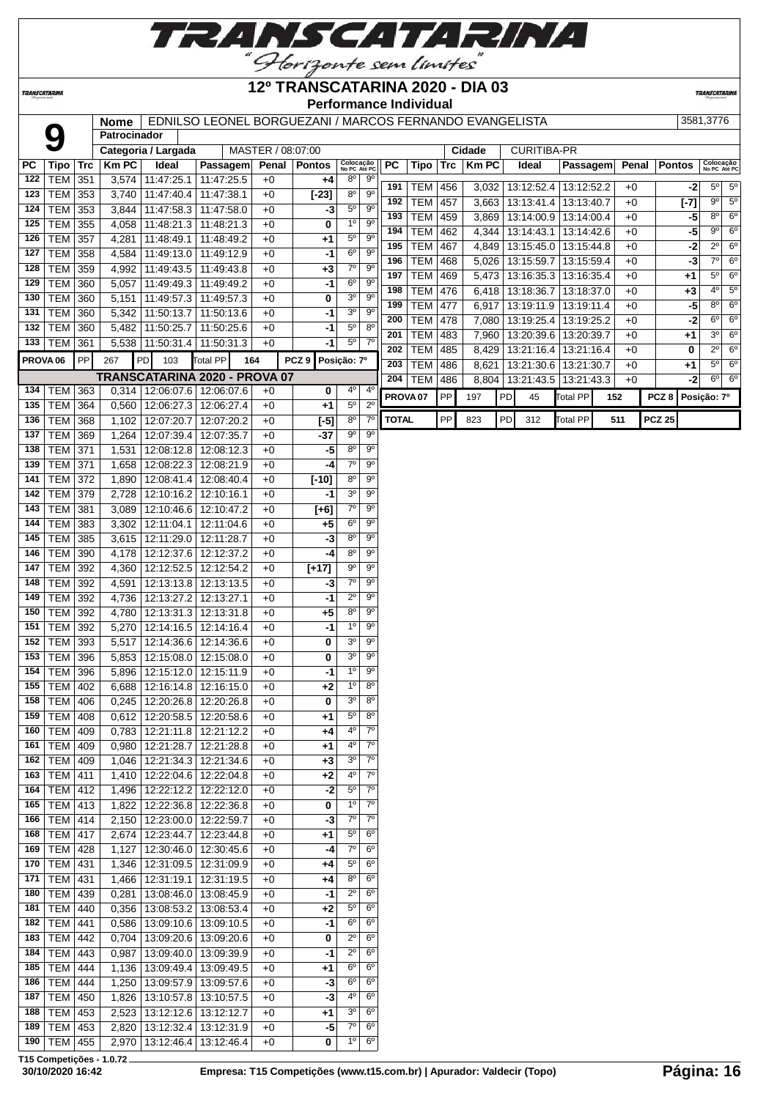

**TRANSCATARINA** 

#### **12º TRANSCATARINA 2020 - DIA 03 Performance Individual**

**TRANSCATARINA** 

| i crionnance marviauan<br>EDNILSO LEONEL BORGUEZANI / MARCOS FERNANDO EVANGELISTA<br>3581,3776<br><b>Nome</b> |                                  |            |              |                                                     |                               |                   |                  |                                          |                               |              |                          |            |                |                          |                          |     |              |                  |                            |                          |
|---------------------------------------------------------------------------------------------------------------|----------------------------------|------------|--------------|-----------------------------------------------------|-------------------------------|-------------------|------------------|------------------------------------------|-------------------------------|--------------|--------------------------|------------|----------------|--------------------------|--------------------------|-----|--------------|------------------|----------------------------|--------------------------|
|                                                                                                               | 9                                |            | Patrocinador |                                                     |                               |                   |                  |                                          |                               |              |                          |            |                |                          |                          |     |              |                  |                            |                          |
|                                                                                                               |                                  |            |              | Categoria / Largada                                 |                               | MASTER / 08:07:00 |                  |                                          |                               |              |                          |            | Cidade         | <b>CURITIBA-PR</b>       |                          |     |              |                  |                            |                          |
| РC<br>122                                                                                                     | Tipo                             | <b>Trc</b> | <b>KmPC</b>  | Ideal                                               | Passagem                      |                   | Penal Pontos     | Colocação<br>No PC Até PC<br>$8^{\circ}$ | $9^{\circ}$                   | PC           | Tipo                     | Trc        | <b>KmPC</b>    | Ideal                    | Passagem                 |     | Penal        | <b>Pontos</b>    | Colocação<br>No PC Até PC  |                          |
| 123                                                                                                           | <b>TEM 351</b><br><b>TEM 353</b> |            |              | 3,574 11:47:25.1<br>3,740   11:47:40.4              | 11:47:25.5<br>11:47:38.1      | $+0$<br>$+0$      | +4<br>$[-23]$    | 8 <sup>o</sup>                           | 9 <sup>o</sup>                | 191          | <b>TEM</b>               | 456        | 3,032          |                          | 13:12:52.4   13:12:52.2  |     | $+0$         | -2               | $5^{\circ}$                | $5^{\circ}$              |
| 124                                                                                                           | TEM                              | 353        |              | 3,844 11:47:58.3                                    | 11:47:58.0                    | $+0$              | -3               | $5^{\circ}$                              | $9^{\circ}$                   | 192          | <b>TEM</b>               | 457        | 3,663          | 13:13:41.4               | 13:13:40.7               |     | $+0$         | $[-7]$           | $9^{\circ}$                | $5^{\circ}$              |
| 125                                                                                                           | TEM 355                          |            |              | 4,058 11:48:21.3                                    | 11:48:21.3                    | $+0$              | 0                | 1 <sup>°</sup>                           | $9^{\circ}$                   | 193          | <b>TEM</b>               | 459        | 3,869          | 13:14:00.9               | 13:14:00.4               |     | $+0$         | $-5$             | $8^{\circ}$                | $6^{\circ}$              |
| 126                                                                                                           | <b>TEM 357</b>                   |            |              | 4,281 11:48:49.1                                    | 11:48:49.2                    | $+0$              | $+1$             | $5^{\circ}$                              | $9^{\circ}$                   | 194          | <b>TEM</b>               | 462        | 4,344          | 13:14:43.1               | 13:14:42.6               |     | $+0$         | $-5$             | $9^{\circ}$                | $6^{\circ}$              |
| 127                                                                                                           | <b>TEM 358</b>                   |            |              | 4,584   11:49:13.0                                  | 11:49:12.9                    | $+0$              | $-1$             | 6 <sup>o</sup>                           | 9 <sup>o</sup>                | 195          | <b>TEM</b>               | 467        | 4,849          |                          | 13:15:45.0   13:15:44.8  |     | $+0$         | $-2$             | $2^{\circ}$                | $6^{\circ}$              |
| 128                                                                                                           | TEM 359                          |            |              | 4,992 11:49:43.5                                    | 11:49:43.8                    | $+0$              | $+3$             | 7 <sup>o</sup>                           | $9^{\circ}$                   | 196          | <b>TEM</b>               | 468        | 5,026          | 13:15:59.7               | 13:15:59.4               |     | $+0$         | $-3$             | $7^\circ$                  | $6^{\circ}$              |
| 129                                                                                                           | <b>TEM 360</b>                   |            |              | 5,057   11:49:49.3                                  | 11:49:49.2                    | $+0$              | -1               | $6^{\rm o}$                              | $9^{\circ}$                   | 197<br>198   | <b>TEM</b>               | 469        | 5,473          | 13:16:35.3               | 13:16:35.4               |     | $+0$         | +1               | $5^{\circ}$<br>$4^{\circ}$ | $6^{\circ}$<br>$5^\circ$ |
| 130                                                                                                           | <b>TEM 360</b>                   |            |              | 5,151 11:49:57.3                                    | 11:49:57.3                    | $+0$              | 0                | 3 <sup>o</sup>                           | $9^{\circ}$                   | 199          | <b>TEM</b><br><b>TEM</b> | 476<br>477 | 6,418<br>6,917 | 13:18:36.7<br>13:19:11.9 | 13:18:37.0<br>13:19:11.4 |     | $+0$<br>$+0$ | $+3$<br>$-5$     | $8^{\circ}$                | $6^{\circ}$              |
| 131                                                                                                           | <b>TEM 360</b>                   |            |              | 5,342 11:50:13.7                                    | 11:50:13.6                    | $+0$              | $-1$             | 3 <sup>o</sup>                           | $9^{\circ}$                   | 200          | <b>TEM</b>               | 478        | 7,080          | 13:19:25.4               | 13:19:25.2               |     | $+0$         | $-2$             | $6^{\circ}$                | $6^{\circ}$              |
| 132                                                                                                           | TEM                              | 360        | 5,482        | 11:50:25.7                                          | 11:50:25.6                    | $+0$              | -1               | $5^{\circ}$                              | $8^{\circ}$                   | 201          | <b>TEM</b>               | 483        | 7,960          | 13:20:39.6               | 13:20:39.7               |     | $+0$         | +1               | $3^{\circ}$                | $6^{\circ}$              |
| 133                                                                                                           | TEM 361                          |            |              | 5,538 11:50:31.4                                    | 11:50:31.3                    | $+0$              | -1               | $5^{\circ}$                              | 7 <sup>0</sup>                | 202          | <b>TEM</b>               | 485        | 8,429          | 13:21:16.4               | 13:21:16.4               |     | $+0$         | 0                | $2^{\circ}$                | $6^{\circ}$              |
| PROVA <sub>06</sub>                                                                                           |                                  | PP         | 267          | PD<br>103                                           | Total PP<br>164               |                   | PCZ <sub>9</sub> | Posição: 7º                              |                               | 203          | <b>TEM</b>               | 486        | 8,621          | 13:21:30.6               | 13:21:30.7               |     | $+0$         | +1               | $5^{\circ}$                | $6^{\circ}$              |
|                                                                                                               |                                  |            |              |                                                     | TRANSCATARINA 2020 - PROVA 07 |                   |                  |                                          |                               | 204          | <b>TEM</b>               | 486        | 8,804          |                          | 13:21:43.5 13:21:43.3    |     | $+0$         | $-2$             |                            | $6^\circ$ $6^\circ$      |
| 134                                                                                                           | TEM   363                        |            |              | 0,314   12:06:07.6   12:06:07.6                     |                               | $+0$              | 0                | 40                                       | $4^{\circ}$                   |              | PROVA <sub>07</sub>      | PP         | 197            | PD<br>45                 | <b>Total PP</b>          | 152 |              | PCZ <sub>8</sub> | Posição: 7º                |                          |
| 135                                                                                                           | <b>TEM 364</b>                   |            |              | $0,560$   12:06:27.3                                | 12:06:27.4                    | $+0$              | $^{+1}$          | $5^{\circ}$                              | $\overline{2^0}$              |              |                          |            |                |                          |                          |     |              |                  |                            |                          |
| 136                                                                                                           | <b>TEM 368</b>                   |            |              | 1,102 12:07:20.7                                    | 12:07:20.2                    | $+0$              | $[-5]$           | $\overline{8^0}$                         | $\overline{7^0}$              | <b>TOTAL</b> |                          | PP         | 823            | PD<br>312                | Total PP                 | 511 |              | <b>PCZ 25</b>    |                            |                          |
| 137                                                                                                           | TEM 369                          |            |              | 1,264 12:07:39.4                                    | 12:07:35.7                    | $+0$              | -37              | 9 <sup>o</sup>                           | $9^{\circ}$                   |              |                          |            |                |                          |                          |     |              |                  |                            |                          |
| 138                                                                                                           | <b>TEM 371</b>                   |            |              | 1,531   12:08:12.8                                  | 12:08:12.3                    | $+0$              | -5               | 8 <sup>o</sup><br>$7^\circ$              | $9^{\circ}$<br>$9^{\circ}$    |              |                          |            |                |                          |                          |     |              |                  |                            |                          |
| 139<br>141                                                                                                    | <b>TEM 371</b><br><b>TEM 372</b> |            |              | 1,658 12:08:22.3<br>1,890   12:08:41.4              | 12:08:21.9                    | $+0$              | -4<br>$[-10]$    | $8^{\circ}$                              | $9^{\circ}$                   |              |                          |            |                |                          |                          |     |              |                  |                            |                          |
| 142                                                                                                           | <b>TEM 379</b>                   |            | 2,728        | 12:10:16.2                                          | 12:08:40.4<br>12:10:16.1      | $+0$<br>$+0$      | -1               | 3 <sup>o</sup>                           | $9^{\circ}$                   |              |                          |            |                |                          |                          |     |              |                  |                            |                          |
| 143                                                                                                           | TEM                              | 381        |              | 3,089   12:10:46.6   12:10:47.2                     |                               | $+0$              | $[+6]$           | 7 <sup>o</sup>                           | $9^{\circ}$                   |              |                          |            |                |                          |                          |     |              |                  |                            |                          |
| 144                                                                                                           | TEM                              | 383        |              | 3,302 12:11:04.1                                    | 12:11:04.6                    | $+0$              | +5               | $6^{\circ}$                              | $9^{\circ}$                   |              |                          |            |                |                          |                          |     |              |                  |                            |                          |
| 145                                                                                                           | TEM                              | 385        |              | 3,615 12:11:29.0                                    | 12:11:28.7                    | +0                | -3               | $8^\circ$                                | $9^{\circ}$                   |              |                          |            |                |                          |                          |     |              |                  |                            |                          |
| 146                                                                                                           | TEM 390                          |            |              | 4,178 12:12:37.6                                    | 12:12:37.2                    | $+0$              | -4               | $8^{\circ}$                              | $9^{\circ}$                   |              |                          |            |                |                          |                          |     |              |                  |                            |                          |
| 147                                                                                                           | <b>TEM 392</b>                   |            |              | 4,360 12:12:52.5                                    | 12:12:54.2                    | $+0$              | $[+17]$          | $9^{\circ}$                              | $9^{\circ}$                   |              |                          |            |                |                          |                          |     |              |                  |                            |                          |
| 148                                                                                                           | <b>TEM 392</b>                   |            |              | 4,591   12:13:13.8                                  | 12:13:13.5                    | $+0$              | -3               | $\overline{7^{\circ}}$                   | $9^{\circ}$                   |              |                          |            |                |                          |                          |     |              |                  |                            |                          |
| 149                                                                                                           | $TEM$ 392                        |            |              | 4,736 12:13:27.2                                    | 12:13:27.1                    | $+0$              | -1               | $\overline{2^0}$                         | $9^{\circ}$                   |              |                          |            |                |                          |                          |     |              |                  |                            |                          |
| 150                                                                                                           | TEM 392                          |            |              | 4,780   12:13:31.3   12:13:31.8                     |                               | $+0$              | $+5$             | 8 <sup>o</sup>                           | $9^{\circ}$                   |              |                          |            |                |                          |                          |     |              |                  |                            |                          |
| 151                                                                                                           | <b>TEM 392</b>                   |            |              | 5,270   12:14:16.5   12:14:16.4                     |                               | $+0$              | $-1$             | 1 <sup>o</sup>                           | $9^{\circ}$                   |              |                          |            |                |                          |                          |     |              |                  |                            |                          |
| 152                                                                                                           | TEM 393                          |            |              | 5,517   12:14:36.6   12:14:36.6                     |                               | $+0$              | 0                | 3 <sup>o</sup>                           | $9^{\circ}$                   |              |                          |            |                |                          |                          |     |              |                  |                            |                          |
| 153                                                                                                           | TEM                              | 396        |              | 5,853   12:15:08.0   12:15:08.0                     |                               | $+0$              | 0                | 3 <sup>o</sup>                           | $9^{\circ}$                   |              |                          |            |                |                          |                          |     |              |                  |                            |                          |
| 154                                                                                                           | TEM                              | 396        |              | 5,896 12:15:12.0                                    | 12:15:11.9                    | $+0$              | -1               | $1^{\circ}$                              | $9^{\circ}$                   |              |                          |            |                |                          |                          |     |              |                  |                            |                          |
| 155                                                                                                           | $ TEM $ 402                      |            |              | 6,688   12:16:14.8   12:16:15.0                     |                               | $+0$              | $+2$             | 1 <sup>°</sup>                           | $8^{\circ}$                   |              |                          |            |                |                          |                          |     |              |                  |                            |                          |
| 158                                                                                                           | TEM   406                        |            |              | $0,245$   12:20:26.8                                | 12:20:26.8                    | $+0$              | 0                | 3 <sup>o</sup><br>$\overline{5^0}$       | $8^{\circ}$                   |              |                          |            |                |                          |                          |     |              |                  |                            |                          |
| 159                                                                                                           | $TEM$ 408                        |            |              | 0,612   12:20:58.5   12:20:58.6                     |                               | $+0$              | +1               | 4 <sup>0</sup>                           | $8^{\circ}$<br>$7^\circ$      |              |                          |            |                |                          |                          |     |              |                  |                            |                          |
| 161                                                                                                           | 160   TEM   409<br>  TEM   409   |            |              | $0.783$   12:21:11.8                                | 12:21:12.2<br>12:21:28.8      | $+0$              | +4               | 4°                                       | $7^{\circ}$                   |              |                          |            |                |                          |                          |     |              |                  |                            |                          |
| 162                                                                                                           | <b>TEM 409</b>                   |            |              | 0,980 12:21:28.7<br>1,046   12:21:34.3   12:21:34.6 |                               | $+0$<br>$+0$      | +1<br>$+3$       | $3^{\rm o}$                              | $7^{\circ}$                   |              |                          |            |                |                          |                          |     |              |                  |                            |                          |
| 163                                                                                                           | <b>TEM 411</b>                   |            |              | 1,410   12:22:04.6   12:22:04.8                     |                               | $+0$              | $+2$             | 4 <sup>0</sup>                           | $7^{\circ}$                   |              |                          |            |                |                          |                          |     |              |                  |                            |                          |
| 164                                                                                                           | $TEM$ 412                        |            |              | 1,496 12:22:12.2                                    | 12:22:12.0                    | $+0$              | $-2$             | $5^{\rm o}$                              | $7^\circ$                     |              |                          |            |                |                          |                          |     |              |                  |                            |                          |
| 165                                                                                                           | <b>TEM 413</b>                   |            | 1,822        | 12:22:36.8                                          | 12:22:36.8                    | $+0$              | 0                | $1^{\circ}$                              | $7^\circ$                     |              |                          |            |                |                          |                          |     |              |                  |                            |                          |
| 166                                                                                                           | <b>TEM 414</b>                   |            |              | 2,150 12:23:00.0                                    | 12:22:59.7                    | $+0$              | -3               | 7 <sup>o</sup>                           | $7^\circ$                     |              |                          |            |                |                          |                          |     |              |                  |                            |                          |
| 168                                                                                                           | <b>TEM 417</b>                   |            | 2,674        | 12:23:44.7                                          | 12:23:44.8                    | $+0$              | +1               | $5^{\circ}$                              | 6 <sup>o</sup>                |              |                          |            |                |                          |                          |     |              |                  |                            |                          |
|                                                                                                               | 169   TEM   428                  |            |              | 1,127   12:30:46.0   12:30:45.6                     |                               | $+0$              | -4               | $7^\circ$                                | 6 <sup>o</sup>                |              |                          |            |                |                          |                          |     |              |                  |                            |                          |
|                                                                                                               | 170   TEM   431                  |            |              | 1,346 12:31:09.5                                    | 12:31:09.9                    | $+0$              | $+4$             | $5^{\circ}$                              | 6 <sup>o</sup>                |              |                          |            |                |                          |                          |     |              |                  |                            |                          |
| 171                                                                                                           | TEM 431                          |            |              | 1,466   12:31:19.1                                  | 12:31:19.5                    | $+0$              | $+4$             | 8 <sup>o</sup>                           | $6^{\circ}$                   |              |                          |            |                |                          |                          |     |              |                  |                            |                          |
| 180                                                                                                           | <b>TEM 439</b>                   |            | 0,281        | 13:08:46.0                                          | 13:08:45.9                    | $+0$              | -1               | $2^{\circ}$                              | 6 <sup>o</sup>                |              |                          |            |                |                          |                          |     |              |                  |                            |                          |
| 181                                                                                                           | <b>TEM 440</b>                   |            |              | 0,356 13:08:53.2                                    | 13:08:53.4                    | $+0$              | $+2$             | $5^{\rm o}$                              | $6^{\circ}$                   |              |                          |            |                |                          |                          |     |              |                  |                            |                          |
| 182                                                                                                           | <b>TEM 441</b>                   |            |              | 0,586   13:09:10.6   13:09:10.5                     |                               | $+0$              | -1               | 6 <sup>o</sup>                           | $6^{\circ}$                   |              |                          |            |                |                          |                          |     |              |                  |                            |                          |
| 183                                                                                                           | $TEM$ 442                        |            |              | 0,704 13:09:20.6                                    | 13:09:20.6                    | $+0$              | 0                | $2^{\circ}$                              | $6^{\circ}$                   |              |                          |            |                |                          |                          |     |              |                  |                            |                          |
| 184                                                                                                           | $TEM$ 443                        |            | 0,987        | 13:09:40.0                                          | 13:09:39.9                    | $+0$              | -1               | $2^{\circ}$                              | 6 <sup>o</sup>                |              |                          |            |                |                          |                          |     |              |                  |                            |                          |
|                                                                                                               | 185   TEM   444                  |            |              | 1,136   13:09:49.4   13:09:49.5                     |                               | +0                | +1               | 6 <sup>o</sup>                           | 6 <sup>o</sup>                |              |                          |            |                |                          |                          |     |              |                  |                            |                          |
|                                                                                                               | 186   TEM   444                  |            |              | 1,250   13:09:57.9   13:09:57.6                     |                               | $+0$              | -3               | $6^{\circ}$<br>4°                        | 6 <sup>o</sup><br>$6^{\circ}$ |              |                          |            |                |                          |                          |     |              |                  |                            |                          |
| 187<br>188                                                                                                    | TEM   450<br>$TEM$ 453           |            |              | 1,826   13:10:57.8   13:10:57.5<br>2,523 13:12:12.6 | 13:12:12.7                    | $+0$<br>$+0$      | -3               | 3 <sup>o</sup>                           | $6^{\circ}$                   |              |                          |            |                |                          |                          |     |              |                  |                            |                          |
| 189                                                                                                           | $TEM$ 453                        |            |              | 2,820 13:12:32.4                                    | 13:12:31.9                    | $+0$              | +1<br>-5         | $7^\circ$                                | 6 <sup>o</sup>                |              |                          |            |                |                          |                          |     |              |                  |                            |                          |
| 190                                                                                                           | <b>TEM 455</b>                   |            |              | 2,970   13:12:46.4   13:12:46.4                     |                               | $+0$              | 0                | $1^{\circ}$                              | 6 <sup>o</sup>                |              |                          |            |                |                          |                          |     |              |                  |                            |                          |
|                                                                                                               |                                  |            |              |                                                     |                               |                   |                  |                                          |                               |              |                          |            |                |                          |                          |     |              |                  |                            |                          |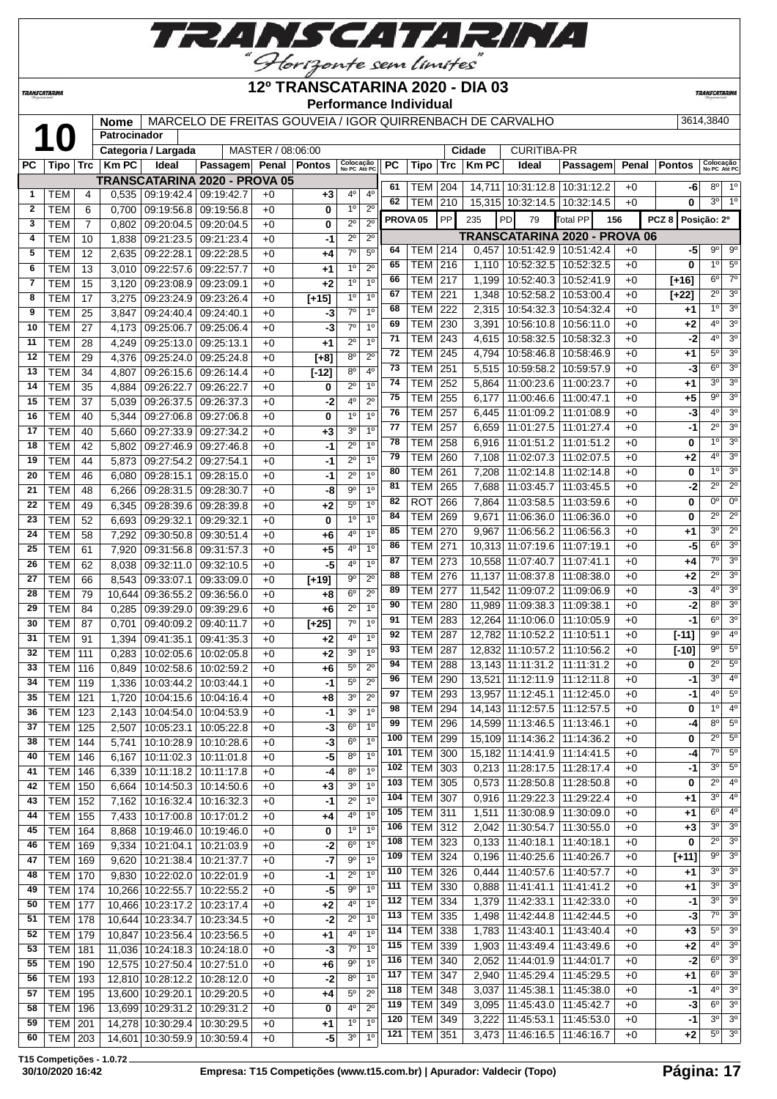

**TRANSCATARINA** 

#### **12º TRANSCATARINA 2020 - DIA 03 Performance Individual**

**TRANSCATARIN** 

|              | MARCELO DE FREITAS GOUVEIA / IGOR QUIRRENBACH DE CARVALHO<br>3614.3840<br><b>Nome</b><br>10<br>Patrocinador<br>MASTER / 08:06:00 |                |              |                                 |                               |      |                |                               |                               |     |                     |     |              |                              |                                             |       |                  |                           |                        |
|--------------|----------------------------------------------------------------------------------------------------------------------------------|----------------|--------------|---------------------------------|-------------------------------|------|----------------|-------------------------------|-------------------------------|-----|---------------------|-----|--------------|------------------------------|---------------------------------------------|-------|------------------|---------------------------|------------------------|
|              |                                                                                                                                  |                |              | Categoria / Largada             |                               |      |                |                               |                               |     |                     |     | Cidade       | <b>CURITIBA-PR</b>           |                                             |       |                  |                           |                        |
| PC           | Tipo   Trc                                                                                                                       |                | <b>Km PC</b> | Ideal                           | <b>Passagem</b>               |      | Penal   Pontos | Colocação<br>No PC Até PC     |                               | PC  | <b>Tipo</b>         | Trc | <b>Km PC</b> | Ideal                        | Passagem                                    | Penal | <b>Pontos</b>    | Colocação<br>No PC Até PO |                        |
|              |                                                                                                                                  |                |              |                                 | TRANSCATARINA 2020 - PROVA 05 |      |                |                               |                               | 61  | TEM                 | 204 |              | 14,711 10:31:12.8            | 10:31:12.2                                  | $+0$  | -6               | 80                        | 1 <sup>0</sup>         |
| 1            | TEM                                                                                                                              | 4              |              | 0,535   09:19:42.4              | 09:19:42.7                    | $+0$ | $+3$           | 4°                            | $4^{\circ}$                   | 62  | TEM                 | 210 |              | 15,315 10:32:14.5            | 10:32:14.5                                  | $+0$  | 0                | 3 <sup>o</sup>            | 1 <sup>c</sup>         |
| $\mathbf{2}$ | <b>TEM</b>                                                                                                                       | 6              | 0,700        | 09:19:56.8                      | 09:19:56.8                    | $+0$ | 0              | 1 <sup>0</sup>                | $2^{\circ}$                   |     | PROVA <sub>05</sub> | PP  | 235          | PD<br>79                     | <b>Total PP</b><br>156                      |       | PCZ <sub>8</sub> | Posição: 2º               |                        |
| 3            | <b>TEM</b>                                                                                                                       | $\overline{7}$ | 0,802        | 09:20:04.5                      | 09:20:04.5                    | $+0$ | 0              | $2^{\circ}$                   | $2^{\circ}$                   |     |                     |     |              |                              |                                             |       |                  |                           |                        |
| 4            | <b>TEM</b>                                                                                                                       | 10             | 1,838        | 09:21:23.5                      | 09:21:23.4                    | $+0$ | -1             | $2^{\circ}$                   | $2^{\circ}$                   | 64  | тем                 | 214 |              | $0.457$   10:51:42.9         | TRANSCATARINA 2020 - PROVA 06<br>10:51:42.4 | $+0$  | -5               | $9^{\circ}$               | 9 <sup>c</sup>         |
| 5            | <b>TEM</b>                                                                                                                       | 12             | 2,635        | 09:22:28.1                      | 09:22:28.5                    | $+0$ | +4             | $7^\circ$                     | 5 <sup>o</sup>                | 65  | TEM                 | 216 | 1,110        | 10:52:32.5                   | 10:52:32.5                                  | $+0$  | 0                | 1 <sup>0</sup>            | 5 <sup>o</sup>         |
| 6            | <b>TEM</b>                                                                                                                       | 13             | 3,010        | 09:22:57.6                      | 09:22:57.7                    | $+0$ | $^{+1}$        | 1 <sup>0</sup>                | $2^{\circ}$                   | 66  | <b>TEM</b>          | 217 | 1,199        | 10:52:40.3                   | 10:52:41.9                                  | $+0$  | $[+16]$          | 6 <sup>o</sup>            | $7^\circ$              |
| 7            | <b>TEM</b>                                                                                                                       | 15             | 3,120        | 09:23:08.9                      | 09:23:09.1                    | $+0$ | $+2$           | 1 <sup>0</sup>                | 1 <sup>0</sup>                | 67  | TEM                 | 221 | 1,348        | 10:52:58.2                   | 10:53:00.4                                  | $+0$  | $[+22]$          | $2^{\circ}$               | 3 <sup>o</sup>         |
| 8            | TEM                                                                                                                              | 17             | 3,275        | 09:23:24.9                      | 09:23:26.4                    | $+0$ | $[+15]$        | 1 <sup>0</sup>                | 1 <sup>0</sup>                | 68  | <b>TEM</b>          | 222 | 2,315        | 10:54:32.3                   | 10:54:32.4                                  | $+0$  | +1               | 1 <sup>0</sup>            | 3 <sup>o</sup>         |
| 9            | <b>TEM</b>                                                                                                                       | 25             | 3,847        | 09:24:40.4                      | 09:24:40.1                    | $+0$ | -3             | $7^\circ$                     | 1 <sup>0</sup>                | 69  | <b>TEM</b>          | 230 | 3,391        | 10:56:10.8                   | 10:56:11.0                                  | $+0$  | $+2$             | 4°                        | 3 <sup>o</sup>         |
| 10           | <b>TEM</b>                                                                                                                       | 27             | 4,173        | 09:25:06.7                      | 09:25:06.4                    | $+0$ | -3             | $7^\circ$                     | 1 <sup>0</sup>                | 71  | <b>TEM</b>          | 243 | 4,615        | 10:58:32.5                   | 10:58:32.3                                  | $+0$  | $-2$             | 4°                        | 3 <sup>o</sup>         |
| 11           | <b>TEM</b>                                                                                                                       | 28             | 4,249        | 09:25:13.0                      | 09:25:13.1                    | $+0$ | +1             | $2^{\circ}$<br>$8^{\circ}$    | 1 <sup>0</sup><br>$2^{\circ}$ | 72  | <b>TEM</b>          | 245 | 4,794        | 10:58:46.8                   | 10:58:46.9                                  | $+0$  | $+1$             | $5^{\circ}$               | 3 <sup>o</sup>         |
| 12           | <b>TEM</b>                                                                                                                       | 29             | 4,376        | 09:25:24.0                      | 09:25:24.8                    | $+0$ | $[+8]$         | 8 <sup>o</sup>                | 4 <sup>0</sup>                | 73  | TEM                 | 251 | 5,515        | 10:59:58.2                   | 10:59:57.9                                  | $+0$  | -3               | 6 <sup>o</sup>            | 3 <sup>o</sup>         |
| 13           | <b>TEM</b>                                                                                                                       | 34             | 4,807        | 09:26:15.6                      | 09:26:14.4                    | $+0$ | $[-12]$        | $2^{\circ}$                   | 1 <sup>0</sup>                | 74  | <b>TEM</b>          | 252 | 5,864        | 11:00:23.6                   | 11:00:23.7                                  | $+0$  | +1               | 3 <sup>o</sup>            | 3 <sup>o</sup>         |
| 14           | <b>TEM</b>                                                                                                                       | 35             | 4,884        | 09:26:22.7                      | 09:26:22.7                    | $+0$ | 0              |                               |                               | 75  | <b>TEM</b>          | 255 | 6,177        | 11:00:46.6                   | 11:00:47.1                                  | $+0$  | $+5$             | $9^{\circ}$               | 3 <sup>o</sup>         |
| 15           | <b>TEM</b>                                                                                                                       | 37             | 5,039        | 09:26:37.5                      | 09:26:37.3                    | $+0$ | -2             | 40<br>1 <sup>0</sup>          | $2^{\circ}$<br>1 <sup>0</sup> | 76  | <b>TEM</b>          | 257 | 6,445        | 11:01:09.2                   | 11:01:08.9                                  | $+0$  | -3               | 4 <sup>0</sup>            | 3 <sup>o</sup>         |
| 16           | <b>TEM</b>                                                                                                                       | 40             | 5,344        | 09:27:06.8                      | 09:27:06.8                    | $+0$ | 0              |                               | 1 <sup>0</sup>                | 77  | <b>TEM</b>          | 257 | 6,659        | 11:01:27.5                   | 11:01:27.4                                  | $+0$  | -1               | $2^{\circ}$               | 3 <sup>o</sup>         |
| 17           | <b>TEM</b>                                                                                                                       | 40             | 5,660        | 09:27:33.9                      | 09:27:34.2                    | $+0$ | $+3$           | 3 <sup>o</sup><br>$2^{\circ}$ | 1 <sup>0</sup>                | 78  | <b>TEM</b>          | 258 | 6,916        | 11:01:51.2                   | 11:01:51.2                                  | $+0$  | 0                | 1 <sup>0</sup>            | 3 <sup>o</sup>         |
| 18           | <b>TEM</b>                                                                                                                       | 42             | 5,802        | 09:27:46.9                      | 09:27:46.8                    | $+0$ | -1             |                               | 1 <sup>0</sup>                | 79  | <b>TEM</b>          | 260 | 7,108        | 11:02:07.3                   | 11:02:07.5                                  | $+0$  | $+2$             | 4°                        | 3 <sup>o</sup>         |
| 19           | <b>TEM</b>                                                                                                                       | 44             | 5,873        | 09:27:54.2                      | 09:27:54.1                    | $+0$ | $-1$           | $2^{\circ}$                   | 1 <sup>0</sup>                | 80  | <b>TEM</b>          | 261 | 7,208        | 11:02:14.8                   | 11:02:14.8                                  | $+0$  | 0                | 1 <sup>0</sup>            | 3 <sup>o</sup>         |
| 20           | <b>TEM</b>                                                                                                                       | 46             | 6,080        | 09:28:15.1                      | 09:28:15.0                    | $+0$ | -1             | $2^{\circ}$<br>9 <sup>o</sup> | 1 <sup>0</sup>                | 81  | <b>TEM</b>          | 265 | 7,688        | 11:03:45.7                   | 11:03:45.5                                  | $+0$  | -2               | $2^{\circ}$               | $\overline{2^{\circ}}$ |
| 21           | <b>TEM</b>                                                                                                                       | 48             | 6,266        | 09:28:31.5                      | 09:28:30.7                    | $+0$ | -8             |                               | 1 <sup>0</sup>                | 82  | <b>ROT</b>          | 266 | 7,864        | 11:03:58.5                   | 11:03:59.6                                  | $+0$  | 0                | $0^{\circ}$               | 0 <sup>o</sup>         |
| 22           | <b>TEM</b>                                                                                                                       | 49             | 6,345        | 09:28:39.6                      | 09:28:39.8                    | $+0$ | $+2$           | 5 <sup>0</sup><br>10          | 1 <sup>0</sup>                | 84  | <b>TEM</b>          | 269 | 9,671        | 11:06:36.0                   | 11:06:36.0                                  | $+0$  | 0                | $2^{\circ}$               | 2 <sup>o</sup>         |
| 23           | <b>TEM</b>                                                                                                                       | 52             | 6,693        | 09:29:32.1                      | 09:29:32.1                    | $+0$ | $\mathbf 0$    | 40                            | 1 <sup>0</sup>                | 85  | <b>TEM</b>          | 270 | 9,967        | 11:06:56.2                   | 11:06:56.3                                  | $+0$  | +1               | 3 <sup>o</sup>            | 2 <sup>o</sup>         |
| 24           | <b>TEM</b>                                                                                                                       | 58             | 7,292        | 09:30:50.8                      | 09:30:51.4                    | $+0$ | $+6$           | $4^{\circ}$                   | 1 <sup>0</sup>                | 86  | <b>TEM</b>          | 271 |              | 10,313 11:07:19.6            | 11:07:19.1                                  | $+0$  | -5               | $6^{\circ}$               | $\overline{3^0}$       |
| 25           | <b>TEM</b>                                                                                                                       | 61             | 7,920        | 09:31:56.8                      | 09:31:57.3                    | $+0$ | $+5$           |                               |                               | 87  | TEM                 | 273 |              | 10,558 11:07:40.7            | 11:07:41.1                                  | $+0$  | +4               | $7^\circ$                 | 3 <sup>o</sup>         |
| 26           | <b>TEM</b>                                                                                                                       | 62             | 8,038        | 09:32:11.0                      | 09:32:10.5                    | $+0$ | -5             | 4 <sup>0</sup>                | 1 <sup>0</sup>                | 88  | <b>TEM</b>          | 276 | 11,137       | 11:08:37.8                   | 11:08:38.0                                  | $+0$  | $+2$             | $2^{\circ}$               | 3 <sup>o</sup>         |
| 27           | <b>TEM</b>                                                                                                                       | 66             | 8,543        | 09:33:07.1                      | 09:33:09.0                    | $+0$ | $[+19]$        | $9^{\circ}$                   | $2^{\circ}$                   | 89  | <b>TEM</b>          | 277 |              | 11,542 11:09:07.2            | 11:09:06.9                                  | $+0$  | -3               | 4°                        | 3 <sup>o</sup>         |
| 28           | <b>TEM</b>                                                                                                                       | 79             | 10,644       | 09:36:55.2                      | 09:36:56.0                    | $+0$ | +8             | 6 <sup>o</sup><br>$2^{\circ}$ | $2^{\circ}$<br>1 <sup>0</sup> | 90  | <b>TEM</b>          | 280 |              | 11,989 11:09:38.3            | 11:09:38.1                                  | $+0$  | -2               | 8 <sup>o</sup>            | 3 <sup>o</sup>         |
| 29           | <b>TEM</b>                                                                                                                       | 84             | 0,285        | 09:39:29.0                      | 09:39:29.6                    | $+0$ | $+6$           | $7^\circ$                     | 1 <sup>0</sup>                | 91  | <b>TEM</b>          | 283 |              | 12,264 11:10:06.0            | 11:10:05.9                                  | $+0$  | $-1$             | 6 <sup>o</sup>            | 3 <sup>o</sup>         |
| 30           | <b>TEM</b>                                                                                                                       | 87             | 0,701        | 09:40:09.2                      | 09:40:11.7                    | $+0$ | $[+25]$        | 4°                            | 1 <sup>0</sup>                | 92  | TEM                 | 287 |              | 12,782 11:10:52.2            | 11:10:51.1                                  | $+0$  | $[-11]$          | $9^{\circ}$               | 4 <sup>0</sup>         |
| 31           | <b>TEM</b>                                                                                                                       | 91             | 1,394        | 09:41:35.1                      | 09:41:35.3                    | $+0$ | $+2$           | 30                            | 1 <sup>0</sup>                | 93  | <b>TEM</b>          | 287 |              | 12,832 11:10:57.2            | 11:10:56.2                                  | $+0$  | $[-10]$          | $9^{\circ}$               | 5 <sup>c</sup>         |
| 32<br>33     | <b>TEM</b><br><b>TEM</b>                                                                                                         | 111            | 0,283        | 10:02:05.6                      | 10:02:05.8                    | $+0$ | $+2$           | 5°                            | $2^{\circ}$                   | 94  | TEM                 | 288 |              | 13,143 11:11:31.2            | 11:11:31.2                                  | $+0$  | 0                | $\overline{2^0}$          | 5 <sup>c</sup>         |
| 34           |                                                                                                                                  | 116            | 0,849        | 10:02:58.6                      | 10:02:59.2                    | $+0$ | +6             | 5 <sup>0</sup>                | $2^{\circ}$                   | 96  | <b>TEM</b>          | 290 |              | 13,521 11:12:11.9            | 11:12:11.8                                  | $+0$  | -1               | 3 <sup>0</sup>            | 4 <sup>°</sup>         |
|              | TEM                                                                                                                              | 119            | 1,336        | 10:03:44.2                      | 10:03:44.1                    | $+0$ | $-1$           | 3 <sup>o</sup>                | $2^{\circ}$                   | 97  | <b>TEM</b> 293      |     |              | 13,957 11:12:45.1 11:12:45.0 |                                             | $+0$  | $-1$             | $4^{\circ}$               | 5 <sup>o</sup>         |
| 35           | TEM   121                                                                                                                        |                |              | 1,720   10:04:15.6   10:04:16.4 |                               | $+0$ | +8             | 3 <sup>o</sup>                | 1 <sup>0</sup>                | 98  | <b>TEM 294</b>      |     |              | 14,143 11:12:57.5            | 11:12:57.5                                  | $+0$  | 0                | $1^{\circ}$               | $4^\circ$              |
| 36           | <b>TEM 123</b>                                                                                                                   |                | 2,143        | 10:04:54.0                      | 10:04:53.9                    | $+0$ | -1             | 6 <sup>o</sup>                | 1 <sup>0</sup>                | 99  | <b>TEM 296</b>      |     |              | 14,599 11:13:46.5            | 11:13:46.1                                  | $+0$  | -4               | $8^{\circ}$               | $5^\circ$              |
| 37           | <b>TEM 125</b>                                                                                                                   |                | 2,507        | 10:05:23.1                      | 10:05:22.8                    | $+0$ | -3             | 6 <sup>o</sup>                | 1 <sup>0</sup>                | 100 | <b>TEM 299</b>      |     |              | 15,109 11:14:36.2            | 11:14:36.2                                  | $+0$  | 0                | $2^{\circ}$               | $5^\circ$              |
| 38           | $TEM$ 144                                                                                                                        |                | 5,741        | 10:10:28.9                      | 10:10:28.6                    | $+0$ | -3             | $8^{\circ}$                   | 1 <sup>0</sup>                | 101 | <b>TEM 300</b>      |     |              | 15,182 11:14:41.9            | 11:14:41.5                                  | $+0$  | $-4$             | $7^\circ$                 | 5 <sup>c</sup>         |
| 40           | TEM   146                                                                                                                        |                | 6,167        | 10:11:02.3                      | 10:11:01.8                    | $+0$ | -5             | 8 <sup>0</sup>                | 1 <sup>0</sup>                | 102 | <b>TEM 303</b>      |     |              | $0,213$ 11:28:17.5           | 11:28:17.4                                  | $+0$  | -1               | 3 <sup>o</sup>            | 5 <sup>c</sup>         |
| 41           | <b>TEM 146</b>                                                                                                                   |                | 6,339        | 10:11:18.2                      | 10:11:17.8                    | $+0$ | -4             | 3 <sup>0</sup>                | 1 <sup>o</sup>                | 103 | <b>TEM 305</b>      |     |              | $0,573$   11:28:50.8         | 11:28:50.8                                  | $+0$  | 0                | $2^{\circ}$               | $4^\circ$              |
| 42<br>43     | <b>TEM 150</b><br><b>TEM 152</b>                                                                                                 |                | 6,664        | 10:14:50.3<br>10:16:32.4        | 10:14:50.6                    | $+0$ | $+3$           | $2^{\circ}$                   | 1 <sup>0</sup>                | 104 | <b>TEM</b>          | 307 |              | $0,916$   11:29:22.3         | 11:29:22.4                                  | $+0$  | +1               | 3 <sup>o</sup>            | 4 <sup>0</sup>         |
|              | <b>TEM 155</b>                                                                                                                   |                | 7,162        |                                 | 10:16:32.3                    | $+0$ | -1             | $4^{\circ}$                   | 1 <sup>0</sup>                | 105 | <b>TEM 311</b>      |     |              | 1,511 11:30:08.9             | 11:30:09.0                                  | $+0$  | $+1$             | $6^{\circ}$               | $4^\circ$              |
| 44           |                                                                                                                                  |                | 7,433        | 10:17:00.8                      | 10:17:01.2                    | $+0$ | $+4$           | $1^{\circ}$                   | 1 <sup>0</sup>                | 106 | <b>TEM 312</b>      |     |              | 2,042 11:30:54.7             | 11:30:55.0                                  | $+0$  | $+3$             | 3 <sup>o</sup>            | 3 <sup>o</sup>         |
| 45           | <b>TEM   164</b>                                                                                                                 |                | 8,868        | 10:19:46.0                      | 10:19:46.0                    | $+0$ | 0              | $6^{\circ}$                   | $1^{\circ}$                   | 108 | <b>TEM 323</b>      |     |              | $0,133$   11:40:18.1         | 11:40:18.1                                  | $+0$  | 0                | $2^{\circ}$               | 3 <sup>o</sup>         |
| 46           | <b>TEM 169</b>                                                                                                                   |                | 9,334        | 10:21:04.1                      | 10:21:03.9                    | $+0$ | $-2$           | $9^{\circ}$                   | 1 <sup>o</sup>                | 109 | <b>TEM 324</b>      |     |              | $0,196$   11:40:25.6         | 11:40:26.7                                  | $+0$  | $[+11]$          | $9^{\circ}$               | 3 <sup>o</sup>         |
| 47           | <b>TEM 169</b>                                                                                                                   |                |              | 9,620   10:21:38.4              | 10:21:37.7                    | $+0$ | -7             | $2^{\circ}$                   | 1 <sup>0</sup>                | 110 | <b>TEM 326</b>      |     |              | $0,444$   11:40:57.6         | 11:40:57.7                                  | $+0$  | +1               | 3 <sup>o</sup>            | 3 <sup>o</sup>         |
| 48           | $TEM$ 170                                                                                                                        |                |              | 9,830 10:22:02.0                | 10:22:01.9                    | $+0$ | -1             | $9^{\circ}$                   | 1 <sup>0</sup>                | 111 | <b>TEM 330</b>      |     | 0,888        | 11:41:41.1                   | 11:41:41.2                                  | $+0$  | $+1$             | 3 <sup>o</sup>            | 3 <sup>o</sup>         |
| 49           | <b>TEM   174</b>                                                                                                                 |                |              | 10,266 10:22:55.7               | 10:22:55.2                    | $+0$ | -5             | 4°                            | 1 <sup>0</sup>                | 112 | <b>TEM 334</b>      |     |              | 1,379 11:42:33.1             | 11:42:33.0                                  | $+0$  | -1               | 3 <sup>o</sup>            | 3 <sup>o</sup>         |
| 50           | <b>TEM 177</b>                                                                                                                   |                |              | 10,466 10:23:17.2               | 10:23:17.4                    | $+0$ | $+2$           | $2^{\circ}$                   | 1 <sup>0</sup>                | 113 | <b>TEM 335</b>      |     | 1,498        | 11:42:44.8                   | 11:42:44.5                                  | $+0$  | $-3$             | $7^{\circ}$               | 3 <sup>o</sup>         |
| 51           | <b>TEM 178</b>                                                                                                                   |                |              | 10,644 10:23:34.7               | 10:23:34.5                    | $+0$ | -2             | 4 <sup>0</sup>                | 1 <sup>0</sup>                | 114 | <b>TEM</b>          | 338 | 1,783        | 11:43:40.1                   | 11:43:40.4                                  | $+0$  | $+3$             | $5^{\circ}$               | 3 <sup>0</sup>         |
| 52           | TEM   179                                                                                                                        |                |              | 10,847 10:23:56.4               | 10:23:56.5                    | $+0$ | $+1$           | $7^\circ$                     | 1 <sup>0</sup>                | 115 | <b>TEM</b>          | 339 |              | 1,903   11:43:49.4           | 11:43:49.6                                  | $+0$  | $+2$             | 4°                        | 3 <sup>0</sup>         |
| 53           | <b>TEM 181</b>                                                                                                                   |                |              | 11,036 10:24:18.3               | 10:24:18.0                    | $+0$ | -3             | $9^{\circ}$                   | 1 <sup>0</sup>                | 116 | <b>TEM</b>          | 340 |              | 2,052 11:44:01.9             | 11:44:01.7                                  | $+0$  | -2               | $6^{\circ}$               | 3 <sup>o</sup>         |
| 55           | <b>TEM   190</b>                                                                                                                 |                |              | 12,575 10:27:50.4               | 10:27:51.0                    | $+0$ | +6             | $8^{\circ}$                   | $1^{\circ}$                   | 117 | <b>TEM 347</b>      |     |              | 2,940   11:45:29.4           | 11:45:29.5                                  | $+0$  | $+1$             | $6^{\circ}$               | 3 <sup>o</sup>         |
| 56           | TEM   193                                                                                                                        |                |              | 12,810 10:28:12.2               | 10:28:12.0                    | $+0$ | $-2$           |                               | $2^{\circ}$                   | 118 | <b>TEM</b>          | 348 |              | $3,037$   11:45:38.1         | 11:45:38.0                                  | $+0$  | $-1$             | 4º                        | 3 <sup>o</sup>         |
| 57           | TEM   195                                                                                                                        |                |              | 13,600 10:29:20.1               | 10:29:20.5                    | $+0$ | +4             | $5^{\circ}$                   |                               |     |                     |     |              |                              |                                             |       |                  |                           |                        |

**T15 Competições - 1.0.72**

 TEM 196 13,699 10:29:31.2 10:29:31.2 +0 **0** 4º 2º TEM 201 14,278 10:30:29.4 10:30:29.5 +0 **+1** 1º 1º **14,601** 10:30:59.9 10:30:59.4 +0 **-5** 

TEM 349 3,095 11:45:43.0 11:45:42.7 +0 **-3** 6º 3º

TEM 351 3,473 11:46:16.5 11:46:16.7 +0 **+2** 5º 3º

TEM 349 3,222 11:45:53.1 11:45:53.0 +0 **-1** 3º 3º